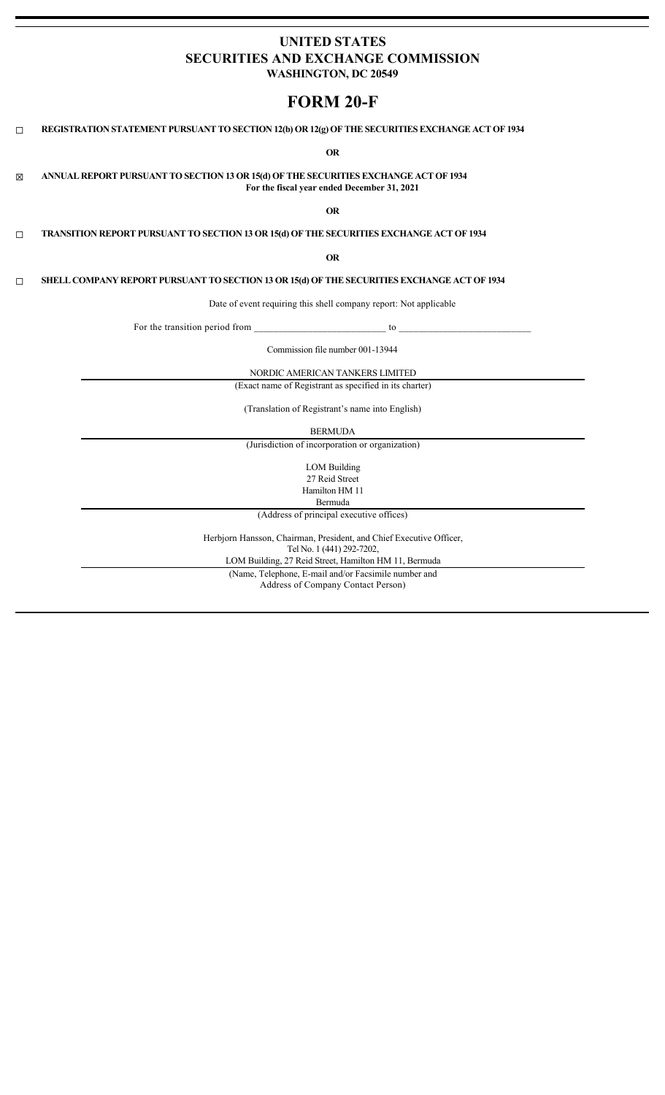# **UNITED STATES SECURITIES AND EXCHANGE COMMISSION WASHINGTON, DC 20549**

# **FORM 20-F**

| $\Box$                           | REGISTRATION STATEMENT PURSUANT TO SECTION 12(b) OR 12(g) OF THE SECURITIES EXCHANGE ACT OF 1934                                                                                                                               |  |  |  |
|----------------------------------|--------------------------------------------------------------------------------------------------------------------------------------------------------------------------------------------------------------------------------|--|--|--|
|                                  | <b>OR</b>                                                                                                                                                                                                                      |  |  |  |
| X                                | ANNUAL REPORT PURSUANT TO SECTION 13 OR 15(d) OF THE SECURITIES EXCHANGE ACT OF 1934<br>For the fiscal year ended December 31, 2021                                                                                            |  |  |  |
|                                  | <b>OR</b>                                                                                                                                                                                                                      |  |  |  |
| $\Box$                           | TRANSITION REPORT PURSUANT TO SECTION 13 OR 15(d) OF THE SECURITIES EXCHANGE ACT OF 1934                                                                                                                                       |  |  |  |
|                                  | <b>OR</b>                                                                                                                                                                                                                      |  |  |  |
| $\Box$                           | SHELL COMPANY REPORT PURSUANT TO SECTION 13 OR 15(d) OF THE SECURITIES EXCHANGE ACT OF 1934                                                                                                                                    |  |  |  |
|                                  | Date of event requiring this shell company report: Not applicable                                                                                                                                                              |  |  |  |
|                                  | For the transition period from the transition period from the transition period from the transition of the transition of the transition of the transition of the transition of the transition of the transition of the transit |  |  |  |
| Commission file number 001-13944 |                                                                                                                                                                                                                                |  |  |  |
|                                  | NORDIC AMERICAN TANKERS LIMITED                                                                                                                                                                                                |  |  |  |
|                                  | (Exact name of Registrant as specified in its charter)                                                                                                                                                                         |  |  |  |
|                                  | (Translation of Registrant's name into English)                                                                                                                                                                                |  |  |  |
|                                  | <b>BERMUDA</b>                                                                                                                                                                                                                 |  |  |  |
|                                  | (Jurisdiction of incorporation or organization)                                                                                                                                                                                |  |  |  |
|                                  | <b>LOM Building</b><br>27 Reid Street<br>Hamilton HM 11<br>Bermuda                                                                                                                                                             |  |  |  |
|                                  | (Address of principal executive offices)                                                                                                                                                                                       |  |  |  |
|                                  | Herbjorn Hansson, Chairman, President, and Chief Executive Officer,<br>Tel No. 1 (441) 292-7202,<br>LOM Building, 27 Reid Street, Hamilton HM 11, Bermuda                                                                      |  |  |  |
|                                  | (Name, Telephone, E-mail and/or Facsimile number and<br>Address of Company Contact Person)                                                                                                                                     |  |  |  |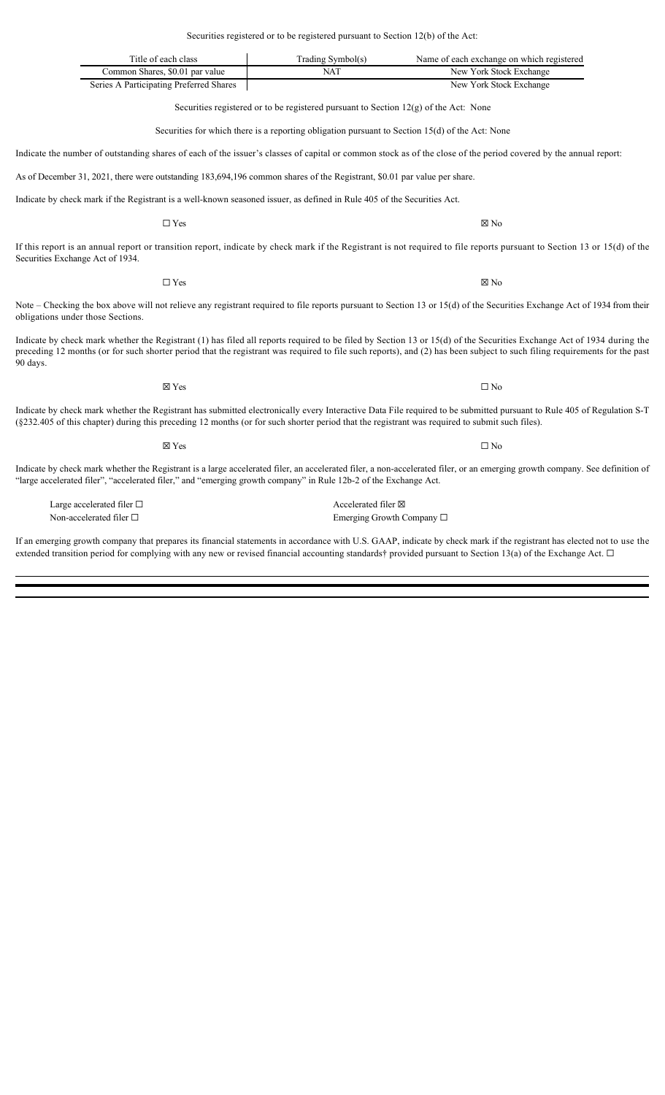| Title of each class                     | Trading Symbol(s) | Name of each exchange on which registered |
|-----------------------------------------|-------------------|-------------------------------------------|
| Common Shares, \$0.01 par value         | NAT               | New York Stock Exchange                   |
| Series A Participating Preferred Shares |                   | New York Stock Exchange                   |

Securities registered or to be registered pursuant to Section 12(g) of the Act: None

Securities for which there is a reporting obligation pursuant to Section 15(d) of the Act: None

Indicate the number of outstanding shares of each of the issuer's classes of capital or common stock as of the close of the period covered by the annual report:

As of December 31, 2021, there were outstanding 183,694,196 common shares of the Registrant, \$0.01 par value per share.

Indicate by check mark if the Registrant is a well-known seasoned issuer, as defined in Rule 405 of the Securities Act.

 $\Box$  Yes  $\boxtimes$  No

If this report is an annual report or transition report, indicate by check mark if the Registrant is not required to file reports pursuant to Section 13 or 15(d) of the Securities Exchange Act of 1934.

Note – Checking the box above will not relieve any registrant required to file reports pursuant to Section 13 or 15(d) of the Securities Exchange Act of 1934 from their obligations under those Sections.

Indicate by check mark whether the Registrant (1) has filed all reports required to be filed by Section 13 or 15(d) of the Securities Exchange Act of 1934 during the preceding 12 months (or for such shorter period that the registrant was required to file such reports), and (2) has been subject to such filing requirements for the past 90 days.

Indicate by check mark whether the Registrant has submitted electronically every Interactive Data File required to be submitted pursuant to Rule 405 of Regulation S-T (§232.405 of this chapter) during this preceding 12 months (or for such shorter period that the registrant was required to submit such files).

Indicate by check mark whether the Registrant is a large accelerated filer, an accelerated filer, a non-accelerated filer, or an emerging growth company. See definition of "large accelerated filer", "accelerated filer," and "emerging growth company" in Rule 12b-2 of the Exchange Act.

Large accelerated filer □ and a set of the set of the set of the set of the set of the set of the set of the set of the set of the set of the set of the set of the set of the set of the set of the set of the set of the se Non-accelerated filer □ state of the state of the state of the Emerging Growth Company □

If an emerging growth company that prepares its financial statements in accordance with U.S. GAAP, indicate by check mark if the registrant has elected not to use the extended transition period for complying with any new or revised financial accounting standards† provided pursuant to Section 13(a) of the Exchange Act. □

 $\square$  Yes  $\square$  No

 $\boxtimes$  Yes  $\Box$  No

 $\boxtimes$  Yes  $\Box$  No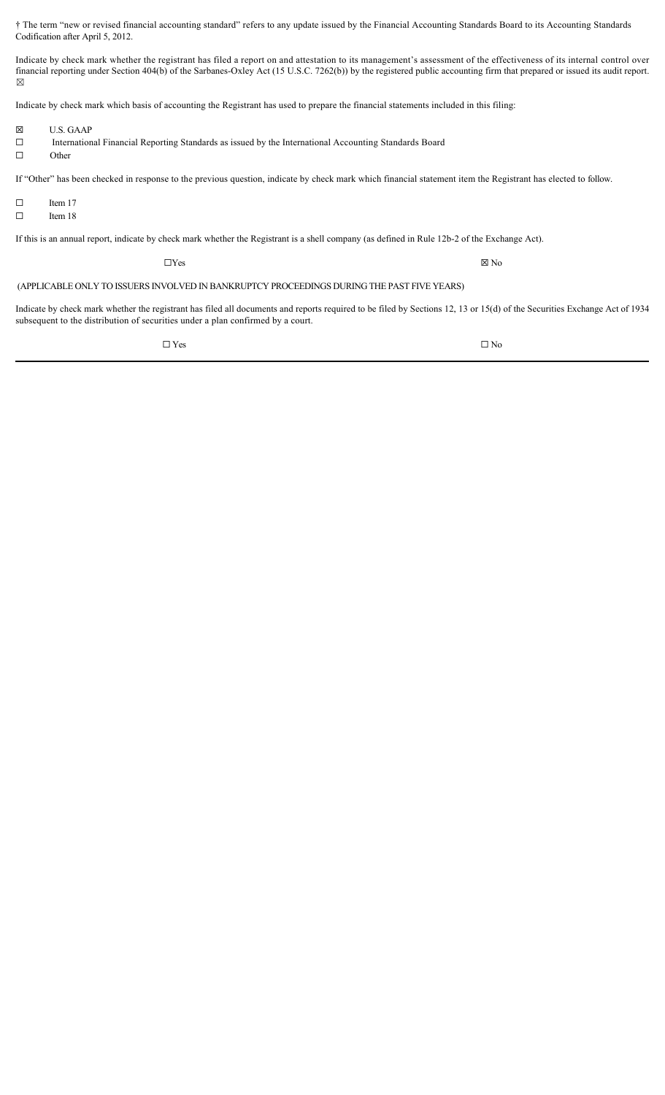† The term "new or revised financial accounting standard" refers to any update issued by the Financial Accounting Standards Board to its Accounting Standards Codification after April 5, 2012.

Indicate by check mark whether the registrant has filed a report on and attestation to its management's assessment of the effectiveness of its internal control over financial reporting under Section 404(b) of the Sarbanes-Oxley Act (15 U.S.C. 7262(b)) by the registered public accounting firm that prepared or issued its audit report. ☒

Indicate by check mark which basis of accounting the Registrant has used to prepare the financial statements included in this filing:

- ☒ U.S. GAAP
- ☐ International Financial Reporting Standards as issued by the International Accounting Standards Board
- ☐ Other

If "Other" has been checked in response to the previous question, indicate by check mark which financial statement item the Registrant has elected to follow.

- $\Box$  Item 17
- ☐ Item 18

If this is an annual report, indicate by check mark whether the Registrant is a shell company (as defined in Rule 12b-2 of the Exchange Act).

 $\square$ Yes  $\square$  No

# (APPLICABLE ONLY TO ISSUERS INVOLVED IN BANKRUPTCY PROCEEDINGS DURING THE PAST FIVE YEARS)

Indicate by check mark whether the registrant has filed all documents and reports required to be filed by Sections 12, 13 or 15(d) of the Securities Exchange Act of 1934 subsequent to the distribution of securities under a plan confirmed by a court.

 $\square$  Yes  $\square$  No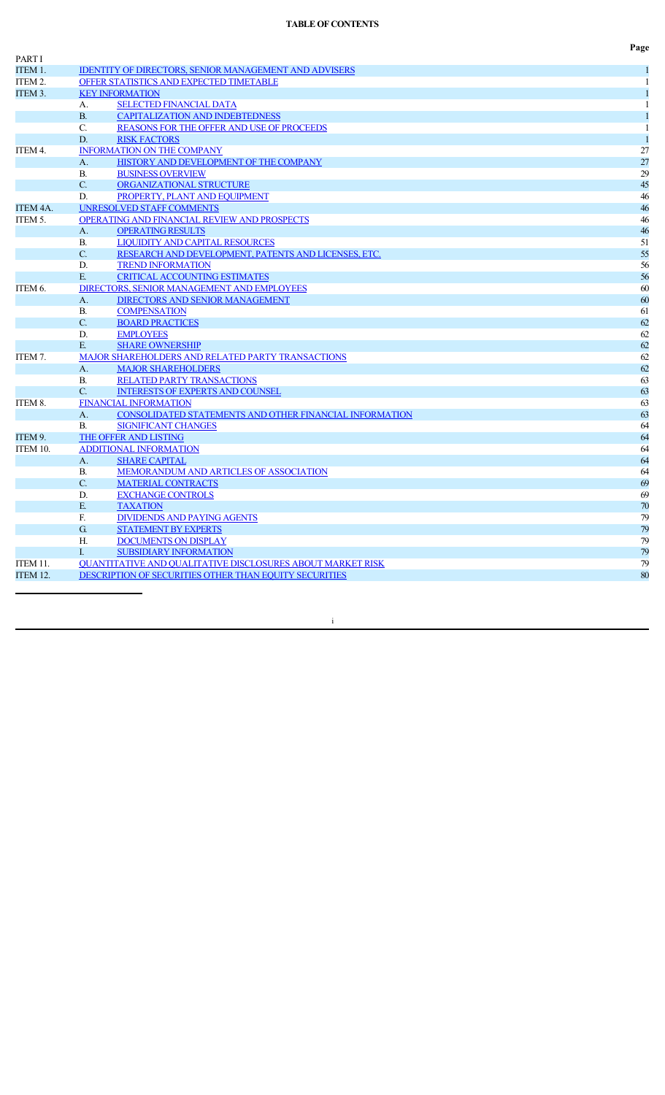# <span id="page-3-0"></span>**TABLE OF CONTENTS**

| PART I          |                                         |                                                                   |              |
|-----------------|-----------------------------------------|-------------------------------------------------------------------|--------------|
| ITEM 1.         |                                         | <b>IDENTITY OF DIRECTORS, SENIOR MANAGEMENT AND ADVISERS</b>      |              |
| ITEM 2.         | OFFER STATISTICS AND EXPECTED TIMETABLE |                                                                   |              |
| ITEM 3.         |                                         | <b>KEY INFORMATION</b>                                            | $\mathbf{1}$ |
|                 | А.                                      | <b>SELECTED FINANCIAL DATA</b>                                    | -1           |
|                 | <b>B.</b>                               | <b>CAPITALIZATION AND INDEBTEDNESS</b>                            |              |
|                 | C.                                      | REASONS FOR THE OFFER AND USE OF PROCEEDS                         | 1            |
|                 | D.                                      | <b>RISK FACTORS</b>                                               | $\mathbf{1}$ |
| ITEM 4.         |                                         | <b>INFORMATION ON THE COMPANY</b>                                 | 27           |
|                 | A.                                      | HISTORY AND DEVELOPMENT OF THE COMPANY                            | 27           |
|                 | <b>B.</b>                               | <b>BUSINESS OVERVIEW</b>                                          | $29\,$       |
|                 | C.                                      | ORGANIZATIONAL STRUCTURE                                          | 45           |
|                 | D.                                      | PROPERTY, PLANT AND EQUIPMENT                                     | 46           |
| ITEM 4A.        |                                         | UNRESOLVED STAFF COMMENTS                                         | 46           |
| ITEM 5.         |                                         | OPERATING AND FINANCIAL REVIEW AND PROSPECTS                      | 46           |
|                 | A.                                      | <b>OPERATING RESULTS</b>                                          | 46           |
|                 | <b>B.</b>                               | <b>LIQUIDITY AND CAPITAL RESOURCES</b>                            | 51           |
|                 | $C_{\cdot}$                             | RESEARCH AND DEVELOPMENT, PATENTS AND LICENSES, ETC.              | 55           |
|                 | D.                                      | <b>TREND INFORMATION</b>                                          | 56           |
|                 | E.                                      | <b>CRITICAL ACCOUNTING ESTIMATES</b>                              | 56           |
| ITEM 6.         |                                         | DIRECTORS, SENIOR MANAGEMENT AND EMPLOYEES                        | $60\,$       |
|                 | A.                                      | <b>DIRECTORS AND SENIOR MANAGEMENT</b>                            | 60           |
|                 | В.                                      | <b>COMPENSATION</b>                                               | 61           |
|                 | $C_{\cdot}$                             | <b>BOARD PRACTICES</b>                                            | 62           |
|                 | D.                                      | <b>EMPLOYEES</b>                                                  | 62           |
|                 | E.                                      | <b>SHARE OWNERSHIP</b>                                            | 62           |
| ITEM 7.         |                                         | <b>MAJOR SHAREHOLDERS AND RELATED PARTY TRANSACTIONS</b>          | 62           |
|                 | A.                                      | <b>MAJOR SHAREHOLDERS</b>                                         | 62           |
|                 | В.                                      | <b>RELATED PARTY TRANSACTIONS</b>                                 | 63           |
|                 | $C_{\cdot}$                             | <b>INTERESTS OF EXPERTS AND COUNSEL</b>                           | 63           |
| ITEM 8.         |                                         | <b>FINANCIAL INFORMATION</b>                                      | 63           |
|                 | A.                                      | CONSOLIDATED STATEMENTS AND OTHER FINANCIAL INFORMATION           | 63           |
|                 | <b>B.</b>                               | <b>SIGNIFICANT CHANGES</b>                                        | 64           |
| ITEM 9.         |                                         | <b>THE OFFER AND LISTING</b>                                      | 64           |
| ITEM 10.        |                                         | <b>ADDITIONAL INFORMATION</b>                                     | 64           |
|                 | A.                                      | <b>SHARE CAPITAL</b>                                              | 64           |
|                 | В.                                      | <b>MEMORANDUM AND ARTICLES OF ASSOCIATION</b>                     | 64           |
|                 | $\overline{C}$ .                        | <b>MATERIAL CONTRACTS</b>                                         | 69           |
|                 | D.                                      | <b>EXCHANGE CONTROLS</b>                                          | 69           |
|                 | E.                                      | <b>TAXATION</b>                                                   | 70           |
|                 | F.                                      | <b>DIVIDENDS AND PAYING AGENTS</b>                                | 79           |
|                 | G.                                      | <b>STATEMENT BY EXPERTS</b>                                       | 79           |
|                 | H.                                      | <b>DOCUMENTS ON DISPLAY</b>                                       | 79           |
|                 | $\mathbf{L}$                            | <b>SUBSIDIARY INFORMATION</b>                                     | 79           |
| ITEM 11.        |                                         | <b>OUANTITATIVE AND QUALITATIVE DISCLOSURES ABOUT MARKET RISK</b> | 79           |
| <b>ITEM 12.</b> |                                         | DESCRIPTION OF SECURITIES OTHER THAN EQUITY SECURITIES            | 80           |
|                 |                                         |                                                                   |              |

i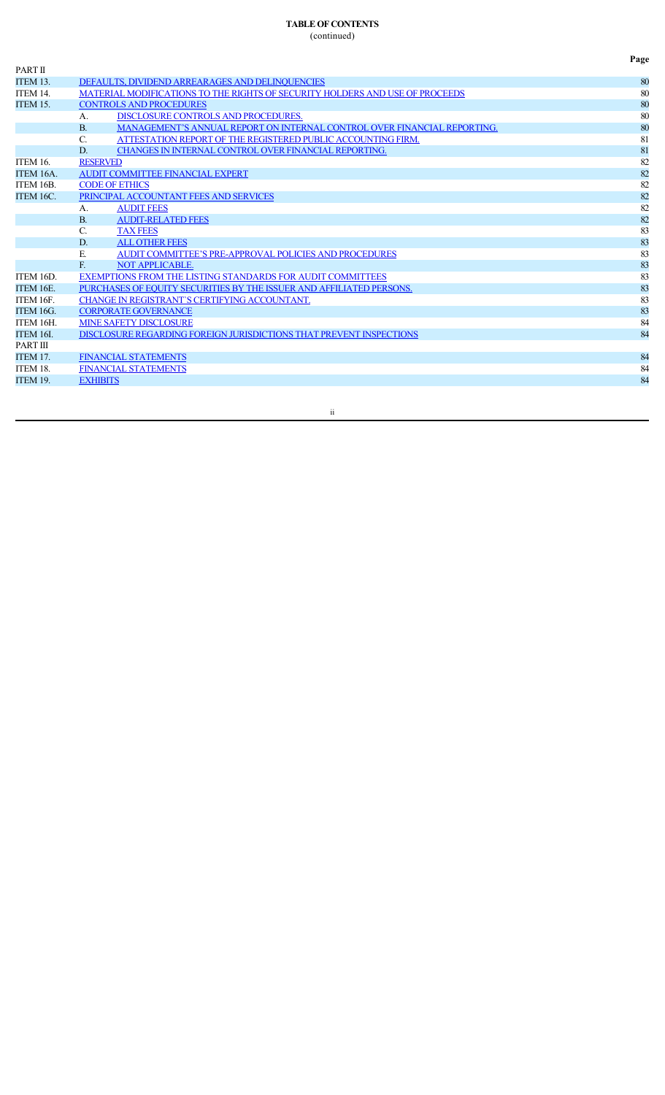# **TABLE OF CONTENTS** (continued)

|                  |                                                                                       | rage |
|------------------|---------------------------------------------------------------------------------------|------|
| PART II          |                                                                                       |      |
| ITEM 13.         | DEFAULTS, DIVIDEND ARREARAGES AND DELINQUENCIES                                       | 80   |
| ITEM 14.         | MATERIAL MODIFICATIONS TO THE RIGHTS OF SECURITY HOLDERS AND USE OF PROCEEDS          | 80   |
| ITEM 15.         | <b>CONTROLS AND PROCEDURES</b>                                                        | 80   |
|                  | DISCLOSURE CONTROLS AND PROCEDURES.<br>A.                                             | 80   |
|                  | MANAGEMENT'S ANNUAL REPORT ON INTERNAL CONTROL OVER FINANCIAL REPORTING.<br><b>B.</b> | 80   |
|                  | C.<br>ATTESTATION REPORT OF THE REGISTERED PUBLIC ACCOUNTING FIRM.                    | 81   |
|                  | CHANGES IN INTERNAL CONTROL OVER FINANCIAL REPORTING.<br>D.                           | 81   |
| ITEM 16.         | <b>RESERVED</b>                                                                       | 82   |
| ITEM 16A.        | AUDIT COMMITTEE FINANCIAL EXPERT                                                      | 82   |
| ITEM 16B.        | <b>CODE OF ETHICS</b>                                                                 | 82   |
| ITEM 16C.        | PRINCIPAL ACCOUNTANT FEES AND SERVICES                                                | 82   |
|                  | <b>AUDIT FEES</b><br>А.                                                               | 82   |
|                  | <b>B.</b><br><b>AUDIT-RELATED FEES</b>                                                | 82   |
|                  | $\mathbf{C}$<br><b>TAX FEES</b>                                                       | 83   |
|                  | D.<br><b>ALL OTHER FEES</b>                                                           | 83   |
|                  | E.<br>AUDIT COMMITTEE'S PRE-APPROVAL POLICIES AND PROCEDURES                          | 83   |
|                  | E.<br><b>NOT APPLICABLE.</b>                                                          | 83   |
| ITEM 16D.        | <b>EXEMPTIONS FROM THE LISTING STANDARDS FOR AUDIT COMMITTEES</b>                     | 83   |
| ITEM 16E.        | PURCHASES OF EQUITY SECURITIES BY THE ISSUER AND AFFILIATED PERSONS.                  | 83   |
| ITEM 16F.        | CHANGE IN REGISTRANT'S CERTIFYING ACCOUNTANT.                                         | 83   |
| ITEM 16G.        | <b>CORPORATE GOVERNANCE</b>                                                           | 83   |
| ITEM 16H.        | <b>MINE SAFETY DISCLOSURE</b>                                                         | 84   |
| <b>ITEM 16I.</b> | DISCLOSURE REGARDING FOREIGN JURISDICTIONS THAT PREVENT INSPECTIONS                   | 84   |
| PART III         |                                                                                       |      |
| ITEM 17.         | <b>FINANCIAL STATEMENTS</b>                                                           | 84   |
| ITEM 18.         | <b>FINANCIAL STATEMENTS</b>                                                           | 84   |
| <b>ITEM 19.</b>  | <b>EXHIBITS</b>                                                                       | 84   |
|                  |                                                                                       |      |

ii

**p**.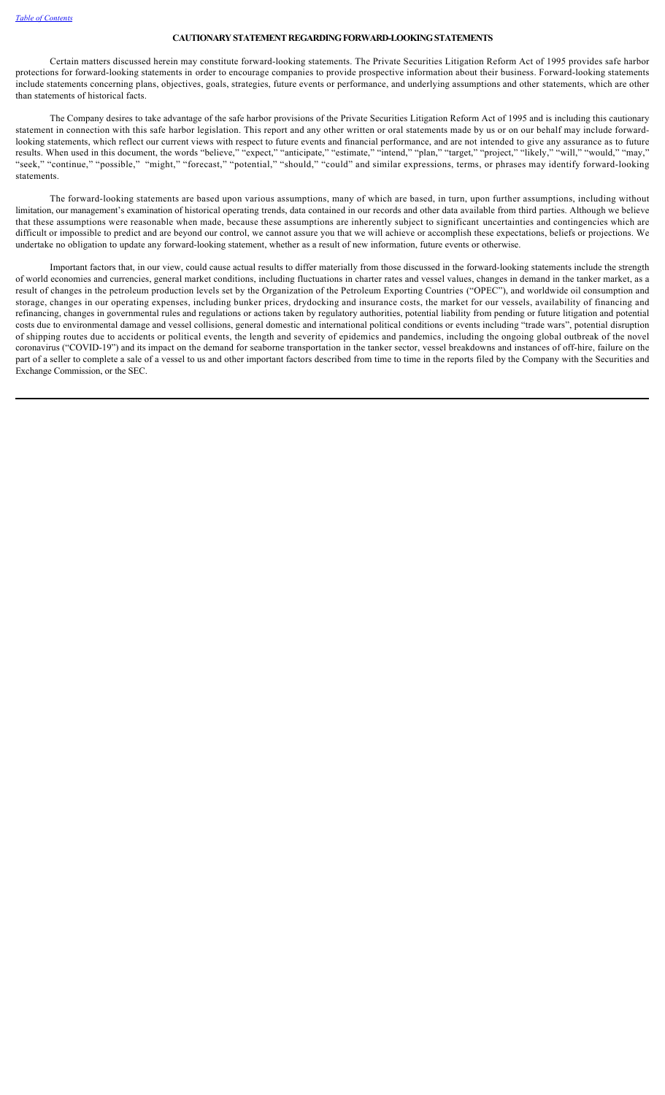# **CAUTIONARY STATEMENT REGARDING FORWARD-LOOKING STATEMENTS**

Certain matters discussed herein may constitute forward-looking statements. The Private Securities Litigation Reform Act of 1995 provides safe harbor protections for forward-looking statements in order to encourage companies to provide prospective information about their business. Forward-looking statements include statements concerning plans, objectives, goals, strategies, future events or performance, and underlying assumptions and other statements, which are other than statements of historical facts.

The Company desires to take advantage of the safe harbor provisions of the Private Securities Litigation Reform Act of 1995 and is including this cautionary statement in connection with this safe harbor legislation. This report and any other written or oral statements made by us or on our behalf may include forwardlooking statements, which reflect our current views with respect to future events and financial performance, and are not intended to give any assurance as to future results. When used in this document, the words "believe," "expect," "anticipate," "estimate," "intend," "plan," "target," "project," "likely," "will," "would," "may," "seek," "continue," "possible," "might," "forecast," "potential," "should," "could" and similar expressions, terms, or phrases may identify forward-looking statements.

The forward-looking statements are based upon various assumptions, many of which are based, in turn, upon further assumptions, including without limitation, our management's examination of historical operating trends, data contained in our records and other data available from third parties. Although we believe that these assumptions were reasonable when made, because these assumptions are inherently subject to significant uncertainties and contingencies which are difficult or impossible to predict and are beyond our control, we cannot assure you that we will achieve or accomplish these expectations, beliefs or projections. We undertake no obligation to update any forward-looking statement, whether as a result of new information, future events or otherwise.

Important factors that, in our view, could cause actual results to differ materially from those discussed in the forward-looking statements include the strength of world economies and currencies, general market conditions, including fluctuations in charter rates and vessel values, changes in demand in the tanker market, as a result of changes in the petroleum production levels set by the Organization of the Petroleum Exporting Countries ("OPEC"), and worldwide oil consumption and storage, changes in our operating expenses, including bunker prices, drydocking and insurance costs, the market for our vessels, availability of financing and refinancing, changes in governmental rules and regulations or actions taken by regulatory authorities, potential liability from pending or future litigation and potential costs due to environmental damage and vessel collisions, general domestic and international political conditions or events including "trade wars", potential disruption of shipping routes due to accidents or political events, the length and severity of epidemics and pandemics, including the ongoing global outbreak of the novel coronavirus ("COVID-19") and its impact on the demand for seaborne transportation in the tanker sector, vessel breakdowns and instances of off-hire, failure on the part of a seller to complete a sale of a vessel to us and other important factors described from time to time in the reports filed by the Company with the Securities and Exchange Commission, or the SEC.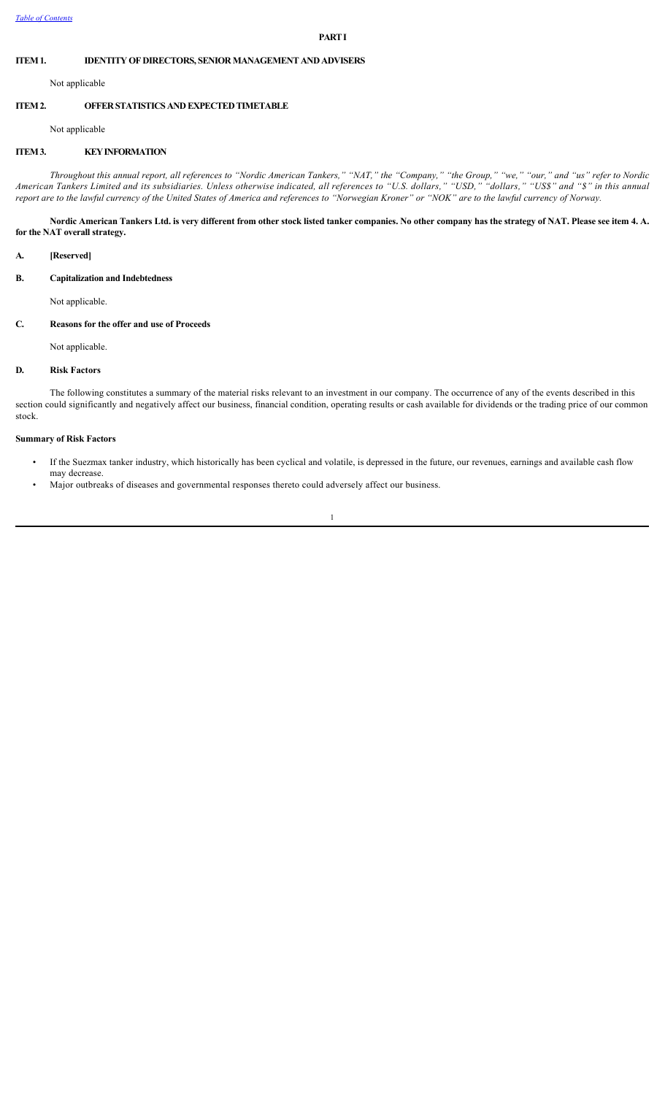# **PART I**

# <span id="page-6-0"></span>**ITEM 1. IDENTITY OF DIRECTORS, SENIOR MANAGEMENT AND ADVISERS**

Not applicable

# <span id="page-6-1"></span>**ITEM 2. OFFER STATISTICS AND EXPECTED TIMETABLE**

Not applicable

# <span id="page-6-2"></span>**ITEM 3. KEY INFORMATION**

*Throughout this annual report, all references to "Nordic American Tankers," "NAT," the "Company," "the Group," "we," "our," and "us" refer to Nordic American Tankers Limited and its subsidiaries. Unless otherwise indicated, all references to "U.S. dollars," "USD," "dollars," "US\$" and "\$" in this annual report are to the lawful currency of the United States of America and references to "Norwegian Kroner" or "NOK" are to the lawful currency of Norway.*

**Nordic American Tankers Ltd. is very different from other stock listed tanker companies. No other company has the strategy of NAT. Please see item 4. A. for the NAT overall strategy.**

# <span id="page-6-3"></span>**A. [Reserved]**

<span id="page-6-4"></span>**B. Capitalization and Indebtedness**

Not applicable.

## <span id="page-6-5"></span>**C. Reasons for the offer and use of Proceeds**

Not applicable.

#### <span id="page-6-6"></span>**D. Risk Factors**

The following constitutes a summary of the material risks relevant to an investment in our company. The occurrence of any of the events described in this section could significantly and negatively affect our business, financial condition, operating results or cash available for dividends or the trading price of our common stock.

#### **Summary of Risk Factors**

- If the Suezmax tanker industry, which historically has been cyclical and volatile, is depressed in the future, our revenues, earnings and available cash flow may decrease.
- Major outbreaks of diseases and governmental responses thereto could adversely affect our business.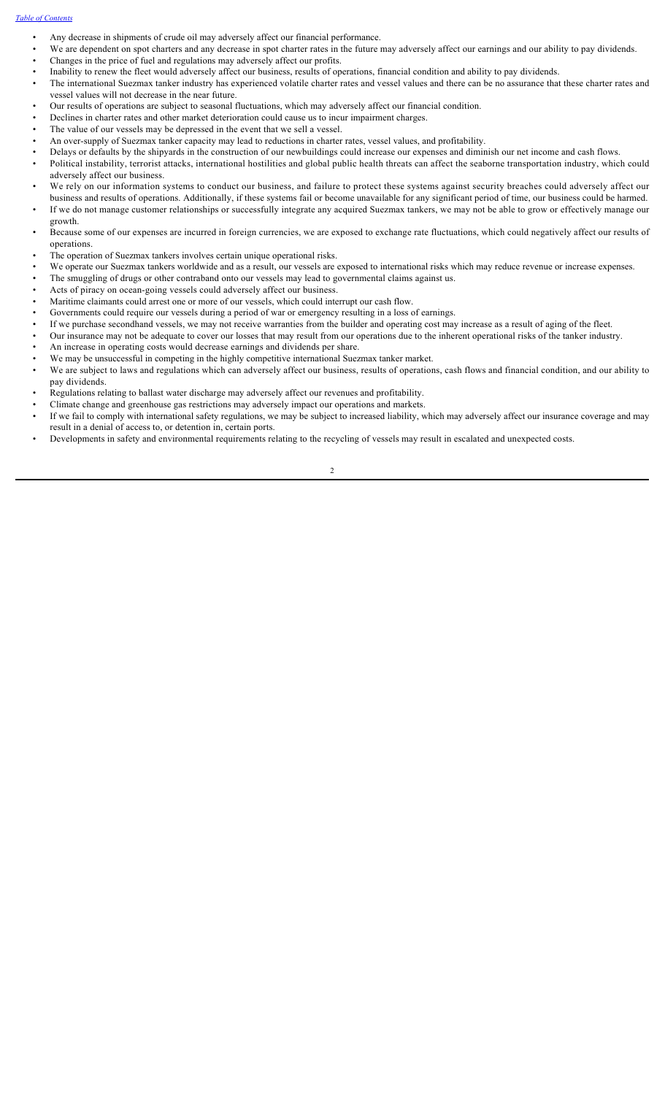- Any decrease in shipments of crude oil may adversely affect our financial performance.
- We are dependent on spot charters and any decrease in spot charter rates in the future may adversely affect our earnings and our ability to pay dividends.
- Changes in the price of fuel and regulations may adversely affect our profits.
- Inability to renew the fleet would adversely affect our business, results of operations, financial condition and ability to pay dividends.
- The international Suezmax tanker industry has experienced volatile charter rates and vessel values and there can be no assurance that these charter rates and vessel values will not decrease in the near future.
- Our results of operations are subject to seasonal fluctuations, which may adversely affect our financial condition.
- Declines in charter rates and other market deterioration could cause us to incur impairment charges.
- The value of our vessels may be depressed in the event that we sell a vessel.
- An over-supply of Suezmax tanker capacity may lead to reductions in charter rates, vessel values, and profitability.
- Delays or defaults by the shipyards in the construction of our newbuildings could increase our expenses and diminish our net income and cash flows.
- Political instability, terrorist attacks, international hostilities and global public health threats can affect the seaborne transportation industry, which could adversely affect our business.
- We rely on our information systems to conduct our business, and failure to protect these systems against security breaches could adversely affect our business and results of operations. Additionally, if these systems fail or become unavailable for any significant period of time, our business could be harmed.
- If we do not manage customer relationships or successfully integrate any acquired Suezmax tankers, we may not be able to grow or effectively manage our growth.
- Because some of our expenses are incurred in foreign currencies, we are exposed to exchange rate fluctuations, which could negatively affect our results of operations.
- The operation of Suezmax tankers involves certain unique operational risks.
- We operate our Suezmax tankers worldwide and as a result, our vessels are exposed to international risks which may reduce revenue or increase expenses.
- The smuggling of drugs or other contraband onto our vessels may lead to governmental claims against us.
- Acts of piracy on ocean-going vessels could adversely affect our business.
- Maritime claimants could arrest one or more of our vessels, which could interrupt our cash flow.
- Governments could require our vessels during a period of war or emergency resulting in a loss of earnings.
- If we purchase secondhand vessels, we may not receive warranties from the builder and operating cost may increase as a result of aging of the fleet.
- Our insurance may not be adequate to cover our losses that may result from our operations due to the inherent operational risks of the tanker industry.
- An increase in operating costs would decrease earnings and dividends per share.
- We may be unsuccessful in competing in the highly competitive international Suezmax tanker market.
- We are subject to laws and regulations which can adversely affect our business, results of operations, cash flows and financial condition, and our ability to pay dividends.
- Regulations relating to ballast water discharge may adversely affect our revenues and profitability.
- Climate change and greenhouse gas restrictions may adversely impact our operations and markets. If we fail to comply with international safety regulations, we may be subject to increased liability, which may adversely affect our insurance coverage and may
- result in a denial of access to, or detention in, certain ports.
- Developments in safety and environmental requirements relating to the recycling of vessels may result in escalated and unexpected costs.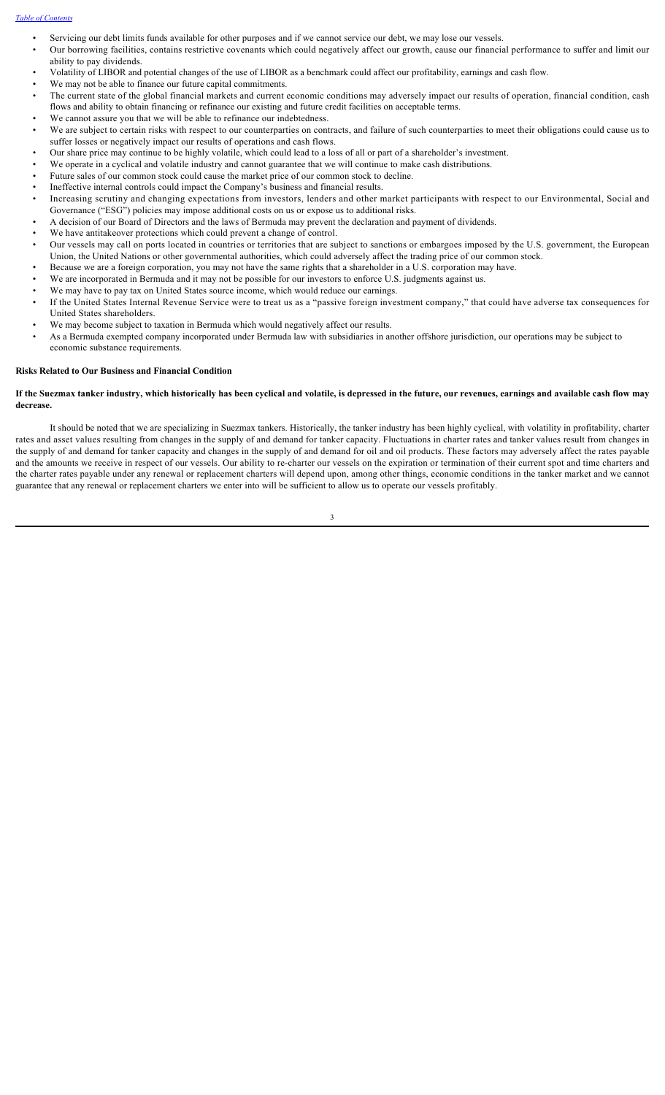- Servicing our debt limits funds available for other purposes and if we cannot service our debt, we may lose our vessels.
- Our borrowing facilities, contains restrictive covenants which could negatively affect our growth, cause our financial performance to suffer and limit our ability to pay dividends.
- Volatility of LIBOR and potential changes of the use of LIBOR as a benchmark could affect our profitability, earnings and cash flow.
- We may not be able to finance our future capital commitments.
- The current state of the global financial markets and current economic conditions may adversely impact our results of operation, financial condition, cash flows and ability to obtain financing or refinance our existing and future credit facilities on acceptable terms.
- We cannot assure you that we will be able to refinance our indebtedness.
- We are subject to certain risks with respect to our counterparties on contracts, and failure of such counterparties to meet their obligations could cause us to suffer losses or negatively impact our results of operations and cash flows.
- Our share price may continue to be highly volatile, which could lead to a loss of all or part of a shareholder's investment.
- We operate in a cyclical and volatile industry and cannot guarantee that we will continue to make cash distributions.
- Future sales of our common stock could cause the market price of our common stock to decline.
- Ineffective internal controls could impact the Company's business and financial results.
- Increasing scrutiny and changing expectations from investors, lenders and other market participants with respect to our Environmental, Social and Governance ("ESG") policies may impose additional costs on us or expose us to additional risks.
- A decision of our Board of Directors and the laws of Bermuda may prevent the declaration and payment of dividends.
- We have antitakeover protections which could prevent a change of control.
- Our vessels may call on ports located in countries or territories that are subject to sanctions or embargoes imposed by the U.S. government, the European Union, the United Nations or other governmental authorities, which could adversely affect the trading price of our common stock.
- Because we are a foreign corporation, you may not have the same rights that a shareholder in a U.S. corporation may have.
- We are incorporated in Bermuda and it may not be possible for our investors to enforce U.S. judgments against us.
- We may have to pay tax on United States source income, which would reduce our earnings.
- If the United States Internal Revenue Service were to treat us as a "passive foreign investment company," that could have adverse tax consequences for United States shareholders.
- We may become subject to taxation in Bermuda which would negatively affect our results.
- As a Bermuda exempted company incorporated under Bermuda law with subsidiaries in another offshore jurisdiction, our operations may be subject to economic substance requirements.

#### **Risks Related to Our Business and Financial Condition**

**If the Suezmax tanker industry, which historically has been cyclical and volatile, is depressed in the future, our revenues, earnings and available cash flow may decrease.**

It should be noted that we are specializing in Suezmax tankers. Historically, the tanker industry has been highly cyclical, with volatility in profitability, charter rates and asset values resulting from changes in the supply of and demand for tanker capacity. Fluctuations in charter rates and tanker values result from changes in the supply of and demand for tanker capacity and changes in the supply of and demand for oil and oil products. These factors may adversely affect the rates payable and the amounts we receive in respect of our vessels. Our ability to re-charter our vessels on the expiration or termination of their current spot and time charters and the charter rates payable under any renewal or replacement charters will depend upon, among other things, economic conditions in the tanker market and we cannot guarantee that any renewal or replacement charters we enter into will be sufficient to allow us to operate our vessels profitably.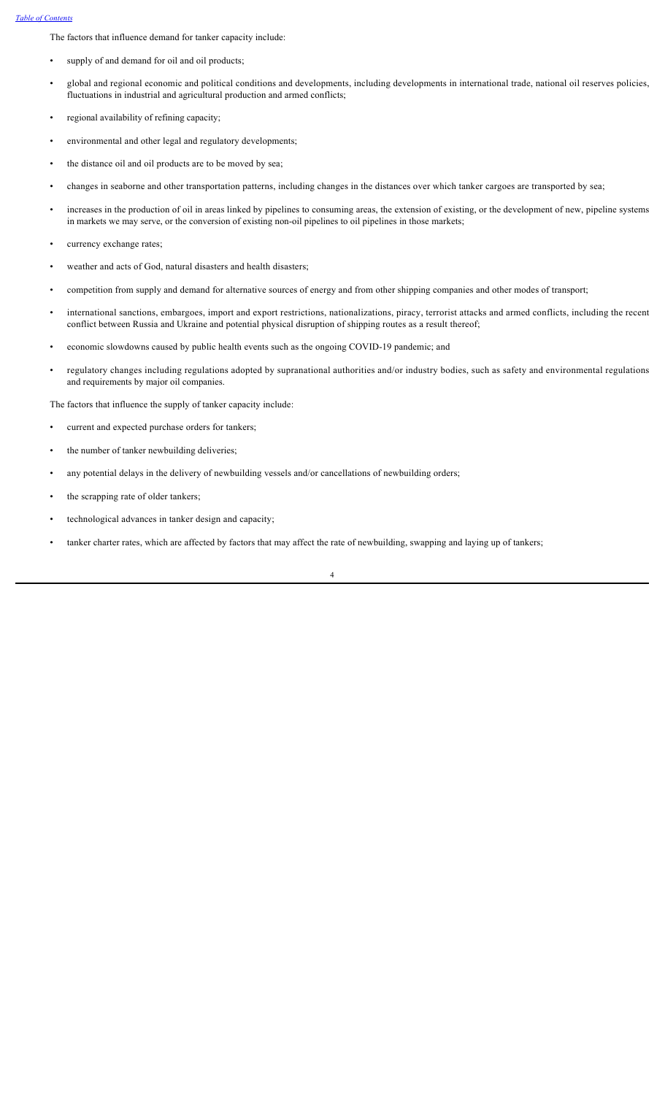The factors that influence demand for tanker capacity include:

- supply of and demand for oil and oil products;
- global and regional economic and political conditions and developments, including developments in international trade, national oil reserves policies, fluctuations in industrial and agricultural production and armed conflicts;
- regional availability of refining capacity;
- environmental and other legal and regulatory developments;
- the distance oil and oil products are to be moved by sea;
- changes in seaborne and other transportation patterns, including changes in the distances over which tanker cargoes are transported by sea;
- increases in the production of oil in areas linked by pipelines to consuming areas, the extension of existing, or the development of new, pipeline systems in markets we may serve, or the conversion of existing non-oil pipelines to oil pipelines in those markets;
- currency exchange rates;
- weather and acts of God, natural disasters and health disasters;
- competition from supply and demand for alternative sources of energy and from other shipping companies and other modes of transport;
- international sanctions, embargoes, import and export restrictions, nationalizations, piracy, terrorist attacks and armed conflicts, including the recent conflict between Russia and Ukraine and potential physical disruption of shipping routes as a result thereof;
- economic slowdowns caused by public health events such as the ongoing COVID-19 pandemic; and
- regulatory changes including regulations adopted by supranational authorities and/or industry bodies, such as safety and environmental regulations and requirements by major oil companies.

The factors that influence the supply of tanker capacity include:

- current and expected purchase orders for tankers;
- the number of tanker newbuilding deliveries;
- any potential delays in the delivery of newbuilding vessels and/or cancellations of newbuilding orders;
- the scrapping rate of older tankers;
- technological advances in tanker design and capacity;
- tanker charter rates, which are affected by factors that may affect the rate of newbuilding, swapping and laying up of tankers;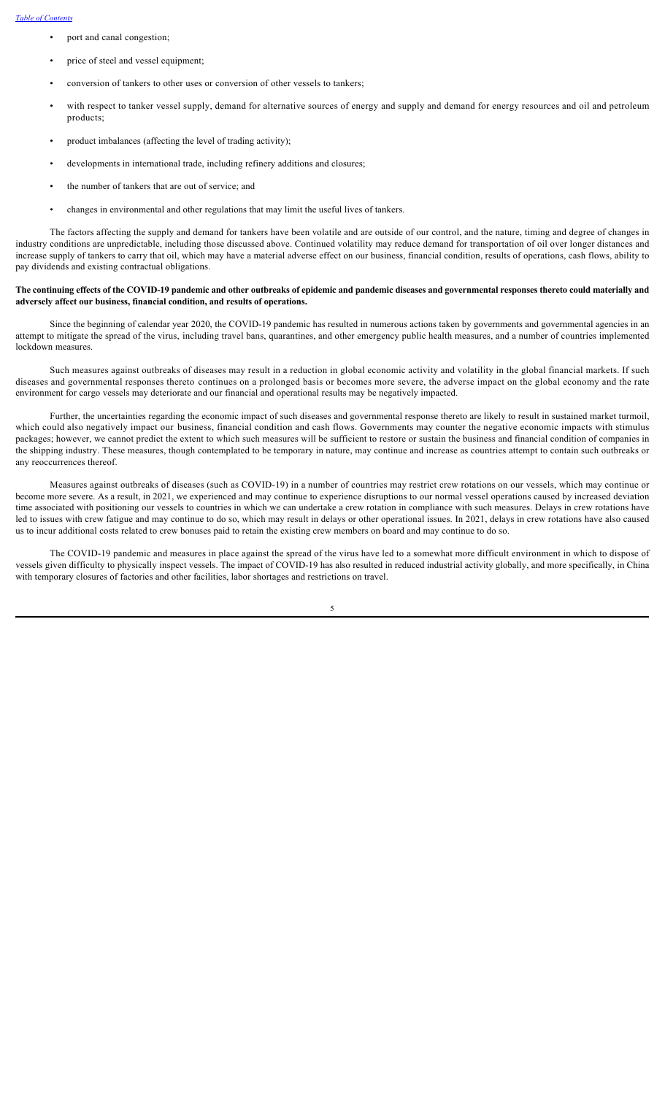- port and canal congestion;
- price of steel and vessel equipment;
- conversion of tankers to other uses or conversion of other vessels to tankers;
- with respect to tanker vessel supply, demand for alternative sources of energy and supply and demand for energy resources and oil and petroleum products;
- product imbalances (affecting the level of trading activity);
- developments in international trade, including refinery additions and closures;
- the number of tankers that are out of service; and
- changes in environmental and other regulations that may limit the useful lives of tankers.

The factors affecting the supply and demand for tankers have been volatile and are outside of our control, and the nature, timing and degree of changes in industry conditions are unpredictable, including those discussed above. Continued volatility may reduce demand for transportation of oil over longer distances and increase supply of tankers to carry that oil, which may have a material adverse effect on our business, financial condition, results of operations, cash flows, ability to pay dividends and existing contractual obligations.

# **The continuing effects of the COVID-19 pandemic and other outbreaks of epidemic and pandemic diseases and governmental responses thereto could materially and adversely affect our business, financial condition, and results of operations.**

Since the beginning of calendar year 2020, the COVID-19 pandemic has resulted in numerous actions taken by governments and governmental agencies in an attempt to mitigate the spread of the virus, including travel bans, quarantines, and other emergency public health measures, and a number of countries implemented lockdown measures.

Such measures against outbreaks of diseases may result in a reduction in global economic activity and volatility in the global financial markets. If such diseases and governmental responses thereto continues on a prolonged basis or becomes more severe, the adverse impact on the global economy and the rate environment for cargo vessels may deteriorate and our financial and operational results may be negatively impacted.

Further, the uncertainties regarding the economic impact of such diseases and governmental response thereto are likely to result in sustained market turmoil, which could also negatively impact our business, financial condition and cash flows. Governments may counter the negative economic impacts with stimulus packages; however, we cannot predict the extent to which such measures will be sufficient to restore or sustain the business and financial condition of companies in the shipping industry. These measures, though contemplated to be temporary in nature, may continue and increase as countries attempt to contain such outbreaks or any reoccurrences thereof.

Measures against outbreaks of diseases (such as COVID-19) in a number of countries may restrict crew rotations on our vessels, which may continue or become more severe. As a result, in 2021, we experienced and may continue to experience disruptions to our normal vessel operations caused by increased deviation time associated with positioning our vessels to countries in which we can undertake a crew rotation in compliance with such measures. Delays in crew rotations have led to issues with crew fatigue and may continue to do so, which may result in delays or other operational issues. In 2021, delays in crew rotations have also caused us to incur additional costs related to crew bonuses paid to retain the existing crew members on board and may continue to do so.

The COVID-19 pandemic and measures in place against the spread of the virus have led to a somewhat more difficult environment in which to dispose of vessels given difficulty to physically inspect vessels. The impact of COVID-19 has also resulted in reduced industrial activity globally, and more specifically, in China with temporary closures of factories and other facilities, labor shortages and restrictions on travel.

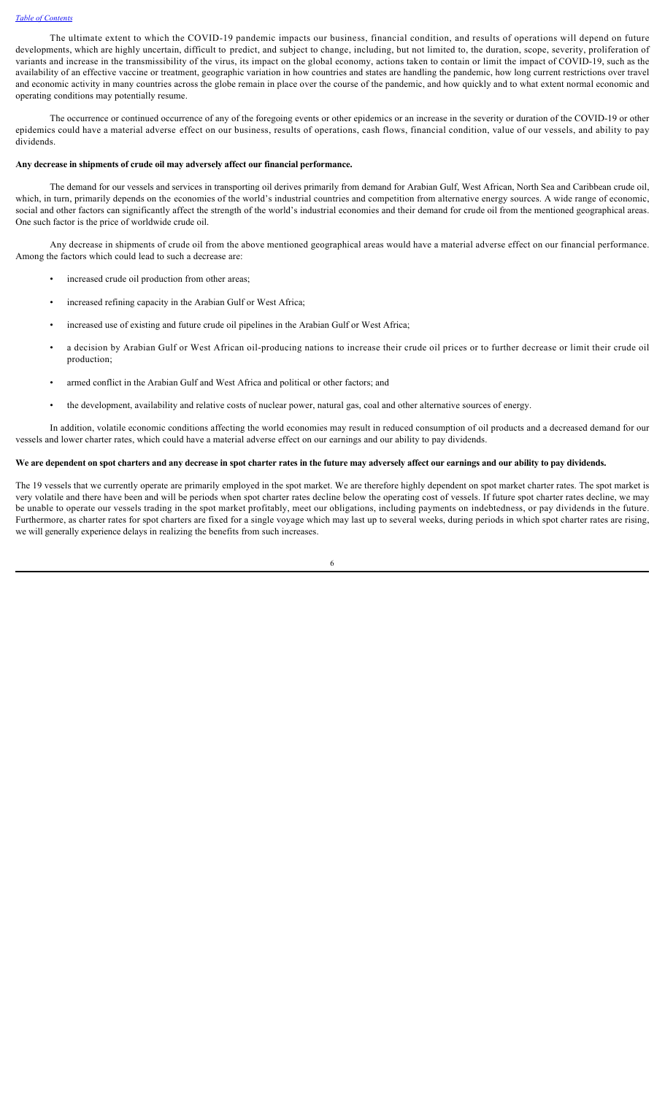The ultimate extent to which the COVID-19 pandemic impacts our business, financial condition, and results of operations will depend on future developments, which are highly uncertain, difficult to predict, and subject to change, including, but not limited to, the duration, scope, severity, proliferation of variants and increase in the transmissibility of the virus, its impact on the global economy, actions taken to contain or limit the impact of COVID-19, such as the availability of an effective vaccine or treatment, geographic variation in how countries and states are handling the pandemic, how long current restrictions over travel and economic activity in many countries across the globe remain in place over the course of the pandemic, and how quickly and to what extent normal economic and operating conditions may potentially resume.

The occurrence or continued occurrence of any of the foregoing events or other epidemics or an increase in the severity or duration of the COVID-19 or other epidemics could have a material adverse effect on our business, results of operations, cash flows, financial condition, value of our vessels, and ability to pay dividends.

#### **Any decrease in shipments of crude oil may adversely affect our financial performance.**

The demand for our vessels and services in transporting oil derives primarily from demand for Arabian Gulf, West African, North Sea and Caribbean crude oil, which, in turn, primarily depends on the economies of the world's industrial countries and competition from alternative energy sources. A wide range of economic, social and other factors can significantly affect the strength of the world's industrial economies and their demand for crude oil from the mentioned geographical areas. One such factor is the price of worldwide crude oil.

Any decrease in shipments of crude oil from the above mentioned geographical areas would have a material adverse effect on our financial performance. Among the factors which could lead to such a decrease are:

- increased crude oil production from other areas;
- increased refining capacity in the Arabian Gulf or West Africa;
- increased use of existing and future crude oil pipelines in the Arabian Gulf or West Africa;
- a decision by Arabian Gulf or West African oil-producing nations to increase their crude oil prices or to further decrease or limit their crude oil production;
- armed conflict in the Arabian Gulf and West Africa and political or other factors; and
- the development, availability and relative costs of nuclear power, natural gas, coal and other alternative sources of energy.

In addition, volatile economic conditions affecting the world economies may result in reduced consumption of oil products and a decreased demand for our vessels and lower charter rates, which could have a material adverse effect on our earnings and our ability to pay dividends.

# **We are dependent on spot charters and any decrease in spot charter rates in the future may adversely affect our earnings and our ability to pay dividends.**

The 19 vessels that we currently operate are primarily employed in the spot market. We are therefore highly dependent on spot market charter rates. The spot market is very volatile and there have been and will be periods when spot charter rates decline below the operating cost of vessels. If future spot charter rates decline, we may be unable to operate our vessels trading in the spot market profitably, meet our obligations, including payments on indebtedness, or pay dividends in the future. Furthermore, as charter rates for spot charters are fixed for a single voyage which may last up to several weeks, during periods in which spot charter rates are rising, we will generally experience delays in realizing the benefits from such increases.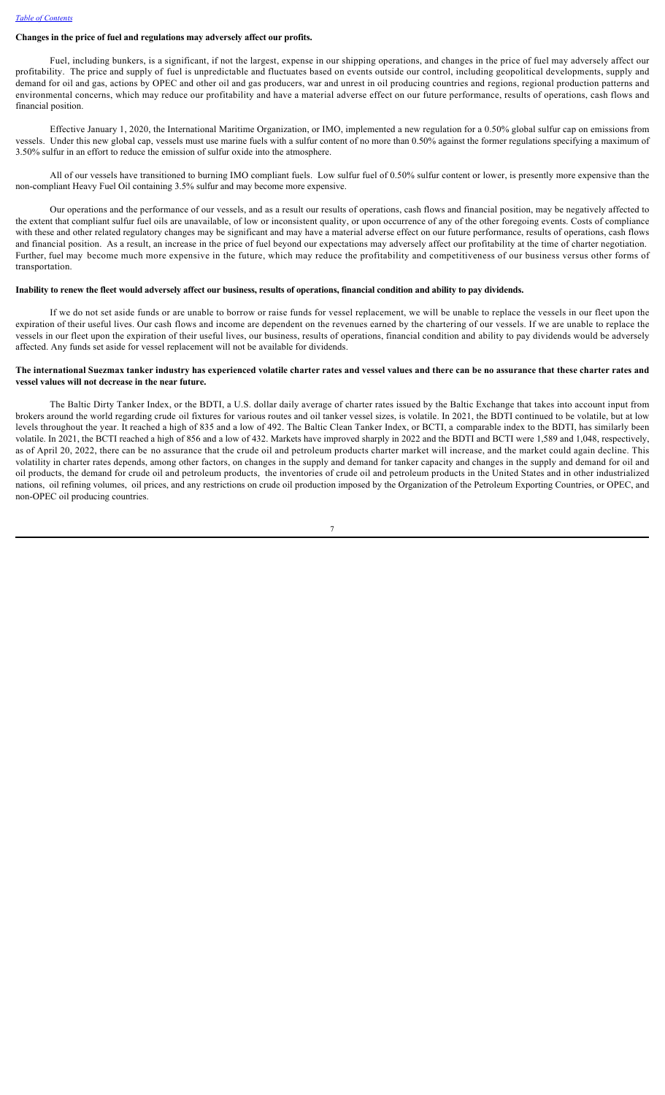#### **Changes in the price of fuel and regulations may adversely affect our profits.**

Fuel, including bunkers, is a significant, if not the largest, expense in our shipping operations, and changes in the price of fuel may adversely affect our profitability. The price and supply of fuel is unpredictable and fluctuates based on events outside our control, including geopolitical developments, supply and demand for oil and gas, actions by OPEC and other oil and gas producers, war and unrest in oil producing countries and regions, regional production patterns and environmental concerns, which may reduce our profitability and have a material adverse effect on our future performance, results of operations, cash flows and financial position.

Effective January 1, 2020, the International Maritime Organization, or IMO, implemented a new regulation for a 0.50% global sulfur cap on emissions from vessels. Under this new global cap, vessels must use marine fuels with a sulfur content of no more than 0.50% against the former regulations specifying a maximum of 3.50% sulfur in an effort to reduce the emission of sulfur oxide into the atmosphere.

All of our vessels have transitioned to burning IMO compliant fuels. Low sulfur fuel of 0.50% sulfur content or lower, is presently more expensive than the non-compliant Heavy Fuel Oil containing 3.5% sulfur and may become more expensive.

Our operations and the performance of our vessels, and as a result our results of operations, cash flows and financial position, may be negatively affected to the extent that compliant sulfur fuel oils are unavailable, of low or inconsistent quality, or upon occurrence of any of the other foregoing events. Costs of compliance with these and other related regulatory changes may be significant and may have a material adverse effect on our future performance, results of operations, cash flows and financial position. As a result, an increase in the price of fuel beyond our expectations may adversely affect our profitability at the time of charter negotiation. Further, fuel may become much more expensive in the future, which may reduce the profitability and competitiveness of our business versus other forms of transportation.

# **Inability to renew the fleet would adversely affect our business, results of operations, financial condition and ability to pay dividends.**

If we do not set aside funds or are unable to borrow or raise funds for vessel replacement, we will be unable to replace the vessels in our fleet upon the expiration of their useful lives. Our cash flows and income are dependent on the revenues earned by the chartering of our vessels. If we are unable to replace the vessels in our fleet upon the expiration of their useful lives, our business, results of operations, financial condition and ability to pay dividends would be adversely affected. Any funds set aside for vessel replacement will not be available for dividends.

# **The international Suezmax tanker industry has experienced volatile charter rates and vessel values and there can be no assurance that these charter rates and vessel values will not decrease in the near future.**

The Baltic Dirty Tanker Index, or the BDTI, a U.S. dollar daily average of charter rates issued by the Baltic Exchange that takes into account input from brokers around the world regarding crude oil fixtures for various routes and oil tanker vessel sizes, is volatile. In 2021, the BDTI continued to be volatile, but at low levels throughout the year. It reached a high of 835 and a low of 492. The Baltic Clean Tanker Index, or BCTI, a comparable index to the BDTI, has similarly been volatile. In 2021, the BCTI reached a high of 856 and a low of 432. Markets have improved sharply in 2022 and the BDTI and BCTI were 1,589 and 1,048, respectively, as of April 20, 2022, there can be no assurance that the crude oil and petroleum products charter market will increase, and the market could again decline. This volatility in charter rates depends, among other factors, on changes in the supply and demand for tanker capacity and changes in the supply and demand for oil and oil products, the demand for crude oil and petroleum products, the inventories of crude oil and petroleum products in the United States and in other industrialized nations, oil refining volumes, oil prices, and any restrictions on crude oil production imposed by the Organization of the Petroleum Exporting Countries, or OPEC, and non-OPEC oil producing countries.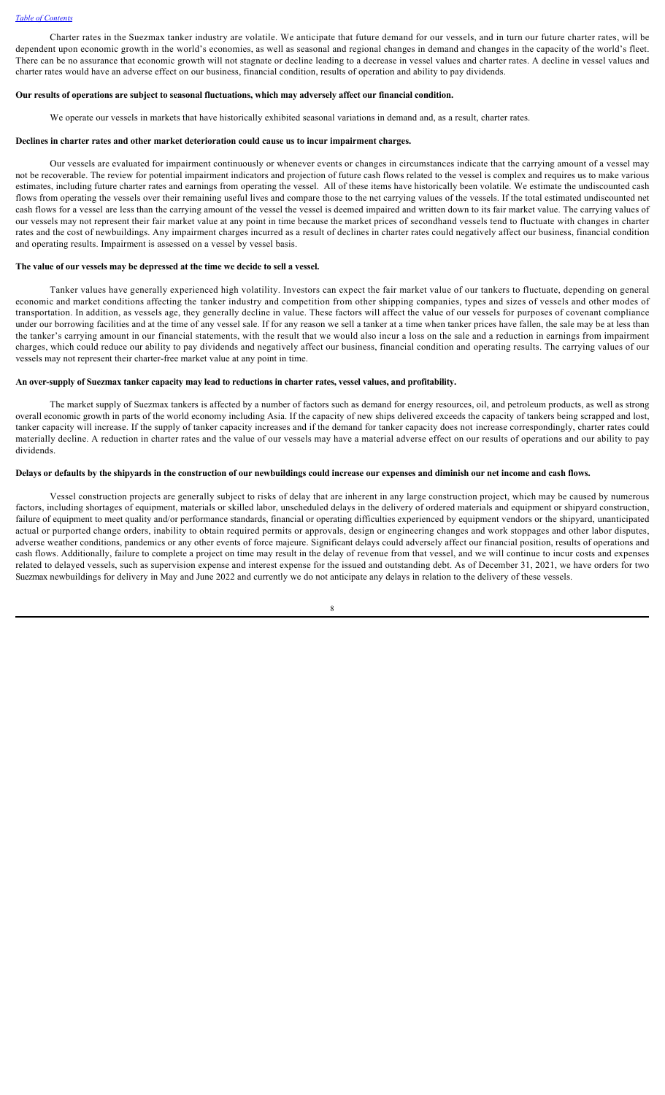Charter rates in the Suezmax tanker industry are volatile. We anticipate that future demand for our vessels, and in turn our future charter rates, will be dependent upon economic growth in the world's economies, as well as seasonal and regional changes in demand and changes in the capacity of the world's fleet. There can be no assurance that economic growth will not stagnate or decline leading to a decrease in vessel values and charter rates. A decline in vessel values and charter rates would have an adverse effect on our business, financial condition, results of operation and ability to pay dividends.

# **Our results of operations are subject to seasonal fluctuations, which may adversely affect our financial condition.**

We operate our vessels in markets that have historically exhibited seasonal variations in demand and, as a result, charter rates.

#### **Declines in charter rates and other market deterioration could cause us to incur impairment charges.**

Our vessels are evaluated for impairment continuously or whenever events or changes in circumstances indicate that the carrying amount of a vessel may not be recoverable. The review for potential impairment indicators and projection of future cash flows related to the vessel is complex and requires us to make various estimates, including future charter rates and earnings from operating the vessel. All of these items have historically been volatile. We estimate the undiscounted cash flows from operating the vessels over their remaining useful lives and compare those to the net carrying values of the vessels. If the total estimated undiscounted net cash flows for a vessel are less than the carrying amount of the vessel the vessel is deemed impaired and written down to its fair market value. The carrying values of our vessels may not represent their fair market value at any point in time because the market prices of secondhand vessels tend to fluctuate with changes in charter rates and the cost of newbuildings. Any impairment charges incurred as a result of declines in charter rates could negatively affect our business, financial condition and operating results. Impairment is assessed on a vessel by vessel basis.

#### **The value of our vessels may be depressed at the time we decide to sell a vessel.**

Tanker values have generally experienced high volatility. Investors can expect the fair market value of our tankers to fluctuate, depending on general economic and market conditions affecting the tanker industry and competition from other shipping companies, types and sizes of vessels and other modes of transportation. In addition, as vessels age, they generally decline in value. These factors will affect the value of our vessels for purposes of covenant compliance under our borrowing facilities and at the time of any vessel sale. If for any reason we sell a tanker at a time when tanker prices have fallen, the sale may be at less than the tanker's carrying amount in our financial statements, with the result that we would also incur a loss on the sale and a reduction in earnings from impairment charges, which could reduce our ability to pay dividends and negatively affect our business, financial condition and operating results. The carrying values of our vessels may not represent their charter-free market value at any point in time.

# **An over-supply of Suezmax tanker capacity may lead to reductions in charter rates, vessel values, and profitability.**

The market supply of Suezmax tankers is affected by a number of factors such as demand for energy resources, oil, and petroleum products, as well as strong overall economic growth in parts of the world economy including Asia. If the capacity of new ships delivered exceeds the capacity of tankers being scrapped and lost, tanker capacity will increase. If the supply of tanker capacity increases and if the demand for tanker capacity does not increase correspondingly, charter rates could materially decline. A reduction in charter rates and the value of our vessels may have a material adverse effect on our results of operations and our ability to pay dividends.

# **Delays or defaults by the shipyards in the construction of our newbuildings could increase our expenses and diminish our net income and cash flows.**

Vessel construction projects are generally subject to risks of delay that are inherent in any large construction project, which may be caused by numerous factors, including shortages of equipment, materials or skilled labor, unscheduled delays in the delivery of ordered materials and equipment or shipyard construction, failure of equipment to meet quality and/or performance standards, financial or operating difficulties experienced by equipment vendors or the shipyard, unanticipated actual or purported change orders, inability to obtain required permits or approvals, design or engineering changes and work stoppages and other labor disputes, adverse weather conditions, pandemics or any other events of force majeure. Significant delays could adversely affect our financial position, results of operations and cash flows. Additionally, failure to complete a project on time may result in the delay of revenue from that vessel, and we will continue to incur costs and expenses related to delayed vessels, such as supervision expense and interest expense for the issued and outstanding debt. As of December 31, 2021, we have orders for two Suezmax newbuildings for delivery in May and June 2022 and currently we do not anticipate any delays in relation to the delivery of these vessels.

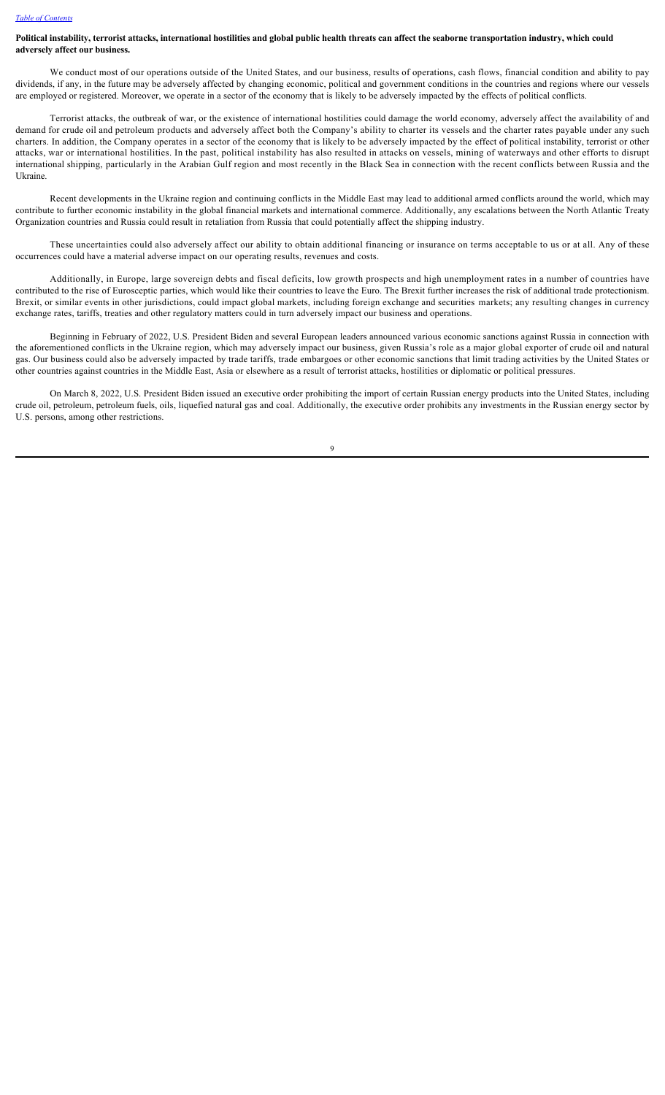# **Political instability, terrorist attacks, international hostilities and global public health threats can affect the seaborne transportation industry, which could adversely affect our business.**

We conduct most of our operations outside of the United States, and our business, results of operations, cash flows, financial condition and ability to pay dividends, if any, in the future may be adversely affected by changing economic, political and government conditions in the countries and regions where our vessels are employed or registered. Moreover, we operate in a sector of the economy that is likely to be adversely impacted by the effects of political conflicts.

Terrorist attacks, the outbreak of war, or the existence of international hostilities could damage the world economy, adversely affect the availability of and demand for crude oil and petroleum products and adversely affect both the Company's ability to charter its vessels and the charter rates payable under any such charters. In addition, the Company operates in a sector of the economy that is likely to be adversely impacted by the effect of political instability, terrorist or other attacks, war or international hostilities. In the past, political instability has also resulted in attacks on vessels, mining of waterways and other efforts to disrupt international shipping, particularly in the Arabian Gulf region and most recently in the Black Sea in connection with the recent conflicts between Russia and the Ukraine.

Recent developments in the Ukraine region and continuing conflicts in the Middle East may lead to additional armed conflicts around the world, which may contribute to further economic instability in the global financial markets and international commerce. Additionally, any escalations between the North Atlantic Treaty Organization countries and Russia could result in retaliation from Russia that could potentially affect the shipping industry.

These uncertainties could also adversely affect our ability to obtain additional financing or insurance on terms acceptable to us or at all. Any of these occurrences could have a material adverse impact on our operating results, revenues and costs.

Additionally, in Europe, large sovereign debts and fiscal deficits, low growth prospects and high unemployment rates in a number of countries have contributed to the rise of Eurosceptic parties, which would like their countries to leave the Euro. The Brexit further increases the risk of additional trade protectionism. Brexit, or similar events in other jurisdictions, could impact global markets, including foreign exchange and securities markets; any resulting changes in currency exchange rates, tariffs, treaties and other regulatory matters could in turn adversely impact our business and operations.

Beginning in February of 2022, U.S. President Biden and several European leaders announced various economic sanctions against Russia in connection with the aforementioned conflicts in the Ukraine region, which may adversely impact our business, given Russia's role as a major global exporter of crude oil and natural gas. Our business could also be adversely impacted by trade tariffs, trade embargoes or other economic sanctions that limit trading activities by the United States or other countries against countries in the Middle East, Asia or elsewhere as a result of terrorist attacks, hostilities or diplomatic or political pressures.

On March 8, 2022, U.S. President Biden issued an executive order prohibiting the import of certain Russian energy products into the United States, including crude oil, petroleum, petroleum fuels, oils, liquefied natural gas and coal. Additionally, the executive order prohibits any investments in the Russian energy sector by U.S. persons, among other restrictions.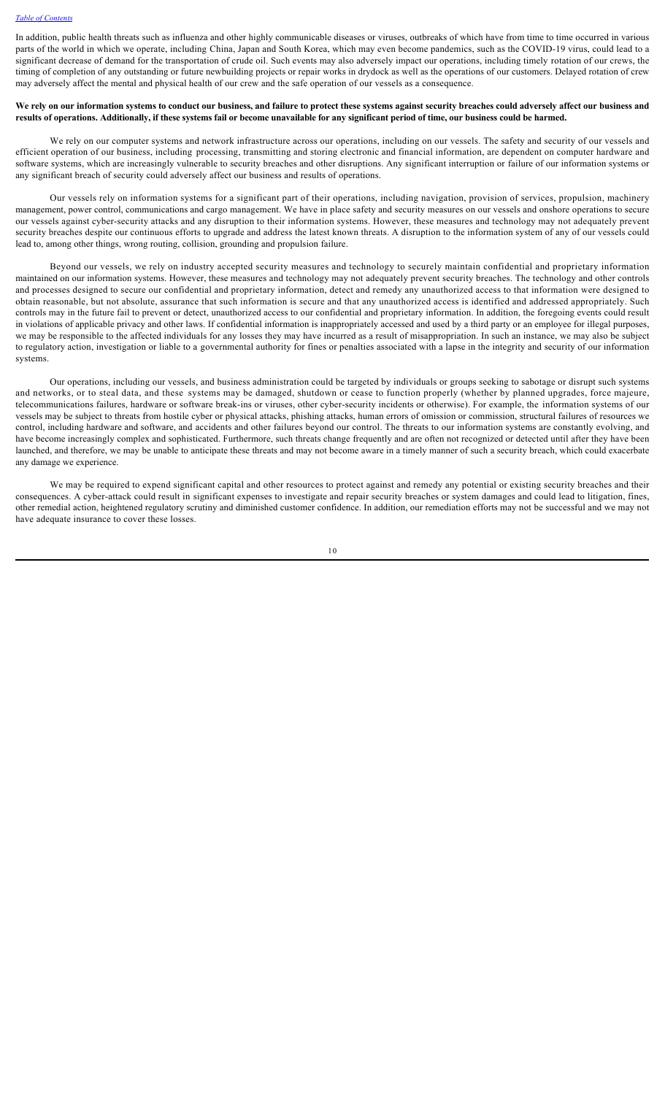In addition, public health threats such as influenza and other highly communicable diseases or viruses, outbreaks of which have from time to time occurred in various parts of the world in which we operate, including China, Japan and South Korea, which may even become pandemics, such as the COVID-19 virus, could lead to a significant decrease of demand for the transportation of crude oil. Such events may also adversely impact our operations, including timely rotation of our crews, the timing of completion of any outstanding or future newbuilding projects or repair works in drydock as well as the operations of our customers. Delayed rotation of crew may adversely affect the mental and physical health of our crew and the safe operation of our vessels as a consequence.

# We rely on our information systems to conduct our business, and failure to protect these systems against security breaches could adversely affect our business and **results of operations. Additionally, if these systems fail or become unavailable for any significant period of time, our business could be harmed.**

We rely on our computer systems and network infrastructure across our operations, including on our vessels. The safety and security of our vessels and efficient operation of our business, including processing, transmitting and storing electronic and financial information, are dependent on computer hardware and software systems, which are increasingly vulnerable to security breaches and other disruptions. Any significant interruption or failure of our information systems or any significant breach of security could adversely affect our business and results of operations.

Our vessels rely on information systems for a significant part of their operations, including navigation, provision of services, propulsion, machinery management, power control, communications and cargo management. We have in place safety and security measures on our vessels and onshore operations to secure our vessels against cyber-security attacks and any disruption to their information systems. However, these measures and technology may not adequately prevent security breaches despite our continuous efforts to upgrade and address the latest known threats. A disruption to the information system of any of our vessels could lead to, among other things, wrong routing, collision, grounding and propulsion failure.

Beyond our vessels, we rely on industry accepted security measures and technology to securely maintain confidential and proprietary information maintained on our information systems. However, these measures and technology may not adequately prevent security breaches. The technology and other controls and processes designed to secure our confidential and proprietary information, detect and remedy any unauthorized access to that information were designed to obtain reasonable, but not absolute, assurance that such information is secure and that any unauthorized access is identified and addressed appropriately. Such controls may in the future fail to prevent or detect, unauthorized access to our confidential and proprietary information. In addition, the foregoing events could result in violations of applicable privacy and other laws. If confidential information is inappropriately accessed and used by a third party or an employee for illegal purposes, we may be responsible to the affected individuals for any losses they may have incurred as a result of misappropriation. In such an instance, we may also be subject to regulatory action, investigation or liable to a governmental authority for fines or penalties associated with a lapse in the integrity and security of our information systems.

Our operations, including our vessels, and business administration could be targeted by individuals or groups seeking to sabotage or disrupt such systems and networks, or to steal data, and these systems may be damaged, shutdown or cease to function properly (whether by planned upgrades, force majeure, telecommunications failures, hardware or software break-ins or viruses, other cyber-security incidents or otherwise). For example, the information systems of our vessels may be subject to threats from hostile cyber or physical attacks, phishing attacks, human errors of omission or commission, structural failures of resources we control, including hardware and software, and accidents and other failures beyond our control. The threats to our information systems are constantly evolving, and have become increasingly complex and sophisticated. Furthermore, such threats change frequently and are often not recognized or detected until after they have been launched, and therefore, we may be unable to anticipate these threats and may not become aware in a timely manner of such a security breach, which could exacerbate any damage we experience.

We may be required to expend significant capital and other resources to protect against and remedy any potential or existing security breaches and their consequences. A cyber-attack could result in significant expenses to investigate and repair security breaches or system damages and could lead to litigation, fines, other remedial action, heightened regulatory scrutiny and diminished customer confidence. In addition, our remediation efforts may not be successful and we may not have adequate insurance to cover these losses.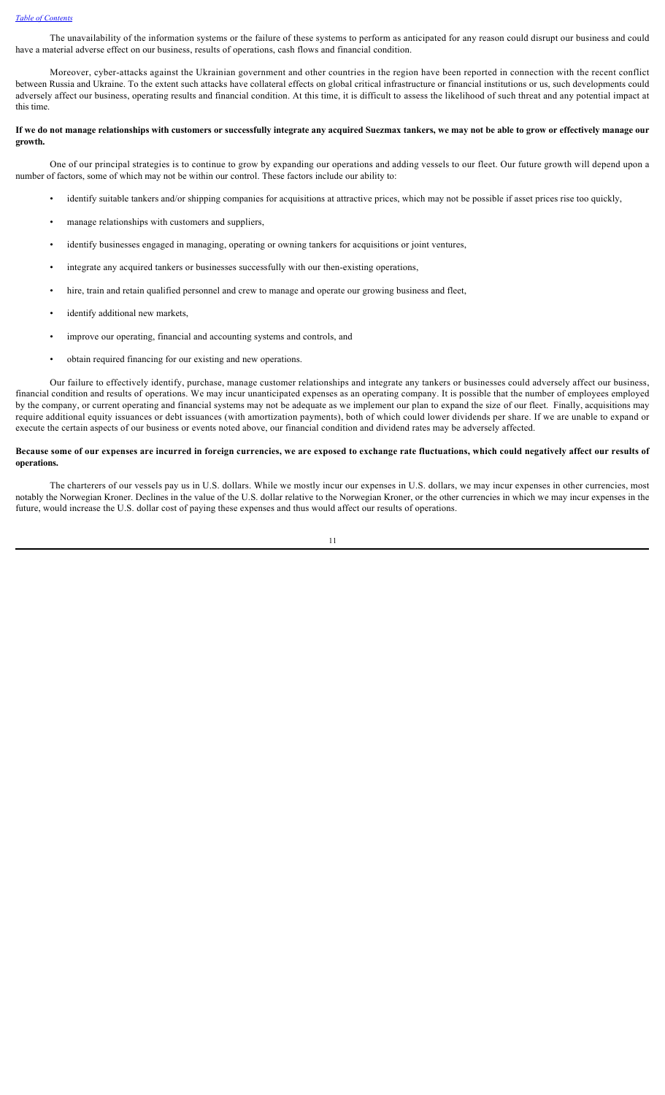The unavailability of the information systems or the failure of these systems to perform as anticipated for any reason could disrupt our business and could have a material adverse effect on our business, results of operations, cash flows and financial condition.

Moreover, cyber-attacks against the Ukrainian government and other countries in the region have been reported in connection with the recent conflict between Russia and Ukraine. To the extent such attacks have collateral effects on global critical infrastructure or financial institutions or us, such developments could adversely affect our business, operating results and financial condition. At this time, it is difficult to assess the likelihood of such threat and any potential impact at this time.

# **If we do not manage relationships with customers or successfully integrate any acquired Suezmax tankers, we may not be able to grow or effectively manage our growth.**

One of our principal strategies is to continue to grow by expanding our operations and adding vessels to our fleet. Our future growth will depend upon a number of factors, some of which may not be within our control. These factors include our ability to:

- identify suitable tankers and/or shipping companies for acquisitions at attractive prices, which may not be possible if asset prices rise too quickly,
- manage relationships with customers and suppliers,
- identify businesses engaged in managing, operating or owning tankers for acquisitions or joint ventures,
- integrate any acquired tankers or businesses successfully with our then-existing operations,
- hire, train and retain qualified personnel and crew to manage and operate our growing business and fleet,
- identify additional new markets,
- improve our operating, financial and accounting systems and controls, and
- obtain required financing for our existing and new operations.

Our failure to effectively identify, purchase, manage customer relationships and integrate any tankers or businesses could adversely affect our business, financial condition and results of operations. We may incur unanticipated expenses as an operating company. It is possible that the number of employees employed by the company, or current operating and financial systems may not be adequate as we implement our plan to expand the size of our fleet. Finally, acquisitions may require additional equity issuances or debt issuances (with amortization payments), both of which could lower dividends per share. If we are unable to expand or execute the certain aspects of our business or events noted above, our financial condition and dividend rates may be adversely affected.

#### **Because some of our expenses are incurred in foreign currencies, we are exposed to exchange rate fluctuations, which could negatively affect our results of operations.**

The charterers of our vessels pay us in U.S. dollars. While we mostly incur our expenses in U.S. dollars, we may incur expenses in other currencies, most notably the Norwegian Kroner. Declines in the value of the U.S. dollar relative to the Norwegian Kroner, or the other currencies in which we may incur expenses in the future, would increase the U.S. dollar cost of paying these expenses and thus would affect our results of operations.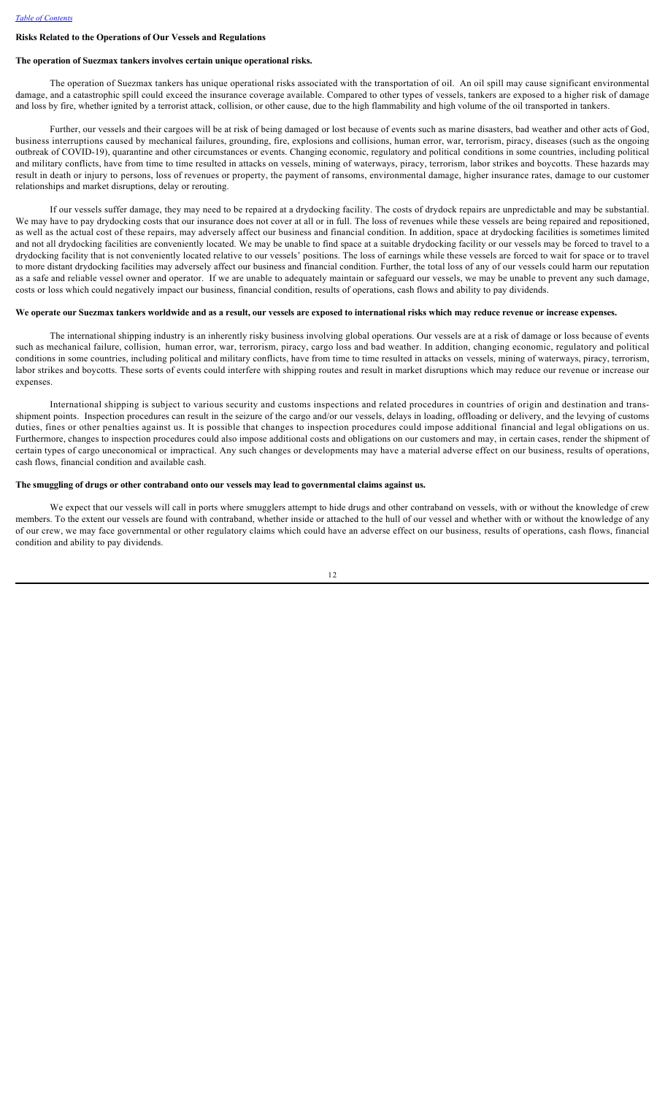## **Risks Related to the Operations of Our Vessels and Regulations**

#### **The operation of Suezmax tankers involves certain unique operational risks.**

The operation of Suezmax tankers has unique operational risks associated with the transportation of oil. An oil spill may cause significant environmental damage, and a catastrophic spill could exceed the insurance coverage available. Compared to other types of vessels, tankers are exposed to a higher risk of damage and loss by fire, whether ignited by a terrorist attack, collision, or other cause, due to the high flammability and high volume of the oil transported in tankers.

Further, our vessels and their cargoes will be at risk of being damaged or lost because of events such as marine disasters, bad weather and other acts of God, business interruptions caused by mechanical failures, grounding, fire, explosions and collisions, human error, war, terrorism, piracy, diseases (such as the ongoing outbreak of COVID-19), quarantine and other circumstances or events. Changing economic, regulatory and political conditions in some countries, including political and military conflicts, have from time to time resulted in attacks on vessels, mining of waterways, piracy, terrorism, labor strikes and boycotts. These hazards may result in death or injury to persons, loss of revenues or property, the payment of ransoms, environmental damage, higher insurance rates, damage to our customer relationships and market disruptions, delay or rerouting.

If our vessels suffer damage, they may need to be repaired at a drydocking facility. The costs of drydock repairs are unpredictable and may be substantial. We may have to pay drydocking costs that our insurance does not cover at all or in full. The loss of revenues while these vessels are being repaired and repositioned, as well as the actual cost of these repairs, may adversely affect our business and financial condition. In addition, space at drydocking facilities is sometimes limited and not all drydocking facilities are conveniently located. We may be unable to find space at a suitable drydocking facility or our vessels may be forced to travel to a drydocking facility that is not conveniently located relative to our vessels' positions. The loss of earnings while these vessels are forced to wait for space or to travel to more distant drydocking facilities may adversely affect our business and financial condition. Further, the total loss of any of our vessels could harm our reputation as a safe and reliable vessel owner and operator. If we are unable to adequately maintain or safeguard our vessels, we may be unable to prevent any such damage, costs or loss which could negatively impact our business, financial condition, results of operations, cash flows and ability to pay dividends.

# **We operate our Suezmax tankers worldwide and as a result, our vessels are exposed to international risks which may reduce revenue or increase expenses.**

The international shipping industry is an inherently risky business involving global operations. Our vessels are at a risk of damage or loss because of events such as mechanical failure, collision, human error, war, terrorism, piracy, cargo loss and bad weather. In addition, changing economic, regulatory and political conditions in some countries, including political and military conflicts, have from time to time resulted in attacks on vessels, mining of waterways, piracy, terrorism, labor strikes and boycotts. These sorts of events could interfere with shipping routes and result in market disruptions which may reduce our revenue or increase our expenses.

International shipping is subject to various security and customs inspections and related procedures in countries of origin and destination and transshipment points. Inspection procedures can result in the seizure of the cargo and/or our vessels, delays in loading, offloading or delivery, and the levying of customs duties, fines or other penalties against us. It is possible that changes to inspection procedures could impose additional financial and legal obligations on us. Furthermore, changes to inspection procedures could also impose additional costs and obligations on our customers and may, in certain cases, render the shipment of certain types of cargo uneconomical or impractical. Any such changes or developments may have a material adverse effect on our business, results of operations, cash flows, financial condition and available cash.

#### **The smuggling of drugs or other contraband onto our vessels may lead to governmental claims against us.**

We expect that our vessels will call in ports where smugglers attempt to hide drugs and other contraband on vessels, with or without the knowledge of crew members. To the extent our vessels are found with contraband, whether inside or attached to the hull of our vessel and whether with or without the knowledge of any of our crew, we may face governmental or other regulatory claims which could have an adverse effect on our business, results of operations, cash flows, financial condition and ability to pay dividends.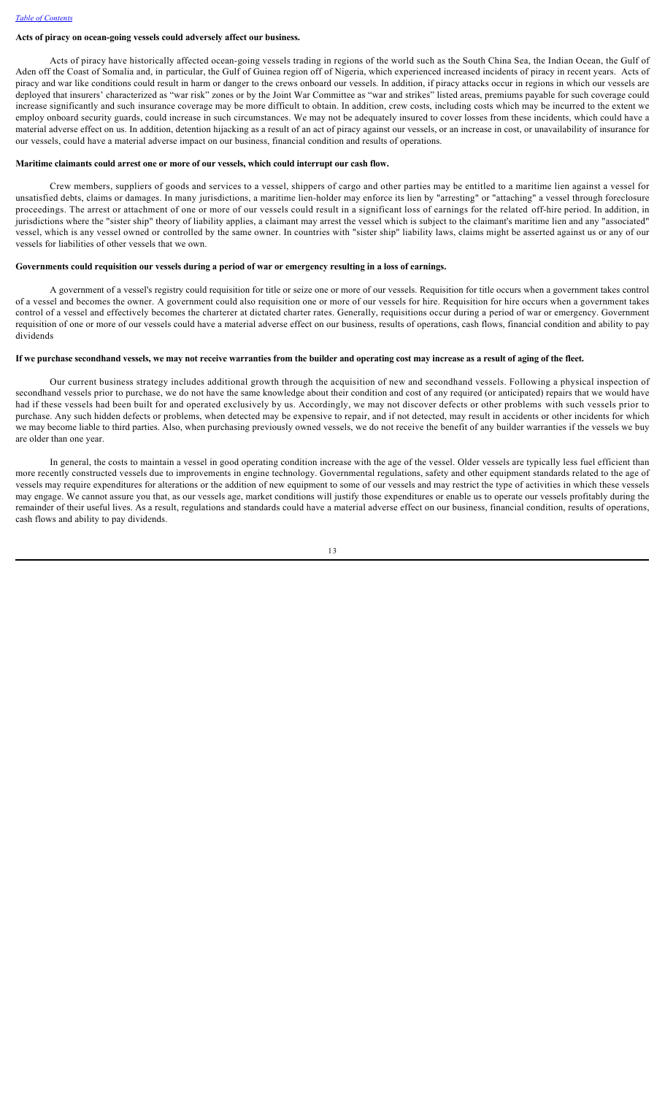# **Acts of piracy on ocean-going vessels could adversely affect our business.**

Acts of piracy have historically affected ocean-going vessels trading in regions of the world such as the South China Sea, the Indian Ocean, the Gulf of Aden off the Coast of Somalia and, in particular, the Gulf of Guinea region off of Nigeria, which experienced increased incidents of piracy in recent years. Acts of piracy and war like conditions could result in harm or danger to the crews onboard our vessels. In addition, if piracy attacks occur in regions in which our vessels are deployed that insurers' characterized as "war risk" zones or by the Joint War Committee as "war and strikes" listed areas, premiums payable for such coverage could increase significantly and such insurance coverage may be more difficult to obtain. In addition, crew costs, including costs which may be incurred to the extent we employ onboard security guards, could increase in such circumstances. We may not be adequately insured to cover losses from these incidents, which could have a material adverse effect on us. In addition, detention hijacking as a result of an act of piracy against our vessels, or an increase in cost, or unavailability of insurance for our vessels, could have a material adverse impact on our business, financial condition and results of operations.

# **Maritime claimants could arrest one or more of our vessels, which could interrupt our cash flow.**

Crew members, suppliers of goods and services to a vessel, shippers of cargo and other parties may be entitled to a maritime lien against a vessel for unsatisfied debts, claims or damages. In many jurisdictions, a maritime lien-holder may enforce its lien by "arresting" or "attaching" a vessel through foreclosure proceedings. The arrest or attachment of one or more of our vessels could result in a significant loss of earnings for the related off-hire period. In addition, in jurisdictions where the "sister ship" theory of liability applies, a claimant may arrest the vessel which is subject to the claimant's maritime lien and any "associated" vessel, which is any vessel owned or controlled by the same owner. In countries with "sister ship" liability laws, claims might be asserted against us or any of our vessels for liabilities of other vessels that we own.

#### **Governments could requisition our vessels during a period of war or emergency resulting in a loss of earnings.**

A government of a vessel's registry could requisition for title or seize one or more of our vessels. Requisition for title occurs when a government takes control of a vessel and becomes the owner. A government could also requisition one or more of our vessels for hire. Requisition for hire occurs when a government takes control of a vessel and effectively becomes the charterer at dictated charter rates. Generally, requisitions occur during a period of war or emergency. Government requisition of one or more of our vessels could have a material adverse effect on our business, results of operations, cash flows, financial condition and ability to pay dividends

# **If we purchase secondhand vessels, we may not receive warranties from the builder and operating cost may increase as a result of aging of the fleet.**

Our current business strategy includes additional growth through the acquisition of new and secondhand vessels. Following a physical inspection of secondhand vessels prior to purchase, we do not have the same knowledge about their condition and cost of any required (or anticipated) repairs that we would have had if these vessels had been built for and operated exclusively by us. Accordingly, we may not discover defects or other problems with such vessels prior to purchase. Any such hidden defects or problems, when detected may be expensive to repair, and if not detected, may result in accidents or other incidents for which we may become liable to third parties. Also, when purchasing previously owned vessels, we do not receive the benefit of any builder warranties if the vessels we buy are older than one year.

In general, the costs to maintain a vessel in good operating condition increase with the age of the vessel. Older vessels are typically less fuel efficient than more recently constructed vessels due to improvements in engine technology. Governmental regulations, safety and other equipment standards related to the age of vessels may require expenditures for alterations or the addition of new equipment to some of our vessels and may restrict the type of activities in which these vessels may engage. We cannot assure you that, as our vessels age, market conditions will justify those expenditures or enable us to operate our vessels profitably during the remainder of their useful lives. As a result, regulations and standards could have a material adverse effect on our business, financial condition, results of operations, cash flows and ability to pay dividends.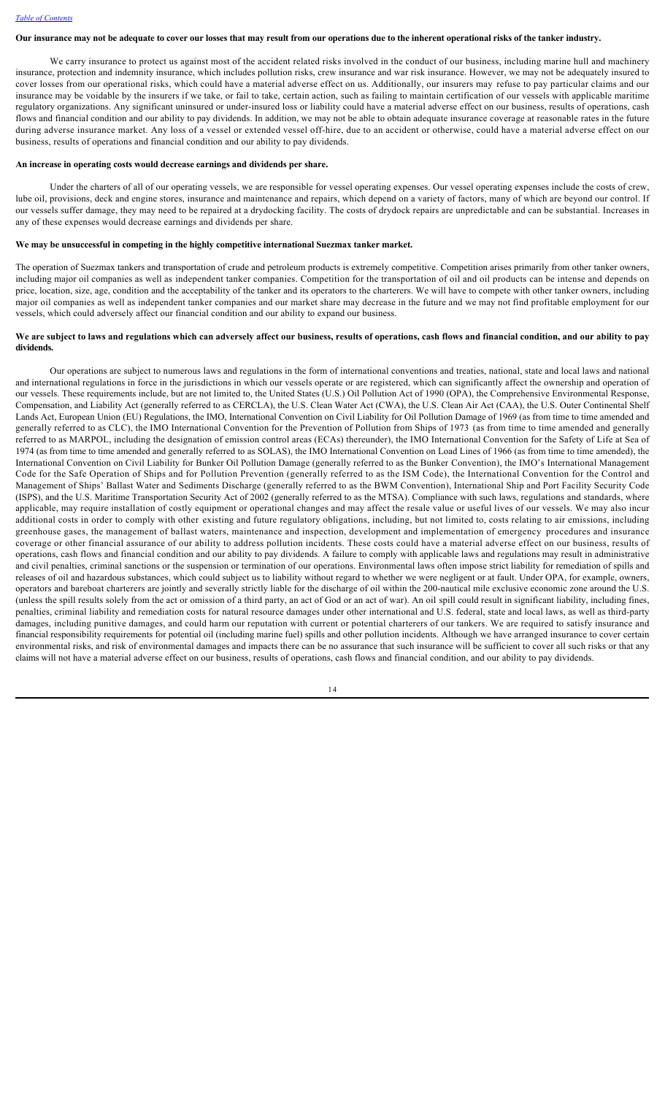#### **Our insurance may not be adequate to cover our losses that may result from our operations due to the inherent operational risks of the tanker industry.**

We carry insurance to protect us against most of the accident related risks involved in the conduct of our business, including marine hull and machinery insurance, protection and indemnity insurance, which includes pollution risks, crew insurance and war risk insurance. However, we may not be adequately insured to cover losses from our operational risks, which could have a material adverse effect on us. Additionally, our insurers may refuse to pay particular claims and our insurance may be voidable by the insurers if we take, or fail to take, certain action, such as failing to maintain certification of our vessels with applicable maritime regulatory organizations. Any significant uninsured or under-insured loss or liability could have a material adverse effect on our business, results of operations, cash flows and financial condition and our ability to pay dividends. In addition, we may not be able to obtain adequate insurance coverage at reasonable rates in the future during adverse insurance market. Any loss of a vessel or extended vessel off-hire, due to an accident or otherwise, could have a material adverse effect on our business, results of operations and financial condition and our ability to pay dividends.

#### **An increase in operating costs would decrease earnings and dividends per share.**

Under the charters of all of our operating vessels, we are responsible for vessel operating expenses. Our vessel operating expenses include the costs of crew, lube oil, provisions, deck and engine stores, insurance and maintenance and repairs, which depend on a variety of factors, many of which are beyond our control. If our vessels suffer damage, they may need to be repaired at a drydocking facility. The costs of drydock repairs are unpredictable and can be substantial. Increases in any of these expenses would decrease earnings and dividends per share.

# **We may be unsuccessful in competing in the highly competitive international Suezmax tanker market.**

The operation of Suezmax tankers and transportation of crude and petroleum products is extremely competitive. Competition arises primarily from other tanker owners, including major oil companies as well as independent tanker companies. Competition for the transportation of oil and oil products can be intense and depends on price, location, size, age, condition and the acceptability of the tanker and its operators to the charterers. We will have to compete with other tanker owners, including major oil companies as well as independent tanker companies and our market share may decrease in the future and we may not find profitable employment for our vessels, which could adversely affect our financial condition and our ability to expand our business.

#### **We are subject to laws and regulations which can adversely affect our business, results of operations, cash flows and financial condition, and our ability to pay dividends.**

Our operations are subject to numerous laws and regulations in the form of international conventions and treaties, national, state and local laws and national and international regulations in force in the jurisdictions in which our vessels operate or are registered, which can significantly affect the ownership and operation of our vessels. These requirements include, but are not limited to, the United States (U.S.) Oil Pollution Act of 1990 (OPA), the Comprehensive Environmental Response, Compensation, and Liability Act (generally referred to as CERCLA), the U.S. Clean Water Act (CWA), the U.S. Clean Air Act (CAA), the U.S. Outer Continental Shelf Lands Act, European Union (EU) Regulations, the IMO, International Convention on Civil Liability for Oil Pollution Damage of 1969 (as from time to time amended and generally referred to as CLC), the IMO International Convention for the Prevention of Pollution from Ships of 1973 (as from time to time amended and generally referred to as MARPOL, including the designation of emission control areas (ECAs) thereunder), the IMO International Convention for the Safety of Life at Sea of 1974 (as from time to time amended and generally referred to as SOLAS), the IMO International Convention on Load Lines of 1966 (as from time to time amended), the International Convention on Civil Liability for Bunker Oil Pollution Damage (generally referred to as the Bunker Convention), the IMO's International Management Code for the Safe Operation of Ships and for Pollution Prevention (generally referred to as the ISM Code), the International Convention for the Control and Management of Ships' Ballast Water and Sediments Discharge (generally referred to as the BWM Convention), International Ship and Port Facility Security Code (ISPS), and the U.S. Maritime Transportation Security Act of 2002 (generally referred to as the MTSA). Compliance with such laws, regulations and standards, where applicable, may require installation of costly equipment or operational changes and may affect the resale value or useful lives of our vessels. We may also incur additional costs in order to comply with other existing and future regulatory obligations, including, but not limited to, costs relating to air emissions, including greenhouse gases, the management of ballast waters, maintenance and inspection, development and implementation of emergency procedures and insurance coverage or other financial assurance of our ability to address pollution incidents. These costs could have a material adverse effect on our business, results of operations, cash flows and financial condition and our ability to pay dividends. A failure to comply with applicable laws and regulations may result in administrative and civil penalties, criminal sanctions or the suspension or termination of our operations. Environmental laws often impose strict liability for remediation of spills and releases of oil and hazardous substances, which could subject us to liability without regard to whether we were negligent or at fault. Under OPA, for example, owners, operators and bareboat charterers are jointly and severally strictly liable for the discharge of oil within the 200-nautical mile exclusive economic zone around the U.S. (unless the spill results solely from the act or omission of a third party, an act of God or an act of war). An oil spill could result in significant liability, including fines, penalties, criminal liability and remediation costs for natural resource damages under other international and U.S. federal, state and local laws, as well as third-party damages, including punitive damages, and could harm our reputation with current or potential charterers of our tankers. We are required to satisfy insurance and financial responsibility requirements for potential oil (including marine fuel) spills and other pollution incidents. Although we have arranged insurance to cover certain environmental risks, and risk of environmental damages and impacts there can be no assurance that such insurance will be sufficient to cover all such risks or that any claims will not have a material adverse effect on our business, results of operations, cash flows and financial condition, and our ability to pay dividends.

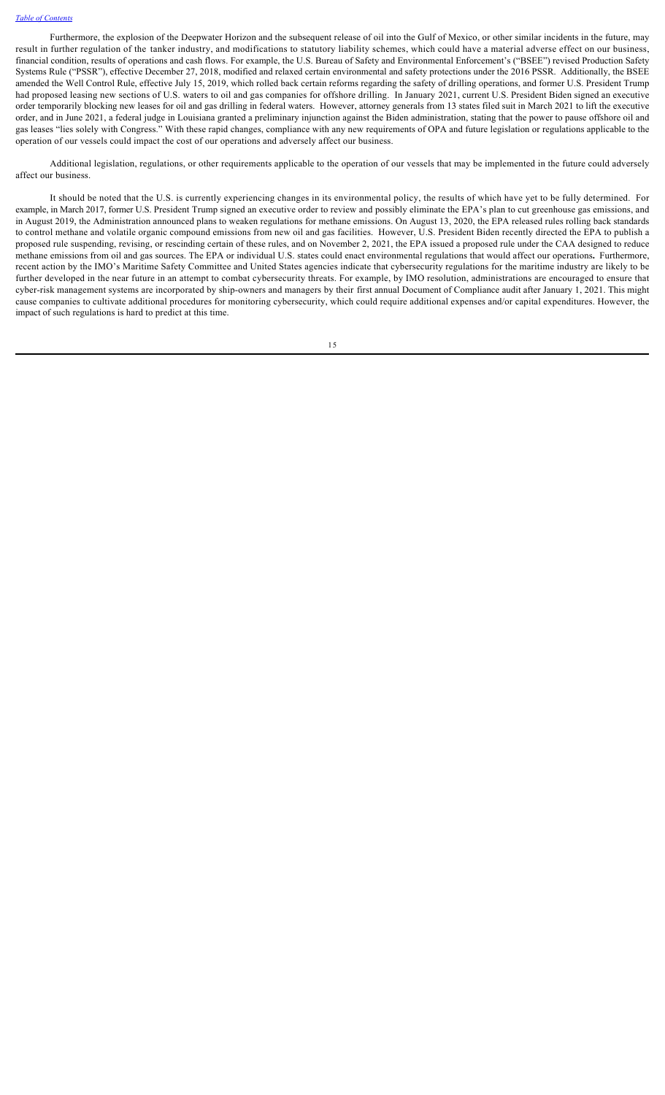Furthermore, the explosion of the Deepwater Horizon and the subsequent release of oil into the Gulf of Mexico, or other similar incidents in the future, may result in further regulation of the tanker industry, and modifications to statutory liability schemes, which could have a material adverse effect on our business, financial condition, results of operations and cash flows. For example, the U.S. Bureau of Safety and Environmental Enforcement's ("BSEE") revised Production Safety Systems Rule ("PSSR"), effective December 27, 2018, modified and relaxed certain environmental and safety protections under the 2016 PSSR. Additionally, the BSEE amended the Well Control Rule, effective July 15, 2019, which rolled back certain reforms regarding the safety of drilling operations, and former U.S. President Trump had proposed leasing new sections of U.S. waters to oil and gas companies for offshore drilling. In January 2021, current U.S. President Biden signed an executive order temporarily blocking new leases for oil and gas drilling in federal waters. However, attorney generals from 13 states filed suit in March 2021 to lift the executive order, and in June 2021, a federal judge in Louisiana granted a preliminary injunction against the Biden administration, stating that the power to pause offshore oil and gas leases "lies solely with Congress." With these rapid changes, compliance with any new requirements of OPA and future legislation or regulations applicable to the operation of our vessels could impact the cost of our operations and adversely affect our business.

Additional legislation, regulations, or other requirements applicable to the operation of our vessels that may be implemented in the future could adversely affect our business.

It should be noted that the U.S. is currently experiencing changes in its environmental policy, the results of which have yet to be fully determined. For example, in March 2017, former U.S. President Trump signed an executive order to review and possibly eliminate the EPA's plan to cut greenhouse gas emissions, and in August 2019, the Administration announced plans to weaken regulations for methane emissions. On August 13, 2020, the EPA released rules rolling back standards to control methane and volatile organic compound emissions from new oil and gas facilities. However, U.S. President Biden recently directed the EPA to publish a proposed rule suspending, revising, or rescinding certain of these rules, and on November 2, 2021, the EPA issued a proposed rule under the CAA designed to reduce methane emissions from oil and gas sources. The EPA or individual U.S. states could enact environmental regulations that would affect our operations**.** Furthermore, recent action by the IMO's Maritime Safety Committee and United States agencies indicate that cybersecurity regulations for the maritime industry are likely to be further developed in the near future in an attempt to combat cybersecurity threats. For example, by IMO resolution, administrations are encouraged to ensure that cyber-risk management systems are incorporated by ship-owners and managers by their first annual Document of Compliance audit after January 1, 2021. This might cause companies to cultivate additional procedures for monitoring cybersecurity, which could require additional expenses and/or capital expenditures. However, the impact of such regulations is hard to predict at this time.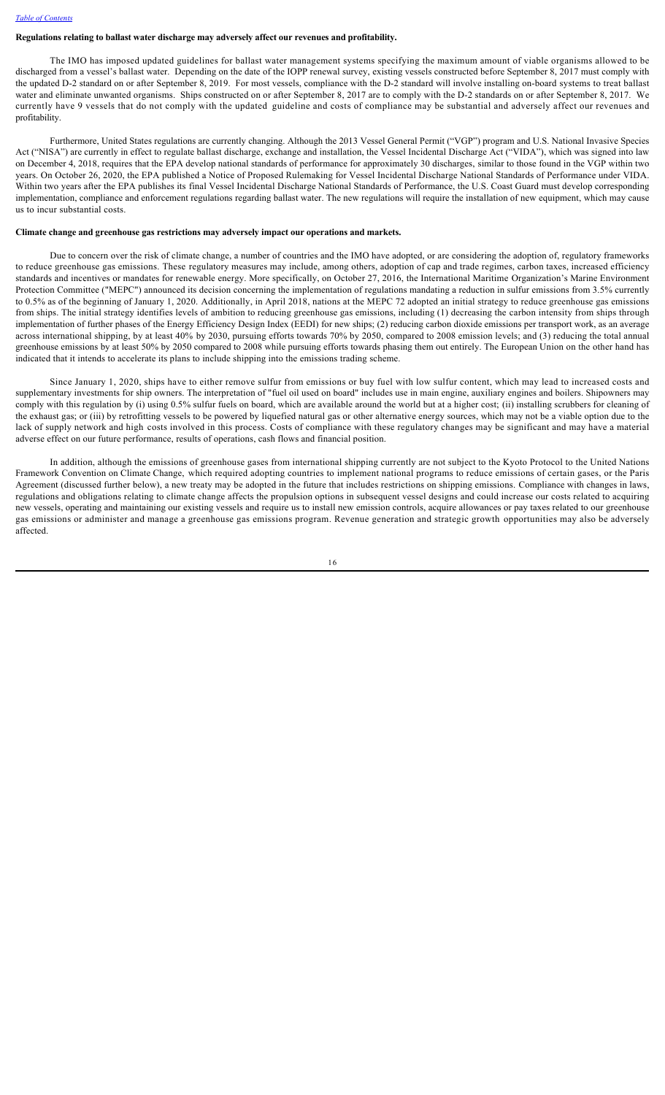#### **Regulations relating to ballast water discharge may adversely affect our revenues and profitability.**

The IMO has imposed updated guidelines for ballast water management systems specifying the maximum amount of viable organisms allowed to be discharged from a vessel's ballast water. Depending on the date of the IOPP renewal survey, existing vessels constructed before September 8, 2017 must comply with the updated D-2 standard on or after September 8, 2019. For most vessels, compliance with the D-2 standard will involve installing on-board systems to treat ballast water and eliminate unwanted organisms. Ships constructed on or after September 8, 2017 are to comply with the D-2 standards on or after September 8, 2017. We currently have 9 vessels that do not comply with the updated guideline and costs of compliance may be substantial and adversely affect our revenues and profitability.

Furthermore, United States regulations are currently changing. Although the 2013 Vessel General Permit ("VGP") program and U.S. National Invasive Species Act ("NISA") are currently in effect to regulate ballast discharge, exchange and installation, the Vessel Incidental Discharge Act ("VIDA"), which was signed into law on December 4, 2018, requires that the EPA develop national standards of performance for approximately 30 discharges, similar to those found in the VGP within two years. On October 26, 2020, the EPA published a Notice of Proposed Rulemaking for Vessel Incidental Discharge National Standards of Performance under VIDA. Within two years after the EPA publishes its final Vessel Incidental Discharge National Standards of Performance, the U.S. Coast Guard must develop corresponding implementation, compliance and enforcement regulations regarding ballast water. The new regulations will require the installation of new equipment, which may cause us to incur substantial costs.

#### **Climate change and greenhouse gas restrictions may adversely impact our operations and markets.**

Due to concern over the risk of climate change, a number of countries and the IMO have adopted, or are considering the adoption of, regulatory frameworks to reduce greenhouse gas emissions. These regulatory measures may include, among others, adoption of cap and trade regimes, carbon taxes, increased efficiency standards and incentives or mandates for renewable energy. More specifically, on October 27, 2016, the International Maritime Organization's Marine Environment Protection Committee ("MEPC") announced its decision concerning the implementation of regulations mandating a reduction in sulfur emissions from 3.5% currently to 0.5% as of the beginning of January 1, 2020. Additionally, in April 2018, nations at the MEPC 72 adopted an initial strategy to reduce greenhouse gas emissions from ships. The initial strategy identifies levels of ambition to reducing greenhouse gas emissions, including (1) decreasing the carbon intensity from ships through implementation of further phases of the Energy Efficiency Design Index (EEDI) for new ships; (2) reducing carbon dioxide emissions per transport work, as an average across international shipping, by at least 40% by 2030, pursuing efforts towards 70% by 2050, compared to 2008 emission levels; and (3) reducing the total annual greenhouse emissions by at least 50% by 2050 compared to 2008 while pursuing efforts towards phasing them out entirely. The European Union on the other hand has indicated that it intends to accelerate its plans to include shipping into the emissions trading scheme.

Since January 1, 2020, ships have to either remove sulfur from emissions or buy fuel with low sulfur content, which may lead to increased costs and supplementary investments for ship owners. The interpretation of "fuel oil used on board" includes use in main engine, auxiliary engines and boilers. Shipowners may comply with this regulation by (i) using 0.5% sulfur fuels on board, which are available around the world but at a higher cost; (ii) installing scrubbers for cleaning of the exhaust gas; or (iii) by retrofitting vessels to be powered by liquefied natural gas or other alternative energy sources, which may not be a viable option due to the lack of supply network and high costs involved in this process. Costs of compliance with these regulatory changes may be significant and may have a material adverse effect on our future performance, results of operations, cash flows and financial position.

In addition, although the emissions of greenhouse gases from international shipping currently are not subject to the Kyoto Protocol to the United Nations Framework Convention on Climate Change, which required adopting countries to implement national programs to reduce emissions of certain gases, or the Paris Agreement (discussed further below), a new treaty may be adopted in the future that includes restrictions on shipping emissions. Compliance with changes in laws, regulations and obligations relating to climate change affects the propulsion options in subsequent vessel designs and could increase our costs related to acquiring new vessels, operating and maintaining our existing vessels and require us to install new emission controls, acquire allowances or pay taxes related to our greenhouse gas emissions or administer and manage a greenhouse gas emissions program. Revenue generation and strategic growth opportunities may also be adversely affected.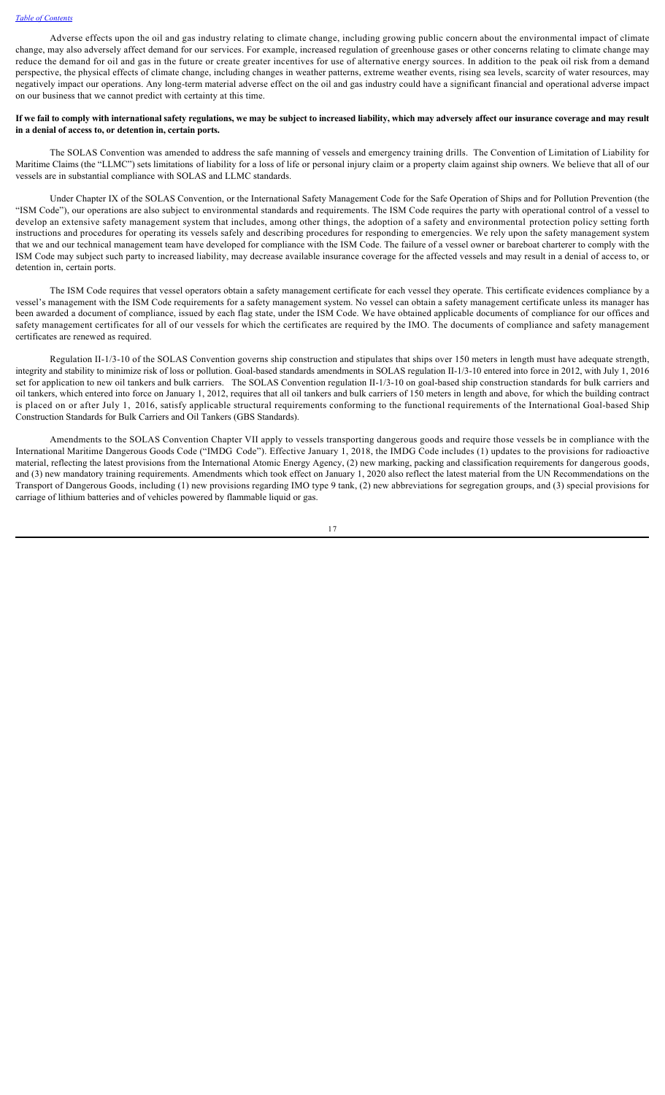Adverse effects upon the oil and gas industry relating to climate change, including growing public concern about the environmental impact of climate change, may also adversely affect demand for our services. For example, increased regulation of greenhouse gases or other concerns relating to climate change may reduce the demand for oil and gas in the future or create greater incentives for use of alternative energy sources. In addition to the peak oil risk from a demand perspective, the physical effects of climate change, including changes in weather patterns, extreme weather events, rising sea levels, scarcity of water resources, may negatively impact our operations. Any long-term material adverse effect on the oil and gas industry could have a significant financial and operational adverse impact on our business that we cannot predict with certainty at this time.

# **If we fail to comply with international safety regulations, we may be subject to increased liability, which may adversely affect our insurance coverage and may result in a denial of access to, or detention in, certain ports.**

The SOLAS Convention was amended to address the safe manning of vessels and emergency training drills. The Convention of Limitation of Liability for Maritime Claims (the "LLMC") sets limitations of liability for a loss of life or personal injury claim or a property claim against ship owners. We believe that all of our vessels are in substantial compliance with SOLAS and LLMC standards.

Under Chapter IX of the SOLAS Convention, or the International Safety Management Code for the Safe Operation of Ships and for Pollution Prevention (the "ISM Code"), our operations are also subject to environmental standards and requirements. The ISM Code requires the party with operational control of a vessel to develop an extensive safety management system that includes, among other things, the adoption of a safety and environmental protection policy setting forth instructions and procedures for operating its vessels safely and describing procedures for responding to emergencies. We rely upon the safety management system that we and our technical management team have developed for compliance with the ISM Code. The failure of a vessel owner or bareboat charterer to comply with the ISM Code may subject such party to increased liability, may decrease available insurance coverage for the affected vessels and may result in a denial of access to, or detention in, certain ports.

The ISM Code requires that vessel operators obtain a safety management certificate for each vessel they operate. This certificate evidences compliance by a vessel's management with the ISM Code requirements for a safety management system. No vessel can obtain a safety management certificate unless its manager has been awarded a document of compliance, issued by each flag state, under the ISM Code. We have obtained applicable documents of compliance for our offices and safety management certificates for all of our vessels for which the certificates are required by the IMO. The documents of compliance and safety management certificates are renewed as required.

Regulation II-1/3-10 of the SOLAS Convention governs ship construction and stipulates that ships over 150 meters in length must have adequate strength, integrity and stability to minimize risk of loss or pollution. Goal-based standards amendments in SOLAS regulation II-1/3-10 entered into force in 2012, with July 1, 2016 set for application to new oil tankers and bulk carriers. The SOLAS Convention regulation II-1/3-10 on goal-based ship construction standards for bulk carriers and oil tankers, which entered into force on January 1, 2012, requires that all oil tankers and bulk carriers of 150 meters in length and above, for which the building contract is placed on or after July 1, 2016, satisfy applicable structural requirements conforming to the functional requirements of the International Goal-based Ship Construction Standards for Bulk Carriers and Oil Tankers (GBS Standards).

Amendments to the SOLAS Convention Chapter VII apply to vessels transporting dangerous goods and require those vessels be in compliance with the International Maritime Dangerous Goods Code ("IMDG Code"). Effective January 1, 2018, the IMDG Code includes (1) updates to the provisions for radioactive material, reflecting the latest provisions from the International Atomic Energy Agency, (2) new marking, packing and classification requirements for dangerous goods, and (3) new mandatory training requirements. Amendments which took effect on January 1, 2020 also reflect the latest material from the UN Recommendations on the Transport of Dangerous Goods, including (1) new provisions regarding IMO type 9 tank, (2) new abbreviations for segregation groups, and (3) special provisions for carriage of lithium batteries and of vehicles powered by flammable liquid or gas.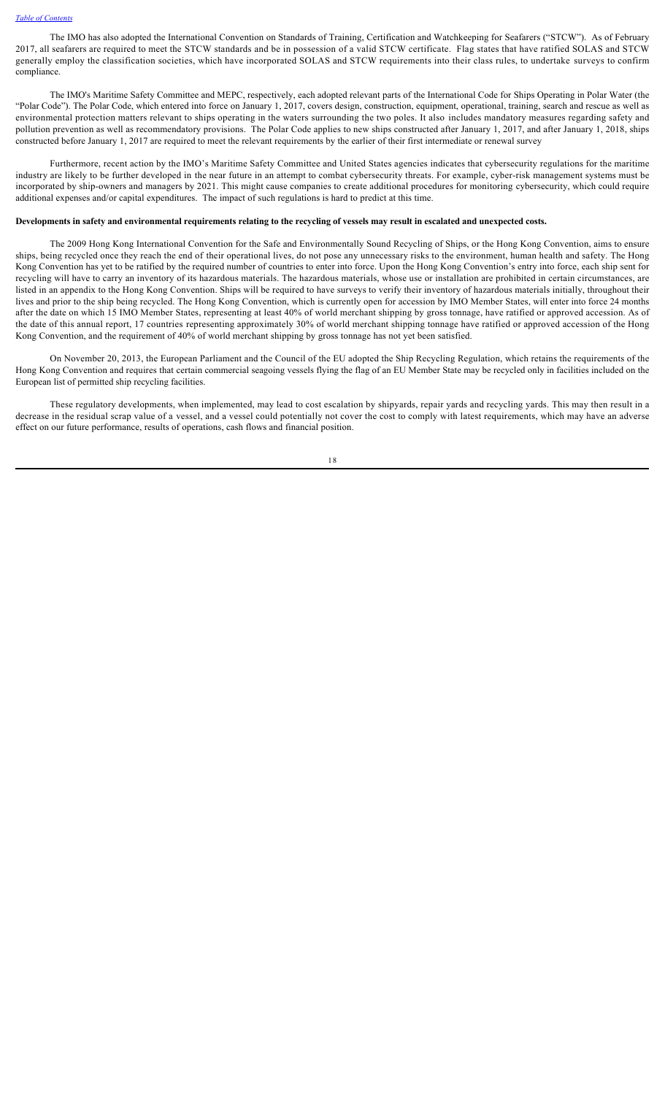The IMO has also adopted the International Convention on Standards of Training, Certification and Watchkeeping for Seafarers ("STCW"). As of February 2017, all seafarers are required to meet the STCW standards and be in possession of a valid STCW certificate. Flag states that have ratified SOLAS and STCW generally employ the classification societies, which have incorporated SOLAS and STCW requirements into their class rules, to undertake surveys to confirm compliance.

The IMO's Maritime Safety Committee and MEPC, respectively, each adopted relevant parts of the International Code for Ships Operating in Polar Water (the "Polar Code"). The Polar Code, which entered into force on January 1, 2017, covers design, construction, equipment, operational, training, search and rescue as well as environmental protection matters relevant to ships operating in the waters surrounding the two poles. It also includes mandatory measures regarding safety and pollution prevention as well as recommendatory provisions. The Polar Code applies to new ships constructed after January 1, 2017, and after January 1, 2018, ships constructed before January 1, 2017 are required to meet the relevant requirements by the earlier of their first intermediate or renewal survey

Furthermore, recent action by the IMO's Maritime Safety Committee and United States agencies indicates that cybersecurity regulations for the maritime industry are likely to be further developed in the near future in an attempt to combat cybersecurity threats. For example, cyber-risk management systems must be incorporated by ship-owners and managers by 2021. This might cause companies to create additional procedures for monitoring cybersecurity, which could require additional expenses and/or capital expenditures. The impact of such regulations is hard to predict at this time.

#### **Developments in safety and environmental requirements relating to the recycling of vessels may result in escalated and unexpected costs.**

The 2009 Hong Kong International Convention for the Safe and Environmentally Sound Recycling of Ships, or the Hong Kong Convention, aims to ensure ships, being recycled once they reach the end of their operational lives, do not pose any unnecessary risks to the environment, human health and safety. The Hong Kong Convention has yet to be ratified by the required number of countries to enter into force. Upon the Hong Kong Convention's entry into force, each ship sent for recycling will have to carry an inventory of its hazardous materials. The hazardous materials, whose use or installation are prohibited in certain circumstances, are listed in an appendix to the Hong Kong Convention. Ships will be required to have surveys to verify their inventory of hazardous materials initially, throughout their lives and prior to the ship being recycled. The Hong Kong Convention, which is currently open for accession by IMO Member States, will enter into force 24 months after the date on which 15 IMO Member States, representing at least 40% of world merchant shipping by gross tonnage, have ratified or approved accession. As of the date of this annual report, 17 countries representing approximately 30% of world merchant shipping tonnage have ratified or approved accession of the Hong Kong Convention, and the requirement of 40% of world merchant shipping by gross tonnage has not yet been satisfied.

On November 20, 2013, the European Parliament and the Council of the EU adopted the Ship Recycling Regulation, which retains the requirements of the Hong Kong Convention and requires that certain commercial seagoing vessels flying the flag of an EU Member State may be recycled only in facilities included on the European list of permitted ship recycling facilities.

These regulatory developments, when implemented, may lead to cost escalation by shipyards, repair yards and recycling yards. This may then result in a decrease in the residual scrap value of a vessel, and a vessel could potentially not cover the cost to comply with latest requirements, which may have an adverse effect on our future performance, results of operations, cash flows and financial position.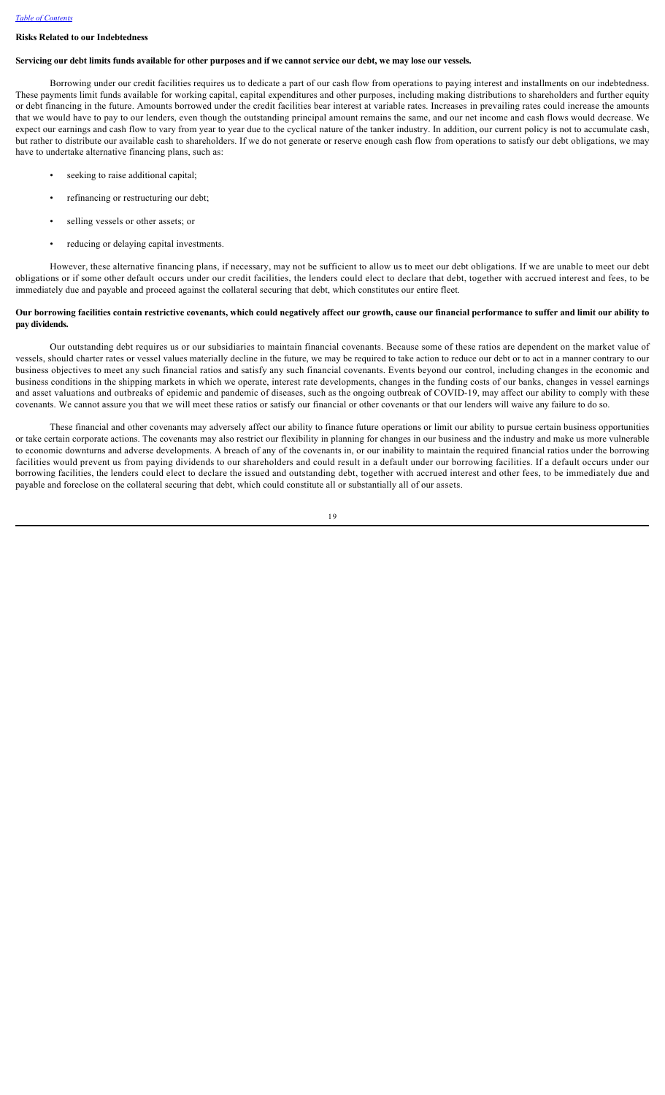# **Risks Related to our Indebtedness**

#### **Servicing our debt limits funds available for other purposes and if we cannot service our debt, we may lose our vessels.**

Borrowing under our credit facilities requires us to dedicate a part of our cash flow from operations to paying interest and installments on our indebtedness. These payments limit funds available for working capital, capital expenditures and other purposes, including making distributions to shareholders and further equity or debt financing in the future. Amounts borrowed under the credit facilities bear interest at variable rates. Increases in prevailing rates could increase the amounts that we would have to pay to our lenders, even though the outstanding principal amount remains the same, and our net income and cash flows would decrease. We expect our earnings and cash flow to vary from year to year due to the cyclical nature of the tanker industry. In addition, our current policy is not to accumulate cash, but rather to distribute our available cash to shareholders. If we do not generate or reserve enough cash flow from operations to satisfy our debt obligations, we may have to undertake alternative financing plans, such as:

- seeking to raise additional capital;
- refinancing or restructuring our debt;
- selling vessels or other assets; or
- reducing or delaying capital investments.

However, these alternative financing plans, if necessary, may not be sufficient to allow us to meet our debt obligations. If we are unable to meet our debt obligations or if some other default occurs under our credit facilities, the lenders could elect to declare that debt, together with accrued interest and fees, to be immediately due and payable and proceed against the collateral securing that debt, which constitutes our entire fleet.

# **Our borrowing facilities contain restrictive covenants, which could negatively affect our growth, cause our financial performance to suffer and limit our ability to pay dividends.**

Our outstanding debt requires us or our subsidiaries to maintain financial covenants. Because some of these ratios are dependent on the market value of vessels, should charter rates or vessel values materially decline in the future, we may be required to take action to reduce our debt or to act in a manner contrary to our business objectives to meet any such financial ratios and satisfy any such financial covenants. Events beyond our control, including changes in the economic and business conditions in the shipping markets in which we operate, interest rate developments, changes in the funding costs of our banks, changes in vessel earnings and asset valuations and outbreaks of epidemic and pandemic of diseases, such as the ongoing outbreak of COVID-19, may affect our ability to comply with these covenants. We cannot assure you that we will meet these ratios or satisfy our financial or other covenants or that our lenders will waive any failure to do so.

These financial and other covenants may adversely affect our ability to finance future operations or limit our ability to pursue certain business opportunities or take certain corporate actions. The covenants may also restrict our flexibility in planning for changes in our business and the industry and make us more vulnerable to economic downturns and adverse developments. A breach of any of the covenants in, or our inability to maintain the required financial ratios under the borrowing facilities would prevent us from paying dividends to our shareholders and could result in a default under our borrowing facilities. If a default occurs under our borrowing facilities, the lenders could elect to declare the issued and outstanding debt, together with accrued interest and other fees, to be immediately due and payable and foreclose on the collateral securing that debt, which could constitute all or substantially all of our assets.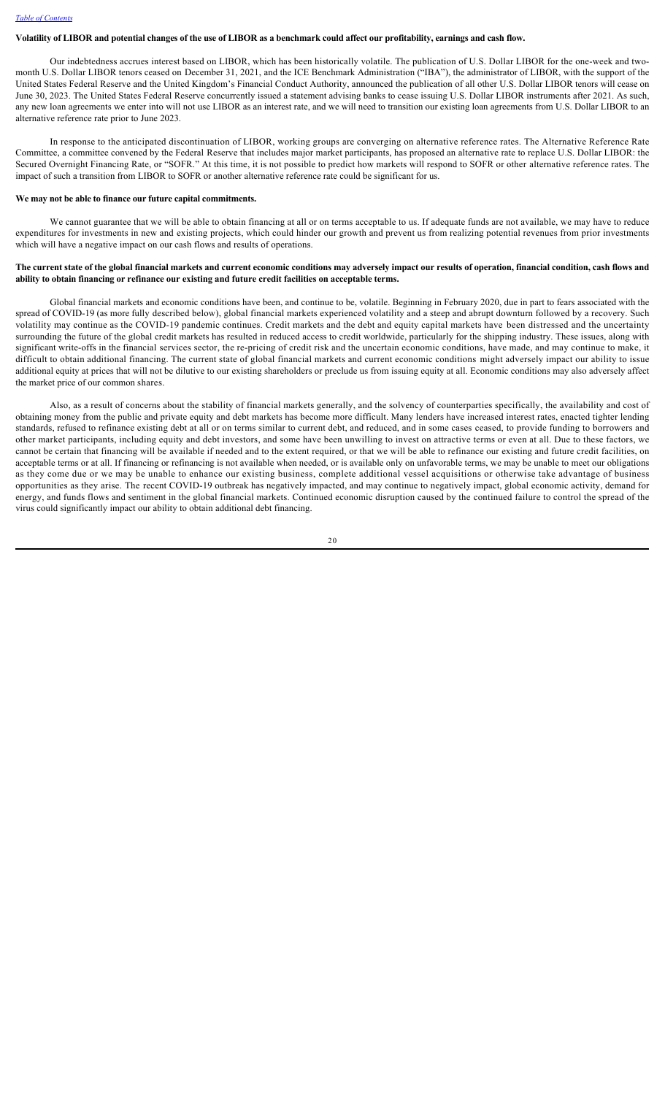# **Volatility of LIBOR and potential changes of the use of LIBOR as a benchmark could affect our profitability, earnings and cash flow.**

Our indebtedness accrues interest based on LIBOR, which has been historically volatile. The publication of U.S. Dollar LIBOR for the one-week and twomonth U.S. Dollar LIBOR tenors ceased on December 31, 2021, and the ICE Benchmark Administration ("IBA"), the administrator of LIBOR, with the support of the United States Federal Reserve and the United Kingdom's Financial Conduct Authority, announced the publication of all other U.S. Dollar LIBOR tenors will cease on June 30, 2023. The United States Federal Reserve concurrently issued a statement advising banks to cease issuing U.S. Dollar LIBOR instruments after 2021. As such, any new loan agreements we enter into will not use LIBOR as an interest rate, and we will need to transition our existing loan agreements from U.S. Dollar LIBOR to an alternative reference rate prior to June 2023.

In response to the anticipated discontinuation of LIBOR, working groups are converging on alternative reference rates. The Alternative Reference Rate Committee, a committee convened by the Federal Reserve that includes major market participants, has proposed an alternative rate to replace U.S. Dollar LIBOR: the Secured Overnight Financing Rate, or "SOFR." At this time, it is not possible to predict how markets will respond to SOFR or other alternative reference rates. The impact of such a transition from LIBOR to SOFR or another alternative reference rate could be significant for us.

#### **We may not be able to finance our future capital commitments.**

We cannot guarantee that we will be able to obtain financing at all or on terms acceptable to us. If adequate funds are not available, we may have to reduce expenditures for investments in new and existing projects, which could hinder our growth and prevent us from realizing potential revenues from prior investments which will have a negative impact on our cash flows and results of operations.

# **The current state of the global financial markets and current economic conditions may adversely impact our results of operation, financial condition, cash flows and ability to obtain financing or refinance our existing and future credit facilities on acceptable terms.**

Global financial markets and economic conditions have been, and continue to be, volatile. Beginning in February 2020, due in part to fears associated with the spread of COVID-19 (as more fully described below), global financial markets experienced volatility and a steep and abrupt downturn followed by a recovery. Such volatility may continue as the COVID-19 pandemic continues. Credit markets and the debt and equity capital markets have been distressed and the uncertainty surrounding the future of the global credit markets has resulted in reduced access to credit worldwide, particularly for the shipping industry. These issues, along with significant write-offs in the financial services sector, the re-pricing of credit risk and the uncertain economic conditions, have made, and may continue to make, it difficult to obtain additional financing. The current state of global financial markets and current economic conditions might adversely impact our ability to issue additional equity at prices that will not be dilutive to our existing shareholders or preclude us from issuing equity at all. Economic conditions may also adversely affect the market price of our common shares.

Also, as a result of concerns about the stability of financial markets generally, and the solvency of counterparties specifically, the availability and cost of obtaining money from the public and private equity and debt markets has become more difficult. Many lenders have increased interest rates, enacted tighter lending standards, refused to refinance existing debt at all or on terms similar to current debt, and reduced, and in some cases ceased, to provide funding to borrowers and other market participants, including equity and debt investors, and some have been unwilling to invest on attractive terms or even at all. Due to these factors, we cannot be certain that financing will be available if needed and to the extent required, or that we will be able to refinance our existing and future credit facilities, on acceptable terms or at all. If financing or refinancing is not available when needed, or is available only on unfavorable terms, we may be unable to meet our obligations as they come due or we may be unable to enhance our existing business, complete additional vessel acquisitions or otherwise take advantage of business opportunities as they arise. The recent COVID-19 outbreak has negatively impacted, and may continue to negatively impact, global economic activity, demand for energy, and funds flows and sentiment in the global financial markets. Continued economic disruption caused by the continued failure to control the spread of the virus could significantly impact our ability to obtain additional debt financing.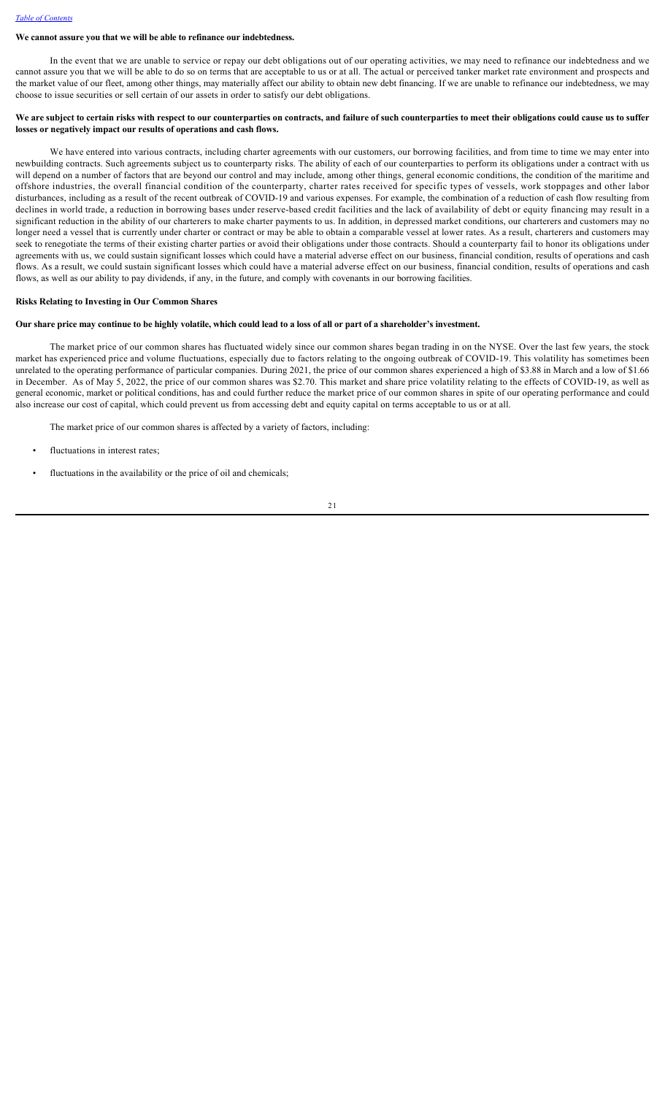#### **We cannot assure you that we will be able to refinance our indebtedness.**

In the event that we are unable to service or repay our debt obligations out of our operating activities, we may need to refinance our indebtedness and we cannot assure you that we will be able to do so on terms that are acceptable to us or at all. The actual or perceived tanker market rate environment and prospects and the market value of our fleet, among other things, may materially affect our ability to obtain new debt financing. If we are unable to refinance our indebtedness, we may choose to issue securities or sell certain of our assets in order to satisfy our debt obligations.

# **We are subject to certain risks with respect to our counterparties on contracts, and failure of such counterparties to meet their obligations could cause us to suffer losses or negatively impact our results of operations and cash flows.**

We have entered into various contracts, including charter agreements with our customers, our borrowing facilities, and from time to time we may enter into newbuilding contracts. Such agreements subject us to counterparty risks. The ability of each of our counterparties to perform its obligations under a contract with us will depend on a number of factors that are beyond our control and may include, among other things, general economic conditions, the condition of the maritime and offshore industries, the overall financial condition of the counterparty, charter rates received for specific types of vessels, work stoppages and other labor disturbances, including as a result of the recent outbreak of COVID-19 and various expenses. For example, the combination of a reduction of cash flow resulting from declines in world trade, a reduction in borrowing bases under reserve-based credit facilities and the lack of availability of debt or equity financing may result in a significant reduction in the ability of our charterers to make charter payments to us. In addition, in depressed market conditions, our charterers and customers may no longer need a vessel that is currently under charter or contract or may be able to obtain a comparable vessel at lower rates. As a result, charterers and customers may seek to renegotiate the terms of their existing charter parties or avoid their obligations under those contracts. Should a counterparty fail to honor its obligations under agreements with us, we could sustain significant losses which could have a material adverse effect on our business, financial condition, results of operations and cash flows. As a result, we could sustain significant losses which could have a material adverse effect on our business, financial condition, results of operations and cash flows, as well as our ability to pay dividends, if any, in the future, and comply with covenants in our borrowing facilities.

#### **Risks Relating to Investing in Our Common Shares**

# **Our share price may continue to be highly volatile, which could lead to a loss of all or part of a shareholder's investment.**

The market price of our common shares has fluctuated widely since our common shares began trading in on the NYSE. Over the last few years, the stock market has experienced price and volume fluctuations, especially due to factors relating to the ongoing outbreak of COVID-19. This volatility has sometimes been unrelated to the operating performance of particular companies. During 2021, the price of our common shares experienced a high of \$3.88 in March and a low of \$1.66 in December. As of May 5, 2022, the price of our common shares was \$2.70. This market and share price volatility relating to the effects of COVID-19, as well as general economic, market or political conditions, has and could further reduce the market price of our common shares in spite of our operating performance and could also increase our cost of capital, which could prevent us from accessing debt and equity capital on terms acceptable to us or at all.

The market price of our common shares is affected by a variety of factors, including:

- fluctuations in interest rates;
- fluctuations in the availability or the price of oil and chemicals;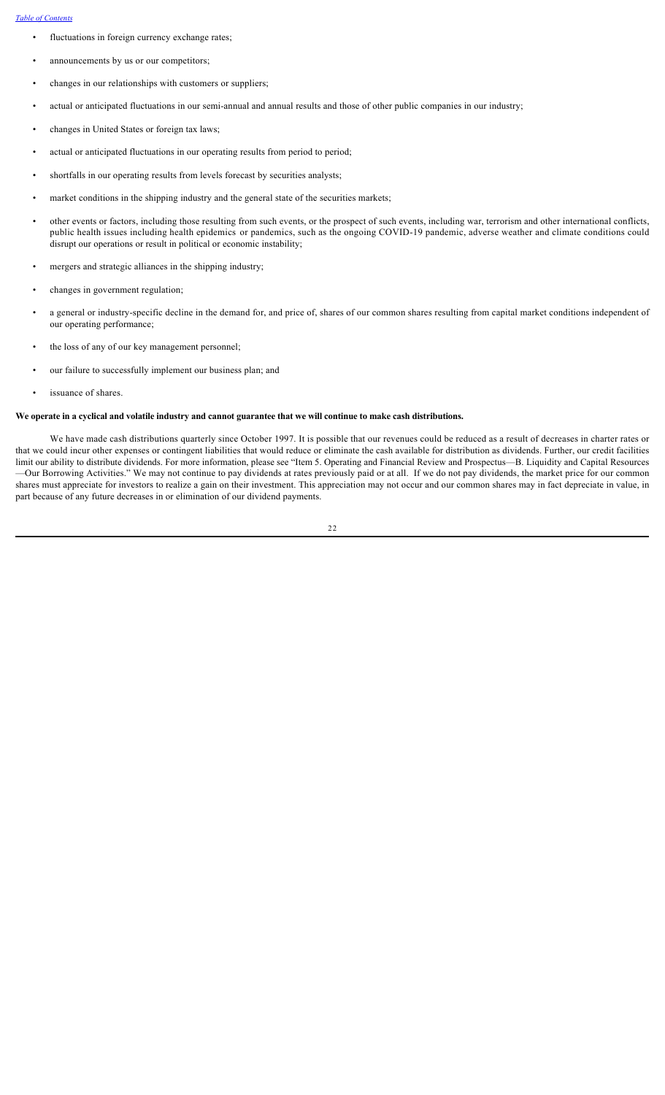- fluctuations in foreign currency exchange rates;
- announcements by us or our competitors;
- changes in our relationships with customers or suppliers;
- actual or anticipated fluctuations in our semi-annual and annual results and those of other public companies in our industry;
- changes in United States or foreign tax laws;
- actual or anticipated fluctuations in our operating results from period to period;
- shortfalls in our operating results from levels forecast by securities analysts;
- market conditions in the shipping industry and the general state of the securities markets;
- other events or factors, including those resulting from such events, or the prospect of such events, including war, terrorism and other international conflicts, public health issues including health epidemics or pandemics, such as the ongoing COVID-19 pandemic, adverse weather and climate conditions could disrupt our operations or result in political or economic instability;
- mergers and strategic alliances in the shipping industry;
- changes in government regulation;
- a general or industry-specific decline in the demand for, and price of, shares of our common shares resulting from capital market conditions independent of our operating performance;
- the loss of any of our key management personnel;
- our failure to successfully implement our business plan; and
- issuance of shares.

# **We operate in a cyclical and volatile industry and cannot guarantee that we will continue to make cash distributions.**

We have made cash distributions quarterly since October 1997. It is possible that our revenues could be reduced as a result of decreases in charter rates or that we could incur other expenses or contingent liabilities that would reduce or eliminate the cash available for distribution as dividends. Further, our credit facilities limit our ability to distribute dividends. For more information, please see "Item 5. Operating and Financial Review and Prospectus—B. Liquidity and Capital Resources —Our Borrowing Activities." We may not continue to pay dividends at rates previously paid or at all. If we do not pay dividends, the market price for our common shares must appreciate for investors to realize a gain on their investment. This appreciation may not occur and our common shares may in fact depreciate in value, in part because of any future decreases in or elimination of our dividend payments.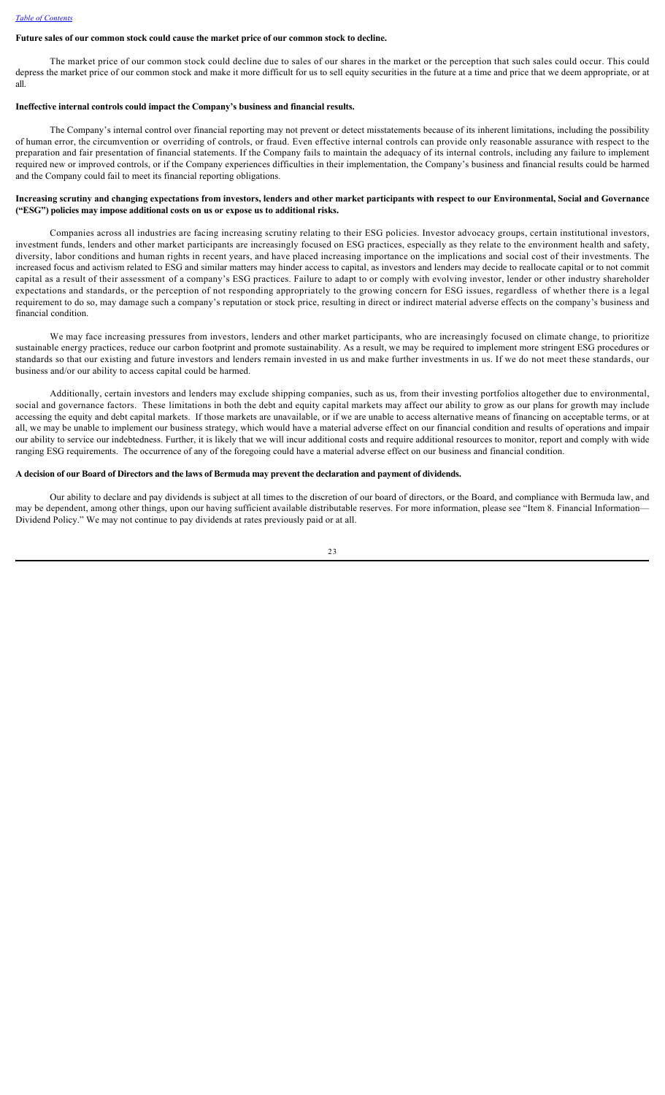#### **Future sales of our common stock could cause the market price of our common stock to decline.**

The market price of our common stock could decline due to sales of our shares in the market or the perception that such sales could occur. This could depress the market price of our common stock and make it more difficult for us to sell equity securities in the future at a time and price that we deem appropriate, or at all.

#### **Ineffective internal controls could impact the Company's business and financial results.**

The Company's internal control over financial reporting may not prevent or detect misstatements because of its inherent limitations, including the possibility of human error, the circumvention or overriding of controls, or fraud. Even effective internal controls can provide only reasonable assurance with respect to the preparation and fair presentation of financial statements. If the Company fails to maintain the adequacy of its internal controls, including any failure to implement required new or improved controls, or if the Company experiences difficulties in their implementation, the Company's business and financial results could be harmed and the Company could fail to meet its financial reporting obligations.

# **Increasing scrutiny and changing expectations from investors, lenders and other market participants with respect to our Environmental, Social and Governance ("ESG") policies may impose additional costs on us or expose us to additional risks.**

Companies across all industries are facing increasing scrutiny relating to their ESG policies. Investor advocacy groups, certain institutional investors, investment funds, lenders and other market participants are increasingly focused on ESG practices, especially as they relate to the environment health and safety, diversity, labor conditions and human rights in recent years, and have placed increasing importance on the implications and social cost of their investments. The increased focus and activism related to ESG and similar matters may hinder access to capital, as investors and lenders may decide to reallocate capital or to not commit capital as a result of their assessment of a company's ESG practices. Failure to adapt to or comply with evolving investor, lender or other industry shareholder expectations and standards, or the perception of not responding appropriately to the growing concern for ESG issues, regardless of whether there is a legal requirement to do so, may damage such a company's reputation or stock price, resulting in direct or indirect material adverse effects on the company's business and financial condition.

We may face increasing pressures from investors, lenders and other market participants, who are increasingly focused on climate change, to prioritize sustainable energy practices, reduce our carbon footprint and promote sustainability. As a result, we may be required to implement more stringent ESG procedures or standards so that our existing and future investors and lenders remain invested in us and make further investments in us. If we do not meet these standards, our business and/or our ability to access capital could be harmed.

Additionally, certain investors and lenders may exclude shipping companies, such as us, from their investing portfolios altogether due to environmental, social and governance factors. These limitations in both the debt and equity capital markets may affect our ability to grow as our plans for growth may include accessing the equity and debt capital markets. If those markets are unavailable, or if we are unable to access alternative means of financing on acceptable terms, or at all, we may be unable to implement our business strategy, which would have a material adverse effect on our financial condition and results of operations and impair our ability to service our indebtedness. Further, it is likely that we will incur additional costs and require additional resources to monitor, report and comply with wide ranging ESG requirements. The occurrence of any of the foregoing could have a material adverse effect on our business and financial condition.

# **A decision of our Board of Directors and the laws of Bermuda may prevent the declaration and payment of dividends.**

Our ability to declare and pay dividends is subject at all times to the discretion of our board of directors, or the Board, and compliance with Bermuda law, and may be dependent, among other things, upon our having sufficient available distributable reserves. For more information, please see "Item 8. Financial Information-Dividend Policy." We may not continue to pay dividends at rates previously paid or at all.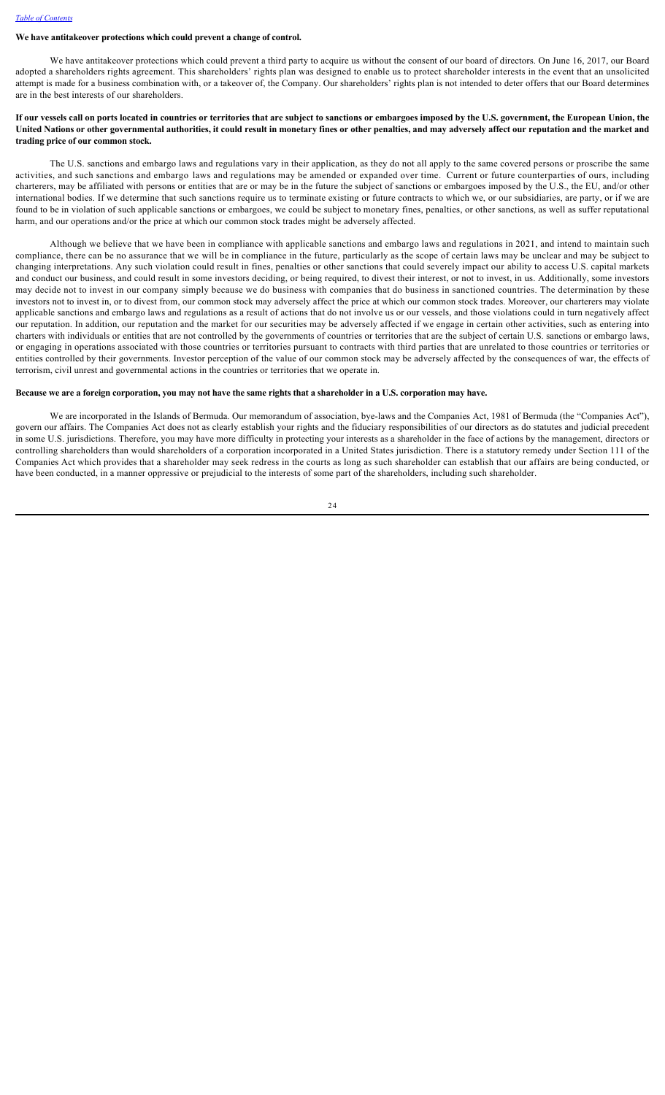#### **We have antitakeover protections which could prevent a change of control.**

We have antitakeover protections which could prevent a third party to acquire us without the consent of our board of directors. On June 16, 2017, our Board adopted a shareholders rights agreement. This shareholders' rights plan was designed to enable us to protect shareholder interests in the event that an unsolicited attempt is made for a business combination with, or a takeover of, the Company. Our shareholders' rights plan is not intended to deter offers that our Board determines are in the best interests of our shareholders.

# **If our vessels call on ports located in countries or territories that are subject to sanctions or embargoes imposed by the U.S. government, the European Union, the United Nations or other governmental authorities, it could result in monetary fines or other penalties, and may adversely affect our reputation and the market and trading price of our common stock.**

The U.S. sanctions and embargo laws and regulations vary in their application, as they do not all apply to the same covered persons or proscribe the same activities, and such sanctions and embargo laws and regulations may be amended or expanded over time. Current or future counterparties of ours, including charterers, may be affiliated with persons or entities that are or may be in the future the subject of sanctions or embargoes imposed by the U.S., the EU, and/or other international bodies. If we determine that such sanctions require us to terminate existing or future contracts to which we, or our subsidiaries, are party, or if we are found to be in violation of such applicable sanctions or embargoes, we could be subject to monetary fines, penalties, or other sanctions, as well as suffer reputational harm, and our operations and/or the price at which our common stock trades might be adversely affected.

Although we believe that we have been in compliance with applicable sanctions and embargo laws and regulations in 2021, and intend to maintain such compliance, there can be no assurance that we will be in compliance in the future, particularly as the scope of certain laws may be unclear and may be subject to changing interpretations. Any such violation could result in fines, penalties or other sanctions that could severely impact our ability to access U.S. capital markets and conduct our business, and could result in some investors deciding, or being required, to divest their interest, or not to invest, in us. Additionally, some investors may decide not to invest in our company simply because we do business with companies that do business in sanctioned countries. The determination by these investors not to invest in, or to divest from, our common stock may adversely affect the price at which our common stock trades. Moreover, our charterers may violate applicable sanctions and embargo laws and regulations as a result of actions that do not involve us or our vessels, and those violations could in turn negatively affect our reputation. In addition, our reputation and the market for our securities may be adversely affected if we engage in certain other activities, such as entering into charters with individuals or entities that are not controlled by the governments of countries or territories that are the subject of certain U.S. sanctions or embargo laws, or engaging in operations associated with those countries or territories pursuant to contracts with third parties that are unrelated to those countries or territories or entities controlled by their governments. Investor perception of the value of our common stock may be adversely affected by the consequences of war, the effects of terrorism, civil unrest and governmental actions in the countries or territories that we operate in.

#### **Because we are a foreign corporation, you may not have the same rights that a shareholder in a U.S. corporation may have.**

We are incorporated in the Islands of Bermuda. Our memorandum of association, bye-laws and the Companies Act, 1981 of Bermuda (the "Companies Act"), govern our affairs. The Companies Act does not as clearly establish your rights and the fiduciary responsibilities of our directors as do statutes and judicial precedent in some U.S. jurisdictions. Therefore, you may have more difficulty in protecting your interests as a shareholder in the face of actions by the management, directors or controlling shareholders than would shareholders of a corporation incorporated in a United States jurisdiction. There is a statutory remedy under Section 111 of the Companies Act which provides that a shareholder may seek redress in the courts as long as such shareholder can establish that our affairs are being conducted, or have been conducted, in a manner oppressive or prejudicial to the interests of some part of the shareholders, including such shareholder.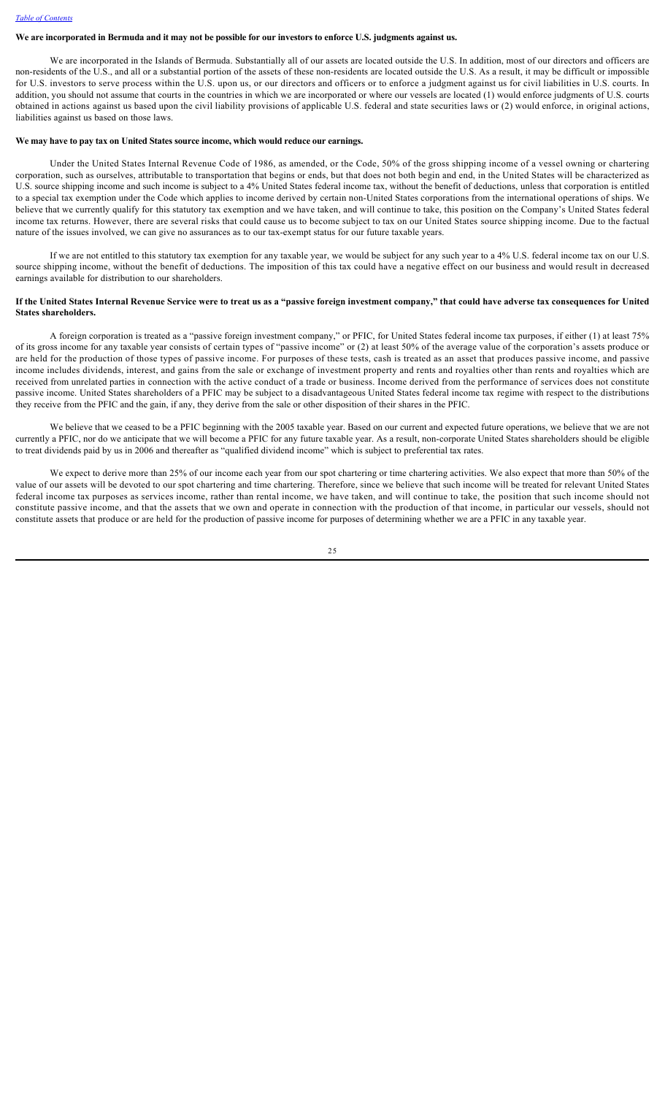# **We are incorporated in Bermuda and it may not be possible for our investors to enforce U.S. judgments against us.**

We are incorporated in the Islands of Bermuda. Substantially all of our assets are located outside the U.S. In addition, most of our directors and officers are non-residents of the U.S., and all or a substantial portion of the assets of these non-residents are located outside the U.S. As a result, it may be difficult or impossible for U.S. investors to serve process within the U.S. upon us, or our directors and officers or to enforce a judgment against us for civil liabilities in U.S. courts. In addition, you should not assume that courts in the countries in which we are incorporated or where our vessels are located (1) would enforce judgments of U.S. courts obtained in actions against us based upon the civil liability provisions of applicable U.S. federal and state securities laws or (2) would enforce, in original actions, liabilities against us based on those laws.

#### **We may have to pay tax on United States source income, which would reduce our earnings.**

Under the United States Internal Revenue Code of 1986, as amended, or the Code, 50% of the gross shipping income of a vessel owning or chartering corporation, such as ourselves, attributable to transportation that begins or ends, but that does not both begin and end, in the United States will be characterized as U.S. source shipping income and such income is subject to a 4% United States federal income tax, without the benefit of deductions, unless that corporation is entitled to a special tax exemption under the Code which applies to income derived by certain non-United States corporations from the international operations of ships. We believe that we currently qualify for this statutory tax exemption and we have taken, and will continue to take, this position on the Company's United States federal income tax returns. However, there are several risks that could cause us to become subject to tax on our United States source shipping income. Due to the factual nature of the issues involved, we can give no assurances as to our tax-exempt status for our future taxable years.

If we are not entitled to this statutory tax exemption for any taxable year, we would be subject for any such year to a 4% U.S. federal income tax on our U.S. source shipping income, without the benefit of deductions. The imposition of this tax could have a negative effect on our business and would result in decreased earnings available for distribution to our shareholders.

#### **If the United States Internal Revenue Service were to treat us as a "passive foreign investment company," that could have adverse tax consequences for United States shareholders.**

A foreign corporation is treated as a "passive foreign investment company," or PFIC, for United States federal income tax purposes, if either (1) at least 75% of its gross income for any taxable year consists of certain types of "passive income" or (2) at least 50% of the average value of the corporation's assets produce or are held for the production of those types of passive income. For purposes of these tests, cash is treated as an asset that produces passive income, and passive income includes dividends, interest, and gains from the sale or exchange of investment property and rents and royalties other than rents and royalties which are received from unrelated parties in connection with the active conduct of a trade or business. Income derived from the performance of services does not constitute passive income. United States shareholders of a PFIC may be subject to a disadvantageous United States federal income tax regime with respect to the distributions they receive from the PFIC and the gain, if any, they derive from the sale or other disposition of their shares in the PFIC.

We believe that we ceased to be a PFIC beginning with the 2005 taxable year. Based on our current and expected future operations, we believe that we are not currently a PFIC, nor do we anticipate that we will become a PFIC for any future taxable year. As a result, non-corporate United States shareholders should be eligible to treat dividends paid by us in 2006 and thereafter as "qualified dividend income" which is subject to preferential tax rates.

We expect to derive more than 25% of our income each year from our spot chartering or time chartering activities. We also expect that more than 50% of the value of our assets will be devoted to our spot chartering and time chartering. Therefore, since we believe that such income will be treated for relevant United States federal income tax purposes as services income, rather than rental income, we have taken, and will continue to take, the position that such income should not constitute passive income, and that the assets that we own and operate in connection with the production of that income, in particular our vessels, should not constitute assets that produce or are held for the production of passive income for purposes of determining whether we are a PFIC in any taxable year.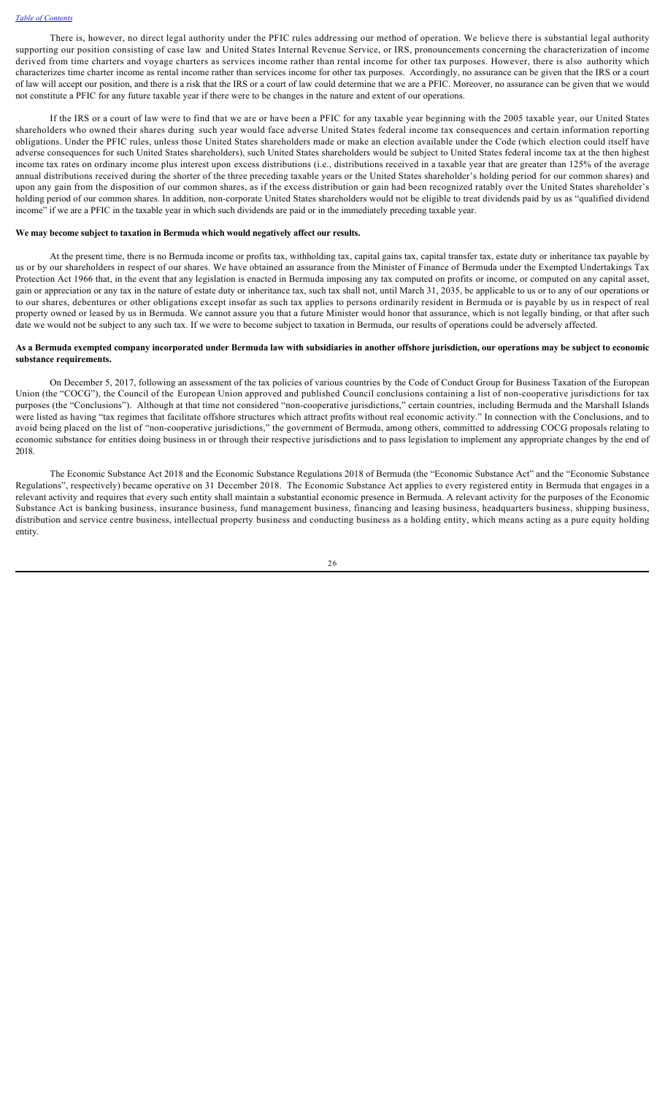There is, however, no direct legal authority under the PFIC rules addressing our method of operation. We believe there is substantial legal authority supporting our position consisting of case law and United States Internal Revenue Service, or IRS, pronouncements concerning the characterization of income derived from time charters and voyage charters as services income rather than rental income for other tax purposes. However, there is also authority which characterizes time charter income as rental income rather than services income for other tax purposes. Accordingly, no assurance can be given that the IRS or a court of law will accept our position, and there is a risk that the IRS or a court of law could determine that we are a PFIC. Moreover, no assurance can be given that we would not constitute a PFIC for any future taxable year if there were to be changes in the nature and extent of our operations.

If the IRS or a court of law were to find that we are or have been a PFIC for any taxable year beginning with the 2005 taxable year, our United States shareholders who owned their shares during such year would face adverse United States federal income tax consequences and certain information reporting obligations. Under the PFIC rules, unless those United States shareholders made or make an election available under the Code (which election could itself have adverse consequences for such United States shareholders), such United States shareholders would be subject to United States federal income tax at the then highest income tax rates on ordinary income plus interest upon excess distributions (i.e., distributions received in a taxable year that are greater than 125% of the average annual distributions received during the shorter of the three preceding taxable years or the United States shareholder's holding period for our common shares) and upon any gain from the disposition of our common shares, as if the excess distribution or gain had been recognized ratably over the United States shareholder's holding period of our common shares. In addition, non-corporate United States shareholders would not be eligible to treat dividends paid by us as "qualified dividend income" if we are a PFIC in the taxable year in which such dividends are paid or in the immediately preceding taxable year.

#### **We may become subject to taxation in Bermuda which would negatively affect our results.**

At the present time, there is no Bermuda income or profits tax, withholding tax, capital gains tax, capital transfer tax, estate duty or inheritance tax payable by us or by our shareholders in respect of our shares. We have obtained an assurance from the Minister of Finance of Bermuda under the Exempted Undertakings Tax Protection Act 1966 that, in the event that any legislation is enacted in Bermuda imposing any tax computed on profits or income, or computed on any capital asset, gain or appreciation or any tax in the nature of estate duty or inheritance tax, such tax shall not, until March 31, 2035, be applicable to us or to any of our operations or to our shares, debentures or other obligations except insofar as such tax applies to persons ordinarily resident in Bermuda or is payable by us in respect of real property owned or leased by us in Bermuda. We cannot assure you that a future Minister would honor that assurance, which is not legally binding, or that after such date we would not be subject to any such tax. If we were to become subject to taxation in Bermuda, our results of operations could be adversely affected.

#### **As a Bermuda exempted company incorporated under Bermuda law with subsidiaries in another offshore jurisdiction, our operations may be subject to economic substance requirements.**

On December 5, 2017, following an assessment of the tax policies of various countries by the Code of Conduct Group for Business Taxation of the European Union (the "COCG"), the Council of the European Union approved and published Council conclusions containing a list of non-cooperative jurisdictions for tax purposes (the "Conclusions"). Although at that time not considered "non-cooperative jurisdictions," certain countries, including Bermuda and the Marshall Islands were listed as having "tax regimes that facilitate offshore structures which attract profits without real economic activity." In connection with the Conclusions, and to avoid being placed on the list of "non-cooperative jurisdictions," the government of Bermuda, among others, committed to addressing COCG proposals relating to economic substance for entities doing business in or through their respective jurisdictions and to pass legislation to implement any appropriate changes by the end of 2018.

The Economic Substance Act 2018 and the Economic Substance Regulations 2018 of Bermuda (the "Economic Substance Act" and the "Economic Substance Regulations", respectively) became operative on 31 December 2018. The Economic Substance Act applies to every registered entity in Bermuda that engages in a relevant activity and requires that every such entity shall maintain a substantial economic presence in Bermuda. A relevant activity for the purposes of the Economic Substance Act is banking business, insurance business, fund management business, financing and leasing business, headquarters business, shipping business, distribution and service centre business, intellectual property business and conducting business as a holding entity, which means acting as a pure equity holding entity.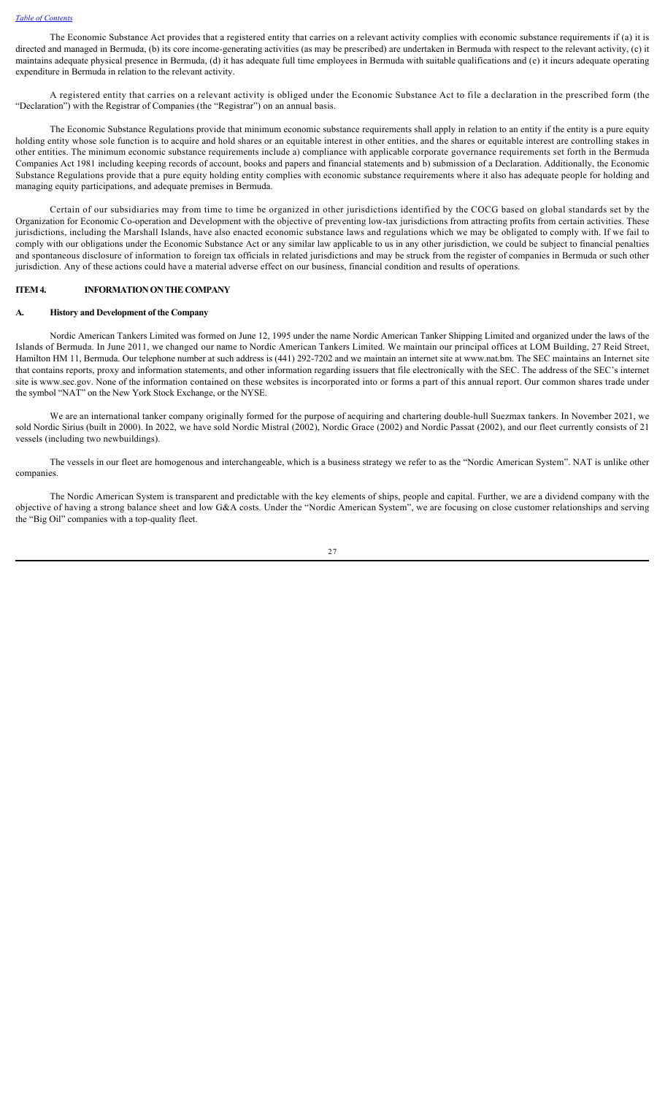The Economic Substance Act provides that a registered entity that carries on a relevant activity complies with economic substance requirements if (a) it is directed and managed in Bermuda, (b) its core income-generating activities (as may be prescribed) are undertaken in Bermuda with respect to the relevant activity, (c) it maintains adequate physical presence in Bermuda, (d) it has adequate full time employees in Bermuda with suitable qualifications and (e) it incurs adequate operating expenditure in Bermuda in relation to the relevant activity.

A registered entity that carries on a relevant activity is obliged under the Economic Substance Act to file a declaration in the prescribed form (the "Declaration") with the Registrar of Companies (the "Registrar") on an annual basis.

The Economic Substance Regulations provide that minimum economic substance requirements shall apply in relation to an entity if the entity is a pure equity holding entity whose sole function is to acquire and hold shares or an equitable interest in other entities, and the shares or equitable interest are controlling stakes in other entities. The minimum economic substance requirements include a) compliance with applicable corporate governance requirements set forth in the Bermuda Companies Act 1981 including keeping records of account, books and papers and financial statements and b) submission of a Declaration. Additionally, the Economic Substance Regulations provide that a pure equity holding entity complies with economic substance requirements where it also has adequate people for holding and managing equity participations, and adequate premises in Bermuda.

Certain of our subsidiaries may from time to time be organized in other jurisdictions identified by the COCG based on global standards set by the Organization for Economic Co-operation and Development with the objective of preventing low-tax jurisdictions from attracting profits from certain activities. These jurisdictions, including the Marshall Islands, have also enacted economic substance laws and regulations which we may be obligated to comply with. If we fail to comply with our obligations under the Economic Substance Act or any similar law applicable to us in any other jurisdiction, we could be subject to financial penalties and spontaneous disclosure of information to foreign tax officials in related jurisdictions and may be struck from the register of companies in Bermuda or such other jurisdiction. Any of these actions could have a material adverse effect on our business, financial condition and results of operations.

# <span id="page-32-0"></span>**ITEM 4. INFORMATION ON THE COMPANY**

# <span id="page-32-1"></span>**A. History and Development of the Company**

Nordic American Tankers Limited was formed on June 12, 1995 under the name Nordic American Tanker Shipping Limited and organized under the laws of the Islands of Bermuda. In June 2011, we changed our name to Nordic American Tankers Limited. We maintain our principal offices at LOM Building, 27 Reid Street, Hamilton HM 11, Bermuda. Our telephone number at such address is (441) 292-7202 and we maintain an internet site at www.nat.bm. The SEC maintains an Internet site that contains reports, proxy and information statements, and other information regarding issuers that file electronically with the SEC. The address of the SEC's internet site is www.sec.gov. None of the information contained on these websites is incorporated into or forms a part of this annual report. Our common shares trade under the symbol "NAT" on the New York Stock Exchange, or the NYSE.

We are an international tanker company originally formed for the purpose of acquiring and chartering double-hull Suezmax tankers. In November 2021, we sold Nordic Sirius (built in 2000). In 2022, we have sold Nordic Mistral (2002), Nordic Grace (2002) and Nordic Passat (2002), and our fleet currently consists of 21 vessels (including two newbuildings).

The vessels in our fleet are homogenous and interchangeable, which is a business strategy we refer to as the "Nordic American System". NAT is unlike other companies.

The Nordic American System is transparent and predictable with the key elements of ships, people and capital. Further, we are a dividend company with the objective of having a strong balance sheet and low G&A costs. Under the "Nordic American System", we are focusing on close customer relationships and serving the "Big Oil" companies with a top-quality fleet.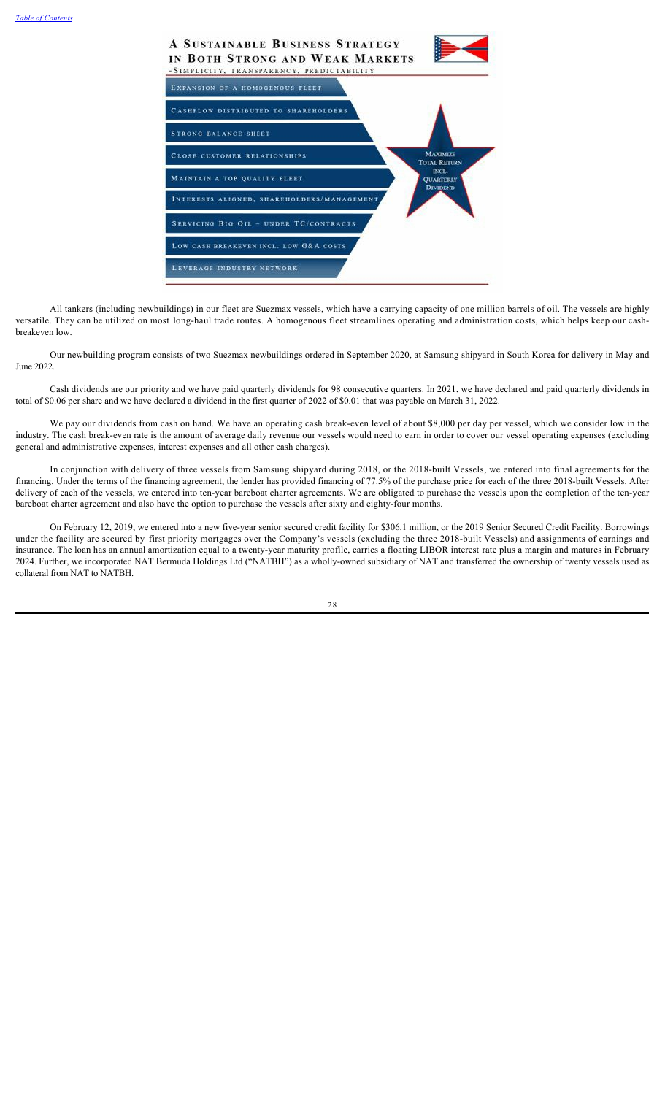

All tankers (including newbuildings) in our fleet are Suezmax vessels, which have a carrying capacity of one million barrels of oil. The vessels are highly versatile. They can be utilized on most long-haul trade routes. A homogenous fleet streamlines operating and administration costs, which helps keep our cashbreakeven low.

Our newbuilding program consists of two Suezmax newbuildings ordered in September 2020, at Samsung shipyard in South Korea for delivery in May and June 2022.

Cash dividends are our priority and we have paid quarterly dividends for 98 consecutive quarters. In 2021, we have declared and paid quarterly dividends in total of \$0.06 per share and we have declared a dividend in the first quarter of 2022 of \$0.01 that was payable on March 31, 2022.

We pay our dividends from cash on hand. We have an operating cash break-even level of about \$8,000 per day per vessel, which we consider low in the industry. The cash break-even rate is the amount of average daily revenue our vessels would need to earn in order to cover our vessel operating expenses (excluding general and administrative expenses, interest expenses and all other cash charges).

In conjunction with delivery of three vessels from Samsung shipyard during 2018, or the 2018-built Vessels, we entered into final agreements for the financing. Under the terms of the financing agreement, the lender has provided financing of 77.5% of the purchase price for each of the three 2018-built Vessels. After delivery of each of the vessels, we entered into ten-year bareboat charter agreements. We are obligated to purchase the vessels upon the completion of the ten-year bareboat charter agreement and also have the option to purchase the vessels after sixty and eighty-four months.

On February 12, 2019, we entered into a new five-year senior secured credit facility for \$306.1 million, or the 2019 Senior Secured Credit Facility. Borrowings under the facility are secured by first priority mortgages over the Company's vessels (excluding the three 2018-built Vessels) and assignments of earnings and insurance. The loan has an annual amortization equal to a twenty-year maturity profile, carries a floating LIBOR interest rate plus a margin and matures in February 2024. Further, we incorporated NAT Bermuda Holdings Ltd ("NATBH") as a wholly-owned subsidiary of NAT and transferred the ownership of twenty vessels used as collateral from NAT to NATBH.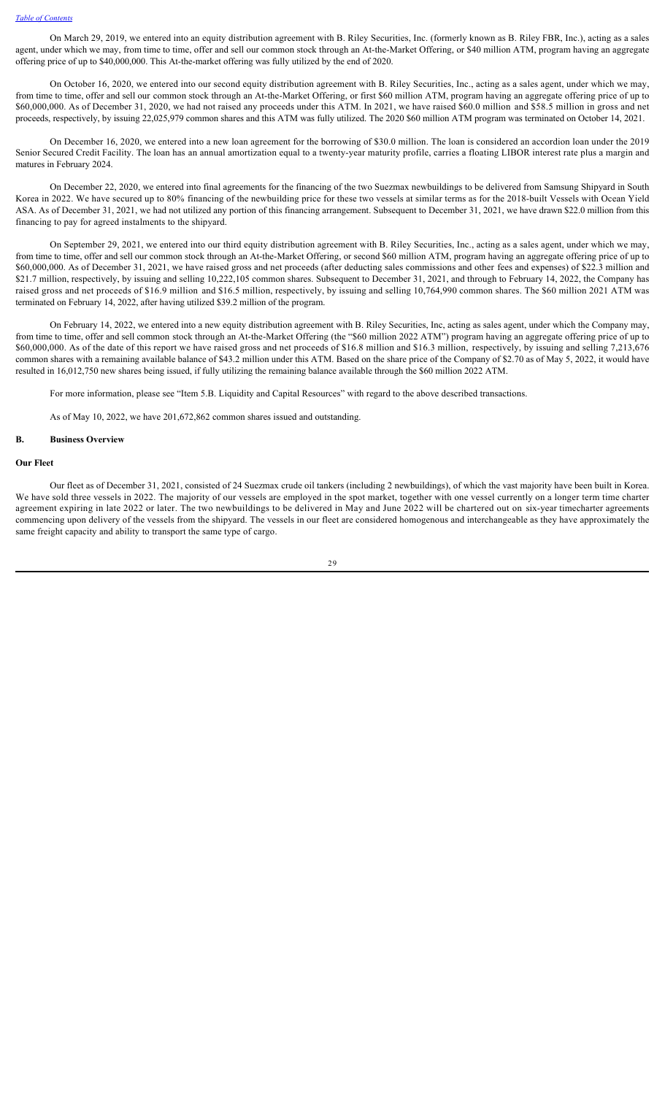On March 29, 2019, we entered into an equity distribution agreement with B. Riley Securities, Inc. (formerly known as B. Riley FBR, Inc.), acting as a sales agent, under which we may, from time to time, offer and sell our common stock through an At-the-Market Offering, or \$40 million ATM, program having an aggregate offering price of up to \$40,000,000. This At-the-market offering was fully utilized by the end of 2020.

On October 16, 2020, we entered into our second equity distribution agreement with B. Riley Securities, Inc., acting as a sales agent, under which we may, from time to time, offer and sell our common stock through an At-the-Market Offering, or first \$60 million ATM, program having an aggregate offering price of up to \$60,000,000. As of December 31, 2020, we had not raised any proceeds under this ATM. In 2021, we have raised \$60.0 million and \$58.5 million in gross and net proceeds, respectively, by issuing 22,025,979 common shares and this ATM was fully utilized. The 2020 \$60 million ATM program was terminated on October 14, 2021.

On December 16, 2020, we entered into a new loan agreement for the borrowing of \$30.0 million. The loan is considered an accordion loan under the 2019 Senior Secured Credit Facility. The loan has an annual amortization equal to a twenty-year maturity profile, carries a floating LIBOR interest rate plus a margin and matures in February 2024.

On December 22, 2020, we entered into final agreements for the financing of the two Suezmax newbuildings to be delivered from Samsung Shipyard in South Korea in 2022. We have secured up to 80% financing of the newbuilding price for these two vessels at similar terms as for the 2018-built Vessels with Ocean Yield ASA. As of December 31, 2021, we had not utilized any portion of this financing arrangement. Subsequent to December 31, 2021, we have drawn \$22.0 million from this financing to pay for agreed instalments to the shipyard.

On September 29, 2021, we entered into our third equity distribution agreement with B. Riley Securities, Inc., acting as a sales agent, under which we may, from time to time, offer and sell our common stock through an At-the-Market Offering, or second \$60 million ATM, program having an aggregate offering price of up to \$60,000,000. As of December 31, 2021, we have raised gross and net proceeds (after deducting sales commissions and other fees and expenses) of \$22.3 million and \$21.7 million, respectively, by issuing and selling 10,222,105 common shares. Subsequent to December 31, 2021, and through to February 14, 2022, the Company has raised gross and net proceeds of \$16.9 million and \$16.5 million, respectively, by issuing and selling 10,764,990 common shares. The \$60 million 2021 ATM was terminated on February 14, 2022, after having utilized \$39.2 million of the program.

On February 14, 2022, we entered into a new equity distribution agreement with B. Riley Securities, Inc, acting as sales agent, under which the Company may, from time to time, offer and sell common stock through an At-the-Market Offering (the "\$60 million 2022 ATM") program having an aggregate offering price of up to \$60,000,000. As of the date of this report we have raised gross and net proceeds of \$16.8 million and \$16.3 million, respectively, by issuing and selling 7,213,676 common shares with a remaining available balance of \$43.2 million under this ATM. Based on the share price of the Company of \$2.70 as of May 5, 2022, it would have resulted in 16,012,750 new shares being issued, if fully utilizing the remaining balance available through the \$60 million 2022 ATM.

For more information, please see "Item 5.B. Liquidity and Capital Resources" with regard to the above described transactions.

As of May 10, 2022, we have 201,672,862 common shares issued and outstanding.

#### <span id="page-34-0"></span>**B. Business Overview**

#### **Our Fleet**

Our fleet as of December 31, 2021, consisted of 24 Suezmax crude oil tankers (including 2 newbuildings), of which the vast majority have been built in Korea. We have sold three vessels in 2022. The majority of our vessels are employed in the spot market, together with one vessel currently on a longer term time charter agreement expiring in late 2022 or later. The two newbuildings to be delivered in May and June 2022 will be chartered out on six-year timecharter agreements commencing upon delivery of the vessels from the shipyard. The vessels in our fleet are considered homogenous and interchangeable as they have approximately the same freight capacity and ability to transport the same type of cargo.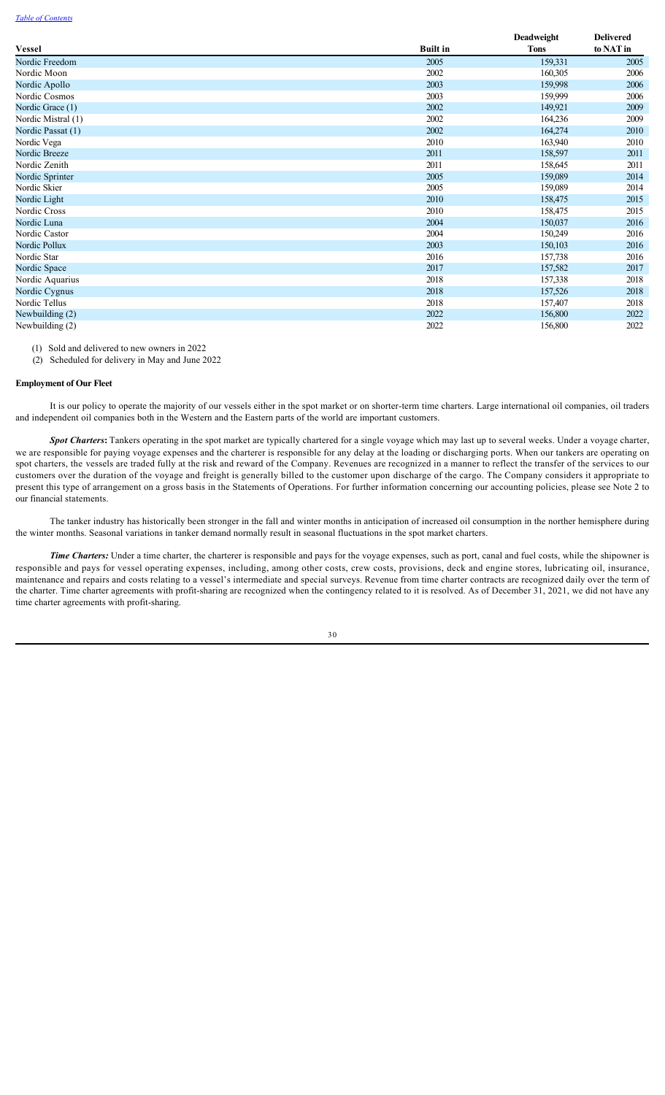|                    |                 | Deadweight  | <b>Delivered</b> |
|--------------------|-----------------|-------------|------------------|
| <b>Vessel</b>      | <b>Built in</b> | <b>Tons</b> | to NAT in        |
| Nordic Freedom     | 2005            | 159,331     | 2005             |
| Nordic Moon        | 2002            | 160,305     | 2006             |
| Nordic Apollo      | 2003            | 159,998     | 2006             |
| Nordic Cosmos      | 2003            | 159,999     | 2006             |
| Nordic Grace (1)   | 2002            | 149,921     | 2009             |
| Nordic Mistral (1) | 2002            | 164,236     | 2009             |
| Nordic Passat (1)  | 2002            | 164,274     | 2010             |
| Nordic Vega        | 2010            | 163,940     | 2010             |
| Nordic Breeze      | 2011            | 158,597     | 2011             |
| Nordic Zenith      | 2011            | 158,645     | 2011             |
| Nordic Sprinter    | 2005            | 159,089     | 2014             |
| Nordic Skier       | 2005            | 159,089     | 2014             |
| Nordic Light       | 2010            | 158,475     | 2015             |
| Nordic Cross       | 2010            | 158,475     | 2015             |
| Nordic Luna        | 2004            | 150,037     | 2016             |
| Nordic Castor      | 2004            | 150,249     | 2016             |
| Nordic Pollux      | 2003            | 150,103     | 2016             |
| Nordic Star        | 2016            | 157,738     | 2016             |
| Nordic Space       | 2017            | 157,582     | 2017             |
| Nordic Aquarius    | 2018            | 157,338     | 2018             |
| Nordic Cygnus      | 2018            | 157,526     | 2018             |
| Nordic Tellus      | 2018            | 157,407     | 2018             |
| Newbuilding $(2)$  | 2022            | 156,800     | 2022             |
| Newbuilding (2)    | 2022            | 156,800     | 2022             |

(1) Sold and delivered to new owners in 2022

(2) Scheduled for delivery in May and June 2022

# **Employment of Our Fleet**

It is our policy to operate the majority of our vessels either in the spot market or on shorter-term time charters. Large international oil companies, oil traders and independent oil companies both in the Western and the Eastern parts of the world are important customers.

*Spot Charters***:** Tankers operating in the spot market are typically chartered for a single voyage which may last up to several weeks. Under a voyage charter, we are responsible for paying voyage expenses and the charterer is responsible for any delay at the loading or discharging ports. When our tankers are operating on spot charters, the vessels are traded fully at the risk and reward of the Company. Revenues are recognized in a manner to reflect the transfer of the services to our customers over the duration of the voyage and freight is generally billed to the customer upon discharge of the cargo. The Company considers it appropriate to present this type of arrangement on a gross basis in the Statements of Operations. For further information concerning our accounting policies, please see Note 2 to our financial statements.

The tanker industry has historically been stronger in the fall and winter months in anticipation of increased oil consumption in the norther hemisphere during the winter months. Seasonal variations in tanker demand normally result in seasonal fluctuations in the spot market charters.

*Time Charters:* Under a time charter, the charterer is responsible and pays for the voyage expenses, such as port, canal and fuel costs, while the shipowner is responsible and pays for vessel operating expenses, including, among other costs, crew costs, provisions, deck and engine stores, lubricating oil, insurance, maintenance and repairs and costs relating to a vessel's intermediate and special surveys. Revenue from time charter contracts are recognized daily over the term of the charter. Time charter agreements with profit-sharing are recognized when the contingency related to it is resolved. As of December 31, 2021, we did not have any time charter agreements with profit-sharing.

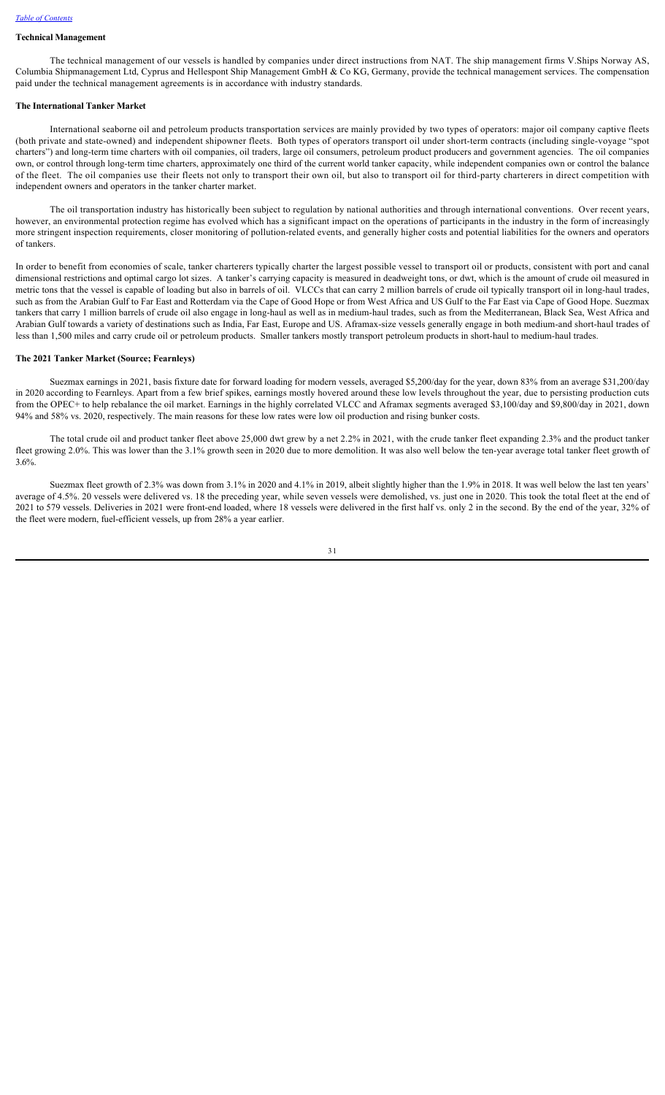## **Technical Management**

The technical management of our vessels is handled by companies under direct instructions from NAT. The ship management firms V.Ships Norway AS, Columbia Shipmanagement Ltd, Cyprus and Hellespont Ship Management GmbH & Co KG, Germany, provide the technical management services. The compensation paid under the technical management agreements is in accordance with industry standards.

## **The International Tanker Market**

International seaborne oil and petroleum products transportation services are mainly provided by two types of operators: major oil company captive fleets (both private and state-owned) and independent shipowner fleets. Both types of operators transport oil under short-term contracts (including single-voyage "spot charters") and long-term time charters with oil companies, oil traders, large oil consumers, petroleum product producers and government agencies. The oil companies own, or control through long-term time charters, approximately one third of the current world tanker capacity, while independent companies own or control the balance of the fleet. The oil companies use their fleets not only to transport their own oil, but also to transport oil for third-party charterers in direct competition with independent owners and operators in the tanker charter market.

The oil transportation industry has historically been subject to regulation by national authorities and through international conventions. Over recent years, however, an environmental protection regime has evolved which has a significant impact on the operations of participants in the industry in the form of increasingly more stringent inspection requirements, closer monitoring of pollution-related events, and generally higher costs and potential liabilities for the owners and operators of tankers.

In order to benefit from economies of scale, tanker charterers typically charter the largest possible vessel to transport oil or products, consistent with port and canal dimensional restrictions and optimal cargo lot sizes. A tanker's carrying capacity is measured in deadweight tons, or dwt, which is the amount of crude oil measured in metric tons that the vessel is capable of loading but also in barrels of oil. VLCCs that can carry 2 million barrels of crude oil typically transport oil in long-haul trades, such as from the Arabian Gulf to Far East and Rotterdam via the Cape of Good Hope or from West Africa and US Gulf to the Far East via Cape of Good Hope. Suezmax tankers that carry 1 million barrels of crude oil also engage in long-haul as well as in medium-haul trades, such as from the Mediterranean, Black Sea, West Africa and Arabian Gulf towards a variety of destinations such as India, Far East, Europe and US. Aframax-size vessels generally engage in both medium-and short-haul trades of less than 1,500 miles and carry crude oil or petroleum products. Smaller tankers mostly transport petroleum products in short-haul to medium-haul trades.

## **The 2021 Tanker Market (Source; Fearnleys)**

Suezmax earnings in 2021, basis fixture date for forward loading for modern vessels, averaged \$5,200/day for the year, down 83% from an average \$31,200/day in 2020 according to Fearnleys. Apart from a few brief spikes, earnings mostly hovered around these low levels throughout the year, due to persisting production cuts from the OPEC+ to help rebalance the oil market. Earnings in the highly correlated VLCC and Aframax segments averaged \$3,100/day and \$9,800/day in 2021, down 94% and 58% vs. 2020, respectively. The main reasons for these low rates were low oil production and rising bunker costs.

The total crude oil and product tanker fleet above 25,000 dwt grew by a net 2.2% in 2021, with the crude tanker fleet expanding 2.3% and the product tanker fleet growing 2.0%. This was lower than the 3.1% growth seen in 2020 due to more demolition. It was also well below the ten-year average total tanker fleet growth of 3.6%.

Suezmax fleet growth of 2.3% was down from 3.1% in 2020 and 4.1% in 2019, albeit slightly higher than the 1.9% in 2018. It was well below the last ten years' average of 4.5%. 20 vessels were delivered vs. 18 the preceding year, while seven vessels were demolished, vs. just one in 2020. This took the total fleet at the end of 2021 to 579 vessels. Deliveries in 2021 were front-end loaded, where 18 vessels were delivered in the first half vs. only 2 in the second. By the end of the year, 32% of the fleet were modern, fuel-efficient vessels, up from 28% a year earlier.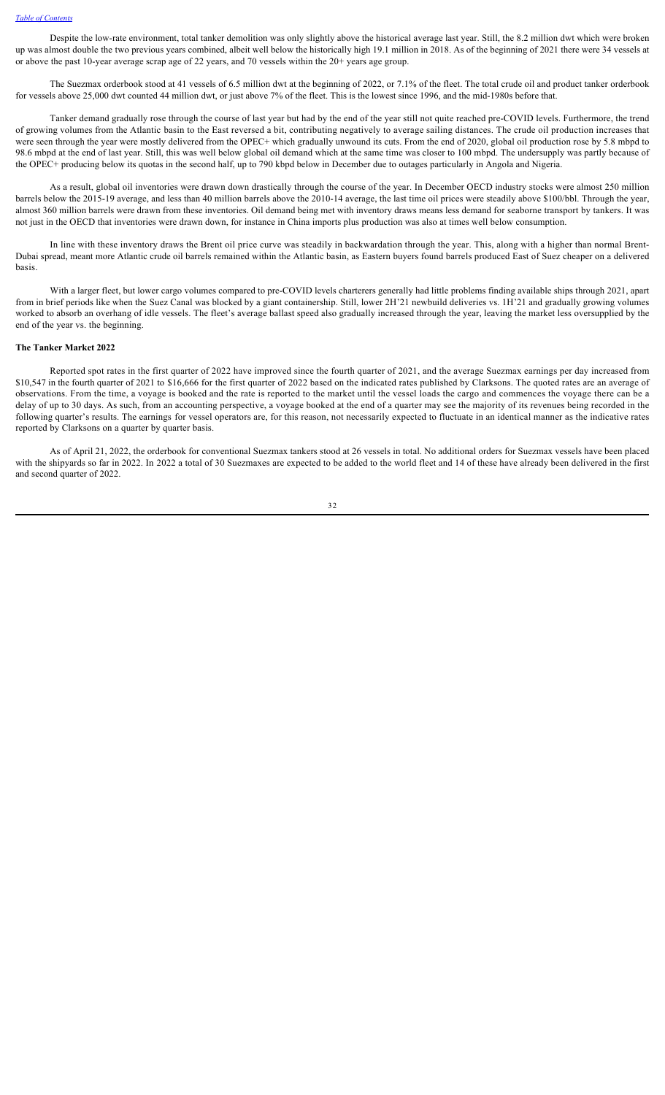Despite the low-rate environment, total tanker demolition was only slightly above the historical average last year. Still, the 8.2 million dwt which were broken up was almost double the two previous years combined, albeit well below the historically high 19.1 million in 2018. As of the beginning of 2021 there were 34 vessels at or above the past 10-year average scrap age of 22 years, and 70 vessels within the 20+ years age group.

The Suezmax orderbook stood at 41 vessels of 6.5 million dwt at the beginning of 2022, or 7.1% of the fleet. The total crude oil and product tanker orderbook for vessels above 25,000 dwt counted 44 million dwt, or just above 7% of the fleet. This is the lowest since 1996, and the mid-1980s before that.

Tanker demand gradually rose through the course of last year but had by the end of the year still not quite reached pre-COVID levels. Furthermore, the trend of growing volumes from the Atlantic basin to the East reversed a bit, contributing negatively to average sailing distances. The crude oil production increases that were seen through the year were mostly delivered from the OPEC+ which gradually unwound its cuts. From the end of 2020, global oil production rose by 5.8 mbpd to 98.6 mbpd at the end of last year. Still, this was well below global oil demand which at the same time was closer to 100 mbpd. The undersupply was partly because of the OPEC+ producing below its quotas in the second half, up to 790 kbpd below in December due to outages particularly in Angola and Nigeria.

As a result, global oil inventories were drawn down drastically through the course of the year. In December OECD industry stocks were almost 250 million barrels below the 2015-19 average, and less than 40 million barrels above the 2010-14 average, the last time oil prices were steadily above \$100/bbl. Through the year, almost 360 million barrels were drawn from these inventories. Oil demand being met with inventory draws means less demand for seaborne transport by tankers. It was not just in the OECD that inventories were drawn down, for instance in China imports plus production was also at times well below consumption.

In line with these inventory draws the Brent oil price curve was steadily in backwardation through the year. This, along with a higher than normal Brent-Dubai spread, meant more Atlantic crude oil barrels remained within the Atlantic basin, as Eastern buyers found barrels produced East of Suez cheaper on a delivered basis.

With a larger fleet, but lower cargo volumes compared to pre-COVID levels charterers generally had little problems finding available ships through 2021, apart from in brief periods like when the Suez Canal was blocked by a giant containership. Still, lower 2H'21 newbuild deliveries vs. 1H'21 and gradually growing volumes worked to absorb an overhang of idle vessels. The fleet's average ballast speed also gradually increased through the year, leaving the market less oversupplied by the end of the year vs. the beginning.

#### **The Tanker Market 2022**

Reported spot rates in the first quarter of 2022 have improved since the fourth quarter of 2021, and the average Suezmax earnings per day increased from \$10,547 in the fourth quarter of 2021 to \$16,666 for the first quarter of 2022 based on the indicated rates published by Clarksons. The quoted rates are an average of observations. From the time, a voyage is booked and the rate is reported to the market until the vessel loads the cargo and commences the voyage there can be a delay of up to 30 days. As such, from an accounting perspective, a voyage booked at the end of a quarter may see the majority of its revenues being recorded in the following quarter's results. The earnings for vessel operators are, for this reason, not necessarily expected to fluctuate in an identical manner as the indicative rates reported by Clarksons on a quarter by quarter basis.

As of April 21, 2022, the orderbook for conventional Suezmax tankers stood at 26 vessels in total. No additional orders for Suezmax vessels have been placed with the shipyards so far in 2022. In 2022 a total of 30 Suezmaxes are expected to be added to the world fleet and 14 of these have already been delivered in the first and second quarter of 2022.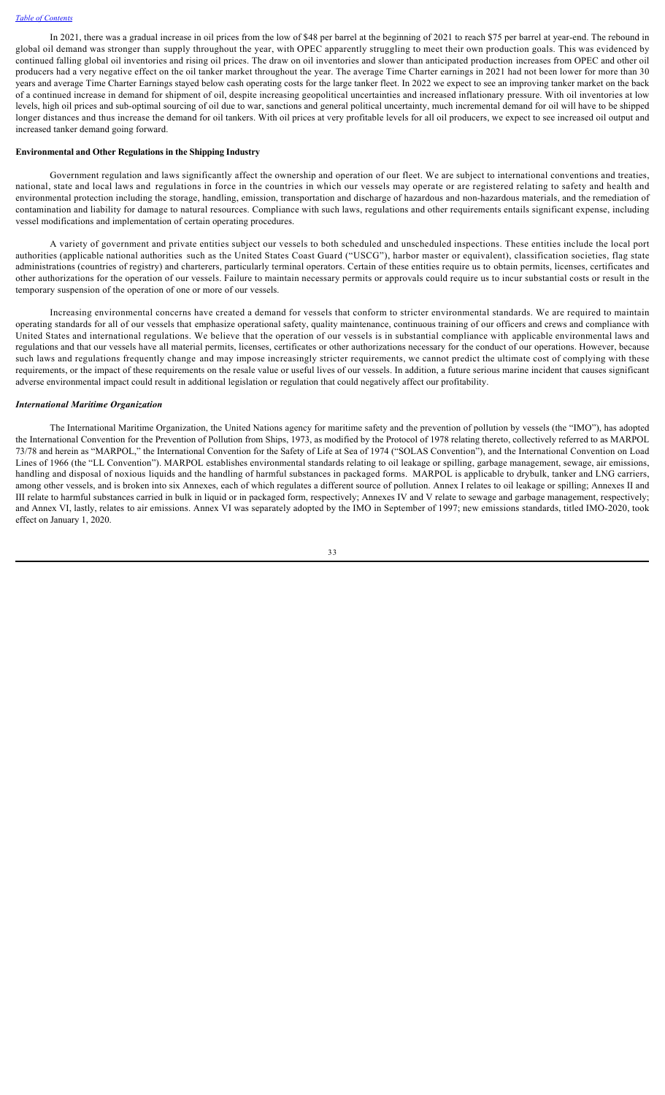In 2021, there was a gradual increase in oil prices from the low of \$48 per barrel at the beginning of 2021 to reach \$75 per barrel at year-end. The rebound in global oil demand was stronger than supply throughout the year, with OPEC apparently struggling to meet their own production goals. This was evidenced by continued falling global oil inventories and rising oil prices. The draw on oil inventories and slower than anticipated production increases from OPEC and other oil producers had a very negative effect on the oil tanker market throughout the year. The average Time Charter earnings in 2021 had not been lower for more than 30 years and average Time Charter Earnings stayed below cash operating costs for the large tanker fleet. In 2022 we expect to see an improving tanker market on the back of a continued increase in demand for shipment of oil, despite increasing geopolitical uncertainties and increased inflationary pressure. With oil inventories at low levels, high oil prices and sub-optimal sourcing of oil due to war, sanctions and general political uncertainty, much incremental demand for oil will have to be shipped longer distances and thus increase the demand for oil tankers. With oil prices at very profitable levels for all oil producers, we expect to see increased oil output and increased tanker demand going forward.

### **Environmental and Other Regulations in the Shipping Industry**

Government regulation and laws significantly affect the ownership and operation of our fleet. We are subject to international conventions and treaties, national, state and local laws and regulations in force in the countries in which our vessels may operate or are registered relating to safety and health and environmental protection including the storage, handling, emission, transportation and discharge of hazardous and non-hazardous materials, and the remediation of contamination and liability for damage to natural resources. Compliance with such laws, regulations and other requirements entails significant expense, including vessel modifications and implementation of certain operating procedures.

A variety of government and private entities subject our vessels to both scheduled and unscheduled inspections. These entities include the local port authorities (applicable national authorities such as the United States Coast Guard ("USCG"), harbor master or equivalent), classification societies, flag state administrations (countries of registry) and charterers, particularly terminal operators. Certain of these entities require us to obtain permits, licenses, certificates and other authorizations for the operation of our vessels. Failure to maintain necessary permits or approvals could require us to incur substantial costs or result in the temporary suspension of the operation of one or more of our vessels.

Increasing environmental concerns have created a demand for vessels that conform to stricter environmental standards. We are required to maintain operating standards for all of our vessels that emphasize operational safety, quality maintenance, continuous training of our officers and crews and compliance with United States and international regulations. We believe that the operation of our vessels is in substantial compliance with applicable environmental laws and regulations and that our vessels have all material permits, licenses, certificates or other authorizations necessary for the conduct of our operations. However, because such laws and regulations frequently change and may impose increasingly stricter requirements, we cannot predict the ultimate cost of complying with these requirements, or the impact of these requirements on the resale value or useful lives of our vessels. In addition, a future serious marine incident that causes significant adverse environmental impact could result in additional legislation or regulation that could negatively affect our profitability.

## *International Maritime Organization*

The International Maritime Organization, the United Nations agency for maritime safety and the prevention of pollution by vessels (the "IMO"), has adopted the International Convention for the Prevention of Pollution from Ships, 1973, as modified by the Protocol of 1978 relating thereto, collectively referred to as MARPOL 73/78 and herein as "MARPOL," the International Convention for the Safety of Life at Sea of 1974 ("SOLAS Convention"), and the International Convention on Load Lines of 1966 (the "LL Convention"). MARPOL establishes environmental standards relating to oil leakage or spilling, garbage management, sewage, air emissions, handling and disposal of noxious liquids and the handling of harmful substances in packaged forms. MARPOL is applicable to drybulk, tanker and LNG carriers, among other vessels, and is broken into six Annexes, each of which regulates a different source of pollution. Annex I relates to oil leakage or spilling; Annexes II and III relate to harmful substances carried in bulk in liquid or in packaged form, respectively; Annexes IV and V relate to sewage and garbage management, respectively; and Annex VI, lastly, relates to air emissions. Annex VI was separately adopted by the IMO in September of 1997; new emissions standards, titled IMO-2020, took effect on January 1, 2020.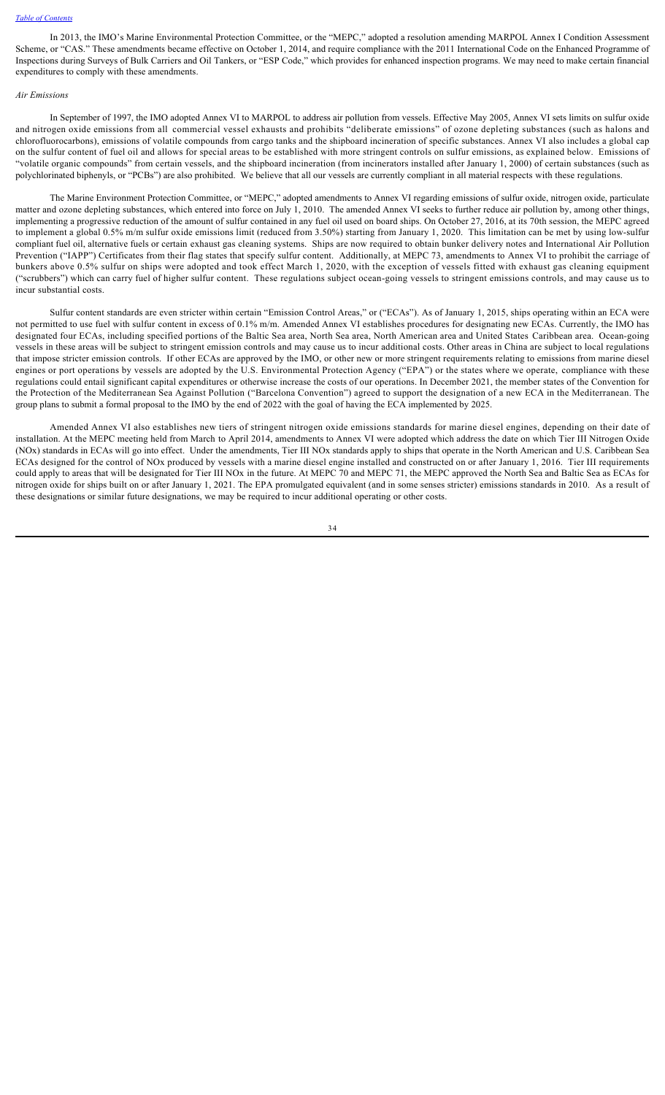In 2013, the IMO's Marine Environmental Protection Committee, or the "MEPC," adopted a resolution amending MARPOL Annex I Condition Assessment Scheme, or "CAS." These amendments became effective on October 1, 2014, and require compliance with the 2011 International Code on the Enhanced Programme of Inspections during Surveys of Bulk Carriers and Oil Tankers, or "ESP Code," which provides for enhanced inspection programs. We may need to make certain financial expenditures to comply with these amendments.

## *Air Emissions*

In September of 1997, the IMO adopted Annex VI to MARPOL to address air pollution from vessels. Effective May 2005, Annex VI sets limits on sulfur oxide and nitrogen oxide emissions from all commercial vessel exhausts and prohibits "deliberate emissions" of ozone depleting substances (such as halons and chlorofluorocarbons), emissions of volatile compounds from cargo tanks and the shipboard incineration of specific substances. Annex VI also includes a global cap on the sulfur content of fuel oil and allows for special areas to be established with more stringent controls on sulfur emissions, as explained below. Emissions of "volatile organic compounds" from certain vessels, and the shipboard incineration (from incinerators installed after January 1, 2000) of certain substances (such as polychlorinated biphenyls, or "PCBs") are also prohibited. We believe that all our vessels are currently compliant in all material respects with these regulations.

The Marine Environment Protection Committee, or "MEPC," adopted amendments to Annex VI regarding emissions of sulfur oxide, nitrogen oxide, particulate matter and ozone depleting substances, which entered into force on July 1, 2010. The amended Annex VI seeks to further reduce air pollution by, among other things, implementing a progressive reduction of the amount of sulfur contained in any fuel oil used on board ships. On October 27, 2016, at its 70th session, the MEPC agreed to implement a global 0.5% m/m sulfur oxide emissions limit (reduced from 3.50%) starting from January 1, 2020. This limitation can be met by using low-sulfur compliant fuel oil, alternative fuels or certain exhaust gas cleaning systems. Ships are now required to obtain bunker delivery notes and International Air Pollution Prevention ("IAPP") Certificates from their flag states that specify sulfur content. Additionally, at MEPC 73, amendments to Annex VI to prohibit the carriage of bunkers above 0.5% sulfur on ships were adopted and took effect March 1, 2020, with the exception of vessels fitted with exhaust gas cleaning equipment ("scrubbers") which can carry fuel of higher sulfur content. These regulations subject ocean-going vessels to stringent emissions controls, and may cause us to incur substantial costs.

Sulfur content standards are even stricter within certain "Emission Control Areas," or ("ECAs"). As of January 1, 2015, ships operating within an ECA were not permitted to use fuel with sulfur content in excess of 0.1% m/m. Amended Annex VI establishes procedures for designating new ECAs. Currently, the IMO has designated four ECAs, including specified portions of the Baltic Sea area, North Sea area, North American area and United States Caribbean area. Ocean-going vessels in these areas will be subject to stringent emission controls and may cause us to incur additional costs. Other areas in China are subject to local regulations that impose stricter emission controls. If other ECAs are approved by the IMO, or other new or more stringent requirements relating to emissions from marine diesel engines or port operations by vessels are adopted by the U.S. Environmental Protection Agency ("EPA") or the states where we operate, compliance with these regulations could entail significant capital expenditures or otherwise increase the costs of our operations. In December 2021, the member states of the Convention for the Protection of the Mediterranean Sea Against Pollution ("Barcelona Convention") agreed to support the designation of a new ECA in the Mediterranean. The group plans to submit a formal proposal to the IMO by the end of 2022 with the goal of having the ECA implemented by 2025.

Amended Annex VI also establishes new tiers of stringent nitrogen oxide emissions standards for marine diesel engines, depending on their date of installation. At the MEPC meeting held from March to April 2014, amendments to Annex VI were adopted which address the date on which Tier III Nitrogen Oxide (NOx) standards in ECAs will go into effect. Under the amendments, Tier III NOx standards apply to ships that operate in the North American and U.S. Caribbean Sea ECAs designed for the control of NOx produced by vessels with a marine diesel engine installed and constructed on or after January 1, 2016. Tier III requirements could apply to areas that will be designated for Tier III NOx in the future. At MEPC 70 and MEPC 71, the MEPC approved the North Sea and Baltic Sea as ECAs for nitrogen oxide for ships built on or after January 1, 2021. The EPA promulgated equivalent (and in some senses stricter) emissions standards in 2010. As a result of these designations or similar future designations, we may be required to incur additional operating or other costs.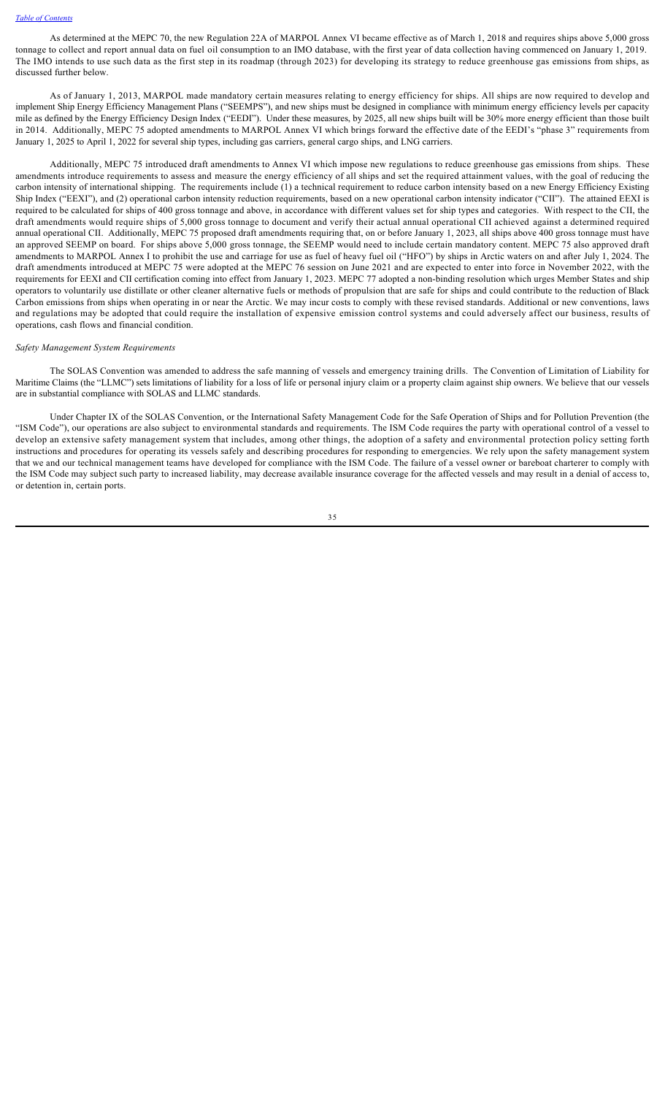As determined at the MEPC 70, the new Regulation 22A of MARPOL Annex VI became effective as of March 1, 2018 and requires ships above 5,000 gross tonnage to collect and report annual data on fuel oil consumption to an IMO database, with the first year of data collection having commenced on January 1, 2019. The IMO intends to use such data as the first step in its roadmap (through 2023) for developing its strategy to reduce greenhouse gas emissions from ships, as discussed further below.

As of January 1, 2013, MARPOL made mandatory certain measures relating to energy efficiency for ships. All ships are now required to develop and implement Ship Energy Efficiency Management Plans ("SEEMPS"), and new ships must be designed in compliance with minimum energy efficiency levels per capacity mile as defined by the Energy Efficiency Design Index ("EEDI"). Under these measures, by 2025, all new ships built will be 30% more energy efficient than those built in 2014. Additionally, MEPC 75 adopted amendments to MARPOL Annex VI which brings forward the effective date of the EEDI's "phase 3" requirements from January 1, 2025 to April 1, 2022 for several ship types, including gas carriers, general cargo ships, and LNG carriers.

Additionally, MEPC 75 introduced draft amendments to Annex VI which impose new regulations to reduce greenhouse gas emissions from ships. These amendments introduce requirements to assess and measure the energy efficiency of all ships and set the required attainment values, with the goal of reducing the carbon intensity of international shipping. The requirements include (1) a technical requirement to reduce carbon intensity based on a new Energy Efficiency Existing Ship Index ("EEXI"), and (2) operational carbon intensity reduction requirements, based on a new operational carbon intensity indicator ("CII"). The attained EEXI is required to be calculated for ships of 400 gross tonnage and above, in accordance with different values set for ship types and categories. With respect to the CII, the draft amendments would require ships of 5,000 gross tonnage to document and verify their actual annual operational CII achieved against a determined required annual operational CII. Additionally, MEPC 75 proposed draft amendments requiring that, on or before January 1, 2023, all ships above 400 gross tonnage must have an approved SEEMP on board. For ships above 5,000 gross tonnage, the SEEMP would need to include certain mandatory content. MEPC 75 also approved draft amendments to MARPOL Annex I to prohibit the use and carriage for use as fuel of heavy fuel oil ("HFO") by ships in Arctic waters on and after July 1, 2024. The draft amendments introduced at MEPC 75 were adopted at the MEPC 76 session on June 2021 and are expected to enter into force in November 2022, with the requirements for EEXI and CII certification coming into effect from January 1, 2023. MEPC 77 adopted a non-binding resolution which urges Member States and ship operators to voluntarily use distillate or other cleaner alternative fuels or methods of propulsion that are safe for ships and could contribute to the reduction of Black Carbon emissions from ships when operating in or near the Arctic. We may incur costs to comply with these revised standards. Additional or new conventions, laws and regulations may be adopted that could require the installation of expensive emission control systems and could adversely affect our business, results of operations, cash flows and financial condition.

#### *Safety Management System Requirements*

The SOLAS Convention was amended to address the safe manning of vessels and emergency training drills. The Convention of Limitation of Liability for Maritime Claims (the "LLMC") sets limitations of liability for a loss of life or personal injury claim or a property claim against ship owners. We believe that our vessels are in substantial compliance with SOLAS and LLMC standards.

Under Chapter IX of the SOLAS Convention, or the International Safety Management Code for the Safe Operation of Ships and for Pollution Prevention (the "ISM Code"), our operations are also subject to environmental standards and requirements. The ISM Code requires the party with operational control of a vessel to develop an extensive safety management system that includes, among other things, the adoption of a safety and environmental protection policy setting forth instructions and procedures for operating its vessels safely and describing procedures for responding to emergencies. We rely upon the safety management system that we and our technical management teams have developed for compliance with the ISM Code. The failure of a vessel owner or bareboat charterer to comply with the ISM Code may subject such party to increased liability, may decrease available insurance coverage for the affected vessels and may result in a denial of access to, or detention in, certain ports.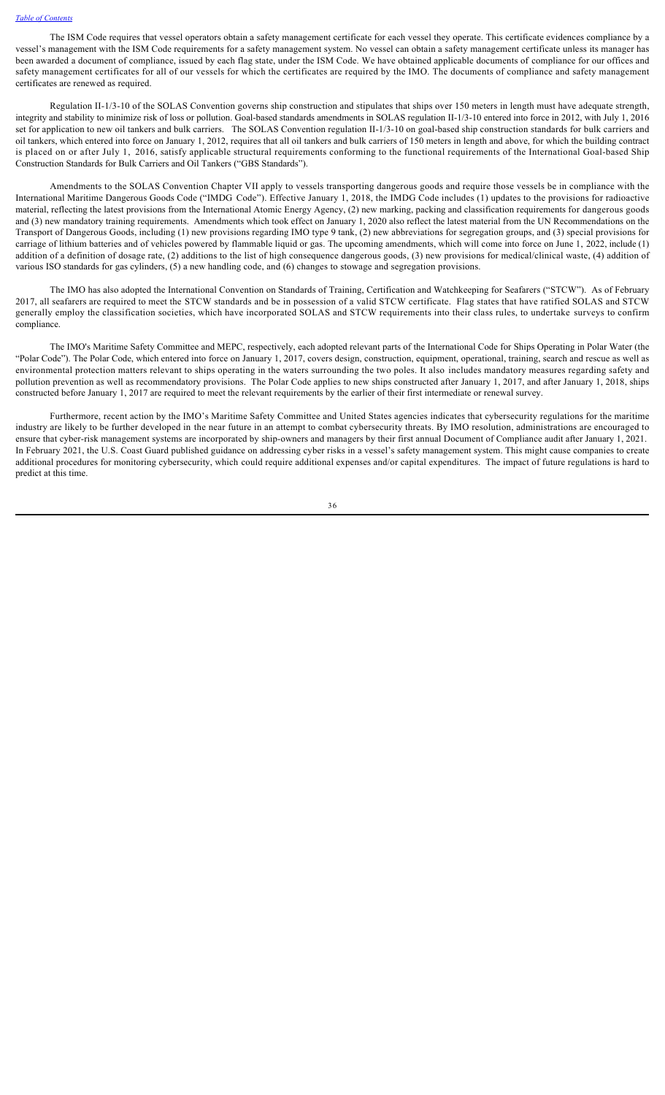The ISM Code requires that vessel operators obtain a safety management certificate for each vessel they operate. This certificate evidences compliance by a vessel's management with the ISM Code requirements for a safety management system. No vessel can obtain a safety management certificate unless its manager has been awarded a document of compliance, issued by each flag state, under the ISM Code. We have obtained applicable documents of compliance for our offices and safety management certificates for all of our vessels for which the certificates are required by the IMO. The documents of compliance and safety management certificates are renewed as required.

Regulation II-1/3-10 of the SOLAS Convention governs ship construction and stipulates that ships over 150 meters in length must have adequate strength, integrity and stability to minimize risk of loss or pollution. Goal-based standards amendments in SOLAS regulation II-1/3-10 entered into force in 2012, with July 1, 2016 set for application to new oil tankers and bulk carriers. The SOLAS Convention regulation II-1/3-10 on goal-based ship construction standards for bulk carriers and oil tankers, which entered into force on January 1, 2012, requires that all oil tankers and bulk carriers of 150 meters in length and above, for which the building contract is placed on or after July 1, 2016, satisfy applicable structural requirements conforming to the functional requirements of the International Goal-based Ship Construction Standards for Bulk Carriers and Oil Tankers ("GBS Standards").

Amendments to the SOLAS Convention Chapter VII apply to vessels transporting dangerous goods and require those vessels be in compliance with the International Maritime Dangerous Goods Code ("IMDG Code"). Effective January 1, 2018, the IMDG Code includes (1) updates to the provisions for radioactive material, reflecting the latest provisions from the International Atomic Energy Agency, (2) new marking, packing and classification requirements for dangerous goods and (3) new mandatory training requirements. Amendments which took effect on January 1, 2020 also reflect the latest material from the UN Recommendations on the Transport of Dangerous Goods, including (1) new provisions regarding IMO type 9 tank, (2) new abbreviations for segregation groups, and (3) special provisions for carriage of lithium batteries and of vehicles powered by flammable liquid or gas. The upcoming amendments, which will come into force on June 1, 2022, include (1) addition of a definition of dosage rate, (2) additions to the list of high consequence dangerous goods, (3) new provisions for medical/clinical waste, (4) addition of various ISO standards for gas cylinders, (5) a new handling code, and (6) changes to stowage and segregation provisions.

The IMO has also adopted the International Convention on Standards of Training, Certification and Watchkeeping for Seafarers ("STCW"). As of February 2017, all seafarers are required to meet the STCW standards and be in possession of a valid STCW certificate. Flag states that have ratified SOLAS and STCW generally employ the classification societies, which have incorporated SOLAS and STCW requirements into their class rules, to undertake surveys to confirm compliance.

The IMO's Maritime Safety Committee and MEPC, respectively, each adopted relevant parts of the International Code for Ships Operating in Polar Water (the "Polar Code"). The Polar Code, which entered into force on January 1, 2017, covers design, construction, equipment, operational, training, search and rescue as well as environmental protection matters relevant to ships operating in the waters surrounding the two poles. It also includes mandatory measures regarding safety and pollution prevention as well as recommendatory provisions. The Polar Code applies to new ships constructed after January 1, 2017, and after January 1, 2018, ships constructed before January 1, 2017 are required to meet the relevant requirements by the earlier of their first intermediate or renewal survey.

Furthermore, recent action by the IMO's Maritime Safety Committee and United States agencies indicates that cybersecurity regulations for the maritime industry are likely to be further developed in the near future in an attempt to combat cybersecurity threats. By IMO resolution, administrations are encouraged to ensure that cyber-risk management systems are incorporated by ship-owners and managers by their first annual Document of Compliance audit after January 1, 2021. In February 2021, the U.S. Coast Guard published guidance on addressing cyber risks in a vessel's safety management system. This might cause companies to create additional procedures for monitoring cybersecurity, which could require additional expenses and/or capital expenditures. The impact of future regulations is hard to predict at this time.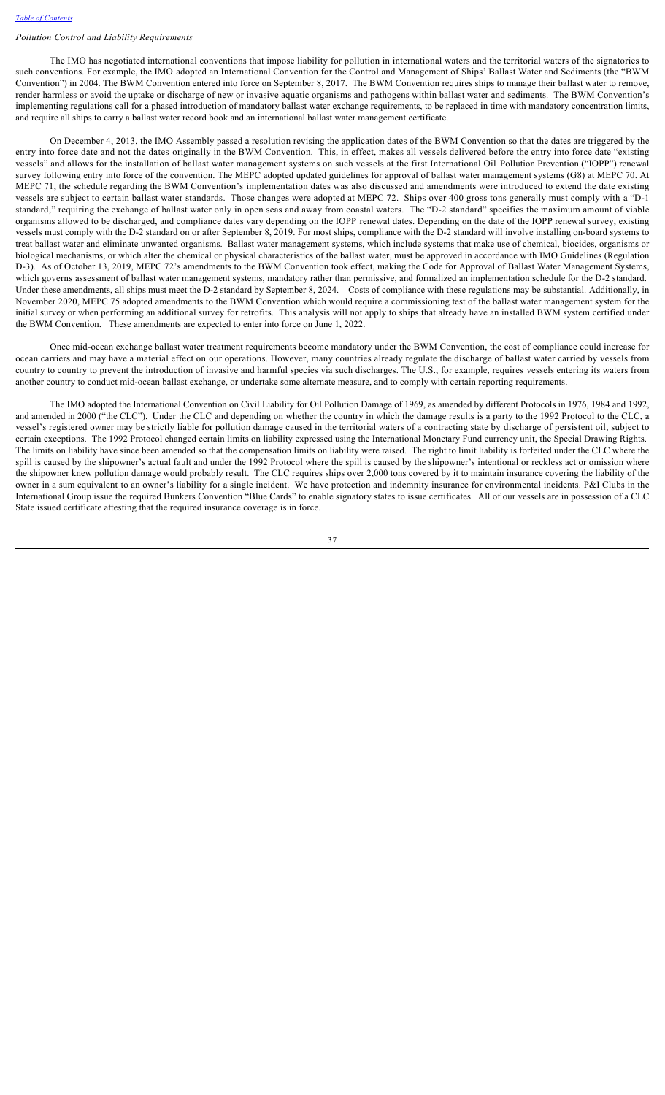### *Pollution Control and Liability Requirements*

The IMO has negotiated international conventions that impose liability for pollution in international waters and the territorial waters of the signatories to such conventions. For example, the IMO adopted an International Convention for the Control and Management of Ships' Ballast Water and Sediments (the "BWM Convention") in 2004. The BWM Convention entered into force on September 8, 2017. The BWM Convention requires ships to manage their ballast water to remove, render harmless or avoid the uptake or discharge of new or invasive aquatic organisms and pathogens within ballast water and sediments. The BWM Convention's implementing regulations call for a phased introduction of mandatory ballast water exchange requirements, to be replaced in time with mandatory concentration limits, and require all ships to carry a ballast water record book and an international ballast water management certificate.

On December 4, 2013, the IMO Assembly passed a resolution revising the application dates of the BWM Convention so that the dates are triggered by the entry into force date and not the dates originally in the BWM Convention. This, in effect, makes all vessels delivered before the entry into force date "existing vessels" and allows for the installation of ballast water management systems on such vessels at the first International Oil Pollution Prevention ("IOPP") renewal survey following entry into force of the convention. The MEPC adopted updated guidelines for approval of ballast water management systems (G8) at MEPC 70. At MEPC 71, the schedule regarding the BWM Convention's implementation dates was also discussed and amendments were introduced to extend the date existing vessels are subject to certain ballast water standards. Those changes were adopted at MEPC 72. Ships over 400 gross tons generally must comply with a "D-1 standard," requiring the exchange of ballast water only in open seas and away from coastal waters. The "D-2 standard" specifies the maximum amount of viable organisms allowed to be discharged, and compliance dates vary depending on the IOPP renewal dates. Depending on the date of the IOPP renewal survey, existing vessels must comply with the D-2 standard on or after September 8, 2019. For most ships, compliance with the D-2 standard will involve installing on-board systems to treat ballast water and eliminate unwanted organisms. Ballast water management systems, which include systems that make use of chemical, biocides, organisms or biological mechanisms, or which alter the chemical or physical characteristics of the ballast water, must be approved in accordance with IMO Guidelines (Regulation D-3). As of October 13, 2019, MEPC 72's amendments to the BWM Convention took effect, making the Code for Approval of Ballast Water Management Systems, which governs assessment of ballast water management systems, mandatory rather than permissive, and formalized an implementation schedule for the D-2 standard. Under these amendments, all ships must meet the D-2 standard by September 8, 2024. Costs of compliance with these regulations may be substantial. Additionally, in November 2020, MEPC 75 adopted amendments to the BWM Convention which would require a commissioning test of the ballast water management system for the initial survey or when performing an additional survey for retrofits. This analysis will not apply to ships that already have an installed BWM system certified under the BWM Convention. These amendments are expected to enter into force on June 1, 2022.

Once mid-ocean exchange ballast water treatment requirements become mandatory under the BWM Convention, the cost of compliance could increase for ocean carriers and may have a material effect on our operations. However, many countries already regulate the discharge of ballast water carried by vessels from country to country to prevent the introduction of invasive and harmful species via such discharges. The U.S., for example, requires vessels entering its waters from another country to conduct mid-ocean ballast exchange, or undertake some alternate measure, and to comply with certain reporting requirements.

The IMO adopted the International Convention on Civil Liability for Oil Pollution Damage of 1969, as amended by different Protocols in 1976, 1984 and 1992, and amended in 2000 ("the CLC"). Under the CLC and depending on whether the country in which the damage results is a party to the 1992 Protocol to the CLC, a vessel's registered owner may be strictly liable for pollution damage caused in the territorial waters of a contracting state by discharge of persistent oil, subject to certain exceptions. The 1992 Protocol changed certain limits on liability expressed using the International Monetary Fund currency unit, the Special Drawing Rights. The limits on liability have since been amended so that the compensation limits on liability were raised. The right to limit liability is forfeited under the CLC where the spill is caused by the shipowner's actual fault and under the 1992 Protocol where the spill is caused by the shipowner's intentional or reckless act or omission where the shipowner knew pollution damage would probably result. The CLC requires ships over 2,000 tons covered by it to maintain insurance covering the liability of the owner in a sum equivalent to an owner's liability for a single incident. We have protection and indemnity insurance for environmental incidents. P&I Clubs in the International Group issue the required Bunkers Convention "Blue Cards" to enable signatory states to issue certificates. All of our vessels are in possession of a CLC State issued certificate attesting that the required insurance coverage is in force.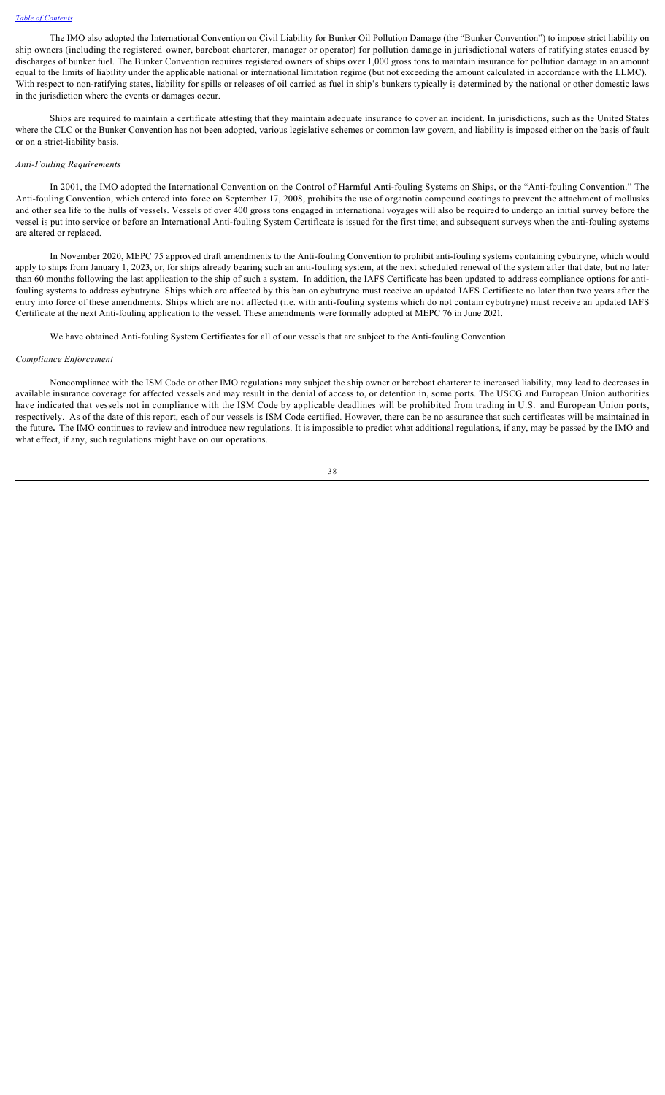The IMO also adopted the International Convention on Civil Liability for Bunker Oil Pollution Damage (the "Bunker Convention") to impose strict liability on ship owners (including the registered owner, bareboat charterer, manager or operator) for pollution damage in jurisdictional waters of ratifying states caused by discharges of bunker fuel. The Bunker Convention requires registered owners of ships over 1,000 gross tons to maintain insurance for pollution damage in an amount equal to the limits of liability under the applicable national or international limitation regime (but not exceeding the amount calculated in accordance with the LLMC). With respect to non-ratifying states, liability for spills or releases of oil carried as fuel in ship's bunkers typically is determined by the national or other domestic laws in the jurisdiction where the events or damages occur.

Ships are required to maintain a certificate attesting that they maintain adequate insurance to cover an incident. In jurisdictions, such as the United States where the CLC or the Bunker Convention has not been adopted, various legislative schemes or common law govern, and liability is imposed either on the basis of fault or on a strict-liability basis.

# *Anti‑Fouling Requirements*

In 2001, the IMO adopted the International Convention on the Control of Harmful Anti-fouling Systems on Ships, or the "Anti-fouling Convention." The Anti-fouling Convention, which entered into force on September 17, 2008, prohibits the use of organotin compound coatings to prevent the attachment of mollusks and other sea life to the hulls of vessels. Vessels of over 400 gross tons engaged in international voyages will also be required to undergo an initial survey before the vessel is put into service or before an International Anti-fouling System Certificate is issued for the first time; and subsequent surveys when the anti-fouling systems are altered or replaced.

In November 2020, MEPC 75 approved draft amendments to the Anti-fouling Convention to prohibit anti-fouling systems containing cybutryne, which would apply to ships from January 1, 2023, or, for ships already bearing such an anti-fouling system, at the next scheduled renewal of the system after that date, but no later than 60 months following the last application to the ship of such a system. In addition, the IAFS Certificate has been updated to address compliance options for antifouling systems to address cybutryne. Ships which are affected by this ban on cybutryne must receive an updated IAFS Certificate no later than two years after the entry into force of these amendments. Ships which are not affected (i.e. with anti-fouling systems which do not contain cybutryne) must receive an updated IAFS Certificate at the next Anti-fouling application to the vessel. These amendments were formally adopted at MEPC 76 in June 2021.

We have obtained Anti-fouling System Certificates for all of our vessels that are subject to the Anti-fouling Convention.

# *Compliance Enforcement*

Noncompliance with the ISM Code or other IMO regulations may subject the ship owner or bareboat charterer to increased liability, may lead to decreases in available insurance coverage for affected vessels and may result in the denial of access to, or detention in, some ports. The USCG and European Union authorities have indicated that vessels not in compliance with the ISM Code by applicable deadlines will be prohibited from trading in U.S. and European Union ports, respectively. As of the date of this report, each of our vessels is ISM Code certified. However, there can be no assurance that such certificates will be maintained in the future**.** The IMO continues to review and introduce new regulations. It is impossible to predict what additional regulations, if any, may be passed by the IMO and what effect, if any, such regulations might have on our operations.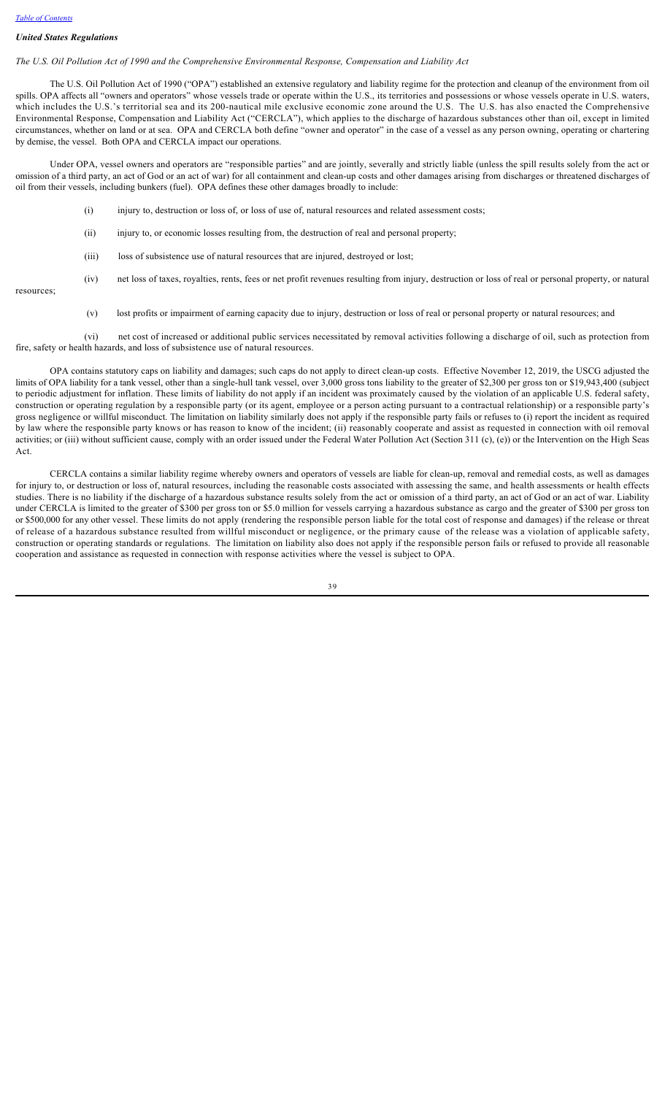# *United States Regulations*

#### *The U.S. Oil Pollution Act of 1990 and the Comprehensive Environmental Response, Compensation and Liability Act*

The U.S. Oil Pollution Act of 1990 ("OPA") established an extensive regulatory and liability regime for the protection and cleanup of the environment from oil spills. OPA affects all "owners and operators" whose vessels trade or operate within the U.S., its territories and possessions or whose vessels operate in U.S. waters, which includes the U.S.'s territorial sea and its 200-nautical mile exclusive economic zone around the U.S. The U.S. has also enacted the Comprehensive Environmental Response, Compensation and Liability Act ("CERCLA"), which applies to the discharge of hazardous substances other than oil, except in limited circumstances, whether on land or at sea. OPA and CERCLA both define "owner and operator" in the case of a vessel as any person owning, operating or chartering by demise, the vessel. Both OPA and CERCLA impact our operations.

Under OPA, vessel owners and operators are "responsible parties" and are jointly, severally and strictly liable (unless the spill results solely from the act or omission of a third party, an act of God or an act of war) for all containment and clean-up costs and other damages arising from discharges or threatened discharges of oil from their vessels, including bunkers (fuel). OPA defines these other damages broadly to include:

- (i) injury to, destruction or loss of, or loss of use of, natural resources and related assessment costs;
- (ii) injury to, or economic losses resulting from, the destruction of real and personal property;
- (iii) loss of subsistence use of natural resources that are injured, destroyed or lost;
- (iv) net loss of taxes, royalties, rents, fees or net profit revenues resulting from injury, destruction or loss of real or personal property, or natural

resources;

(v) lost profits or impairment of earning capacity due to injury, destruction or loss of real or personal property or natural resources; and

(vi) net cost of increased or additional public services necessitated by removal activities following a discharge of oil, such as protection from fire, safety or health hazards, and loss of subsistence use of natural resources.

OPA contains statutory caps on liability and damages; such caps do not apply to direct clean-up costs. Effective November 12, 2019, the USCG adjusted the limits of OPA liability for a tank vessel, other than a single-hull tank vessel, over 3,000 gross tons liability to the greater of \$2,300 per gross ton or \$19,943,400 (subject to periodic adjustment for inflation. These limits of liability do not apply if an incident was proximately caused by the violation of an applicable U.S. federal safety, construction or operating regulation by a responsible party (or its agent, employee or a person acting pursuant to a contractual relationship) or a responsible party's gross negligence or willful misconduct. The limitation on liability similarly does not apply if the responsible party fails or refuses to (i) report the incident as required by law where the responsible party knows or has reason to know of the incident; (ii) reasonably cooperate and assist as requested in connection with oil removal activities; or (iii) without sufficient cause, comply with an order issued under the Federal Water Pollution Act (Section 311 (c), (e)) or the Intervention on the High Seas Act.

CERCLA contains a similar liability regime whereby owners and operators of vessels are liable for clean-up, removal and remedial costs, as well as damages for injury to, or destruction or loss of, natural resources, including the reasonable costs associated with assessing the same, and health assessments or health effects studies. There is no liability if the discharge of a hazardous substance results solely from the act or omission of a third party, an act of God or an act of war. Liability under CERCLA is limited to the greater of \$300 per gross ton or \$5.0 million for vessels carrying a hazardous substance as cargo and the greater of \$300 per gross ton or \$500,000 for any other vessel. These limits do not apply (rendering the responsible person liable for the total cost of response and damages) if the release or threat of release of a hazardous substance resulted from willful misconduct or negligence, or the primary cause of the release was a violation of applicable safety, construction or operating standards or regulations. The limitation on liability also does not apply if the responsible person fails or refused to provide all reasonable cooperation and assistance as requested in connection with response activities where the vessel is subject to OPA.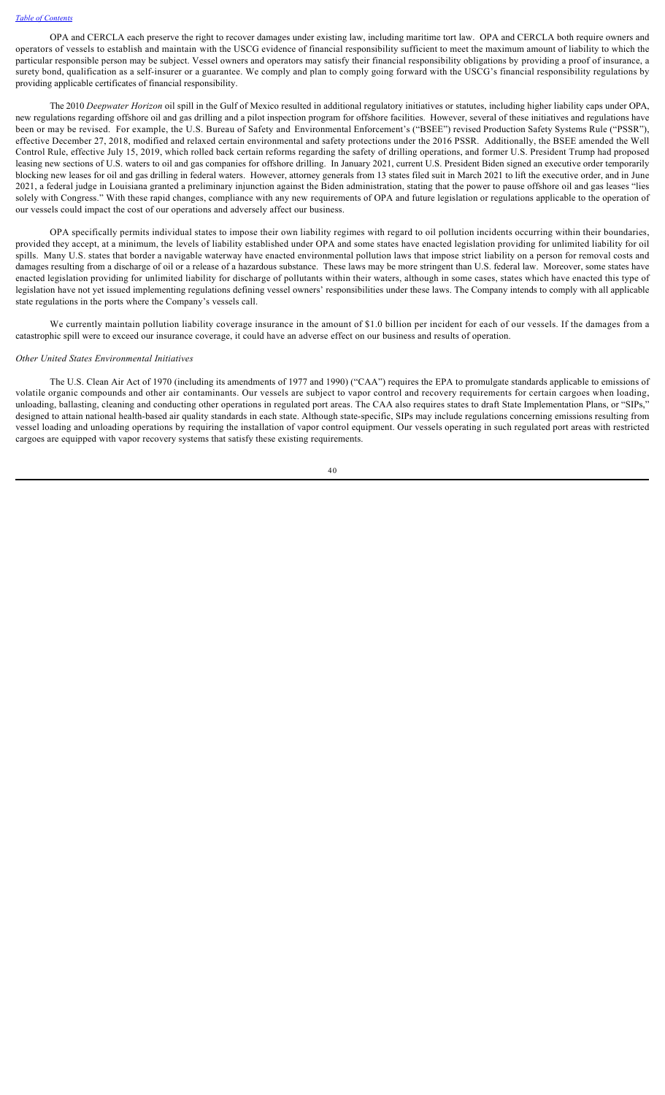OPA and CERCLA each preserve the right to recover damages under existing law, including maritime tort law. OPA and CERCLA both require owners and operators of vessels to establish and maintain with the USCG evidence of financial responsibility sufficient to meet the maximum amount of liability to which the particular responsible person may be subject. Vessel owners and operators may satisfy their financial responsibility obligations by providing a proof of insurance, a surety bond, qualification as a self-insurer or a guarantee. We comply and plan to comply going forward with the USCG's financial responsibility regulations by providing applicable certificates of financial responsibility.

The 2010 *Deepwater Horizon* oil spill in the Gulf of Mexico resulted in additional regulatory initiatives or statutes, including higher liability caps under OPA, new regulations regarding offshore oil and gas drilling and a pilot inspection program for offshore facilities. However, several of these initiatives and regulations have been or may be revised. For example, the U.S. Bureau of Safety and Environmental Enforcement's ("BSEE") revised Production Safety Systems Rule ("PSSR"), effective December 27, 2018, modified and relaxed certain environmental and safety protections under the 2016 PSSR. Additionally, the BSEE amended the Well Control Rule, effective July 15, 2019, which rolled back certain reforms regarding the safety of drilling operations, and former U.S. President Trump had proposed leasing new sections of U.S. waters to oil and gas companies for offshore drilling. In January 2021, current U.S. President Biden signed an executive order temporarily blocking new leases for oil and gas drilling in federal waters. However, attorney generals from 13 states filed suit in March 2021 to lift the executive order, and in June 2021, a federal judge in Louisiana granted a preliminary injunction against the Biden administration, stating that the power to pause offshore oil and gas leases "lies solely with Congress." With these rapid changes, compliance with any new requirements of OPA and future legislation or regulations applicable to the operation of our vessels could impact the cost of our operations and adversely affect our business.

OPA specifically permits individual states to impose their own liability regimes with regard to oil pollution incidents occurring within their boundaries, provided they accept, at a minimum, the levels of liability established under OPA and some states have enacted legislation providing for unlimited liability for oil spills. Many U.S. states that border a navigable waterway have enacted environmental pollution laws that impose strict liability on a person for removal costs and damages resulting from a discharge of oil or a release of a hazardous substance. These laws may be more stringent than U.S. federal law. Moreover, some states have enacted legislation providing for unlimited liability for discharge of pollutants within their waters, although in some cases, states which have enacted this type of legislation have not yet issued implementing regulations defining vessel owners' responsibilities under these laws. The Company intends to comply with all applicable state regulations in the ports where the Company's vessels call.

We currently maintain pollution liability coverage insurance in the amount of \$1.0 billion per incident for each of our vessels. If the damages from a catastrophic spill were to exceed our insurance coverage, it could have an adverse effect on our business and results of operation.

## *Other United States Environmental Initiatives*

The U.S. Clean Air Act of 1970 (including its amendments of 1977 and 1990) ("CAA") requires the EPA to promulgate standards applicable to emissions of volatile organic compounds and other air contaminants. Our vessels are subject to vapor control and recovery requirements for certain cargoes when loading, unloading, ballasting, cleaning and conducting other operations in regulated port areas. The CAA also requires states to draft State Implementation Plans, or "SIPs, designed to attain national health-based air quality standards in each state. Although state-specific, SIPs may include regulations concerning emissions resulting from vessel loading and unloading operations by requiring the installation of vapor control equipment. Our vessels operating in such regulated port areas with restricted cargoes are equipped with vapor recovery systems that satisfy these existing requirements.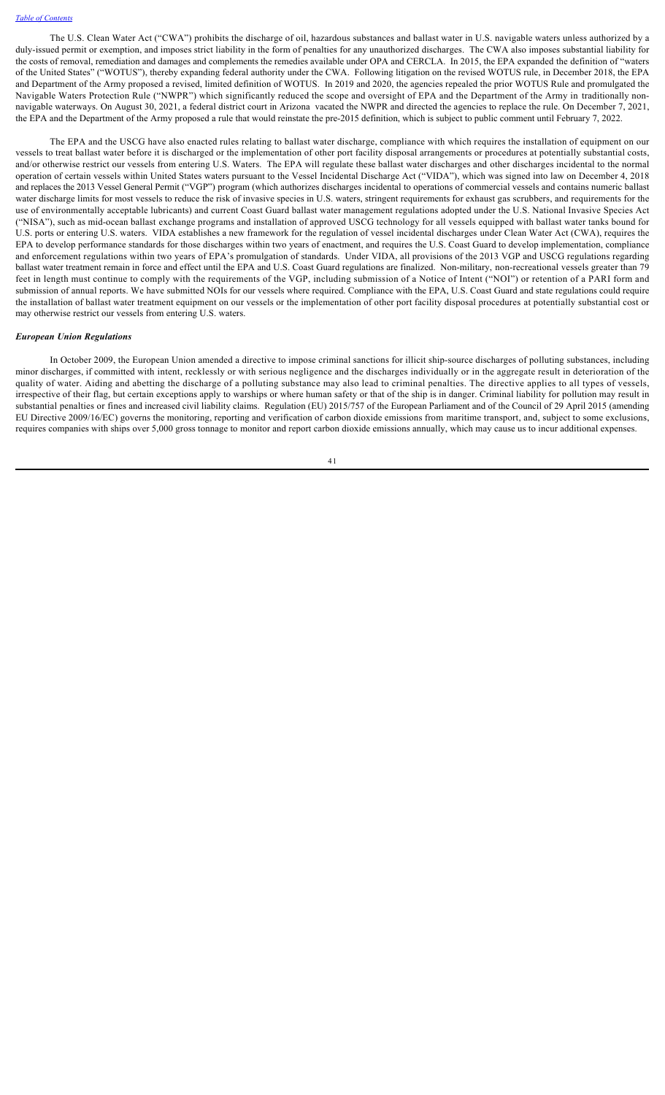The U.S. Clean Water Act ("CWA") prohibits the discharge of oil, hazardous substances and ballast water in U.S. navigable waters unless authorized by a duly-issued permit or exemption, and imposes strict liability in the form of penalties for any unauthorized discharges. The CWA also imposes substantial liability for the costs of removal, remediation and damages and complements the remedies available under OPA and CERCLA. In 2015, the EPA expanded the definition of "waters of the United States" ("WOTUS"), thereby expanding federal authority under the CWA. Following litigation on the revised WOTUS rule, in December 2018, the EPA and Department of the Army proposed a revised, limited definition of WOTUS. In 2019 and 2020, the agencies repealed the prior WOTUS Rule and promulgated the Navigable Waters Protection Rule ("NWPR") which significantly reduced the scope and oversight of EPA and the Department of the Army in traditionally nonnavigable waterways. On August 30, 2021, a federal district court in Arizona vacated the NWPR and directed the agencies to replace the rule. On December 7, 2021, the EPA and the Department of the Army proposed a rule that would reinstate the pre-2015 definition, which is subject to public comment until February 7, 2022.

The EPA and the USCG have also enacted rules relating to ballast water discharge, compliance with which requires the installation of equipment on our vessels to treat ballast water before it is discharged or the implementation of other port facility disposal arrangements or procedures at potentially substantial costs, and/or otherwise restrict our vessels from entering U.S. Waters. The EPA will regulate these ballast water discharges and other discharges incidental to the normal operation of certain vessels within United States waters pursuant to the Vessel Incidental Discharge Act ("VIDA"), which was signed into law on December 4, 2018 and replaces the 2013 Vessel General Permit ("VGP") program (which authorizes discharges incidental to operations of commercial vessels and contains numeric ballast water discharge limits for most vessels to reduce the risk of invasive species in U.S. waters, stringent requirements for exhaust gas scrubbers, and requirements for the use of environmentally acceptable lubricants) and current Coast Guard ballast water management regulations adopted under the U.S. National Invasive Species Act ("NISA"), such as mid-ocean ballast exchange programs and installation of approved USCG technology for all vessels equipped with ballast water tanks bound for U.S. ports or entering U.S. waters. VIDA establishes a new framework for the regulation of vessel incidental discharges under Clean Water Act (CWA), requires the EPA to develop performance standards for those discharges within two years of enactment, and requires the U.S. Coast Guard to develop implementation, compliance and enforcement regulations within two years of EPA's promulgation of standards. Under VIDA, all provisions of the 2013 VGP and USCG regulations regarding ballast water treatment remain in force and effect until the EPA and U.S. Coast Guard regulations are finalized. Non-military, non-recreational vessels greater than 79 feet in length must continue to comply with the requirements of the VGP, including submission of a Notice of Intent ("NOI") or retention of a PARI form and submission of annual reports. We have submitted NOIs for our vessels where required. Compliance with the EPA, U.S. Coast Guard and state regulations could require the installation of ballast water treatment equipment on our vessels or the implementation of other port facility disposal procedures at potentially substantial cost or may otherwise restrict our vessels from entering U.S. waters.

#### *European Union Regulations*

In October 2009, the European Union amended a directive to impose criminal sanctions for illicit ship-source discharges of polluting substances, including minor discharges, if committed with intent, recklessly or with serious negligence and the discharges individually or in the aggregate result in deterioration of the quality of water. Aiding and abetting the discharge of a polluting substance may also lead to criminal penalties. The directive applies to all types of vessels, irrespective of their flag, but certain exceptions apply to warships or where human safety or that of the ship is in danger. Criminal liability for pollution may result in substantial penalties or fines and increased civil liability claims. Regulation (EU) 2015/757 of the European Parliament and of the Council of 29 April 2015 (amending EU Directive 2009/16/EC) governs the monitoring, reporting and verification of carbon dioxide emissions from maritime transport, and, subject to some exclusions, requires companies with ships over 5,000 gross tonnage to monitor and report carbon dioxide emissions annually, which may cause us to incur additional expenses.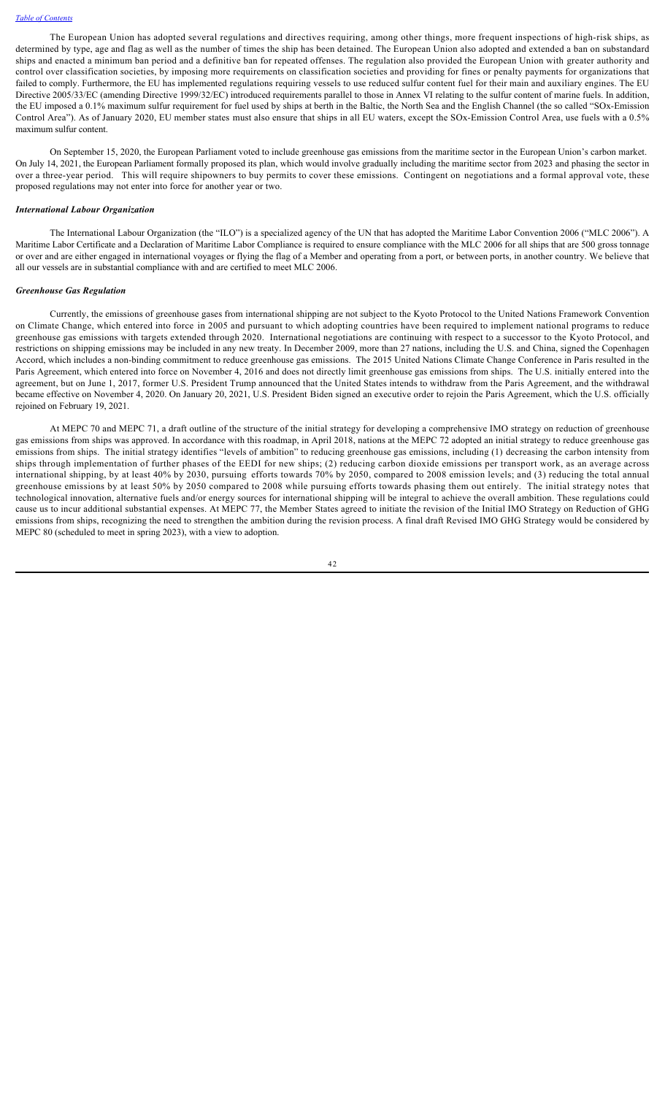The European Union has adopted several regulations and directives requiring, among other things, more frequent inspections of high-risk ships, as determined by type, age and flag as well as the number of times the ship has been detained. The European Union also adopted and extended a ban on substandard ships and enacted a minimum ban period and a definitive ban for repeated offenses. The regulation also provided the European Union with greater authority and control over classification societies, by imposing more requirements on classification societies and providing for fines or penalty payments for organizations that failed to comply. Furthermore, the EU has implemented regulations requiring vessels to use reduced sulfur content fuel for their main and auxiliary engines. The EU Directive 2005/33/EC (amending Directive 1999/32/EC) introduced requirements parallel to those in Annex VI relating to the sulfur content of marine fuels. In addition, the EU imposed a 0.1% maximum sulfur requirement for fuel used by ships at berth in the Baltic, the North Sea and the English Channel (the so called "SOx-Emission Control Area"). As of January 2020, EU member states must also ensure that ships in all EU waters, except the SOx-Emission Control Area, use fuels with a 0.5% maximum sulfur content.

On September 15, 2020, the European Parliament voted to include greenhouse gas emissions from the maritime sector in the European Union's carbon market. On July 14, 2021, the European Parliament formally proposed its plan, which would involve gradually including the maritime sector from 2023 and phasing the sector in over a three-year period. This will require shipowners to buy permits to cover these emissions. Contingent on negotiations and a formal approval vote, these proposed regulations may not enter into force for another year or two.

#### *International Labour Organization*

The International Labour Organization (the "ILO") is a specialized agency of the UN that has adopted the Maritime Labor Convention 2006 ("MLC 2006"). A Maritime Labor Certificate and a Declaration of Maritime Labor Compliance is required to ensure compliance with the MLC 2006 for all ships that are 500 gross tonnage or over and are either engaged in international voyages or flying the flag of a Member and operating from a port, or between ports, in another country. We believe that all our vessels are in substantial compliance with and are certified to meet MLC 2006.

#### *Greenhouse Gas Regulation*

Currently, the emissions of greenhouse gases from international shipping are not subject to the Kyoto Protocol to the United Nations Framework Convention on Climate Change, which entered into force in 2005 and pursuant to which adopting countries have been required to implement national programs to reduce greenhouse gas emissions with targets extended through 2020. International negotiations are continuing with respect to a successor to the Kyoto Protocol, and restrictions on shipping emissions may be included in any new treaty. In December 2009, more than 27 nations, including the U.S. and China, signed the Copenhagen Accord, which includes a non-binding commitment to reduce greenhouse gas emissions. The 2015 United Nations Climate Change Conference in Paris resulted in the Paris Agreement, which entered into force on November 4, 2016 and does not directly limit greenhouse gas emissions from ships. The U.S. initially entered into the agreement, but on June 1, 2017, former U.S. President Trump announced that the United States intends to withdraw from the Paris Agreement, and the withdrawal became effective on November 4, 2020. On January 20, 2021, U.S. President Biden signed an executive order to rejoin the Paris Agreement, which the U.S. officially rejoined on February 19, 2021.

At MEPC 70 and MEPC 71, a draft outline of the structure of the initial strategy for developing a comprehensive IMO strategy on reduction of greenhouse gas emissions from ships was approved. In accordance with this roadmap, in April 2018, nations at the MEPC 72 adopted an initial strategy to reduce greenhouse gas emissions from ships. The initial strategy identifies "levels of ambition" to reducing greenhouse gas emissions, including (1) decreasing the carbon intensity from ships through implementation of further phases of the EEDI for new ships; (2) reducing carbon dioxide emissions per transport work, as an average across international shipping, by at least 40% by 2030, pursuing efforts towards 70% by 2050, compared to 2008 emission levels; and (3) reducing the total annual greenhouse emissions by at least 50% by 2050 compared to 2008 while pursuing efforts towards phasing them out entirely. The initial strategy notes that technological innovation, alternative fuels and/or energy sources for international shipping will be integral to achieve the overall ambition. These regulations could cause us to incur additional substantial expenses. At MEPC 77, the Member States agreed to initiate the revision of the Initial IMO Strategy on Reduction of GHG emissions from ships, recognizing the need to strengthen the ambition during the revision process. A final draft Revised IMO GHG Strategy would be considered by MEPC 80 (scheduled to meet in spring 2023), with a view to adoption.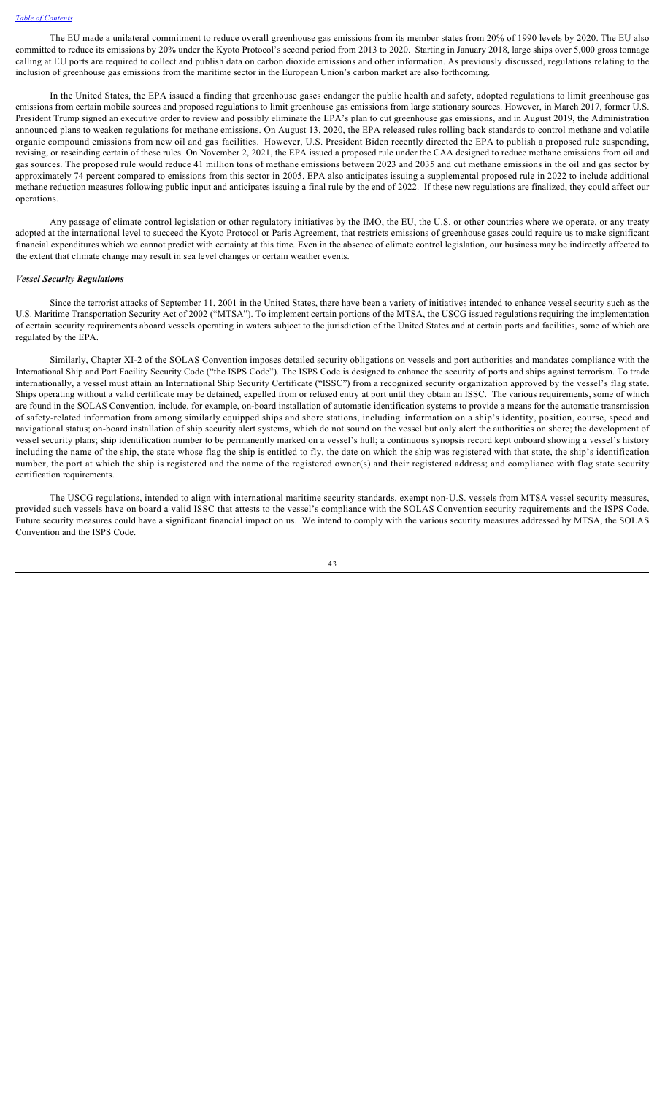The EU made a unilateral commitment to reduce overall greenhouse gas emissions from its member states from 20% of 1990 levels by 2020. The EU also committed to reduce its emissions by 20% under the Kyoto Protocol's second period from 2013 to 2020. Starting in January 2018, large ships over 5,000 gross tonnage calling at EU ports are required to collect and publish data on carbon dioxide emissions and other information. As previously discussed, regulations relating to the inclusion of greenhouse gas emissions from the maritime sector in the European Union's carbon market are also forthcoming.

In the United States, the EPA issued a finding that greenhouse gases endanger the public health and safety, adopted regulations to limit greenhouse gas emissions from certain mobile sources and proposed regulations to limit greenhouse gas emissions from large stationary sources. However, in March 2017, former U.S. President Trump signed an executive order to review and possibly eliminate the EPA's plan to cut greenhouse gas emissions, and in August 2019, the Administration announced plans to weaken regulations for methane emissions. On August 13, 2020, the EPA released rules rolling back standards to control methane and volatile organic compound emissions from new oil and gas facilities. However, U.S. President Biden recently directed the EPA to publish a proposed rule suspending, revising, or rescinding certain of these rules. On November 2, 2021, the EPA issued a proposed rule under the CAA designed to reduce methane emissions from oil and gas sources. The proposed rule would reduce 41 million tons of methane emissions between 2023 and 2035 and cut methane emissions in the oil and gas sector by approximately 74 percent compared to emissions from this sector in 2005. EPA also anticipates issuing a supplemental proposed rule in 2022 to include additional methane reduction measures following public input and anticipates issuing a final rule by the end of 2022. If these new regulations are finalized, they could affect our operations.

Any passage of climate control legislation or other regulatory initiatives by the IMO, the EU, the U.S. or other countries where we operate, or any treaty adopted at the international level to succeed the Kyoto Protocol or Paris Agreement, that restricts emissions of greenhouse gases could require us to make significant financial expenditures which we cannot predict with certainty at this time. Even in the absence of climate control legislation, our business may be indirectly affected to the extent that climate change may result in sea level changes or certain weather events.

#### *Vessel Security Regulations*

Since the terrorist attacks of September 11, 2001 in the United States, there have been a variety of initiatives intended to enhance vessel security such as the U.S. Maritime Transportation Security Act of 2002 ("MTSA"). To implement certain portions of the MTSA, the USCG issued regulations requiring the implementation of certain security requirements aboard vessels operating in waters subject to the jurisdiction of the United States and at certain ports and facilities, some of which are regulated by the EPA.

Similarly, Chapter XI-2 of the SOLAS Convention imposes detailed security obligations on vessels and port authorities and mandates compliance with the International Ship and Port Facility Security Code ("the ISPS Code"). The ISPS Code is designed to enhance the security of ports and ships against terrorism. To trade internationally, a vessel must attain an International Ship Security Certificate ("ISSC") from a recognized security organization approved by the vessel's flag state. Ships operating without a valid certificate may be detained, expelled from or refused entry at port until they obtain an ISSC. The various requirements, some of which are found in the SOLAS Convention, include, for example, on-board installation of automatic identification systems to provide a means for the automatic transmission of safety-related information from among similarly equipped ships and shore stations, including information on a ship's identity, position, course, speed and navigational status; on-board installation of ship security alert systems, which do not sound on the vessel but only alert the authorities on shore; the development of vessel security plans; ship identification number to be permanently marked on a vessel's hull; a continuous synopsis record kept onboard showing a vessel's history including the name of the ship, the state whose flag the ship is entitled to fly, the date on which the ship was registered with that state, the ship's identification number, the port at which the ship is registered and the name of the registered owner(s) and their registered address; and compliance with flag state security certification requirements.

The USCG regulations, intended to align with international maritime security standards, exempt non-U.S. vessels from MTSA vessel security measures, provided such vessels have on board a valid ISSC that attests to the vessel's compliance with the SOLAS Convention security requirements and the ISPS Code. Future security measures could have a significant financial impact on us. We intend to comply with the various security measures addressed by MTSA, the SOLAS Convention and the ISPS Code.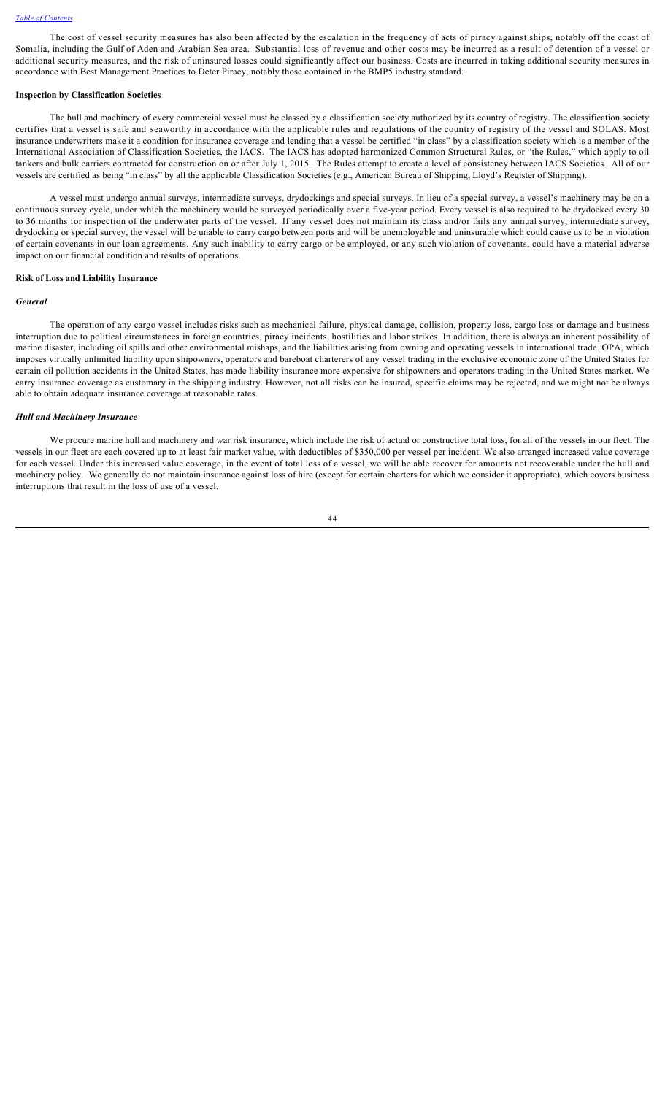The cost of vessel security measures has also been affected by the escalation in the frequency of acts of piracy against ships, notably off the coast of Somalia, including the Gulf of Aden and Arabian Sea area. Substantial loss of revenue and other costs may be incurred as a result of detention of a vessel or additional security measures, and the risk of uninsured losses could significantly affect our business. Costs are incurred in taking additional security measures in accordance with Best Management Practices to Deter Piracy, notably those contained in the BMP5 industry standard.

## **Inspection by Classification Societies**

The hull and machinery of every commercial vessel must be classed by a classification society authorized by its country of registry. The classification society certifies that a vessel is safe and seaworthy in accordance with the applicable rules and regulations of the country of registry of the vessel and SOLAS. Most insurance underwriters make it a condition for insurance coverage and lending that a vessel be certified "in class" by a classification society which is a member of the International Association of Classification Societies, the IACS. The IACS has adopted harmonized Common Structural Rules, or "the Rules," which apply to oil tankers and bulk carriers contracted for construction on or after July 1, 2015. The Rules attempt to create a level of consistency between IACS Societies. All of our vessels are certified as being "in class" by all the applicable Classification Societies (e.g., American Bureau of Shipping, Lloyd's Register of Shipping).

A vessel must undergo annual surveys, intermediate surveys, drydockings and special surveys. In lieu of a special survey, a vessel's machinery may be on a continuous survey cycle, under which the machinery would be surveyed periodically over a five-year period. Every vessel is also required to be drydocked every 30 to 36 months for inspection of the underwater parts of the vessel. If any vessel does not maintain its class and/or fails any annual survey, intermediate survey, drydocking or special survey, the vessel will be unable to carry cargo between ports and will be unemployable and uninsurable which could cause us to be in violation of certain covenants in our loan agreements. Any such inability to carry cargo or be employed, or any such violation of covenants, could have a material adverse impact on our financial condition and results of operations.

#### **Risk of Loss and Liability Insurance**

#### *General*

The operation of any cargo vessel includes risks such as mechanical failure, physical damage, collision, property loss, cargo loss or damage and business interruption due to political circumstances in foreign countries, piracy incidents, hostilities and labor strikes. In addition, there is always an inherent possibility of marine disaster, including oil spills and other environmental mishaps, and the liabilities arising from owning and operating vessels in international trade. OPA, which imposes virtually unlimited liability upon shipowners, operators and bareboat charterers of any vessel trading in the exclusive economic zone of the United States for certain oil pollution accidents in the United States, has made liability insurance more expensive for shipowners and operators trading in the United States market. We carry insurance coverage as customary in the shipping industry. However, not all risks can be insured, specific claims may be rejected, and we might not be always able to obtain adequate insurance coverage at reasonable rates.

### *Hull and Machinery Insurance*

We procure marine hull and machinery and war risk insurance, which include the risk of actual or constructive total loss, for all of the vessels in our fleet. The vessels in our fleet are each covered up to at least fair market value, with deductibles of \$350,000 per vessel per incident. We also arranged increased value coverage for each vessel. Under this increased value coverage, in the event of total loss of a vessel, we will be able recover for amounts not recoverable under the hull and machinery policy. We generally do not maintain insurance against loss of hire (except for certain charters for which we consider it appropriate), which covers business interruptions that result in the loss of use of a vessel.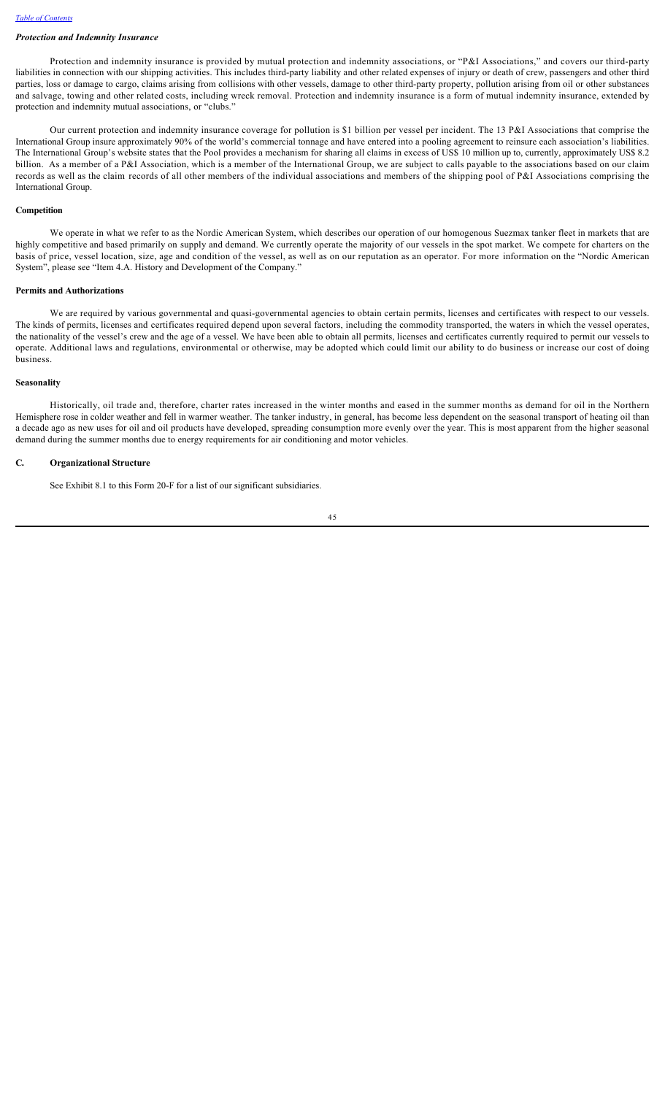# *Protection and Indemnity Insurance*

Protection and indemnity insurance is provided by mutual protection and indemnity associations, or "P&I Associations," and covers our third-party liabilities in connection with our shipping activities. This includes third-party liability and other related expenses of injury or death of crew, passengers and other third parties, loss or damage to cargo, claims arising from collisions with other vessels, damage to other third-party property, pollution arising from oil or other substances and salvage, towing and other related costs, including wreck removal. Protection and indemnity insurance is a form of mutual indemnity insurance, extended by protection and indemnity mutual associations, or "clubs."

Our current protection and indemnity insurance coverage for pollution is \$1 billion per vessel per incident. The 13 P&I Associations that comprise the International Group insure approximately 90% of the world's commercial tonnage and have entered into a pooling agreement to reinsure each association's liabilities. The International Group's website states that the Pool provides a mechanism for sharing all claims in excess of US\$ 10 million up to, currently, approximately US\$ 8.2 billion. As a member of a P&I Association, which is a member of the International Group, we are subject to calls payable to the associations based on our claim records as well as the claim records of all other members of the individual associations and members of the shipping pool of P&I Associations comprising the International Group.

### **Competition**

We operate in what we refer to as the Nordic American System, which describes our operation of our homogenous Suezmax tanker fleet in markets that are highly competitive and based primarily on supply and demand. We currently operate the majority of our vessels in the spot market. We compete for charters on the basis of price, vessel location, size, age and condition of the vessel, as well as on our reputation as an operator. For more information on the "Nordic American System", please see "Item 4.A. History and Development of the Company."

#### **Permits and Authorizations**

We are required by various governmental and quasi-governmental agencies to obtain certain permits, licenses and certificates with respect to our vessels. The kinds of permits, licenses and certificates required depend upon several factors, including the commodity transported, the waters in which the vessel operates, the nationality of the vessel's crew and the age of a vessel. We have been able to obtain all permits, licenses and certificates currently required to permit our vessels to operate. Additional laws and regulations, environmental or otherwise, may be adopted which could limit our ability to do business or increase our cost of doing business.

## **Seasonality**

Historically, oil trade and, therefore, charter rates increased in the winter months and eased in the summer months as demand for oil in the Northern Hemisphere rose in colder weather and fell in warmer weather. The tanker industry, in general, has become less dependent on the seasonal transport of heating oil than a decade ago as new uses for oil and oil products have developed, spreading consumption more evenly over the year. This is most apparent from the higher seasonal demand during the summer months due to energy requirements for air conditioning and motor vehicles.

# **C. Organizational Structure**

See Exhibit 8.1 to this Form 20-F for a list of our significant subsidiaries.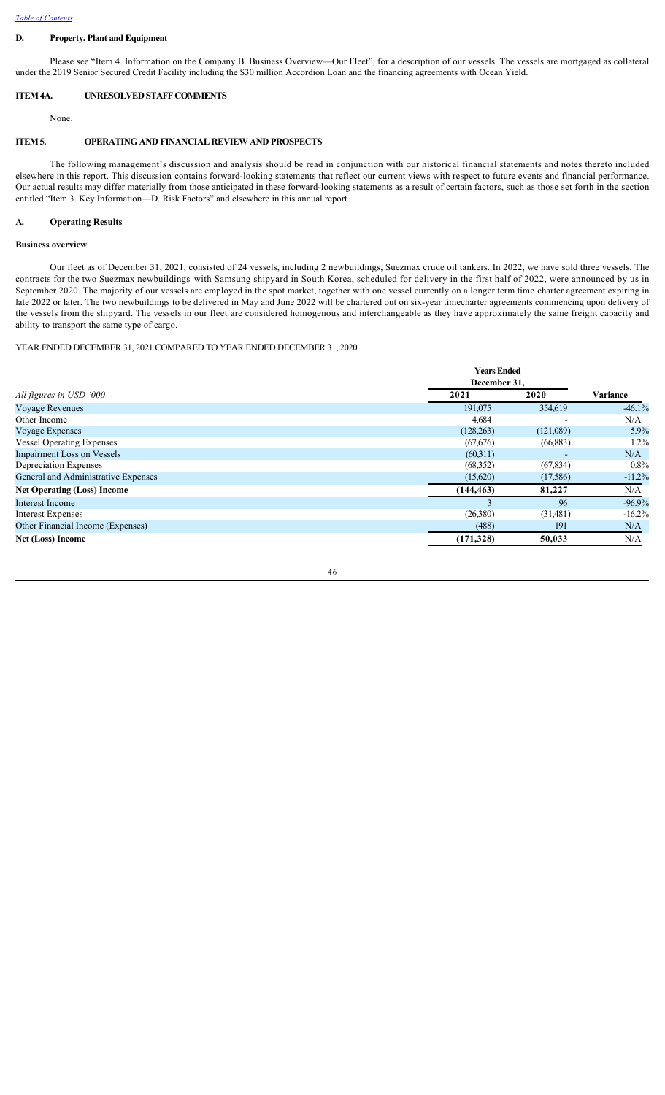# **D. Property, Plant and Equipment**

Please see "Item 4. Information on the Company B. Business Overview—Our Fleet", for a description of our vessels. The vessels are mortgaged as collateral under the 2019 Senior Secured Credit Facility including the \$30 million Accordion Loan and the financing agreements with Ocean Yield.

# **ITEM 4A. UNRESOLVED STAFF COMMENTS**

None.

# **ITEM 5. OPERATING AND FINANCIAL REVIEW AND PROSPECTS**

The following management's discussion and analysis should be read in conjunction with our historical financial statements and notes thereto included elsewhere in this report. This discussion contains forward-looking statements that reflect our current views with respect to future events and financial performance. Our actual results may differ materially from those anticipated in these forward-looking statements as a result of certain factors, such as those set forth in the section entitled "Item 3. Key Information—D. Risk Factors" and elsewhere in this annual report.

# **A. Operating Results**

## **Business overview**

Our fleet as of December 31, 2021, consisted of 24 vessels, including 2 newbuildings, Suezmax crude oil tankers. In 2022, we have sold three vessels. The contracts for the two Suezmax newbuildings with Samsung shipyard in South Korea, scheduled for delivery in the first half of 2022, were announced by us in September 2020. The majority of our vessels are employed in the spot market, together with one vessel currently on a longer term time charter agreement expiring in late 2022 or later. The two newbuildings to be delivered in May and June 2022 will be chartered out on six-year timecharter agreements commencing upon delivery of the vessels from the shipyard. The vessels in our fleet are considered homogenous and interchangeable as they have approximately the same freight capacity and ability to transport the same type of cargo.

## YEAR ENDED DECEMBER 31, 2021 COMPARED TO YEAR ENDED DECEMBER 31, 2020

|                                     |            | <b>Years Ended</b><br>December 31, |           |  |  |
|-------------------------------------|------------|------------------------------------|-----------|--|--|
| All figures in USD '000             | 2021       | 2020                               | Variance  |  |  |
| <b>Voyage Revenues</b>              | 191,075    | 354,619                            | $-46.1%$  |  |  |
| Other Income                        | 4,684      |                                    | N/A       |  |  |
| <b>Voyage Expenses</b>              | (128, 263) | (121,089)                          | 5.9%      |  |  |
| <b>Vessel Operating Expenses</b>    | (67,676)   | (66, 883)                          | $1.2\%$   |  |  |
| <b>Impairment Loss on Vessels</b>   | (60,311)   |                                    | N/A       |  |  |
| Depreciation Expenses               | (68,352)   | (67, 834)                          | $0.8\%$   |  |  |
| General and Administrative Expenses | (15,620)   | (17,586)                           | $-11.2%$  |  |  |
| <b>Net Operating (Loss) Income</b>  | (144, 463) | 81,227                             | N/A       |  |  |
| Interest Income                     | 3          | 96                                 | $-96.9\%$ |  |  |
| Interest Expenses                   | (26,380)   | (31,481)                           | $-16.2\%$ |  |  |
| Other Financial Income (Expenses)   | (488)      | 191                                | N/A       |  |  |
| <b>Net (Loss) Income</b>            | (171, 328) | 50,033                             | N/A       |  |  |
|                                     |            |                                    |           |  |  |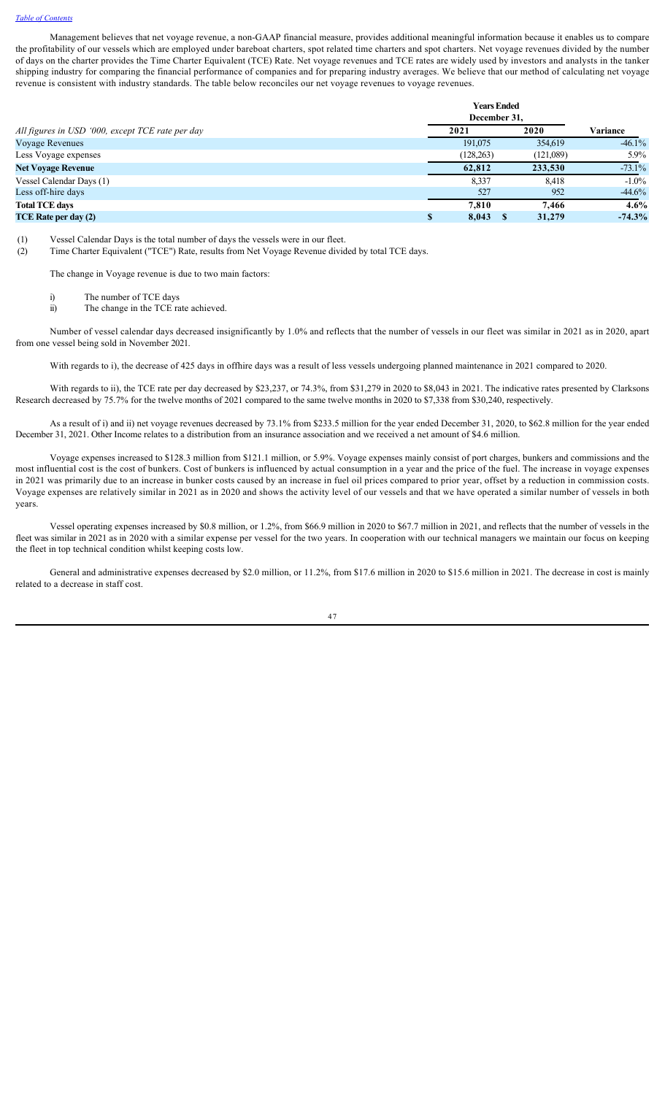Management believes that net voyage revenue, a non-GAAP financial measure, provides additional meaningful information because it enables us to compare the profitability of our vessels which are employed under bareboat charters, spot related time charters and spot charters. Net voyage revenues divided by the number of days on the charter provides the Time Charter Equivalent (TCE) Rate. Net voyage revenues and TCE rates are widely used by investors and analysts in the tanker shipping industry for comparing the financial performance of companies and for preparing industry averages. We believe that our method of calculating net voyage revenue is consistent with industry standards. The table below reconciles our net voyage revenues to voyage revenues.

|                                                  |            | <b>Years Ended</b><br>December 31. |           |  |  |  |  |
|--------------------------------------------------|------------|------------------------------------|-----------|--|--|--|--|
|                                                  |            |                                    |           |  |  |  |  |
| All figures in USD '000, except TCE rate per day | 2021       | 2020                               | Variance  |  |  |  |  |
| Voyage Revenues                                  | 191,075    | 354,619                            | $-46.1\%$ |  |  |  |  |
| Less Voyage expenses                             | (128, 263) | (121,089)                          | 5.9%      |  |  |  |  |
| <b>Net Voyage Revenue</b>                        | 62,812     | 233,530                            | $-73.1\%$ |  |  |  |  |
| Vessel Calendar Days (1)                         | 8.337      | 8.418                              | $-1.0\%$  |  |  |  |  |
| Less off-hire days                               | 527        | 952                                | $-44.6%$  |  |  |  |  |
| <b>Total TCE days</b>                            | 7.810      | 7.466                              | $4.6\%$   |  |  |  |  |
| <b>TCE Rate per day (2)</b>                      | 8.043      | 31,279                             | $-74.3\%$ |  |  |  |  |

(1) Vessel Calendar Days is the total number of days the vessels were in our fleet.

(2) Time Charter Equivalent ("TCE") Rate, results from Net Voyage Revenue divided by total TCE days.

The change in Voyage revenue is due to two main factors:

i) The number of TCE days

ii) The change in the TCE rate achieved.

Number of vessel calendar days decreased insignificantly by 1.0% and reflects that the number of vessels in our fleet was similar in 2021 as in 2020, apart from one vessel being sold in November 2021.

With regards to i), the decrease of 425 days in offhire days was a result of less vessels undergoing planned maintenance in 2021 compared to 2020.

With regards to ii), the TCE rate per day decreased by \$23,237, or 74.3%, from \$31,279 in 2020 to \$8,043 in 2021. The indicative rates presented by Clarksons Research decreased by 75.7% for the twelve months of 2021 compared to the same twelve months in 2020 to \$7,338 from \$30,240, respectively.

As a result of i) and ii) net voyage revenues decreased by 73.1% from \$233.5 million for the year ended December 31, 2020, to \$62.8 million for the year ended December 31, 2021. Other Income relates to a distribution from an insurance association and we received a net amount of \$4.6 million.

Voyage expenses increased to \$128.3 million from \$121.1 million, or 5.9%. Voyage expenses mainly consist of port charges, bunkers and commissions and the most influential cost is the cost of bunkers. Cost of bunkers is influenced by actual consumption in a year and the price of the fuel. The increase in voyage expenses in 2021 was primarily due to an increase in bunker costs caused by an increase in fuel oil prices compared to prior year, offset by a reduction in commission costs. Voyage expenses are relatively similar in 2021 as in 2020 and shows the activity level of our vessels and that we have operated a similar number of vessels in both years.

Vessel operating expenses increased by \$0.8 million, or 1.2%, from \$66.9 million in 2020 to \$67.7 million in 2021, and reflects that the number of vessels in the fleet was similar in 2021 as in 2020 with a similar expense per vessel for the two years. In cooperation with our technical managers we maintain our focus on keeping the fleet in top technical condition whilst keeping costs low.

General and administrative expenses decreased by \$2.0 million, or 11.2%, from \$17.6 million in 2020 to \$15.6 million in 2021. The decrease in cost is mainly related to a decrease in staff cost.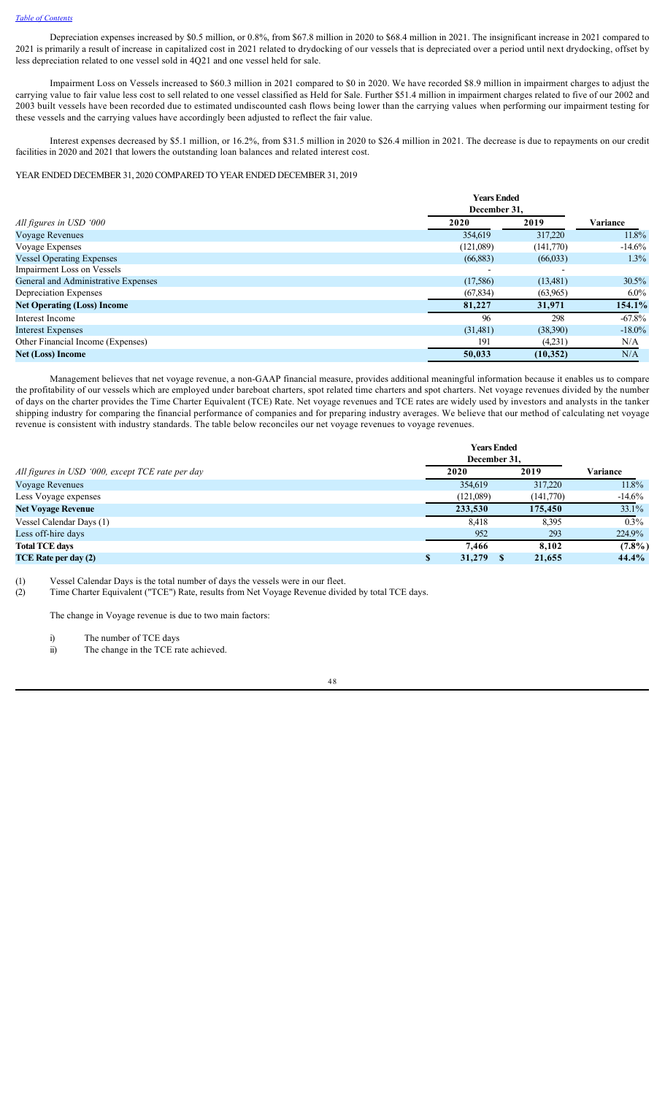Depreciation expenses increased by \$0.5 million, or 0.8%, from \$67.8 million in 2020 to \$68.4 million in 2021. The insignificant increase in 2021 compared to 2021 is primarily a result of increase in capitalized cost in 2021 related to drydocking of our vessels that is depreciated over a period until next drydocking, offset by less depreciation related to one vessel sold in 4Q21 and one vessel held for sale.

Impairment Loss on Vessels increased to \$60.3 million in 2021 compared to \$0 in 2020. We have recorded \$8.9 million in impairment charges to adjust the carrying value to fair value less cost to sell related to one vessel classified as Held for Sale. Further \$51.4 million in impairment charges related to five of our 2002 and 2003 built vessels have been recorded due to estimated undiscounted cash flows being lower than the carrying values when performing our impairment testing for these vessels and the carrying values have accordingly been adjusted to reflect the fair value.

Interest expenses decreased by \$5.1 million, or 16.2%, from \$31.5 million in 2020 to \$26.4 million in 2021. The decrease is due to repayments on our credit facilities in 2020 and 2021 that lowers the outstanding loan balances and related interest cost.

## YEAR ENDED DECEMBER 31, 2020 COMPARED TO YEAR ENDED DECEMBER 31, 2019

|                                     |           | <b>Years Ended</b><br>December 31. |           |  |  |  |
|-------------------------------------|-----------|------------------------------------|-----------|--|--|--|
| All figures in USD '000             | 2020      | 2019                               | Variance  |  |  |  |
| Voyage Revenues                     | 354,619   | 317.220                            | 11.8%     |  |  |  |
| Voyage Expenses                     | (121,089) | (141,770)                          | $-14.6\%$ |  |  |  |
| <b>Vessel Operating Expenses</b>    | (66, 883) | (66,033)                           | $1.3\%$   |  |  |  |
| <b>Impairment Loss on Vessels</b>   |           |                                    |           |  |  |  |
| General and Administrative Expenses | (17,586)  | (13,481)                           | $30.5\%$  |  |  |  |
| Depreciation Expenses               | (67, 834) | (63,965)                           | $6.0\%$   |  |  |  |
| <b>Net Operating (Loss) Income</b>  | 81,227    | 31,971                             | 154.1%    |  |  |  |
| Interest Income                     | 96        | 298                                | $-67.8\%$ |  |  |  |
| <b>Interest Expenses</b>            | (31,481)  | (38,390)                           | $-18.0\%$ |  |  |  |
| Other Financial Income (Expenses)   | 191       | (4,231)                            | N/A       |  |  |  |
| <b>Net (Loss) Income</b>            | 50.033    | (10, 352)                          | N/A       |  |  |  |

Management believes that net voyage revenue, a non-GAAP financial measure, provides additional meaningful information because it enables us to compare the profitability of our vessels which are employed under bareboat charters, spot related time charters and spot charters. Net voyage revenues divided by the number of days on the charter provides the Time Charter Equivalent (TCE) Rate. Net voyage revenues and TCE rates are widely used by investors and analysts in the tanker shipping industry for comparing the financial performance of companies and for preparing industry averages. We believe that our method of calculating net voyage revenue is consistent with industry standards. The table below reconciles our net voyage revenues to voyage revenues.

|                                                  |             | <b>Years Ended</b> |           |  |  |  |  |
|--------------------------------------------------|-------------|--------------------|-----------|--|--|--|--|
|                                                  |             | December 31.       |           |  |  |  |  |
| All figures in USD '000, except TCE rate per day | 2020        | 2019               | Variance  |  |  |  |  |
| Voyage Revenues                                  | 354,619     | 317.220            | 11.8%     |  |  |  |  |
| Less Voyage expenses                             | (121,089)   | (141,770)          | $-14.6%$  |  |  |  |  |
| <b>Net Voyage Revenue</b>                        | 233,530     | 175,450            | $33.1\%$  |  |  |  |  |
| Vessel Calendar Days (1)                         | 8,418       | 8,395              | $0.3\%$   |  |  |  |  |
| Less off-hire days                               | 952         | 293                | 224.9%    |  |  |  |  |
| <b>Total TCE days</b>                            | 7.466       | 8.102              | $(7.8\%)$ |  |  |  |  |
| TCE Rate per day (2)                             | 31,279<br>S | 21,655             | 44.4%     |  |  |  |  |

(1) Vessel Calendar Days is the total number of days the vessels were in our fleet.

(2) Time Charter Equivalent ("TCE") Rate, results from Net Voyage Revenue divided by total TCE days.

The change in Voyage revenue is due to two main factors:

i) The number of TCE days

ii) The change in the TCE rate achieved.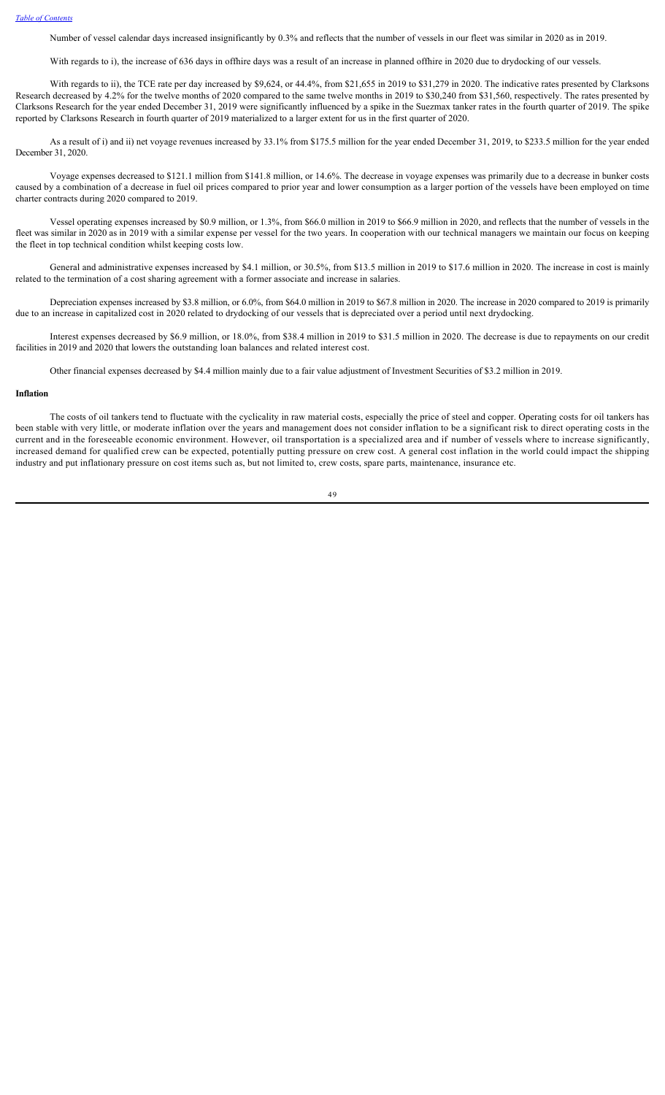Number of vessel calendar days increased insignificantly by 0.3% and reflects that the number of vessels in our fleet was similar in 2020 as in 2019.

With regards to i), the increase of 636 days in offhire days was a result of an increase in planned offhire in 2020 due to drydocking of our vessels.

With regards to ii), the TCE rate per day increased by \$9,624, or 44.4%, from \$21,655 in 2019 to \$31,279 in 2020. The indicative rates presented by Clarksons Research decreased by 4.2% for the twelve months of 2020 compared to the same twelve months in 2019 to \$30,240 from \$31,560, respectively. The rates presented by Clarksons Research for the year ended December 31, 2019 were significantly influenced by a spike in the Suezmax tanker rates in the fourth quarter of 2019. The spike reported by Clarksons Research in fourth quarter of 2019 materialized to a larger extent for us in the first quarter of 2020.

As a result of i) and ii) net voyage revenues increased by 33.1% from \$175.5 million for the year ended December 31, 2019, to \$233.5 million for the year ended December 31, 2020.

Voyage expenses decreased to \$121.1 million from \$141.8 million, or 14.6%. The decrease in voyage expenses was primarily due to a decrease in bunker costs caused by a combination of a decrease in fuel oil prices compared to prior year and lower consumption as a larger portion of the vessels have been employed on time charter contracts during 2020 compared to 2019.

Vessel operating expenses increased by \$0.9 million, or 1.3%, from \$66.0 million in 2019 to \$66.9 million in 2020, and reflects that the number of vessels in the fleet was similar in 2020 as in 2019 with a similar expense per vessel for the two years. In cooperation with our technical managers we maintain our focus on keeping the fleet in top technical condition whilst keeping costs low.

General and administrative expenses increased by \$4.1 million, or 30.5%, from \$13.5 million in 2019 to \$17.6 million in 2020. The increase in cost is mainly related to the termination of a cost sharing agreement with a former associate and increase in salaries.

Depreciation expenses increased by \$3.8 million, or 6.0%, from \$64.0 million in 2019 to \$67.8 million in 2020. The increase in 2020 compared to 2019 is primarily due to an increase in capitalized cost in 2020 related to drydocking of our vessels that is depreciated over a period until next drydocking.

Interest expenses decreased by \$6.9 million, or 18.0%, from \$38.4 million in 2019 to \$31.5 million in 2020. The decrease is due to repayments on our credit facilities in 2019 and 2020 that lowers the outstanding loan balances and related interest cost.

Other financial expenses decreased by \$4.4 million mainly due to a fair value adjustment of Investment Securities of \$3.2 million in 2019.

#### **Inflation**

The costs of oil tankers tend to fluctuate with the cyclicality in raw material costs, especially the price of steel and copper. Operating costs for oil tankers has been stable with very little, or moderate inflation over the years and management does not consider inflation to be a significant risk to direct operating costs in the current and in the foreseeable economic environment. However, oil transportation is a specialized area and if number of vessels where to increase significantly, increased demand for qualified crew can be expected, potentially putting pressure on crew cost. A general cost inflation in the world could impact the shipping industry and put inflationary pressure on cost items such as, but not limited to, crew costs, spare parts, maintenance, insurance etc.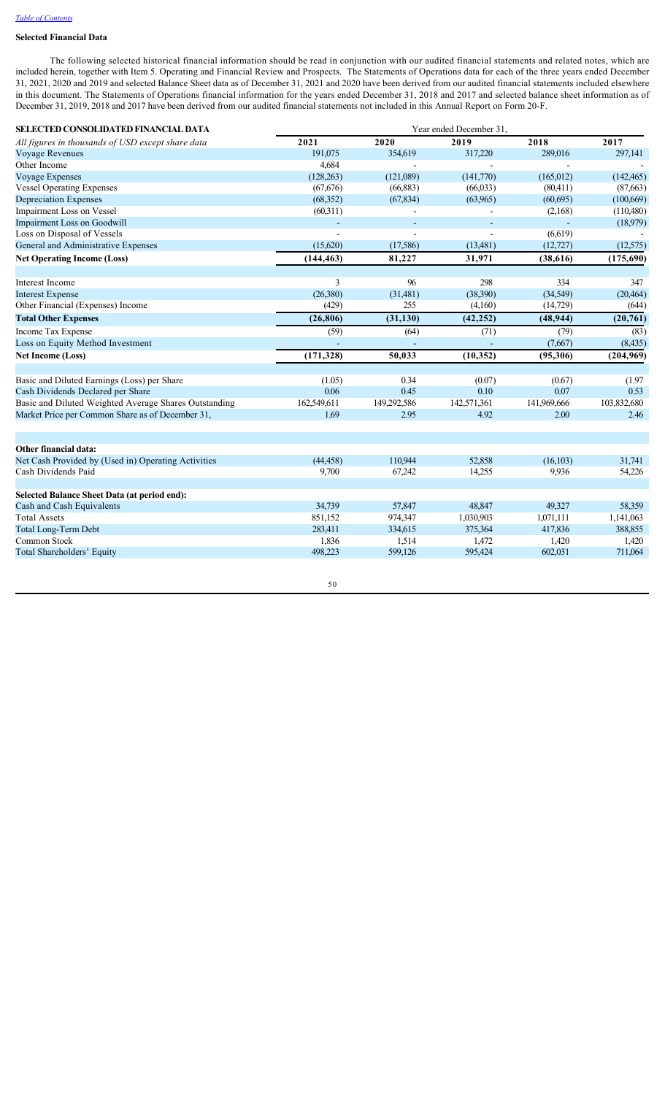# **Selected Financial Data**

The following selected historical financial information should be read in conjunction with our audited financial statements and related notes, which are included herein, together with Item 5. Operating and Financial Review and Prospects. The Statements of Operations data for each of the three years ended December 31, 2021, 2020 and 2019 and selected Balance Sheet data as of December 31, 2021 and 2020 have been derived from our audited financial statements included elsewhere in this document. The Statements of Operations financial information for the years ended December 31, 2018 and 2017 and selected balance sheet information as of December 31, 2019, 2018 and 2017 have been derived from our audited financial statements not included in this Annual Report on Form 20-F.

| <b>SELECTED CONSOLIDATED FINANCIAL DATA</b>           | Year ended December 31, |              |              |             |             |
|-------------------------------------------------------|-------------------------|--------------|--------------|-------------|-------------|
| All figures in thousands of USD except share data     | 2021                    | 2020         | 2019         | 2018        | 2017        |
| <b>Voyage Revenues</b>                                | 191,075                 | 354,619      | 317,220      | 289,016     | 297,141     |
| Other Income                                          | 4,684                   |              |              |             |             |
| Voyage Expenses                                       | (128, 263)              | (121,089)    | (141,770)    | (165,012)   | (142, 465)  |
| <b>Vessel Operating Expenses</b>                      | (67,676)                | (66, 883)    | (66,033)     | (80, 411)   | (87,663)    |
| <b>Depreciation Expenses</b>                          | (68, 352)               | (67, 834)    | (63,965)     | (60, 695)   | (100, 669)  |
| <b>Impairment Loss on Vessel</b>                      | (60,311)                |              |              | (2,168)     | (110,480)   |
| <b>Impairment Loss on Goodwill</b>                    |                         | $\mathbf{u}$ | $\mathbf{r}$ |             | (18,979)    |
| Loss on Disposal of Vessels                           |                         |              |              | (6,619)     |             |
| General and Administrative Expenses                   | (15,620)                | (17,586)     | (13,481)     | (12, 727)   | (12, 575)   |
| <b>Net Operating Income (Loss)</b>                    | (144, 463)              | 81,227       | 31,971       | (38, 616)   | (175, 690)  |
| <b>Interest Income</b>                                | 3                       | 96           | 298          | 334         | 347         |
| <b>Interest Expense</b>                               | (26, 380)               | (31,481)     | (38, 390)    | (34, 549)   | (20, 464)   |
| Other Financial (Expenses) Income                     | (429)                   | 255          | (4,160)      | (14, 729)   | (644)       |
| <b>Total Other Expenses</b>                           | (26, 806)               | (31, 130)    | (42, 252)    | (48, 944)   | (20, 761)   |
| Income Tax Expense                                    | (59)                    | (64)         | (71)         | (79)        | (83)        |
| Loss on Equity Method Investment                      |                         |              |              | (7,667)     | (8, 435)    |
| <b>Net Income (Loss)</b>                              | (171, 328)              | 50,033       | (10, 352)    | (95,306)    | (204,969)   |
|                                                       |                         |              |              |             |             |
| Basic and Diluted Earnings (Loss) per Share           | (1.05)                  | 0.34         | (0.07)       | (0.67)      | (1.97)      |
| Cash Dividends Declared per Share                     | 0.06                    | 0.45         | 0.10         | 0.07        | 0.53        |
| Basic and Diluted Weighted Average Shares Outstanding | 162,549,611             | 149,292,586  | 142,571,361  | 141,969,666 | 103,832,680 |
| Market Price per Common Share as of December 31,      | 1.69                    | 2.95         | 4.92         | 2.00        | 2.46        |
| Other financial data:                                 |                         |              |              |             |             |
| Net Cash Provided by (Used in) Operating Activities   | (44, 458)               | 110,944      | 52,858       | (16, 103)   | 31,741      |
| Cash Dividends Paid                                   | 9,700                   | 67,242       | 14,255       | 9,936       | 54,226      |
|                                                       |                         |              |              |             |             |
| <b>Selected Balance Sheet Data (at period end):</b>   |                         |              |              |             |             |
| Cash and Cash Equivalents                             | 34,739                  | 57,847       | 48,847       | 49,327      | 58,359      |
| <b>Total Assets</b>                                   | 851,152                 | 974,347      | 1,030,903    | 1,071,111   | 1,141,063   |
| <b>Total Long-Term Debt</b>                           | 283,411                 | 334,615      | 375,364      | 417,836     | 388,855     |
| Common Stock                                          | 1,836                   | 1,514        | 1,472        | 1,420       | 1,420       |
| Total Shareholders' Equity                            | 498,223                 | 599,126      | 595,424      | 602,031     | 711,064     |
|                                                       |                         |              |              |             |             |
|                                                       | 50                      |              |              |             |             |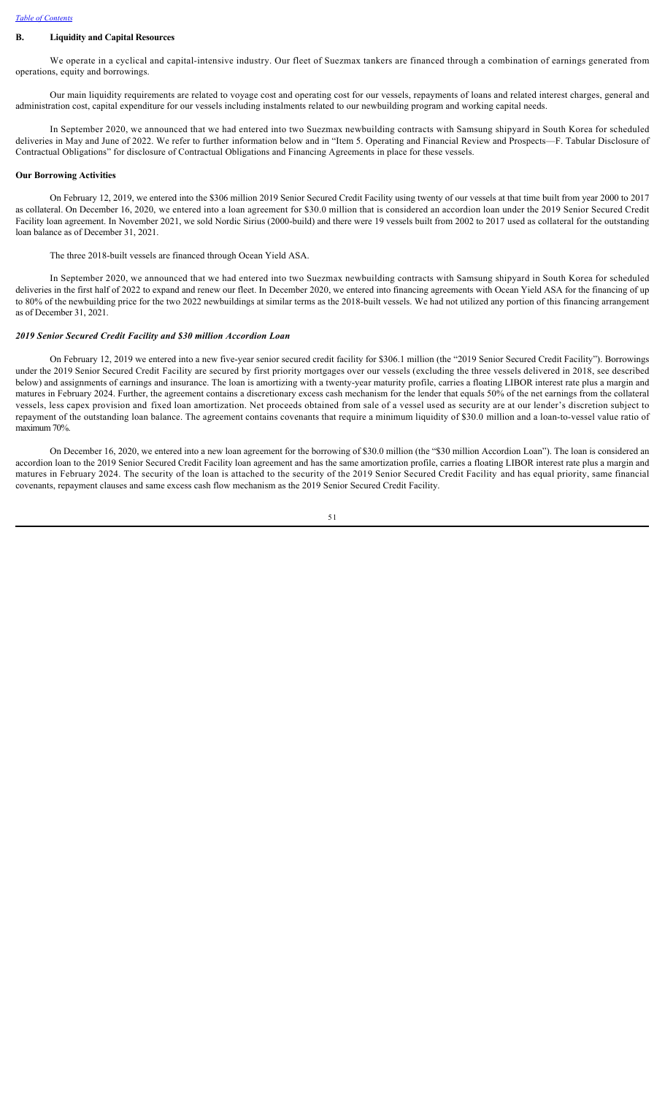# **B. Liquidity and Capital Resources**

We operate in a cyclical and capital-intensive industry. Our fleet of Suezmax tankers are financed through a combination of earnings generated from operations, equity and borrowings.

Our main liquidity requirements are related to voyage cost and operating cost for our vessels, repayments of loans and related interest charges, general and administration cost, capital expenditure for our vessels including instalments related to our newbuilding program and working capital needs.

In September 2020, we announced that we had entered into two Suezmax newbuilding contracts with Samsung shipyard in South Korea for scheduled deliveries in May and June of 2022. We refer to further information below and in "Item 5. Operating and Financial Review and Prospects—F. Tabular Disclosure of Contractual Obligations" for disclosure of Contractual Obligations and Financing Agreements in place for these vessels.

#### **Our Borrowing Activities**

On February 12, 2019, we entered into the \$306 million 2019 Senior Secured Credit Facility using twenty of our vessels at that time built from year 2000 to 2017 as collateral. On December 16, 2020, we entered into a loan agreement for \$30.0 million that is considered an accordion loan under the 2019 Senior Secured Credit Facility loan agreement. In November 2021, we sold Nordic Sirius (2000-build) and there were 19 vessels built from 2002 to 2017 used as collateral for the outstanding loan balance as of December 31, 2021.

The three 2018-built vessels are financed through Ocean Yield ASA.

In September 2020, we announced that we had entered into two Suezmax newbuilding contracts with Samsung shipyard in South Korea for scheduled deliveries in the first half of 2022 to expand and renew our fleet. In December 2020, we entered into financing agreements with Ocean Yield ASA for the financing of up to 80% of the newbuilding price for the two 2022 newbuildings at similar terms as the 2018-built vessels. We had not utilized any portion of this financing arrangement as of December 31, 2021.

### *2019 Senior Secured Credit Facility and \$30 million Accordion Loan*

On February 12, 2019 we entered into a new five-year senior secured credit facility for \$306.1 million (the "2019 Senior Secured Credit Facility"). Borrowings under the 2019 Senior Secured Credit Facility are secured by first priority mortgages over our vessels (excluding the three vessels delivered in 2018, see described below) and assignments of earnings and insurance. The loan is amortizing with a twenty-year maturity profile, carries a floating LIBOR interest rate plus a margin and matures in February 2024. Further, the agreement contains a discretionary excess cash mechanism for the lender that equals 50% of the net earnings from the collateral vessels, less capex provision and fixed loan amortization. Net proceeds obtained from sale of a vessel used as security are at our lender's discretion subject to repayment of the outstanding loan balance. The agreement contains covenants that require a minimum liquidity of \$30.0 million and a loan-to-vessel value ratio of maximum 70%.

On December 16, 2020, we entered into a new loan agreement for the borrowing of \$30.0 million (the "\$30 million Accordion Loan"). The loan is considered an accordion loan to the 2019 Senior Secured Credit Facility loan agreement and has the same amortization profile, carries a floating LIBOR interest rate plus a margin and matures in February 2024. The security of the loan is attached to the security of the 2019 Senior Secured Credit Facility and has equal priority, same financial covenants, repayment clauses and same excess cash flow mechanism as the 2019 Senior Secured Credit Facility.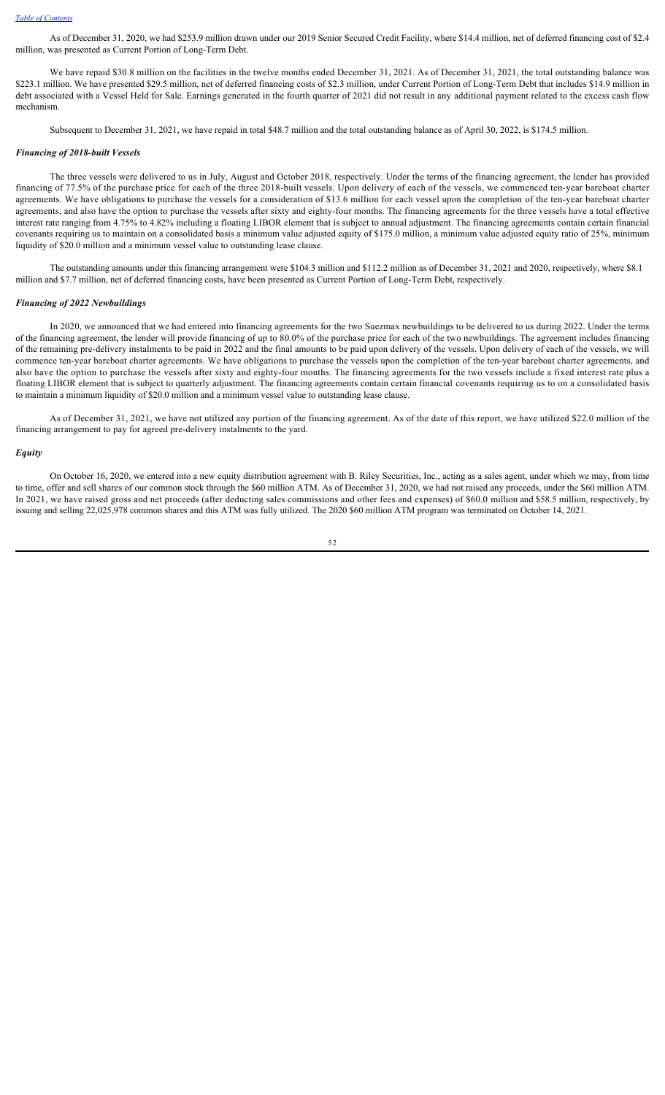As of December 31, 2020, we had \$253.9 million drawn under our 2019 Senior Secured Credit Facility, where \$14.4 million, net of deferred financing cost of \$2.4 million, was presented as Current Portion of Long-Term Debt.

We have repaid \$30.8 million on the facilities in the twelve months ended December 31, 2021. As of December 31, 2021, the total outstanding balance was \$223.1 million. We have presented \$29.5 million, net of deferred financing costs of \$2.3 million, under Current Portion of Long-Term Debt that includes \$14.9 million in debt associated with a Vessel Held for Sale. Earnings generated in the fourth quarter of 2021 did not result in any additional payment related to the excess cash flow mechanism.

Subsequent to December 31, 2021, we have repaid in total \$48.7 million and the total outstanding balance as of April 30, 2022, is \$174.5 million.

#### *Financing of 2018-built Vessels*

The three vessels were delivered to us in July, August and October 2018, respectively. Under the terms of the financing agreement, the lender has provided financing of 77.5% of the purchase price for each of the three 2018-built vessels. Upon delivery of each of the vessels, we commenced ten-year bareboat charter agreements. We have obligations to purchase the vessels for a consideration of \$13.6 million for each vessel upon the completion of the ten-year bareboat charter agreements, and also have the option to purchase the vessels after sixty and eighty-four months. The financing agreements for the three vessels have a total effective interest rate ranging from 4.75% to 4.82% including a floating LIBOR element that is subject to annual adjustment. The financing agreements contain certain financial covenants requiring us to maintain on a consolidated basis a minimum value adjusted equity of \$175.0 million, a minimum value adjusted equity ratio of 25%, minimum liquidity of \$20.0 million and a minimum vessel value to outstanding lease clause.

The outstanding amounts under this financing arrangement were \$104.3 million and \$112.2 million as of December 31, 2021 and 2020, respectively, where \$8.1 million and \$7.7 million, net of deferred financing costs, have been presented as Current Portion of Long-Term Debt, respectively.

### *Financing of 2022 Newbuildings*

In 2020, we announced that we had entered into financing agreements for the two Suezmax newbuildings to be delivered to us during 2022. Under the terms of the financing agreement, the lender will provide financing of up to 80.0% of the purchase price for each of the two newbuildings. The agreement includes financing of the remaining pre-delivery instalments to be paid in 2022 and the final amounts to be paid upon delivery of the vessels. Upon delivery of each of the vessels, we will commence ten-year bareboat charter agreements. We have obligations to purchase the vessels upon the completion of the ten-year bareboat charter agreements, and also have the option to purchase the vessels after sixty and eighty-four months. The financing agreements for the two vessels include a fixed interest rate plus a floating LIBOR element that is subject to quarterly adjustment. The financing agreements contain certain financial covenants requiring us to on a consolidated basis to maintain a minimum liquidity of \$20.0 million and a minimum vessel value to outstanding lease clause.

As of December 31, 2021, we have not utilized any portion of the financing agreement. As of the date of this report, we have utilized \$22.0 million of the financing arrangement to pay for agreed pre-delivery instalments to the yard.

## *Equity*

On October 16, 2020, we entered into a new equity distribution agreement with B. Riley Securities, Inc., acting as a sales agent, under which we may, from time to time, offer and sell shares of our common stock through the \$60 million ATM. As of December 31, 2020, we had not raised any proceeds, under the \$60 million ATM. In 2021, we have raised gross and net proceeds (after deducting sales commissions and other fees and expenses) of \$60.0 million and \$58.5 million, respectively, by issuing and selling 22,025,978 common shares and this ATM was fully utilized. The 2020 \$60 million ATM program was terminated on October 14, 2021.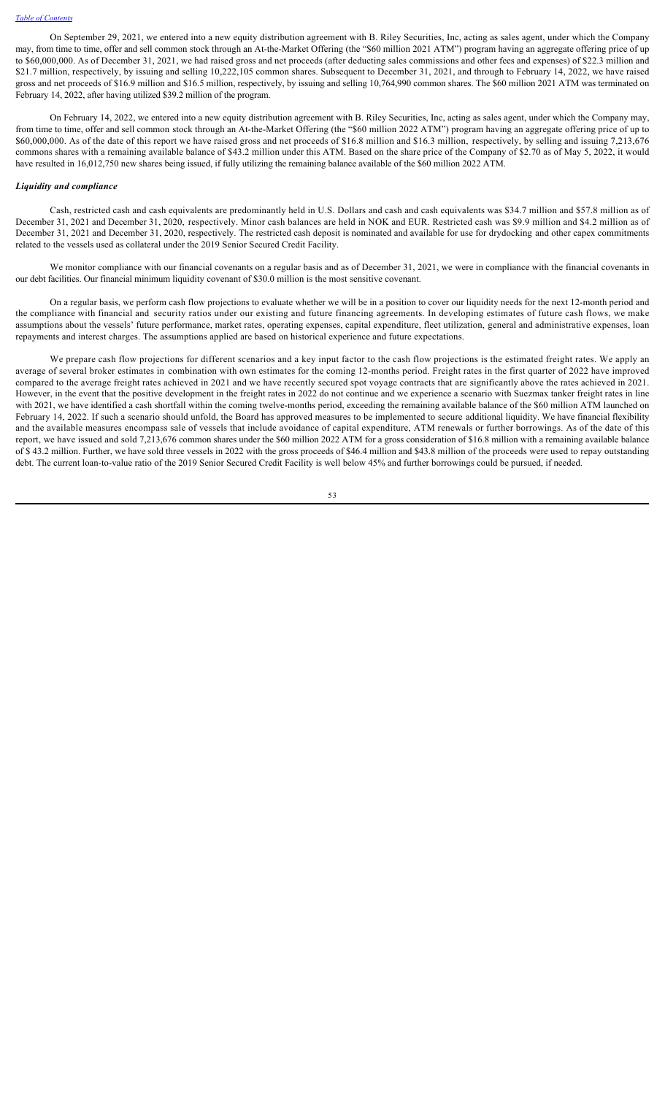On September 29, 2021, we entered into a new equity distribution agreement with B. Riley Securities, Inc, acting as sales agent, under which the Company may, from time to time, offer and sell common stock through an At-the-Market Offering (the "\$60 million 2021 ATM") program having an aggregate offering price of up to \$60,000,000. As of December 31, 2021, we had raised gross and net proceeds (after deducting sales commissions and other fees and expenses) of \$22.3 million and \$21.7 million, respectively, by issuing and selling 10,222,105 common shares. Subsequent to December 31, 2021, and through to February 14, 2022, we have raised gross and net proceeds of \$16.9 million and \$16.5 million, respectively, by issuing and selling 10,764,990 common shares. The \$60 million 2021 ATM was terminated on February 14, 2022, after having utilized \$39.2 million of the program.

On February 14, 2022, we entered into a new equity distribution agreement with B. Riley Securities, Inc, acting as sales agent, under which the Company may, from time to time, offer and sell common stock through an At-the-Market Offering (the "\$60 million 2022 ATM") program having an aggregate offering price of up to \$60,000,000. As of the date of this report we have raised gross and net proceeds of \$16.8 million and \$16.3 million, respectively, by selling and issuing 7,213,676 commons shares with a remaining available balance of \$43.2 million under this ATM. Based on the share price of the Company of \$2.70 as of May 5, 2022, it would have resulted in 16,012,750 new shares being issued, if fully utilizing the remaining balance available of the \$60 million 2022 ATM.

## *Liquidity and compliance*

Cash, restricted cash and cash equivalents are predominantly held in U.S. Dollars and cash and cash equivalents was \$34.7 million and \$57.8 million as of December 31, 2021 and December 31, 2020, respectively. Minor cash balances are held in NOK and EUR. Restricted cash was \$9.9 million and \$4.2 million as of December 31, 2021 and December 31, 2020, respectively. The restricted cash deposit is nominated and available for use for drydocking and other capex commitments related to the vessels used as collateral under the 2019 Senior Secured Credit Facility.

We monitor compliance with our financial covenants on a regular basis and as of December 31, 2021, we were in compliance with the financial covenants in our debt facilities. Our financial minimum liquidity covenant of \$30.0 million is the most sensitive covenant.

On a regular basis, we perform cash flow projections to evaluate whether we will be in a position to cover our liquidity needs for the next 12-month period and the compliance with financial and security ratios under our existing and future financing agreements. In developing estimates of future cash flows, we make assumptions about the vessels' future performance, market rates, operating expenses, capital expenditure, fleet utilization, general and administrative expenses, loan repayments and interest charges. The assumptions applied are based on historical experience and future expectations.

We prepare cash flow projections for different scenarios and a key input factor to the cash flow projections is the estimated freight rates. We apply an average of several broker estimates in combination with own estimates for the coming 12-months period. Freight rates in the first quarter of 2022 have improved compared to the average freight rates achieved in 2021 and we have recently secured spot voyage contracts that are significantly above the rates achieved in 2021. However, in the event that the positive development in the freight rates in 2022 do not continue and we experience a scenario with Suezmax tanker freight rates in line with 2021, we have identified a cash shortfall within the coming twelve-months period, exceeding the remaining available balance of the \$60 million ATM launched on February 14, 2022. If such a scenario should unfold, the Board has approved measures to be implemented to secure additional liquidity. We have financial flexibility and the available measures encompass sale of vessels that include avoidance of capital expenditure, ATM renewals or further borrowings. As of the date of this report, we have issued and sold 7,213,676 common shares under the \$60 million 2022 ATM for a gross consideration of \$16.8 million with a remaining available balance of \$ 43.2 million. Further, we have sold three vessels in 2022 with the gross proceeds of \$46.4 million and \$43.8 million of the proceeds were used to repay outstanding debt. The current loan-to-value ratio of the 2019 Senior Secured Credit Facility is well below 45% and further borrowings could be pursued, if needed.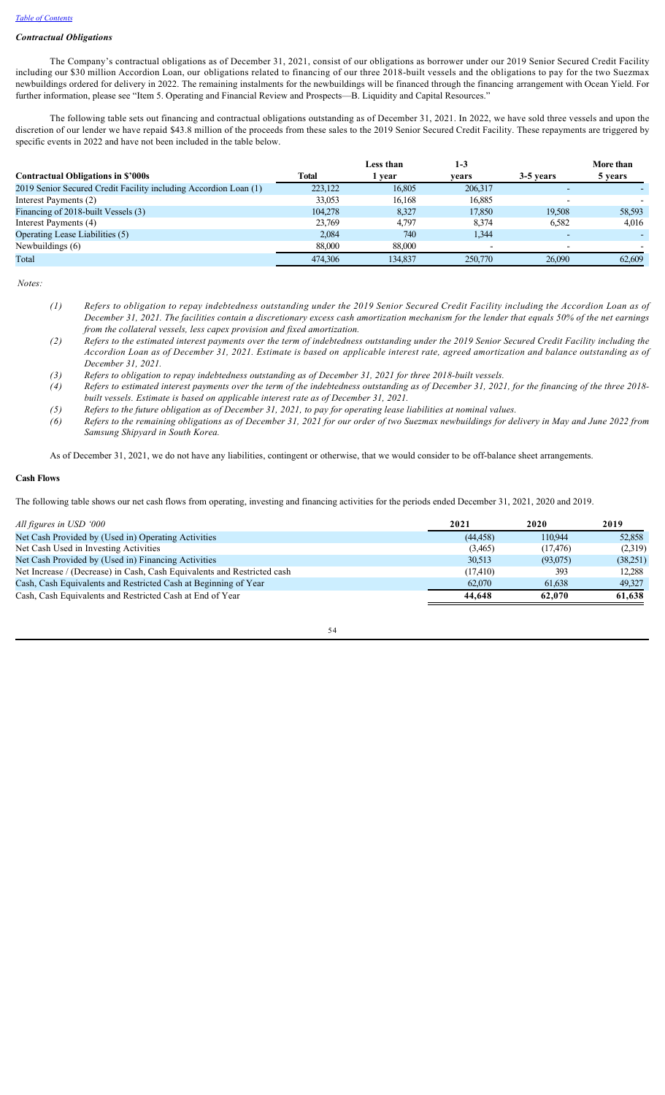## *Contractual Obligations*

The Company's contractual obligations as of December 31, 2021, consist of our obligations as borrower under our 2019 Senior Secured Credit Facility including our \$30 million Accordion Loan, our obligations related to financing of our three 2018-built vessels and the obligations to pay for the two Suezmax newbuildings ordered for delivery in 2022. The remaining instalments for the newbuildings will be financed through the financing arrangement with Ocean Yield. For further information, please see "Item 5. Operating and Financial Review and Prospects—B. Liquidity and Capital Resources."

The following table sets out financing and contractual obligations outstanding as of December 31, 2021. In 2022, we have sold three vessels and upon the discretion of our lender we have repaid \$43.8 million of the proceeds from these sales to the 2019 Senior Secured Credit Facility. These repayments are triggered by specific events in 2022 and have not been included in the table below.

|                                                                  |         | <b>Less than</b> | $1 - 3$                  |                          | More than |
|------------------------------------------------------------------|---------|------------------|--------------------------|--------------------------|-----------|
| Contractual Obligations in \$'000s                               | Total   | vear             | vears                    | 3-5 years                | 5 years   |
| 2019 Senior Secured Credit Facility including Accordion Loan (1) | 223,122 | 16,805           | 206,317                  |                          |           |
| Interest Payments (2)                                            | 33,053  | 16.168           | 16.885                   | $\overline{\phantom{0}}$ |           |
| Financing of 2018-built Vessels (3)                              | 104.278 | 8,327            | 17,850                   | 19.508                   | 58,593    |
| Interest Payments (4)                                            | 23,769  | 4,797            | 8,374                    | 6,582                    | 4,016     |
| Operating Lease Liabilities (5)                                  | 2.084   | 740              | 1,344                    |                          |           |
| Newbuildings $(6)$                                               | 88,000  | 88,000           | $\overline{\phantom{0}}$ | $\overline{\phantom{0}}$ |           |
| Total                                                            | 474,306 | 134,837          | 250,770                  | 26,090                   | 62,609    |

*Notes:*

- *(1) Refers to obligation to repay indebtedness outstanding under the 2019 Senior Secured Credit Facility including the Accordion Loan as of December 31, 2021. The facilities contain a discretionary excess cash amortization mechanism for the lender that equals 50% of the net earnings from the collateral vessels, less capex provision and fixed amortization.*
- *(2) Refers to the estimated interest payments over the term of indebtedness outstanding under the 2019 Senior Secured Credit Facility including the Accordion Loan as of December 31, 2021. Estimate is based on applicable interest rate, agreed amortization and balance outstanding as of December 31, 2021.*
- *(3) Refers to obligation to repay indebtedness outstanding as of December 31, 2021 for three 2018-built vessels.*
- *(4) Refers to estimated interest payments over the term of the indebtedness outstanding as of December 31, 2021, for the financing of the three 2018 built vessels. Estimate is based on applicable interest rate as of December 31, 2021.*
- *(5) Refers to the future obligation as of December 31, 2021, to pay for operating lease liabilities at nominal values.*
- *(6) Refers to the remaining obligations as of December 31, 2021 for our order of two Suezmax newbuildings for delivery in May and June 2022 from Samsung Shipyard in South Korea.*

As of December 31, 2021, we do not have any liabilities, contingent or otherwise, that we would consider to be off-balance sheet arrangements.

# **Cash Flows**

The following table shows our net cash flows from operating, investing and financing activities for the periods ended December 31, 2021, 2020 and 2019.

| All figures in USD '000                                                 | 2021      | 2020      | 2019     |
|-------------------------------------------------------------------------|-----------|-----------|----------|
| Net Cash Provided by (Used in) Operating Activities                     | (44, 458) | 110.944   | 52,858   |
| Net Cash Used in Investing Activities                                   | (3,465)   | (17, 476) | (2,319)  |
| Net Cash Provided by (Used in) Financing Activities                     | 30,513    | (93,075)  | (38,251) |
| Net Increase / (Decrease) in Cash, Cash Equivalents and Restricted cash | (17, 410) | 393       | 12,288   |
| Cash, Cash Equivalents and Restricted Cash at Beginning of Year         | 62,070    | 61.638    | 49.327   |
| Cash, Cash Equivalents and Restricted Cash at End of Year               | 44,648    | 62.070    | 61,638   |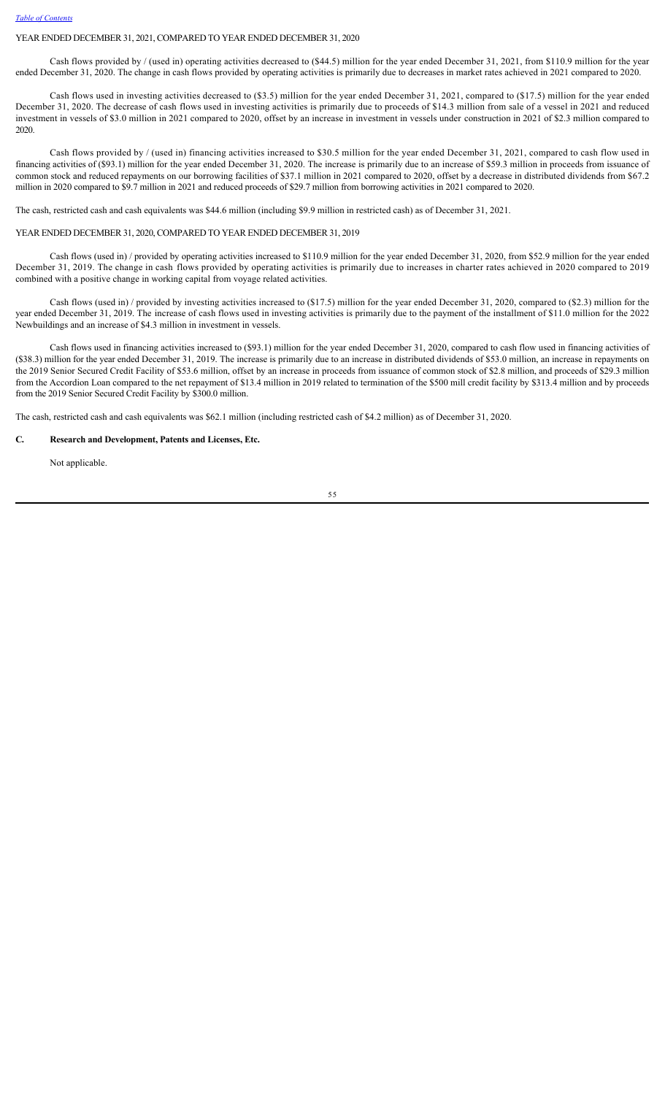### YEAR ENDED DECEMBER 31, 2021, COMPARED TO YEAR ENDED DECEMBER 31, 2020

Cash flows provided by / (used in) operating activities decreased to (\$44.5) million for the year ended December 31, 2021, from \$110.9 million for the year ended December 31, 2020. The change in cash flows provided by operating activities is primarily due to decreases in market rates achieved in 2021 compared to 2020.

Cash flows used in investing activities decreased to (\$3.5) million for the year ended December 31, 2021, compared to (\$17.5) million for the year ended December 31, 2020. The decrease of cash flows used in investing activities is primarily due to proceeds of \$14.3 million from sale of a vessel in 2021 and reduced investment in vessels of \$3.0 million in 2021 compared to 2020, offset by an increase in investment in vessels under construction in 2021 of \$2.3 million compared to 2020.

Cash flows provided by / (used in) financing activities increased to \$30.5 million for the year ended December 31, 2021, compared to cash flow used in financing activities of (\$93.1) million for the year ended December 31, 2020. The increase is primarily due to an increase of \$59.3 million in proceeds from issuance of common stock and reduced repayments on our borrowing facilities of \$37.1 million in 2021 compared to 2020, offset by a decrease in distributed dividends from \$67.2 million in 2020 compared to \$9.7 million in 2021 and reduced proceeds of \$29.7 million from borrowing activities in 2021 compared to 2020.

The cash, restricted cash and cash equivalents was \$44.6 million (including \$9.9 million in restricted cash) as of December 31, 2021.

### YEAR ENDED DECEMBER 31, 2020, COMPARED TO YEAR ENDED DECEMBER 31, 2019

Cash flows (used in) / provided by operating activities increased to \$110.9 million for the year ended December 31, 2020, from \$52.9 million for the year ended December 31, 2019. The change in cash flows provided by operating activities is primarily due to increases in charter rates achieved in 2020 compared to 2019 combined with a positive change in working capital from voyage related activities.

Cash flows (used in) / provided by investing activities increased to (\$17.5) million for the year ended December 31, 2020, compared to (\$2.3) million for the year ended December 31, 2019. The increase of cash flows used in investing activities is primarily due to the payment of the installment of \$11.0 million for the 2022 Newbuildings and an increase of \$4.3 million in investment in vessels.

Cash flows used in financing activities increased to (\$93.1) million for the year ended December 31, 2020, compared to cash flow used in financing activities of (\$38.3) million for the year ended December 31, 2019. The increase is primarily due to an increase in distributed dividends of \$53.0 million, an increase in repayments on the 2019 Senior Secured Credit Facility of \$53.6 million, offset by an increase in proceeds from issuance of common stock of \$2.8 million, and proceeds of \$29.3 million from the Accordion Loan compared to the net repayment of \$13.4 million in 2019 related to termination of the \$500 mill credit facility by \$313.4 million and by proceeds from the 2019 Senior Secured Credit Facility by \$300.0 million.

The cash, restricted cash and cash equivalents was \$62.1 million (including restricted cash of \$4.2 million) as of December 31, 2020.

# **C. Research and Development, Patents and Licenses, Etc.**

Not applicable.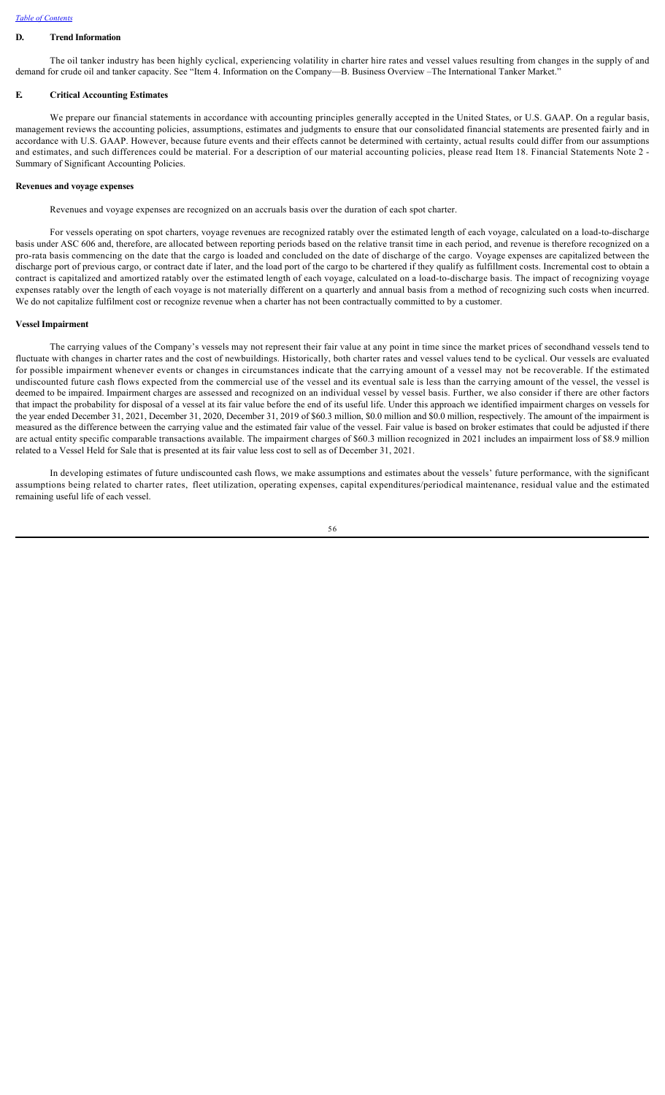# **D. Trend Information**

The oil tanker industry has been highly cyclical, experiencing volatility in charter hire rates and vessel values resulting from changes in the supply of and demand for crude oil and tanker capacity. See "Item 4. Information on the Company—B. Business Overview –The International Tanker Market."

## **E. Critical Accounting Estimates**

We prepare our financial statements in accordance with accounting principles generally accepted in the United States, or U.S. GAAP. On a regular basis, management reviews the accounting policies, assumptions, estimates and judgments to ensure that our consolidated financial statements are presented fairly and in accordance with U.S. GAAP. However, because future events and their effects cannot be determined with certainty, actual results could differ from our assumptions and estimates, and such differences could be material. For a description of our material accounting policies, please read Item 18. Financial Statements Note 2 -Summary of Significant Accounting Policies.

#### **Revenues and voyage expenses**

Revenues and voyage expenses are recognized on an accruals basis over the duration of each spot charter.

For vessels operating on spot charters, voyage revenues are recognized ratably over the estimated length of each voyage, calculated on a load-to-discharge basis under ASC 606 and, therefore, are allocated between reporting periods based on the relative transit time in each period, and revenue is therefore recognized on a pro-rata basis commencing on the date that the cargo is loaded and concluded on the date of discharge of the cargo. Voyage expenses are capitalized between the discharge port of previous cargo, or contract date if later, and the load port of the cargo to be chartered if they qualify as fulfillment costs. Incremental cost to obtain a contract is capitalized and amortized ratably over the estimated length of each voyage, calculated on a load-to-discharge basis. The impact of recognizing voyage expenses ratably over the length of each voyage is not materially different on a quarterly and annual basis from a method of recognizing such costs when incurred. We do not capitalize fulfilment cost or recognize revenue when a charter has not been contractually committed to by a customer.

#### **Vessel Impairment**

The carrying values of the Company's vessels may not represent their fair value at any point in time since the market prices of secondhand vessels tend to fluctuate with changes in charter rates and the cost of newbuildings. Historically, both charter rates and vessel values tend to be cyclical. Our vessels are evaluated for possible impairment whenever events or changes in circumstances indicate that the carrying amount of a vessel may not be recoverable. If the estimated undiscounted future cash flows expected from the commercial use of the vessel and its eventual sale is less than the carrying amount of the vessel, the vessel is deemed to be impaired. Impairment charges are assessed and recognized on an individual vessel by vessel basis. Further, we also consider if there are other factors that impact the probability for disposal of a vessel at its fair value before the end of its useful life. Under this approach we identified impairment charges on vessels for the year ended December 31, 2021, December 31, 2020, December 31, 2019 of \$60.3 million, \$0.0 million and \$0.0 million, respectively. The amount of the impairment is measured as the difference between the carrying value and the estimated fair value of the vessel. Fair value is based on broker estimates that could be adjusted if there are actual entity specific comparable transactions available. The impairment charges of \$60.3 million recognized in 2021 includes an impairment loss of \$8.9 million related to a Vessel Held for Sale that is presented at its fair value less cost to sell as of December 31, 2021.

In developing estimates of future undiscounted cash flows, we make assumptions and estimates about the vessels' future performance, with the significant assumptions being related to charter rates, fleet utilization, operating expenses, capital expenditures/periodical maintenance, residual value and the estimated remaining useful life of each vessel.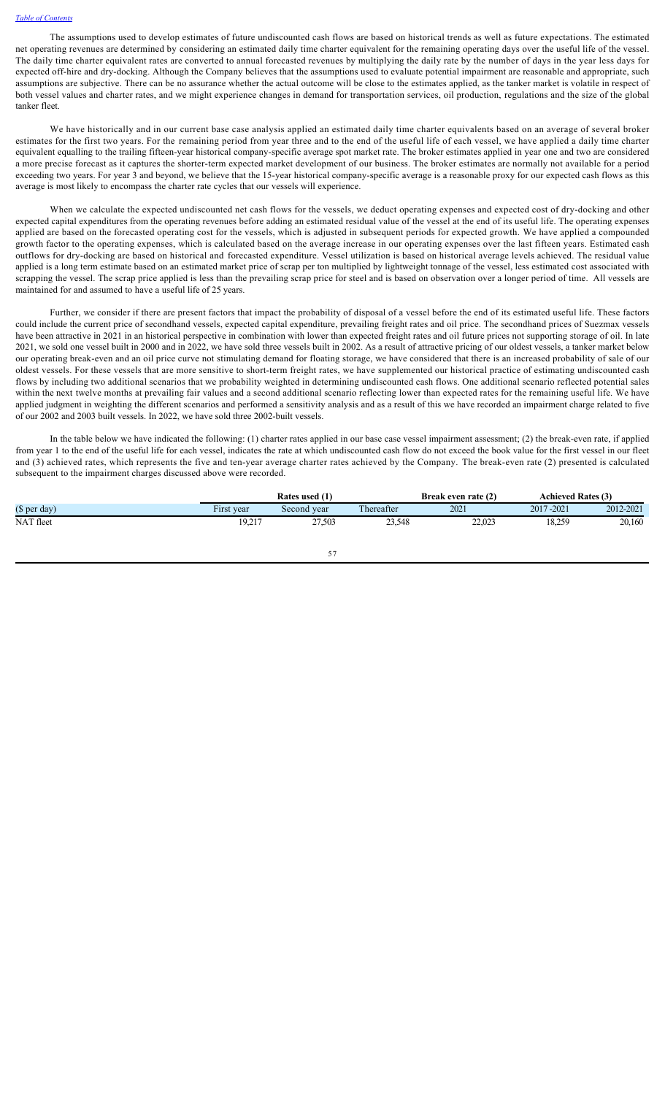The assumptions used to develop estimates of future undiscounted cash flows are based on historical trends as well as future expectations. The estimated net operating revenues are determined by considering an estimated daily time charter equivalent for the remaining operating days over the useful life of the vessel. The daily time charter equivalent rates are converted to annual forecasted revenues by multiplying the daily rate by the number of days in the year less days for expected off-hire and dry-docking. Although the Company believes that the assumptions used to evaluate potential impairment are reasonable and appropriate, such assumptions are subjective. There can be no assurance whether the actual outcome will be close to the estimates applied, as the tanker market is volatile in respect of both vessel values and charter rates, and we might experience changes in demand for transportation services, oil production, regulations and the size of the global tanker fleet.

We have historically and in our current base case analysis applied an estimated daily time charter equivalents based on an average of several broker estimates for the first two years. For the remaining period from year three and to the end of the useful life of each vessel, we have applied a daily time charter equivalent equalling to the trailing fifteen-year historical company-specific average spot market rate. The broker estimates applied in year one and two are considered a more precise forecast as it captures the shorter-term expected market development of our business. The broker estimates are normally not available for a period exceeding two years. For year 3 and beyond, we believe that the 15-year historical company-specific average is a reasonable proxy for our expected cash flows as this average is most likely to encompass the charter rate cycles that our vessels will experience.

When we calculate the expected undiscounted net cash flows for the vessels, we deduct operating expenses and expected cost of dry-docking and other expected capital expenditures from the operating revenues before adding an estimated residual value of the vessel at the end of its useful life. The operating expenses applied are based on the forecasted operating cost for the vessels, which is adjusted in subsequent periods for expected growth. We have applied a compounded growth factor to the operating expenses, which is calculated based on the average increase in our operating expenses over the last fifteen years. Estimated cash outflows for dry-docking are based on historical and forecasted expenditure. Vessel utilization is based on historical average levels achieved. The residual value applied is a long term estimate based on an estimated market price of scrap per ton multiplied by lightweight tonnage of the vessel, less estimated cost associated with scrapping the vessel. The scrap price applied is less than the prevailing scrap price for steel and is based on observation over a longer period of time. All vessels are maintained for and assumed to have a useful life of 25 years.

Further, we consider if there are present factors that impact the probability of disposal of a vessel before the end of its estimated useful life. These factors could include the current price of secondhand vessels, expected capital expenditure, prevailing freight rates and oil price. The secondhand prices of Suezmax vessels have been attractive in 2021 in an historical perspective in combination with lower than expected freight rates and oil future prices not supporting storage of oil. In late 2021, we sold one vessel built in 2000 and in 2022, we have sold three vessels built in 2002. As a result of attractive pricing of our oldest vessels, a tanker market below our operating break-even and an oil price curve not stimulating demand for floating storage, we have considered that there is an increased probability of sale of our oldest vessels. For these vessels that are more sensitive to short-term freight rates, we have supplemented our historical practice of estimating undiscounted cash flows by including two additional scenarios that we probability weighted in determining undiscounted cash flows. One additional scenario reflected potential sales within the next twelve months at prevailing fair values and a second additional scenario reflecting lower than expected rates for the remaining useful life. We have applied judgment in weighting the different scenarios and performed a sensitivity analysis and as a result of this we have recorded an impairment charge related to five of our 2002 and 2003 built vessels. In 2022, we have sold three 2002-built vessels.

In the table below we have indicated the following: (1) charter rates applied in our base case vessel impairment assessment; (2) the break-even rate, if applied from year 1 to the end of the useful life for each vessel, indicates the rate at which undiscounted cash flow do not exceed the book value for the first vessel in our fleet and (3) achieved rates, which represents the five and ten-year average charter rates achieved by the Company. The break-even rate (2) presented is calculated subsequent to the impairment charges discussed above were recorded.

|              |            | Rates used (1) |            |        | <b>Achieved Rates (3)</b><br>Break even rate (2) |           |  |  |
|--------------|------------|----------------|------------|--------|--------------------------------------------------|-----------|--|--|
| $$$ per day) | First year | Second year    | Thereafter | 2021   | 2017-2021                                        | 2012-2021 |  |  |
| NAT fleet    | 19.217     | 27,503         | 23,548     | 22,023 | 18,259                                           | 20,160    |  |  |
|              |            |                |            |        |                                                  |           |  |  |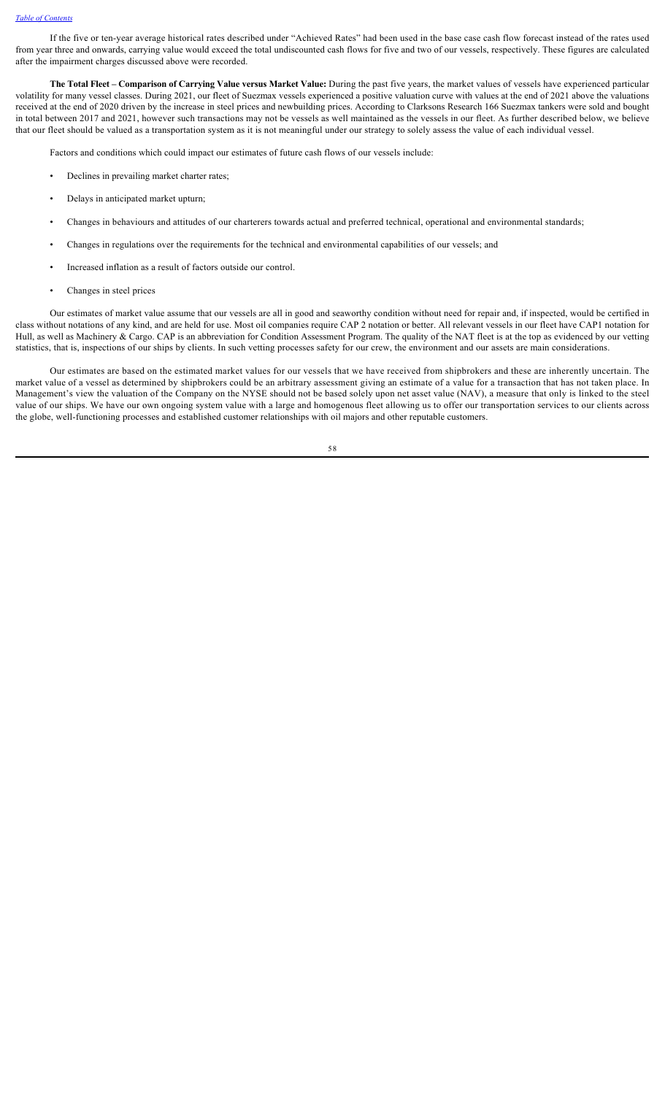If the five or ten-year average historical rates described under "Achieved Rates" had been used in the base case cash flow forecast instead of the rates used from year three and onwards, carrying value would exceed the total undiscounted cash flows for five and two of our vessels, respectively. These figures are calculated after the impairment charges discussed above were recorded.

**The Total Fleet – Comparison of Carrying Value versus Market Value:** During the past five years, the market values of vessels have experienced particular volatility for many vessel classes. During 2021, our fleet of Suezmax vessels experienced a positive valuation curve with values at the end of 2021 above the valuations received at the end of 2020 driven by the increase in steel prices and newbuilding prices. According to Clarksons Research 166 Suezmax tankers were sold and bought in total between 2017 and 2021, however such transactions may not be vessels as well maintained as the vessels in our fleet. As further described below, we believe that our fleet should be valued as a transportation system as it is not meaningful under our strategy to solely assess the value of each individual vessel.

Factors and conditions which could impact our estimates of future cash flows of our vessels include:

- Declines in prevailing market charter rates;
- Delays in anticipated market upturn;
- Changes in behaviours and attitudes of our charterers towards actual and preferred technical, operational and environmental standards;
- Changes in regulations over the requirements for the technical and environmental capabilities of our vessels; and
- Increased inflation as a result of factors outside our control.
- Changes in steel prices

Our estimates of market value assume that our vessels are all in good and seaworthy condition without need for repair and, if inspected, would be certified in class without notations of any kind, and are held for use. Most oil companies require CAP 2 notation or better. All relevant vessels in our fleet have CAP1 notation for Hull, as well as Machinery & Cargo. CAP is an abbreviation for Condition Assessment Program. The quality of the NAT fleet is at the top as evidenced by our vetting statistics, that is, inspections of our ships by clients. In such vetting processes safety for our crew, the environment and our assets are main considerations.

Our estimates are based on the estimated market values for our vessels that we have received from shipbrokers and these are inherently uncertain. The market value of a vessel as determined by shipbrokers could be an arbitrary assessment giving an estimate of a value for a transaction that has not taken place. In Management's view the valuation of the Company on the NYSE should not be based solely upon net asset value (NAV), a measure that only is linked to the steel value of our ships. We have our own ongoing system value with a large and homogenous fleet allowing us to offer our transportation services to our clients across the globe, well-functioning processes and established customer relationships with oil majors and other reputable customers.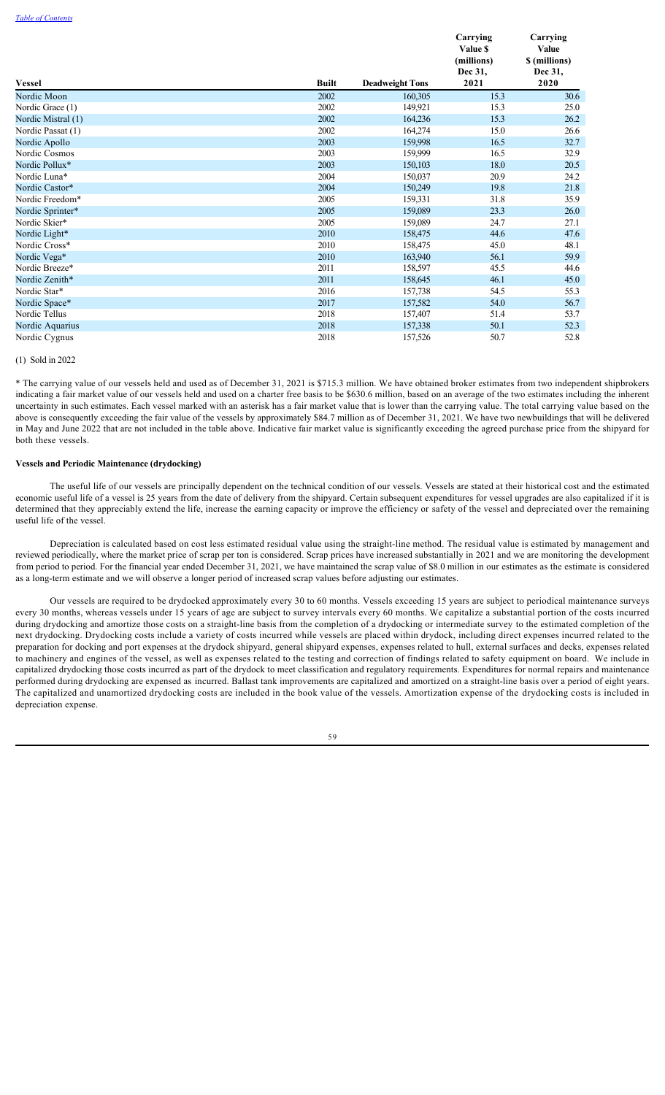|                    |              |                        | Carrying<br>Value \$<br>(millions)<br>Dec 31, | Carrying<br>Value<br>\$(millions)<br>Dec 31, |
|--------------------|--------------|------------------------|-----------------------------------------------|----------------------------------------------|
| <b>Vessel</b>      | <b>Built</b> | <b>Deadweight Tons</b> | 2021                                          | 2020                                         |
| Nordic Moon        | 2002         | 160,305                | 15.3                                          | 30.6                                         |
| Nordic Grace (1)   | 2002         | 149,921                | 15.3                                          | 25.0                                         |
| Nordic Mistral (1) | 2002         | 164,236                | 15.3                                          | 26.2                                         |
| Nordic Passat (1)  | 2002         | 164,274                | 15.0                                          | 26.6                                         |
| Nordic Apollo      | 2003         | 159,998                | 16.5                                          | 32.7                                         |
| Nordic Cosmos      | 2003         | 159,999                | 16.5                                          | 32.9                                         |
| Nordic Pollux*     | 2003         | 150,103                | 18.0                                          | 20.5                                         |
| Nordic Luna*       | 2004         | 150,037                | 20.9                                          | 24.2                                         |
| Nordic Castor*     | 2004         | 150,249                | 19.8                                          | 21.8                                         |
| Nordic Freedom*    | 2005         | 159,331                | 31.8                                          | 35.9                                         |
| Nordic Sprinter*   | 2005         | 159,089                | 23.3                                          | 26.0                                         |
| Nordic Skier*      | 2005         | 159,089                | 24.7                                          | 27.1                                         |
| Nordic Light*      | 2010         | 158,475                | 44.6                                          | 47.6                                         |
| Nordic Cross*      | 2010         | 158,475                | 45.0                                          | 48.1                                         |
| Nordic Vega*       | 2010         | 163,940                | 56.1                                          | 59.9                                         |
| Nordic Breeze*     | 2011         | 158,597                | 45.5                                          | 44.6                                         |
| Nordic Zenith*     | 2011         | 158,645                | 46.1                                          | 45.0                                         |
| Nordic Star*       | 2016         | 157,738                | 54.5                                          | 55.3                                         |
| Nordic Space*      | 2017         | 157,582                | 54.0                                          | 56.7                                         |
| Nordic Tellus      | 2018         | 157,407                | 51.4                                          | 53.7                                         |
| Nordic Aquarius    | 2018         | 157,338                | 50.1                                          | 52.3                                         |
| Nordic Cygnus      | 2018         | 157,526                | 50.7                                          | 52.8                                         |

(1) Sold in 2022

\* The carrying value of our vessels held and used as of December 31, 2021 is \$715.3 million. We have obtained broker estimates from two independent shipbrokers indicating a fair market value of our vessels held and used on a charter free basis to be \$630.6 million, based on an average of the two estimates including the inherent uncertainty in such estimates. Each vessel marked with an asterisk has a fair market value that is lower than the carrying value. The total carrying value based on the above is consequently exceeding the fair value of the vessels by approximately \$84.7 million as of December 31, 2021. We have two newbuildings that will be delivered in May and June 2022 that are not included in the table above. Indicative fair market value is significantly exceeding the agreed purchase price from the shipyard for both these vessels.

## **Vessels and Periodic Maintenance (drydocking)**

The useful life of our vessels are principally dependent on the technical condition of our vessels. Vessels are stated at their historical cost and the estimated economic useful life of a vessel is 25 years from the date of delivery from the shipyard. Certain subsequent expenditures for vessel upgrades are also capitalized if it is determined that they appreciably extend the life, increase the earning capacity or improve the efficiency or safety of the vessel and depreciated over the remaining useful life of the vessel.

Depreciation is calculated based on cost less estimated residual value using the straight-line method. The residual value is estimated by management and reviewed periodically, where the market price of scrap per ton is considered. Scrap prices have increased substantially in 2021 and we are monitoring the development from period to period. For the financial year ended December 31, 2021, we have maintained the scrap value of \$8.0 million in our estimates as the estimate is considered as a long-term estimate and we will observe a longer period of increased scrap values before adjusting our estimates.

Our vessels are required to be drydocked approximately every 30 to 60 months. Vessels exceeding 15 years are subject to periodical maintenance surveys every 30 months, whereas vessels under 15 years of age are subject to survey intervals every 60 months. We capitalize a substantial portion of the costs incurred during drydocking and amortize those costs on a straight-line basis from the completion of a drydocking or intermediate survey to the estimated completion of the next drydocking. Drydocking costs include a variety of costs incurred while vessels are placed within drydock, including direct expenses incurred related to the preparation for docking and port expenses at the drydock shipyard, general shipyard expenses, expenses related to hull, external surfaces and decks, expenses related to machinery and engines of the vessel, as well as expenses related to the testing and correction of findings related to safety equipment on board. We include in capitalized drydocking those costs incurred as part of the drydock to meet classification and regulatory requirements. Expenditures for normal repairs and maintenance performed during drydocking are expensed as incurred. Ballast tank improvements are capitalized and amortized on a straight-line basis over a period of eight years. The capitalized and unamortized drydocking costs are included in the book value of the vessels. Amortization expense of the drydocking costs is included in depreciation expense.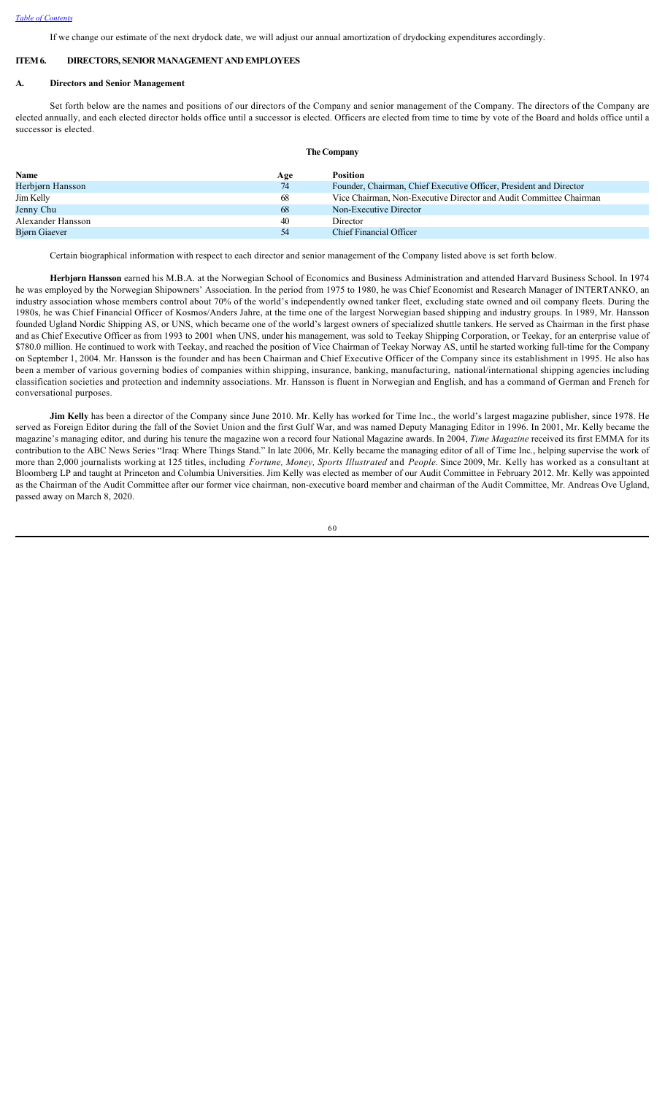If we change our estimate of the next drydock date, we will adjust our annual amortization of drydocking expenditures accordingly.

## **ITEM 6. DIRECTORS, SENIOR MANAGEMENT AND EMPLOYEES**

## **A. Directors and Senior Management**

Set forth below are the names and positions of our directors of the Company and senior management of the Company. The directors of the Company are elected annually, and each elected director holds office until a successor is elected. Officers are elected from time to time by vote of the Board and holds office until a successor is elected.

| <b>The Company</b> |     |                                                                    |  |  |  |
|--------------------|-----|--------------------------------------------------------------------|--|--|--|
| <b>Name</b>        | Age | <b>Position</b>                                                    |  |  |  |
| Herbjørn Hansson   | 74  | Founder, Chairman, Chief Executive Officer, President and Director |  |  |  |
| Jim Kelly          | 68  | Vice Chairman, Non-Executive Director and Audit Committee Chairman |  |  |  |
| Jenny Chu          | 68  | Non-Executive Director                                             |  |  |  |
| Alexander Hansson  | 40  | Director                                                           |  |  |  |
| Bjørn Giaever      | 54  | Chief Financial Officer                                            |  |  |  |

Certain biographical information with respect to each director and senior management of the Company listed above is set forth below.

**Herbjørn Hansson** earned his M.B.A. at the Norwegian School of Economics and Business Administration and attended Harvard Business School. In 1974 he was employed by the Norwegian Shipowners' Association. In the period from 1975 to 1980, he was Chief Economist and Research Manager of INTERTANKO, an industry association whose members control about 70% of the world's independently owned tanker fleet, excluding state owned and oil company fleets. During the 1980s, he was Chief Financial Officer of Kosmos/Anders Jahre, at the time one of the largest Norwegian based shipping and industry groups. In 1989, Mr. Hansson founded Ugland Nordic Shipping AS, or UNS, which became one of the world's largest owners of specialized shuttle tankers. He served as Chairman in the first phase and as Chief Executive Officer as from 1993 to 2001 when UNS, under his management, was sold to Teekay Shipping Corporation, or Teekay, for an enterprise value of \$780.0 million. He continued to work with Teekay, and reached the position of Vice Chairman of Teekay Norway AS, until he started working full-time for the Company on September 1, 2004. Mr. Hansson is the founder and has been Chairman and Chief Executive Officer of the Company since its establishment in 1995. He also has been a member of various governing bodies of companies within shipping, insurance, banking, manufacturing, national/international shipping agencies including classification societies and protection and indemnity associations. Mr. Hansson is fluent in Norwegian and English, and has a command of German and French for conversational purposes.

**Jim Kelly** has been a director of the Company since June 2010. Mr. Kelly has worked for Time Inc., the world's largest magazine publisher, since 1978. He served as Foreign Editor during the fall of the Soviet Union and the first Gulf War, and was named Deputy Managing Editor in 1996. In 2001, Mr. Kelly became the magazine's managing editor, and during his tenure the magazine won a record four National Magazine awards. In 2004, *Time Magazine* received its first EMMA for its contribution to the ABC News Series "Iraq: Where Things Stand." In late 2006, Mr. Kelly became the managing editor of all of Time Inc., helping supervise the work of more than 2,000 journalists working at 125 titles, including *Fortune, Money, Sports Illustrated* and *People*. Since 2009, Mr. Kelly has worked as a consultant at Bloomberg LP and taught at Princeton and Columbia Universities. Jim Kelly was elected as member of our Audit Committee in February 2012. Mr. Kelly was appointed as the Chairman of the Audit Committee after our former vice chairman, non-executive board member and chairman of the Audit Committee, Mr. Andreas Ove Ugland, passed away on March 8, 2020.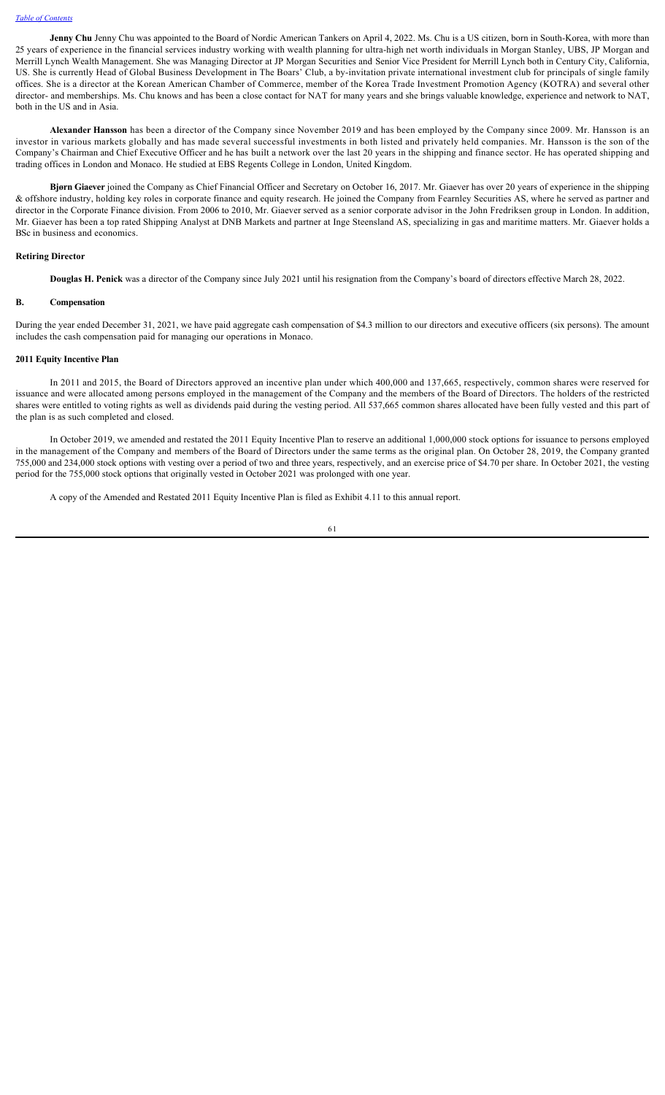Jenny Chu Jenny Chu was appointed to the Board of Nordic American Tankers on April 4, 2022. Ms. Chu is a US citizen, born in South-Korea, with more than 25 years of experience in the financial services industry working with wealth planning for ultra-high net worth individuals in Morgan Stanley, UBS, JP Morgan and Merrill Lynch Wealth Management. She was Managing Director at JP Morgan Securities and Senior Vice President for Merrill Lynch both in Century City, California, US. She is currently Head of Global Business Development in The Boars' Club, a by-invitation private international investment club for principals of single family offices. She is a director at the Korean American Chamber of Commerce, member of the Korea Trade Investment Promotion Agency (KOTRA) and several other director- and memberships. Ms. Chu knows and has been a close contact for NAT for many years and she brings valuable knowledge, experience and network to NAT, both in the US and in Asia.

**Alexander Hansson** has been a director of the Company since November 2019 and has been employed by the Company since 2009. Mr. Hansson is an investor in various markets globally and has made several successful investments in both listed and privately held companies. Mr. Hansson is the son of the Company's Chairman and Chief Executive Officer and he has built a network over the last 20 years in the shipping and finance sector. He has operated shipping and trading offices in London and Monaco. He studied at EBS Regents College in London, United Kingdom.

**Bjørn Giaever** joined the Company as Chief Financial Officer and Secretary on October 16, 2017. Mr. Giaever has over 20 years of experience in the shipping & offshore industry, holding key roles in corporate finance and equity research. He joined the Company from Fearnley Securities AS, where he served as partner and director in the Corporate Finance division. From 2006 to 2010, Mr. Giaever served as a senior corporate advisor in the John Fredriksen group in London. In addition, Mr. Giaever has been a top rated Shipping Analyst at DNB Markets and partner at Inge Steensland AS, specializing in gas and maritime matters. Mr. Giaever holds a BSc in business and economics.

### **Retiring Director**

**Douglas H. Penick** was a director of the Company since July 2021 until his resignation from the Company's board of directors effective March 28, 2022.

#### **B. Compensation**

During the year ended December 31, 2021, we have paid aggregate cash compensation of \$4.3 million to our directors and executive officers (six persons). The amount includes the cash compensation paid for managing our operations in Monaco.

## **2011 Equity Incentive Plan**

In 2011 and 2015, the Board of Directors approved an incentive plan under which 400,000 and 137,665, respectively, common shares were reserved for issuance and were allocated among persons employed in the management of the Company and the members of the Board of Directors. The holders of the restricted shares were entitled to voting rights as well as dividends paid during the vesting period. All 537,665 common shares allocated have been fully vested and this part of the plan is as such completed and closed.

In October 2019, we amended and restated the 2011 Equity Incentive Plan to reserve an additional 1,000,000 stock options for issuance to persons employed in the management of the Company and members of the Board of Directors under the same terms as the original plan. On October 28, 2019, the Company granted 755,000 and 234,000 stock options with vesting over a period of two and three years, respectively, and an exercise price of \$4.70 per share. In October 2021, the vesting period for the 755,000 stock options that originally vested in October 2021 was prolonged with one year.

A copy of the Amended and Restated 2011 Equity Incentive Plan is filed as Exhibit 4.11 to this annual report.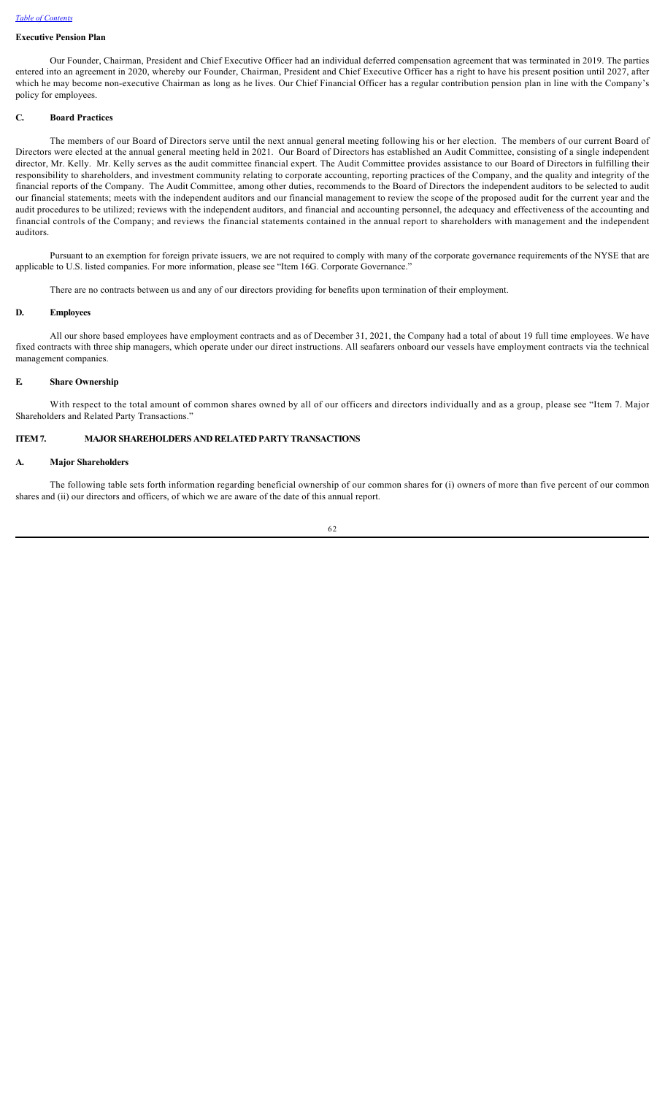## **Executive Pension Plan**

Our Founder, Chairman, President and Chief Executive Officer had an individual deferred compensation agreement that was terminated in 2019. The parties entered into an agreement in 2020, whereby our Founder, Chairman, President and Chief Executive Officer has a right to have his present position until 2027, after which he may become non-executive Chairman as long as he lives. Our Chief Financial Officer has a regular contribution pension plan in line with the Company's policy for employees.

# **C. Board Practices**

The members of our Board of Directors serve until the next annual general meeting following his or her election. The members of our current Board of Directors were elected at the annual general meeting held in 2021. Our Board of Directors has established an Audit Committee, consisting of a single independent director, Mr. Kelly. Mr. Kelly serves as the audit committee financial expert. The Audit Committee provides assistance to our Board of Directors in fulfilling their responsibility to shareholders, and investment community relating to corporate accounting, reporting practices of the Company, and the quality and integrity of the financial reports of the Company. The Audit Committee, among other duties, recommends to the Board of Directors the independent auditors to be selected to audit our financial statements; meets with the independent auditors and our financial management to review the scope of the proposed audit for the current year and the audit procedures to be utilized; reviews with the independent auditors, and financial and accounting personnel, the adequacy and effectiveness of the accounting and financial controls of the Company; and reviews the financial statements contained in the annual report to shareholders with management and the independent auditors.

Pursuant to an exemption for foreign private issuers, we are not required to comply with many of the corporate governance requirements of the NYSE that are applicable to U.S. listed companies. For more information, please see "Item 16G. Corporate Governance."

There are no contracts between us and any of our directors providing for benefits upon termination of their employment.

### **D. Employees**

All our shore based employees have employment contracts and as of December 31, 2021, the Company had a total of about 19 full time employees. We have fixed contracts with three ship managers, which operate under our direct instructions. All seafarers onboard our vessels have employment contracts via the technical management companies.

# **E. Share Ownership**

With respect to the total amount of common shares owned by all of our officers and directors individually and as a group, please see "Item 7. Major Shareholders and Related Party Transactions."

# **ITEM 7. MAJOR SHAREHOLDERS AND RELATED PARTY TRANSACTIONS**

#### **A. Major Shareholders**

The following table sets forth information regarding beneficial ownership of our common shares for (i) owners of more than five percent of our common shares and (ii) our directors and officers, of which we are aware of the date of this annual report.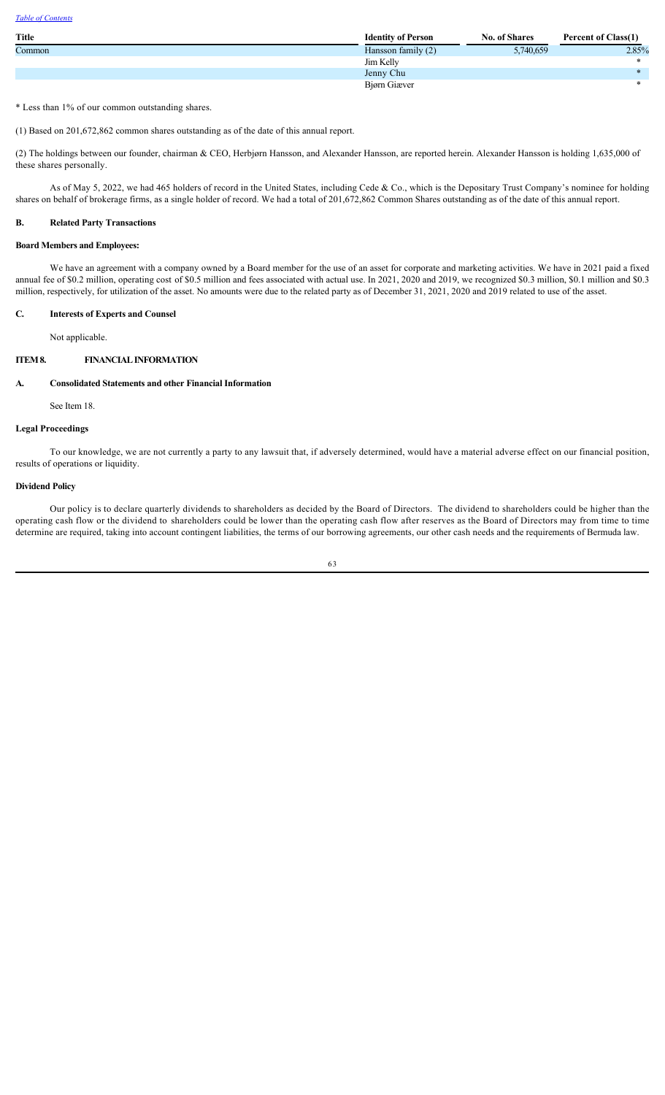| Title  | <b>Identity of Person</b> | <b>No. of Shares</b> | Percent of Class(1) |
|--------|---------------------------|----------------------|---------------------|
| Common | Hansson family (2)        | 5,740,659            | 2.85%               |
|        | Jim Kelly                 |                      |                     |
|        | Jenny Chu                 |                      |                     |
|        | Bjørn Giæver              |                      |                     |

\* Less than 1% of our common outstanding shares.

(1) Based on 201,672,862 common shares outstanding as of the date of this annual report.

(2) The holdings between our founder, chairman & CEO, Herbjørn Hansson, and Alexander Hansson, are reported herein. Alexander Hansson is holding 1,635,000 of these shares personally.

As of May 5, 2022, we had 465 holders of record in the United States, including Cede & Co., which is the Depositary Trust Company's nominee for holding shares on behalf of brokerage firms, as a single holder of record. We had a total of 201,672,862 Common Shares outstanding as of the date of this annual report.

# **B. Related Party Transactions**

# **Board Members and Employees:**

We have an agreement with a company owned by a Board member for the use of an asset for corporate and marketing activities. We have in 2021 paid a fixed annual fee of \$0.2 million, operating cost of \$0.5 million and fees associated with actual use. In 2021, 2020 and 2019, we recognized \$0.3 million, \$0.1 million and \$0.3 million, respectively, for utilization of the asset. No amounts were due to the related party as of December 31, 2021, 2020 and 2019 related to use of the asset.

# **C. Interests of Experts and Counsel**

Not applicable.

# **ITEM 8. FINANCIAL INFORMATION**

# **A. Consolidated Statements and other Financial Information**

See Item 18.

# **Legal Proceedings**

To our knowledge, we are not currently a party to any lawsuit that, if adversely determined, would have a material adverse effect on our financial position, results of operations or liquidity.

# **Dividend Policy**

Our policy is to declare quarterly dividends to shareholders as decided by the Board of Directors. The dividend to shareholders could be higher than the operating cash flow or the dividend to shareholders could be lower than the operating cash flow after reserves as the Board of Directors may from time to time determine are required, taking into account contingent liabilities, the terms of our borrowing agreements, our other cash needs and the requirements of Bermuda law.

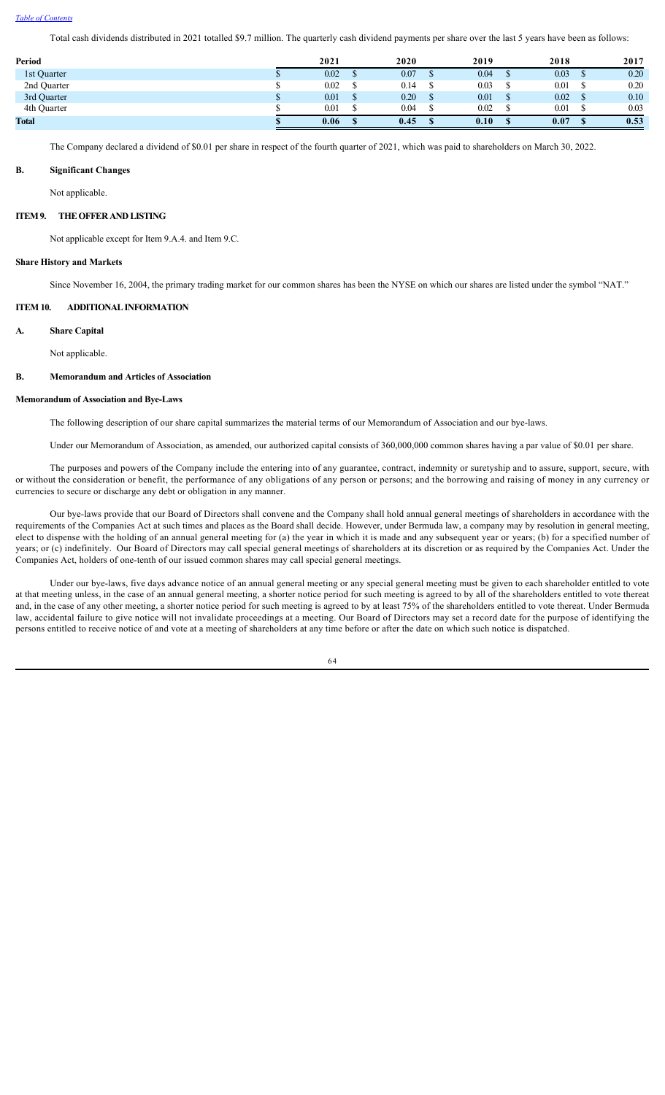Total cash dividends distributed in 2021 totalled \$9.7 million. The quarterly cash dividend payments per share over the last 5 years have been as follows:

| Period       | 2021 | 2020 | 2019 | 2018 | 2017 |
|--------------|------|------|------|------|------|
| 1st Ouarter  | 0.02 | 0.07 | 0.04 | 0.03 | 0.20 |
| 2nd Ouarter  | 0.02 | 0.14 | 0.03 | 0.01 | 0.20 |
| 3rd Quarter  | 0.01 | 0.20 | 0.01 | 0.02 | 0.10 |
| 4th Ouarter  | 0.01 | 0.04 | 0.02 | 0.01 | 0.03 |
| <b>Total</b> | 0.06 | 0.45 | 0.10 | 0.07 | 0.53 |

The Company declared a dividend of \$0.01 per share in respect of the fourth quarter of 2021, which was paid to shareholders on March 30, 2022.

## **B. Significant Changes**

Not applicable.

## **ITEM 9. THE OFFER AND LISTING**

Not applicable except for Item 9.A.4. and Item 9.C.

## **Share History and Markets**

Since November 16, 2004, the primary trading market for our common shares has been the NYSE on which our shares are listed under the symbol "NAT."

#### **ITEM 10. ADDITIONAL INFORMATION**

## **A. Share Capital**

Not applicable.

## **B. Memorandum and Articles of Association**

#### **Memorandum of Association and Bye-Laws**

The following description of our share capital summarizes the material terms of our Memorandum of Association and our bye-laws.

Under our Memorandum of Association, as amended, our authorized capital consists of 360,000,000 common shares having a par value of \$0.01 per share.

The purposes and powers of the Company include the entering into of any guarantee, contract, indemnity or suretyship and to assure, support, secure, with or without the consideration or benefit, the performance of any obligations of any person or persons; and the borrowing and raising of money in any currency or currencies to secure or discharge any debt or obligation in any manner.

Our bye-laws provide that our Board of Directors shall convene and the Company shall hold annual general meetings of shareholders in accordance with the requirements of the Companies Act at such times and places as the Board shall decide. However, under Bermuda law, a company may by resolution in general meeting, elect to dispense with the holding of an annual general meeting for (a) the year in which it is made and any subsequent year or years; (b) for a specified number of years; or (c) indefinitely. Our Board of Directors may call special general meetings of shareholders at its discretion or as required by the Companies Act. Under the Companies Act, holders of one-tenth of our issued common shares may call special general meetings.

Under our bye-laws, five days advance notice of an annual general meeting or any special general meeting must be given to each shareholder entitled to vote at that meeting unless, in the case of an annual general meeting, a shorter notice period for such meeting is agreed to by all of the shareholders entitled to vote thereat and, in the case of any other meeting, a shorter notice period for such meeting is agreed to by at least 75% of the shareholders entitled to vote thereat. Under Bermuda law, accidental failure to give notice will not invalidate proceedings at a meeting. Our Board of Directors may set a record date for the purpose of identifying the persons entitled to receive notice of and vote at a meeting of shareholders at any time before or after the date on which such notice is dispatched.

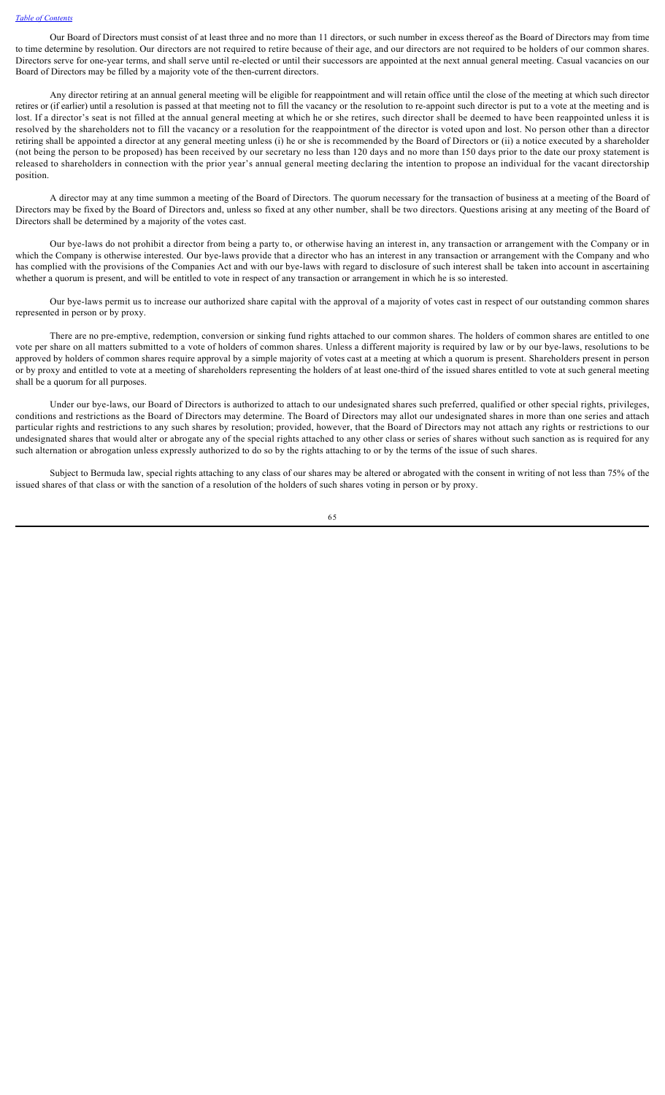Our Board of Directors must consist of at least three and no more than 11 directors, or such number in excess thereof as the Board of Directors may from time to time determine by resolution. Our directors are not required to retire because of their age, and our directors are not required to be holders of our common shares. Directors serve for one-year terms, and shall serve until re-elected or until their successors are appointed at the next annual general meeting. Casual vacancies on our Board of Directors may be filled by a majority vote of the then-current directors.

Any director retiring at an annual general meeting will be eligible for reappointment and will retain office until the close of the meeting at which such director retires or (if earlier) until a resolution is passed at that meeting not to fill the vacancy or the resolution to re-appoint such director is put to a vote at the meeting and is lost. If a director's seat is not filled at the annual general meeting at which he or she retires, such director shall be deemed to have been reappointed unless it is resolved by the shareholders not to fill the vacancy or a resolution for the reappointment of the director is voted upon and lost. No person other than a director retiring shall be appointed a director at any general meeting unless (i) he or she is recommended by the Board of Directors or (ii) a notice executed by a shareholder (not being the person to be proposed) has been received by our secretary no less than 120 days and no more than 150 days prior to the date our proxy statement is released to shareholders in connection with the prior year's annual general meeting declaring the intention to propose an individual for the vacant directorship position.

A director may at any time summon a meeting of the Board of Directors. The quorum necessary for the transaction of business at a meeting of the Board of Directors may be fixed by the Board of Directors and, unless so fixed at any other number, shall be two directors. Questions arising at any meeting of the Board of Directors shall be determined by a majority of the votes cast.

Our bye-laws do not prohibit a director from being a party to, or otherwise having an interest in, any transaction or arrangement with the Company or in which the Company is otherwise interested. Our bye-laws provide that a director who has an interest in any transaction or arrangement with the Company and who has complied with the provisions of the Companies Act and with our bye-laws with regard to disclosure of such interest shall be taken into account in ascertaining whether a quorum is present, and will be entitled to vote in respect of any transaction or arrangement in which he is so interested.

Our bye-laws permit us to increase our authorized share capital with the approval of a majority of votes cast in respect of our outstanding common shares represented in person or by proxy.

There are no pre-emptive, redemption, conversion or sinking fund rights attached to our common shares. The holders of common shares are entitled to one vote per share on all matters submitted to a vote of holders of common shares. Unless a different majority is required by law or by our bye-laws, resolutions to be approved by holders of common shares require approval by a simple majority of votes cast at a meeting at which a quorum is present. Shareholders present in person or by proxy and entitled to vote at a meeting of shareholders representing the holders of at least one-third of the issued shares entitled to vote at such general meeting shall be a quorum for all purposes.

Under our bye-laws, our Board of Directors is authorized to attach to our undesignated shares such preferred, qualified or other special rights, privileges, conditions and restrictions as the Board of Directors may determine. The Board of Directors may allot our undesignated shares in more than one series and attach particular rights and restrictions to any such shares by resolution; provided, however, that the Board of Directors may not attach any rights or restrictions to our undesignated shares that would alter or abrogate any of the special rights attached to any other class or series of shares without such sanction as is required for any such alternation or abrogation unless expressly authorized to do so by the rights attaching to or by the terms of the issue of such shares.

Subject to Bermuda law, special rights attaching to any class of our shares may be altered or abrogated with the consent in writing of not less than 75% of the issued shares of that class or with the sanction of a resolution of the holders of such shares voting in person or by proxy.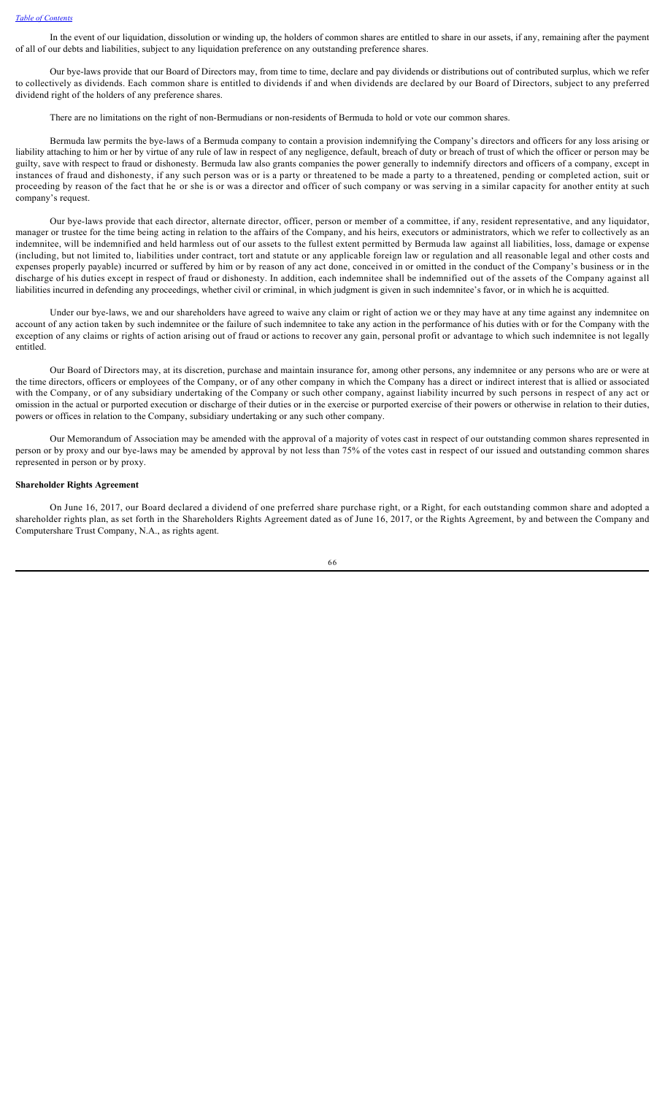In the event of our liquidation, dissolution or winding up, the holders of common shares are entitled to share in our assets, if any, remaining after the payment of all of our debts and liabilities, subject to any liquidation preference on any outstanding preference shares.

Our bye-laws provide that our Board of Directors may, from time to time, declare and pay dividends or distributions out of contributed surplus, which we refer to collectively as dividends. Each common share is entitled to dividends if and when dividends are declared by our Board of Directors, subject to any preferred dividend right of the holders of any preference shares.

There are no limitations on the right of non-Bermudians or non-residents of Bermuda to hold or vote our common shares.

Bermuda law permits the bye-laws of a Bermuda company to contain a provision indemnifying the Company's directors and officers for any loss arising or liability attaching to him or her by virtue of any rule of law in respect of any negligence, default, breach of duty or breach of trust of which the officer or person may be guilty, save with respect to fraud or dishonesty. Bermuda law also grants companies the power generally to indemnify directors and officers of a company, except in instances of fraud and dishonesty, if any such person was or is a party or threatened to be made a party to a threatened, pending or completed action, suit or proceeding by reason of the fact that he or she is or was a director and officer of such company or was serving in a similar capacity for another entity at such company's request.

Our bye-laws provide that each director, alternate director, officer, person or member of a committee, if any, resident representative, and any liquidator, manager or trustee for the time being acting in relation to the affairs of the Company, and his heirs, executors or administrators, which we refer to collectively as an indemnitee, will be indemnified and held harmless out of our assets to the fullest extent permitted by Bermuda law against all liabilities, loss, damage or expense (including, but not limited to, liabilities under contract, tort and statute or any applicable foreign law or regulation and all reasonable legal and other costs and expenses properly payable) incurred or suffered by him or by reason of any act done, conceived in or omitted in the conduct of the Company's business or in the discharge of his duties except in respect of fraud or dishonesty. In addition, each indemnitee shall be indemnified out of the assets of the Company against all liabilities incurred in defending any proceedings, whether civil or criminal, in which judgment is given in such indemnitee's favor, or in which he is acquitted.

Under our bye-laws, we and our shareholders have agreed to waive any claim or right of action we or they may have at any time against any indemnitee on account of any action taken by such indemnitee or the failure of such indemnitee to take any action in the performance of his duties with or for the Company with the exception of any claims or rights of action arising out of fraud or actions to recover any gain, personal profit or advantage to which such indemnitee is not legally entitled.

Our Board of Directors may, at its discretion, purchase and maintain insurance for, among other persons, any indemnitee or any persons who are or were at the time directors, officers or employees of the Company, or of any other company in which the Company has a direct or indirect interest that is allied or associated with the Company, or of any subsidiary undertaking of the Company or such other company, against liability incurred by such persons in respect of any act or omission in the actual or purported execution or discharge of their duties or in the exercise or purported exercise of their powers or otherwise in relation to their duties, powers or offices in relation to the Company, subsidiary undertaking or any such other company.

Our Memorandum of Association may be amended with the approval of a majority of votes cast in respect of our outstanding common shares represented in person or by proxy and our bye-laws may be amended by approval by not less than 75% of the votes cast in respect of our issued and outstanding common shares represented in person or by proxy.

### **Shareholder Rights Agreement**

On June 16, 2017, our Board declared a dividend of one preferred share purchase right, or a Right, for each outstanding common share and adopted a shareholder rights plan, as set forth in the Shareholders Rights Agreement dated as of June 16, 2017, or the Rights Agreement, by and between the Company and Computershare Trust Company, N.A., as rights agent.

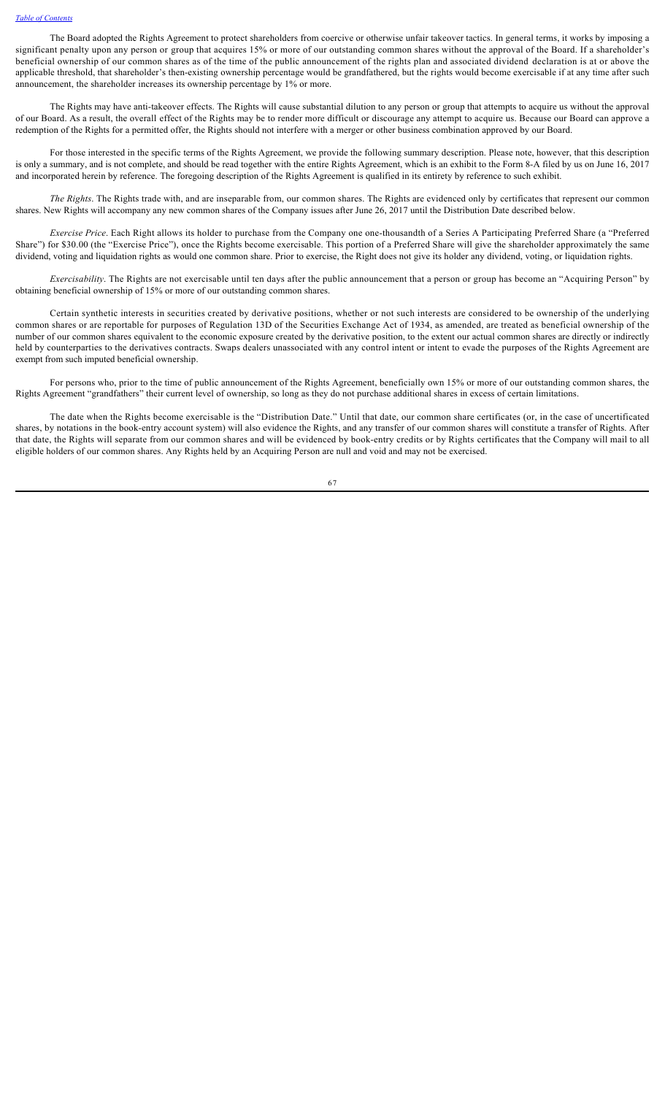The Board adopted the Rights Agreement to protect shareholders from coercive or otherwise unfair takeover tactics. In general terms, it works by imposing a significant penalty upon any person or group that acquires 15% or more of our outstanding common shares without the approval of the Board. If a shareholder's beneficial ownership of our common shares as of the time of the public announcement of the rights plan and associated dividend declaration is at or above the applicable threshold, that shareholder's then-existing ownership percentage would be grandfathered, but the rights would become exercisable if at any time after such announcement, the shareholder increases its ownership percentage by 1% or more.

The Rights may have anti-takeover effects. The Rights will cause substantial dilution to any person or group that attempts to acquire us without the approval of our Board. As a result, the overall effect of the Rights may be to render more difficult or discourage any attempt to acquire us. Because our Board can approve a redemption of the Rights for a permitted offer, the Rights should not interfere with a merger or other business combination approved by our Board.

For those interested in the specific terms of the Rights Agreement, we provide the following summary description. Please note, however, that this description is only a summary, and is not complete, and should be read together with the entire Rights Agreement, which is an exhibit to the Form 8-A filed by us on June 16, 2017 and incorporated herein by reference. The foregoing description of the Rights Agreement is qualified in its entirety by reference to such exhibit.

*The Rights*. The Rights trade with, and are inseparable from, our common shares. The Rights are evidenced only by certificates that represent our common shares. New Rights will accompany any new common shares of the Company issues after June 26, 2017 until the Distribution Date described below.

*Exercise Price*. Each Right allows its holder to purchase from the Company one one-thousandth of a Series A Participating Preferred Share (a "Preferred Share") for \$30.00 (the "Exercise Price"), once the Rights become exercisable. This portion of a Preferred Share will give the shareholder approximately the same dividend, voting and liquidation rights as would one common share. Prior to exercise, the Right does not give its holder any dividend, voting, or liquidation rights.

*Exercisability*. The Rights are not exercisable until ten days after the public announcement that a person or group has become an "Acquiring Person" by obtaining beneficial ownership of 15% or more of our outstanding common shares.

Certain synthetic interests in securities created by derivative positions, whether or not such interests are considered to be ownership of the underlying common shares or are reportable for purposes of Regulation 13D of the Securities Exchange Act of 1934, as amended, are treated as beneficial ownership of the number of our common shares equivalent to the economic exposure created by the derivative position, to the extent our actual common shares are directly or indirectly held by counterparties to the derivatives contracts. Swaps dealers unassociated with any control intent or intent to evade the purposes of the Rights Agreement are exempt from such imputed beneficial ownership.

For persons who, prior to the time of public announcement of the Rights Agreement, beneficially own 15% or more of our outstanding common shares, the Rights Agreement "grandfathers" their current level of ownership, so long as they do not purchase additional shares in excess of certain limitations.

The date when the Rights become exercisable is the "Distribution Date." Until that date, our common share certificates (or, in the case of uncertificated shares, by notations in the book-entry account system) will also evidence the Rights, and any transfer of our common shares will constitute a transfer of Rights. After that date, the Rights will separate from our common shares and will be evidenced by book-entry credits or by Rights certificates that the Company will mail to all eligible holders of our common shares. Any Rights held by an Acquiring Person are null and void and may not be exercised.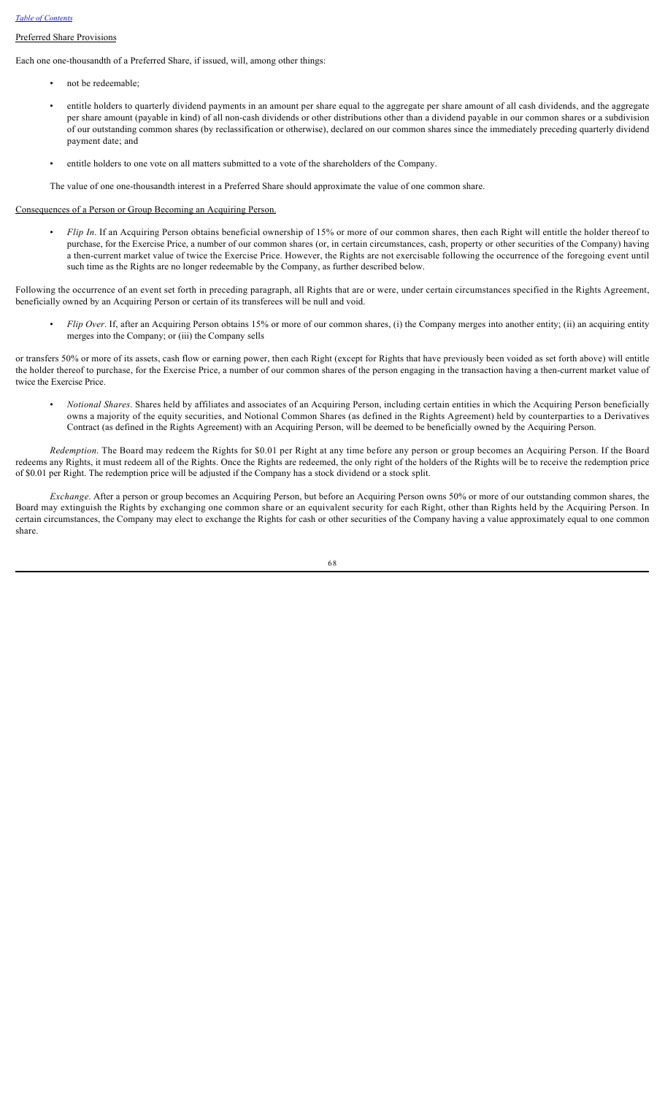# Preferred Share Provisions

Each one one-thousandth of a Preferred Share, if issued, will, among other things:

- not be redeemable;
- entitle holders to quarterly dividend payments in an amount per share equal to the aggregate per share amount of all cash dividends, and the aggregate per share amount (payable in kind) of all non-cash dividends or other distributions other than a dividend payable in our common shares or a subdivision of our outstanding common shares (by reclassification or otherwise), declared on our common shares since the immediately preceding quarterly dividend payment date; and
- entitle holders to one vote on all matters submitted to a vote of the shareholders of the Company.

The value of one one-thousandth interest in a Preferred Share should approximate the value of one common share.

Consequences of a Person or Group Becoming an Acquiring Person.

• *Flip In*. If an Acquiring Person obtains beneficial ownership of 15% or more of our common shares, then each Right will entitle the holder thereof to purchase, for the Exercise Price, a number of our common shares (or, in certain circumstances, cash, property or other securities of the Company) having a then-current market value of twice the Exercise Price. However, the Rights are not exercisable following the occurrence of the foregoing event until such time as the Rights are no longer redeemable by the Company, as further described below.

Following the occurrence of an event set forth in preceding paragraph, all Rights that are or were, under certain circumstances specified in the Rights Agreement, beneficially owned by an Acquiring Person or certain of its transferees will be null and void.

• *Flip Over*. If, after an Acquiring Person obtains 15% or more of our common shares, (i) the Company merges into another entity; (ii) an acquiring entity merges into the Company; or (iii) the Company sells

or transfers 50% or more of its assets, cash flow or earning power, then each Right (except for Rights that have previously been voided as set forth above) will entitle the holder thereof to purchase, for the Exercise Price, a number of our common shares of the person engaging in the transaction having a then-current market value of twice the Exercise Price.

• *Notional Shares*. Shares held by affiliates and associates of an Acquiring Person, including certain entities in which the Acquiring Person beneficially owns a majority of the equity securities, and Notional Common Shares (as defined in the Rights Agreement) held by counterparties to a Derivatives Contract (as defined in the Rights Agreement) with an Acquiring Person, will be deemed to be beneficially owned by the Acquiring Person.

*Redemption*. The Board may redeem the Rights for \$0.01 per Right at any time before any person or group becomes an Acquiring Person. If the Board redeems any Rights, it must redeem all of the Rights. Once the Rights are redeemed, the only right of the holders of the Rights will be to receive the redemption price of \$0.01 per Right. The redemption price will be adjusted if the Company has a stock dividend or a stock split.

*Exchange*. After a person or group becomes an Acquiring Person, but before an Acquiring Person owns 50% or more of our outstanding common shares, the Board may extinguish the Rights by exchanging one common share or an equivalent security for each Right, other than Rights held by the Acquiring Person. In certain circumstances, the Company may elect to exchange the Rights for cash or other securities of the Company having a value approximately equal to one common share.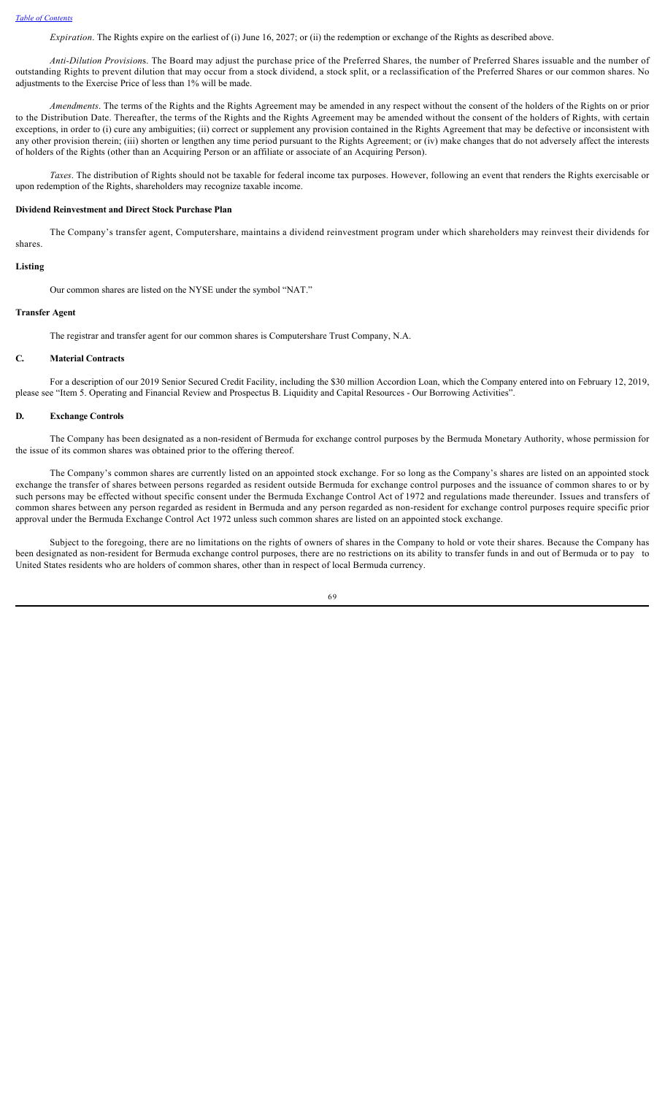*Expiration*. The Rights expire on the earliest of (i) June 16, 2027; or (ii) the redemption or exchange of the Rights as described above.

*Anti-Dilution Provision*s. The Board may adjust the purchase price of the Preferred Shares, the number of Preferred Shares issuable and the number of outstanding Rights to prevent dilution that may occur from a stock dividend, a stock split, or a reclassification of the Preferred Shares or our common shares. No adjustments to the Exercise Price of less than 1% will be made.

*Amendments*. The terms of the Rights and the Rights Agreement may be amended in any respect without the consent of the holders of the Rights on or prior to the Distribution Date. Thereafter, the terms of the Rights and the Rights Agreement may be amended without the consent of the holders of Rights, with certain exceptions, in order to (i) cure any ambiguities; (ii) correct or supplement any provision contained in the Rights Agreement that may be defective or inconsistent with any other provision therein; (iii) shorten or lengthen any time period pursuant to the Rights Agreement; or (iv) make changes that do not adversely affect the interests of holders of the Rights (other than an Acquiring Person or an affiliate or associate of an Acquiring Person).

*Taxes*. The distribution of Rights should not be taxable for federal income tax purposes. However, following an event that renders the Rights exercisable or upon redemption of the Rights, shareholders may recognize taxable income.

#### **Dividend Reinvestment and Direct Stock Purchase Plan**

The Company's transfer agent, Computershare, maintains a dividend reinvestment program under which shareholders may reinvest their dividends for shares.

# **Listing**

Our common shares are listed on the NYSE under the symbol "NAT."

#### **Transfer Agent**

The registrar and transfer agent for our common shares is Computershare Trust Company, N.A.

#### **C. Material Contracts**

For a description of our 2019 Senior Secured Credit Facility, including the \$30 million Accordion Loan, which the Company entered into on February 12, 2019, please see "Item 5. Operating and Financial Review and Prospectus B. Liquidity and Capital Resources - Our Borrowing Activities".

#### **D. Exchange Controls**

The Company has been designated as a non-resident of Bermuda for exchange control purposes by the Bermuda Monetary Authority, whose permission for the issue of its common shares was obtained prior to the offering thereof.

The Company's common shares are currently listed on an appointed stock exchange. For so long as the Company's shares are listed on an appointed stock exchange the transfer of shares between persons regarded as resident outside Bermuda for exchange control purposes and the issuance of common shares to or by such persons may be effected without specific consent under the Bermuda Exchange Control Act of 1972 and regulations made thereunder. Issues and transfers of common shares between any person regarded as resident in Bermuda and any person regarded as non-resident for exchange control purposes require specific prior approval under the Bermuda Exchange Control Act 1972 unless such common shares are listed on an appointed stock exchange.

Subject to the foregoing, there are no limitations on the rights of owners of shares in the Company to hold or vote their shares. Because the Company has been designated as non-resident for Bermuda exchange control purposes, there are no restrictions on its ability to transfer funds in and out of Bermuda or to pay to United States residents who are holders of common shares, other than in respect of local Bermuda currency.

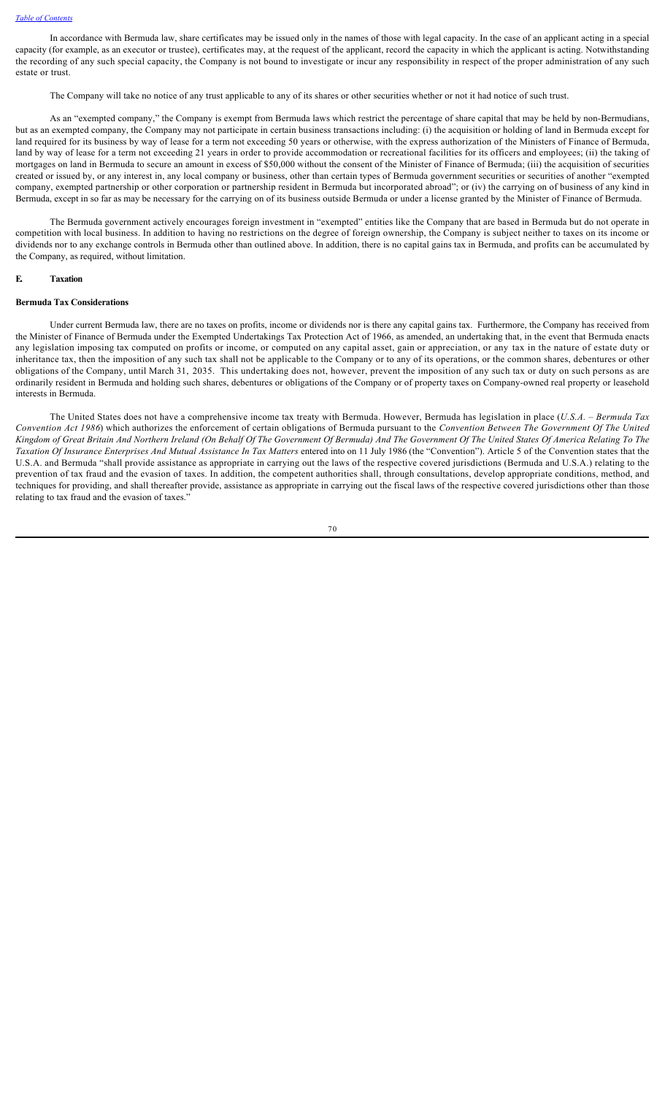In accordance with Bermuda law, share certificates may be issued only in the names of those with legal capacity. In the case of an applicant acting in a special capacity (for example, as an executor or trustee), certificates may, at the request of the applicant, record the capacity in which the applicant is acting. Notwithstanding the recording of any such special capacity, the Company is not bound to investigate or incur any responsibility in respect of the proper administration of any such estate or trust.

The Company will take no notice of any trust applicable to any of its shares or other securities whether or not it had notice of such trust.

As an "exempted company," the Company is exempt from Bermuda laws which restrict the percentage of share capital that may be held by non-Bermudians, but as an exempted company, the Company may not participate in certain business transactions including: (i) the acquisition or holding of land in Bermuda except for land required for its business by way of lease for a term not exceeding 50 years or otherwise, with the express authorization of the Ministers of Finance of Bermuda, land by way of lease for a term not exceeding 21 years in order to provide accommodation or recreational facilities for its officers and employees; (ii) the taking of mortgages on land in Bermuda to secure an amount in excess of \$50,000 without the consent of the Minister of Finance of Bermuda; (iii) the acquisition of securities created or issued by, or any interest in, any local company or business, other than certain types of Bermuda government securities or securities of another "exempted company, exempted partnership or other corporation or partnership resident in Bermuda but incorporated abroad"; or (iv) the carrying on of business of any kind in Bermuda, except in so far as may be necessary for the carrying on of its business outside Bermuda or under a license granted by the Minister of Finance of Bermuda.

The Bermuda government actively encourages foreign investment in "exempted" entities like the Company that are based in Bermuda but do not operate in competition with local business. In addition to having no restrictions on the degree of foreign ownership, the Company is subject neither to taxes on its income or dividends nor to any exchange controls in Bermuda other than outlined above. In addition, there is no capital gains tax in Bermuda, and profits can be accumulated by the Company, as required, without limitation.

# **E. Taxation**

#### **Bermuda Tax Considerations**

Under current Bermuda law, there are no taxes on profits, income or dividends nor is there any capital gains tax. Furthermore, the Company has received from the Minister of Finance of Bermuda under the Exempted Undertakings Tax Protection Act of 1966, as amended, an undertaking that, in the event that Bermuda enacts any legislation imposing tax computed on profits or income, or computed on any capital asset, gain or appreciation, or any tax in the nature of estate duty or inheritance tax, then the imposition of any such tax shall not be applicable to the Company or to any of its operations, or the common shares, debentures or other obligations of the Company, until March 31, 2035. This undertaking does not, however, prevent the imposition of any such tax or duty on such persons as are ordinarily resident in Bermuda and holding such shares, debentures or obligations of the Company or of property taxes on Company-owned real property or leasehold interests in Bermuda.

The United States does not have a comprehensive income tax treaty with Bermuda. However, Bermuda has legislation in place (*U.S.A. – Bermuda Tax Convention Act 1986*) which authorizes the enforcement of certain obligations of Bermuda pursuant to the *Convention Between The Government Of The United Kingdom of Great Britain And Northern Ireland (On Behalf Of The Government Of Bermuda) And The Government Of The United States Of America Relating To The* Taxation Of Insurance Enterprises And Mutual Assistance In Tax Matters entered into on 11 July 1986 (the "Convention"). Article 5 of the Convention states that the U.S.A. and Bermuda "shall provide assistance as appropriate in carrying out the laws of the respective covered jurisdictions (Bermuda and U.S.A.) relating to the prevention of tax fraud and the evasion of taxes. In addition, the competent authorities shall, through consultations, develop appropriate conditions, method, and techniques for providing, and shall thereafter provide, assistance as appropriate in carrying out the fiscal laws of the respective covered jurisdictions other than those relating to tax fraud and the evasion of taxes."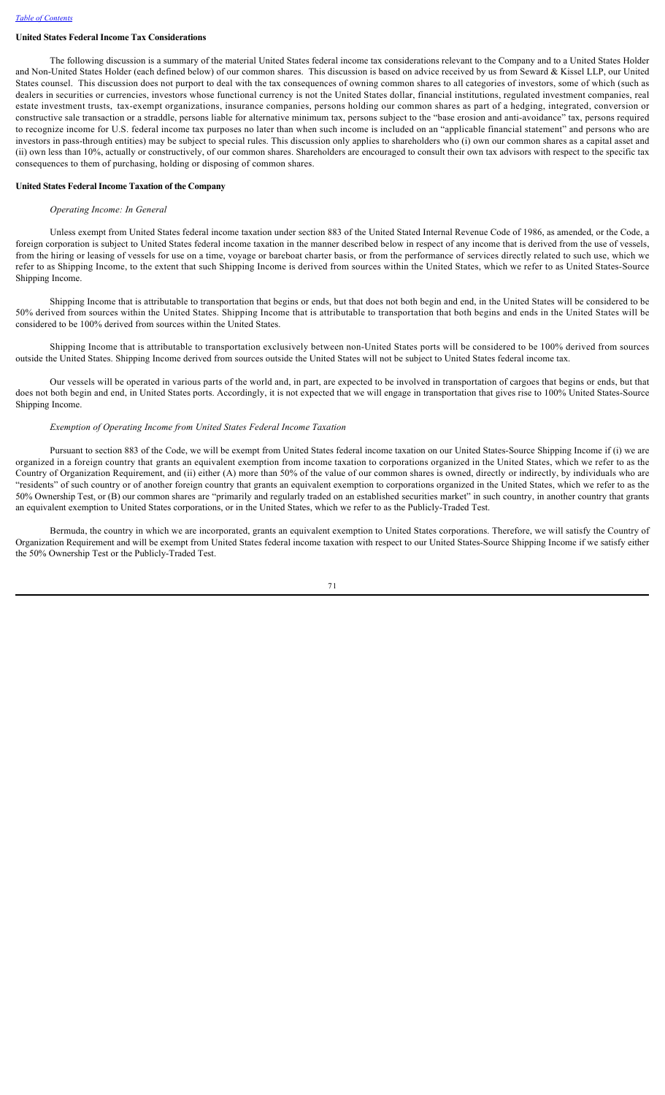# **United States Federal Income Tax Considerations**

The following discussion is a summary of the material United States federal income tax considerations relevant to the Company and to a United States Holder and Non-United States Holder (each defined below) of our common shares. This discussion is based on advice received by us from Seward & Kissel LLP, our United States counsel. This discussion does not purport to deal with the tax consequences of owning common shares to all categories of investors, some of which (such as dealers in securities or currencies, investors whose functional currency is not the United States dollar, financial institutions, regulated investment companies, real estate investment trusts, tax-exempt organizations, insurance companies, persons holding our common shares as part of a hedging, integrated, conversion or constructive sale transaction or a straddle, persons liable for alternative minimum tax, persons subject to the "base erosion and anti-avoidance" tax, persons required to recognize income for U.S. federal income tax purposes no later than when such income is included on an "applicable financial statement" and persons who are investors in pass-through entities) may be subject to special rules. This discussion only applies to shareholders who (i) own our common shares as a capital asset and (ii) own less than 10%, actually or constructively, of our common shares. Shareholders are encouraged to consult their own tax advisors with respect to the specific tax consequences to them of purchasing, holding or disposing of common shares.

# **United States Federal Income Taxation of the Company**

#### *Operating Income: In General*

Unless exempt from United States federal income taxation under section 883 of the United Stated Internal Revenue Code of 1986, as amended, or the Code, a foreign corporation is subject to United States federal income taxation in the manner described below in respect of any income that is derived from the use of vessels, from the hiring or leasing of vessels for use on a time, voyage or bareboat charter basis, or from the performance of services directly related to such use, which we refer to as Shipping Income, to the extent that such Shipping Income is derived from sources within the United States, which we refer to as United States-Source Shipping Income.

Shipping Income that is attributable to transportation that begins or ends, but that does not both begin and end, in the United States will be considered to be 50% derived from sources within the United States. Shipping Income that is attributable to transportation that both begins and ends in the United States will be considered to be 100% derived from sources within the United States.

Shipping Income that is attributable to transportation exclusively between non-United States ports will be considered to be 100% derived from sources outside the United States. Shipping Income derived from sources outside the United States will not be subject to United States federal income tax.

Our vessels will be operated in various parts of the world and, in part, are expected to be involved in transportation of cargoes that begins or ends, but that does not both begin and end, in United States ports. Accordingly, it is not expected that we will engage in transportation that gives rise to 100% United States-Source Shipping Income.

# *Exemption of Operating Income from United States Federal Income Taxation*

Pursuant to section 883 of the Code, we will be exempt from United States federal income taxation on our United States-Source Shipping Income if (i) we are organized in a foreign country that grants an equivalent exemption from income taxation to corporations organized in the United States, which we refer to as the Country of Organization Requirement, and (ii) either (A) more than 50% of the value of our common shares is owned, directly or indirectly, by individuals who are "residents" of such country or of another foreign country that grants an equivalent exemption to corporations organized in the United States, which we refer to as the 50% Ownership Test, or (B) our common shares are "primarily and regularly traded on an established securities market" in such country, in another country that grants an equivalent exemption to United States corporations, or in the United States, which we refer to as the Publicly-Traded Test.

Bermuda, the country in which we are incorporated, grants an equivalent exemption to United States corporations. Therefore, we will satisfy the Country of Organization Requirement and will be exempt from United States federal income taxation with respect to our United States-Source Shipping Income if we satisfy either the 50% Ownership Test or the Publicly-Traded Test.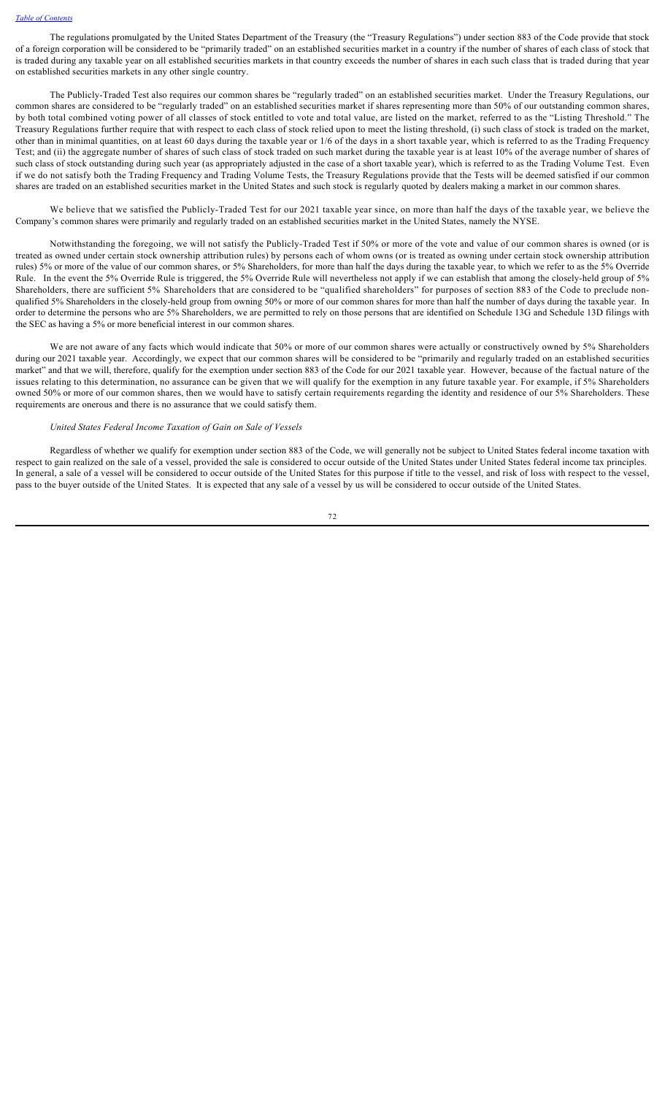The regulations promulgated by the United States Department of the Treasury (the "Treasury Regulations") under section 883 of the Code provide that stock of a foreign corporation will be considered to be "primarily traded" on an established securities market in a country if the number of shares of each class of stock that is traded during any taxable year on all established securities markets in that country exceeds the number of shares in each such class that is traded during that year on established securities markets in any other single country.

The Publicly-Traded Test also requires our common shares be "regularly traded" on an established securities market. Under the Treasury Regulations, our common shares are considered to be "regularly traded" on an established securities market if shares representing more than 50% of our outstanding common shares, by both total combined voting power of all classes of stock entitled to vote and total value, are listed on the market, referred to as the "Listing Threshold." The Treasury Regulations further require that with respect to each class of stock relied upon to meet the listing threshold, (i) such class of stock is traded on the market, other than in minimal quantities, on at least 60 days during the taxable year or 1/6 of the days in a short taxable year, which is referred to as the Trading Frequency Test; and (ii) the aggregate number of shares of such class of stock traded on such market during the taxable year is at least 10% of the average number of shares of such class of stock outstanding during such year (as appropriately adjusted in the case of a short taxable year), which is referred to as the Trading Volume Test. Even if we do not satisfy both the Trading Frequency and Trading Volume Tests, the Treasury Regulations provide that the Tests will be deemed satisfied if our common shares are traded on an established securities market in the United States and such stock is regularly quoted by dealers making a market in our common shares.

We believe that we satisfied the Publicly-Traded Test for our 2021 taxable year since, on more than half the days of the taxable year, we believe the Company's common shares were primarily and regularly traded on an established securities market in the United States, namely the NYSE.

Notwithstanding the foregoing, we will not satisfy the Publicly-Traded Test if 50% or more of the vote and value of our common shares is owned (or is treated as owned under certain stock ownership attribution rules) by persons each of whom owns (or is treated as owning under certain stock ownership attribution rules) 5% or more of the value of our common shares, or 5% Shareholders, for more than half the days during the taxable year, to which we refer to as the 5% Override Rule. In the event the 5% Override Rule is triggered, the 5% Override Rule will nevertheless not apply if we can establish that among the closely-held group of 5% Shareholders, there are sufficient 5% Shareholders that are considered to be "qualified shareholders" for purposes of section 883 of the Code to preclude nonqualified 5% Shareholders in the closely-held group from owning 50% or more of our common shares for more than half the number of days during the taxable year. In order to determine the persons who are 5% Shareholders, we are permitted to rely on those persons that are identified on Schedule 13G and Schedule 13D filings with the SEC as having a 5% or more beneficial interest in our common shares.

We are not aware of any facts which would indicate that 50% or more of our common shares were actually or constructively owned by 5% Shareholders during our 2021 taxable year. Accordingly, we expect that our common shares will be considered to be "primarily and regularly traded on an established securities market" and that we will, therefore, qualify for the exemption under section 883 of the Code for our 2021 taxable year. However, because of the factual nature of the issues relating to this determination, no assurance can be given that we will qualify for the exemption in any future taxable year. For example, if 5% Shareholders owned 50% or more of our common shares, then we would have to satisfy certain requirements regarding the identity and residence of our 5% Shareholders. These requirements are onerous and there is no assurance that we could satisfy them.

# *United States Federal Income Taxation of Gain on Sale of Vessels*

Regardless of whether we qualify for exemption under section 883 of the Code, we will generally not be subject to United States federal income taxation with respect to gain realized on the sale of a vessel, provided the sale is considered to occur outside of the United States under United States federal income tax principles. In general, a sale of a vessel will be considered to occur outside of the United States for this purpose if title to the vessel, and risk of loss with respect to the vessel, pass to the buyer outside of the United States. It is expected that any sale of a vessel by us will be considered to occur outside of the United States.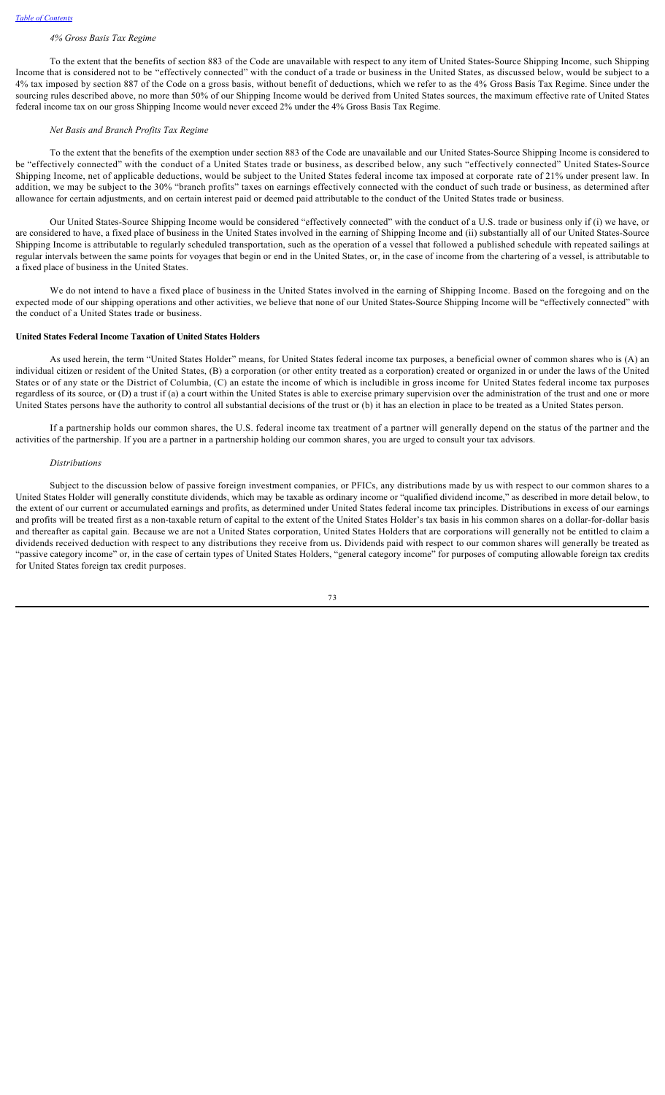# *4% Gross Basis Tax Regime*

To the extent that the benefits of section 883 of the Code are unavailable with respect to any item of United States-Source Shipping Income, such Shipping Income that is considered not to be "effectively connected" with the conduct of a trade or business in the United States, as discussed below, would be subject to a 4% tax imposed by section 887 of the Code on a gross basis, without benefit of deductions, which we refer to as the 4% Gross Basis Tax Regime. Since under the sourcing rules described above, no more than 50% of our Shipping Income would be derived from United States sources, the maximum effective rate of United States federal income tax on our gross Shipping Income would never exceed 2% under the 4% Gross Basis Tax Regime.

# *Net Basis and Branch Profits Tax Regime*

To the extent that the benefits of the exemption under section 883 of the Code are unavailable and our United States-Source Shipping Income is considered to be "effectively connected" with the conduct of a United States trade or business, as described below, any such "effectively connected" United States-Source Shipping Income, net of applicable deductions, would be subject to the United States federal income tax imposed at corporate rate of 21% under present law. In addition, we may be subject to the 30% "branch profits" taxes on earnings effectively connected with the conduct of such trade or business, as determined after allowance for certain adjustments, and on certain interest paid or deemed paid attributable to the conduct of the United States trade or business.

Our United States-Source Shipping Income would be considered "effectively connected" with the conduct of a U.S. trade or business only if (i) we have, or are considered to have, a fixed place of business in the United States involved in the earning of Shipping Income and (ii) substantially all of our United States-Source Shipping Income is attributable to regularly scheduled transportation, such as the operation of a vessel that followed a published schedule with repeated sailings at regular intervals between the same points for voyages that begin or end in the United States, or, in the case of income from the chartering of a vessel, is attributable to a fixed place of business in the United States.

We do not intend to have a fixed place of business in the United States involved in the earning of Shipping Income. Based on the foregoing and on the expected mode of our shipping operations and other activities, we believe that none of our United States-Source Shipping Income will be "effectively connected" with the conduct of a United States trade or business.

# **United States Federal Income Taxation of United States Holders**

As used herein, the term "United States Holder" means, for United States federal income tax purposes, a beneficial owner of common shares who is (A) an individual citizen or resident of the United States, (B) a corporation (or other entity treated as a corporation) created or organized in or under the laws of the United States or of any state or the District of Columbia, (C) an estate the income of which is includible in gross income for United States federal income tax purposes regardless of its source, or (D) a trust if (a) a court within the United States is able to exercise primary supervision over the administration of the trust and one or more United States persons have the authority to control all substantial decisions of the trust or (b) it has an election in place to be treated as a United States person.

If a partnership holds our common shares, the U.S. federal income tax treatment of a partner will generally depend on the status of the partner and the activities of the partnership. If you are a partner in a partnership holding our common shares, you are urged to consult your tax advisors.

#### *Distributions*

Subject to the discussion below of passive foreign investment companies, or PFICs, any distributions made by us with respect to our common shares to a United States Holder will generally constitute dividends, which may be taxable as ordinary income or "qualified dividend income," as described in more detail below, to the extent of our current or accumulated earnings and profits, as determined under United States federal income tax principles. Distributions in excess of our earnings and profits will be treated first as a non-taxable return of capital to the extent of the United States Holder's tax basis in his common shares on a dollar-for-dollar basis and thereafter as capital gain. Because we are not a United States corporation, United States Holders that are corporations will generally not be entitled to claim a dividends received deduction with respect to any distributions they receive from us. Dividends paid with respect to our common shares will generally be treated as "passive category income" or, in the case of certain types of United States Holders, "general category income" for purposes of computing allowable foreign tax credits for United States foreign tax credit purposes.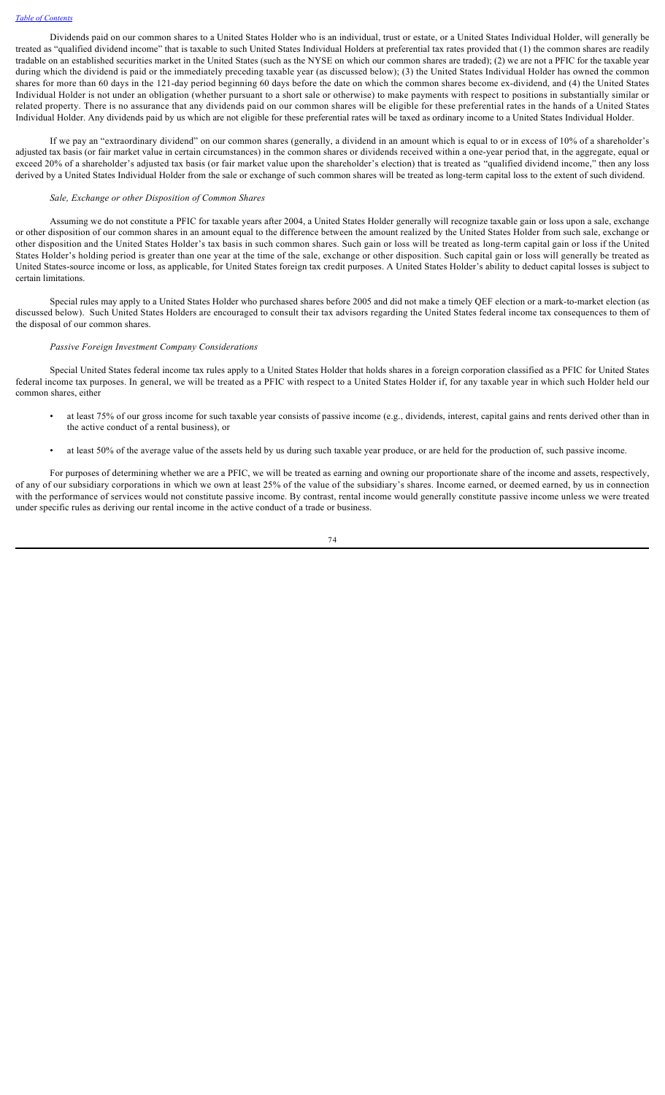Dividends paid on our common shares to a United States Holder who is an individual, trust or estate, or a United States Individual Holder, will generally be treated as "qualified dividend income" that is taxable to such United States Individual Holders at preferential tax rates provided that (1) the common shares are readily tradable on an established securities market in the United States (such as the NYSE on which our common shares are traded); (2) we are not a PFIC for the taxable year during which the dividend is paid or the immediately preceding taxable year (as discussed below); (3) the United States Individual Holder has owned the common shares for more than 60 days in the 121-day period beginning 60 days before the date on which the common shares become ex-dividend, and (4) the United States Individual Holder is not under an obligation (whether pursuant to a short sale or otherwise) to make payments with respect to positions in substantially similar or related property. There is no assurance that any dividends paid on our common shares will be eligible for these preferential rates in the hands of a United States Individual Holder. Any dividends paid by us which are not eligible for these preferential rates will be taxed as ordinary income to a United States Individual Holder.

If we pay an "extraordinary dividend" on our common shares (generally, a dividend in an amount which is equal to or in excess of 10% of a shareholder's adjusted tax basis (or fair market value in certain circumstances) in the common shares or dividends received within a one-year period that, in the aggregate, equal or exceed 20% of a shareholder's adjusted tax basis (or fair market value upon the shareholder's election) that is treated as "qualified dividend income," then any loss derived by a United States Individual Holder from the sale or exchange of such common shares will be treated as long-term capital loss to the extent of such dividend.

#### *Sale, Exchange or other Disposition of Common Shares*

Assuming we do not constitute a PFIC for taxable years after 2004, a United States Holder generally will recognize taxable gain or loss upon a sale, exchange or other disposition of our common shares in an amount equal to the difference between the amount realized by the United States Holder from such sale, exchange or other disposition and the United States Holder's tax basis in such common shares. Such gain or loss will be treated as long-term capital gain or loss if the United States Holder's holding period is greater than one year at the time of the sale, exchange or other disposition. Such capital gain or loss will generally be treated as United States-source income or loss, as applicable, for United States foreign tax credit purposes. A United States Holder's ability to deduct capital losses is subject to certain limitations.

Special rules may apply to a United States Holder who purchased shares before 2005 and did not make a timely QEF election or a mark-to-market election (as discussed below). Such United States Holders are encouraged to consult their tax advisors regarding the United States federal income tax consequences to them of the disposal of our common shares.

# *Passive Foreign Investment Company Considerations*

Special United States federal income tax rules apply to a United States Holder that holds shares in a foreign corporation classified as a PFIC for United States federal income tax purposes. In general, we will be treated as a PFIC with respect to a United States Holder if, for any taxable year in which such Holder held our common shares, either

- at least 75% of our gross income for such taxable year consists of passive income (e.g., dividends, interest, capital gains and rents derived other than in the active conduct of a rental business), or
- at least 50% of the average value of the assets held by us during such taxable year produce, or are held for the production of, such passive income.

For purposes of determining whether we are a PFIC, we will be treated as earning and owning our proportionate share of the income and assets, respectively, of any of our subsidiary corporations in which we own at least 25% of the value of the subsidiary's shares. Income earned, or deemed earned, by us in connection with the performance of services would not constitute passive income. By contrast, rental income would generally constitute passive income unless we were treated under specific rules as deriving our rental income in the active conduct of a trade or business.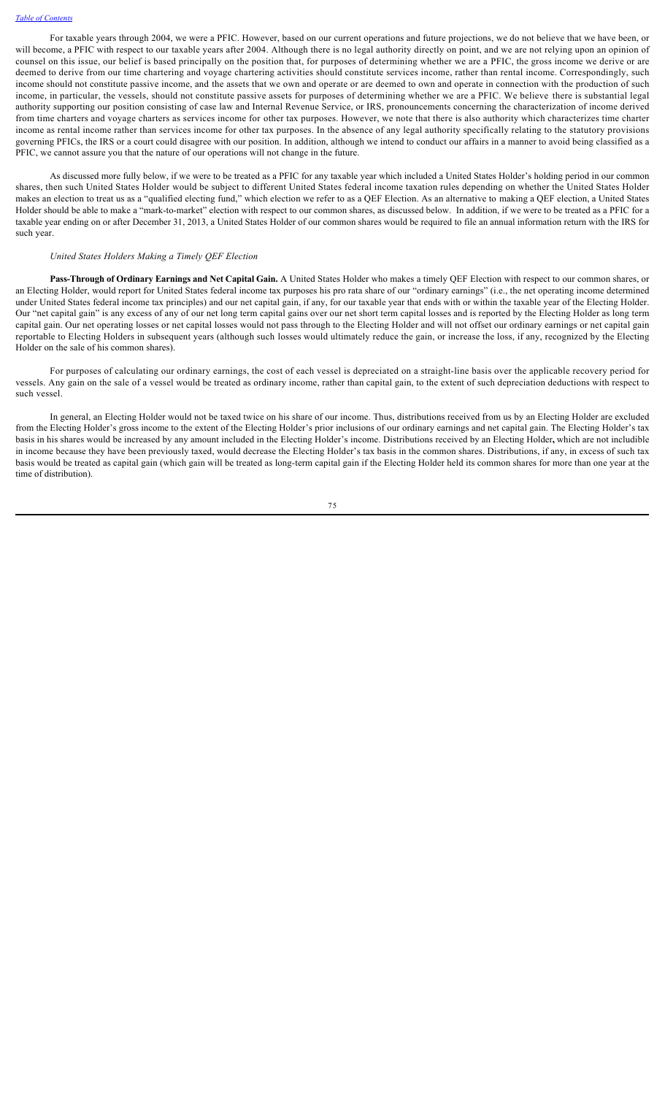For taxable years through 2004, we were a PFIC. However, based on our current operations and future projections, we do not believe that we have been, or will become, a PFIC with respect to our taxable years after 2004. Although there is no legal authority directly on point, and we are not relying upon an opinion of counsel on this issue, our belief is based principally on the position that, for purposes of determining whether we are a PFIC, the gross income we derive or are deemed to derive from our time chartering and voyage chartering activities should constitute services income, rather than rental income. Correspondingly, such income should not constitute passive income, and the assets that we own and operate or are deemed to own and operate in connection with the production of such income, in particular, the vessels, should not constitute passive assets for purposes of determining whether we are a PFIC. We believe there is substantial legal authority supporting our position consisting of case law and Internal Revenue Service, or IRS, pronouncements concerning the characterization of income derived from time charters and voyage charters as services income for other tax purposes. However, we note that there is also authority which characterizes time charter income as rental income rather than services income for other tax purposes. In the absence of any legal authority specifically relating to the statutory provisions governing PFICs, the IRS or a court could disagree with our position. In addition, although we intend to conduct our affairs in a manner to avoid being classified as a PFIC, we cannot assure you that the nature of our operations will not change in the future.

As discussed more fully below, if we were to be treated as a PFIC for any taxable year which included a United States Holder's holding period in our common shares, then such United States Holder would be subject to different United States federal income taxation rules depending on whether the United States Holder makes an election to treat us as a "qualified electing fund," which election we refer to as a QEF Election. As an alternative to making a QEF election, a United States Holder should be able to make a "mark-to-market" election with respect to our common shares, as discussed below. In addition, if we were to be treated as a PFIC for a taxable year ending on or after December 31, 2013, a United States Holder of our common shares would be required to file an annual information return with the IRS for such year.

#### *United States Holders Making a Timely QEF Election*

**Pass-Through of Ordinary Earnings and Net Capital Gain.** A United States Holder who makes a timely QEF Election with respect to our common shares, or an Electing Holder, would report for United States federal income tax purposes his pro rata share of our "ordinary earnings" (i.e., the net operating income determined under United States federal income tax principles) and our net capital gain, if any, for our taxable year that ends with or within the taxable year of the Electing Holder. Our "net capital gain" is any excess of any of our net long term capital gains over our net short term capital losses and is reported by the Electing Holder as long term capital gain. Our net operating losses or net capital losses would not pass through to the Electing Holder and will not offset our ordinary earnings or net capital gain reportable to Electing Holders in subsequent years (although such losses would ultimately reduce the gain, or increase the loss, if any, recognized by the Electing Holder on the sale of his common shares).

For purposes of calculating our ordinary earnings, the cost of each vessel is depreciated on a straight-line basis over the applicable recovery period for vessels. Any gain on the sale of a vessel would be treated as ordinary income, rather than capital gain, to the extent of such depreciation deductions with respect to such vessel.

In general, an Electing Holder would not be taxed twice on his share of our income. Thus, distributions received from us by an Electing Holder are excluded from the Electing Holder's gross income to the extent of the Electing Holder's prior inclusions of our ordinary earnings and net capital gain. The Electing Holder's tax basis in his shares would be increased by any amount included in the Electing Holder's income. Distributions received by an Electing Holder**,** which are not includible in income because they have been previously taxed, would decrease the Electing Holder's tax basis in the common shares. Distributions, if any, in excess of such tax basis would be treated as capital gain (which gain will be treated as long-term capital gain if the Electing Holder held its common shares for more than one year at the time of distribution).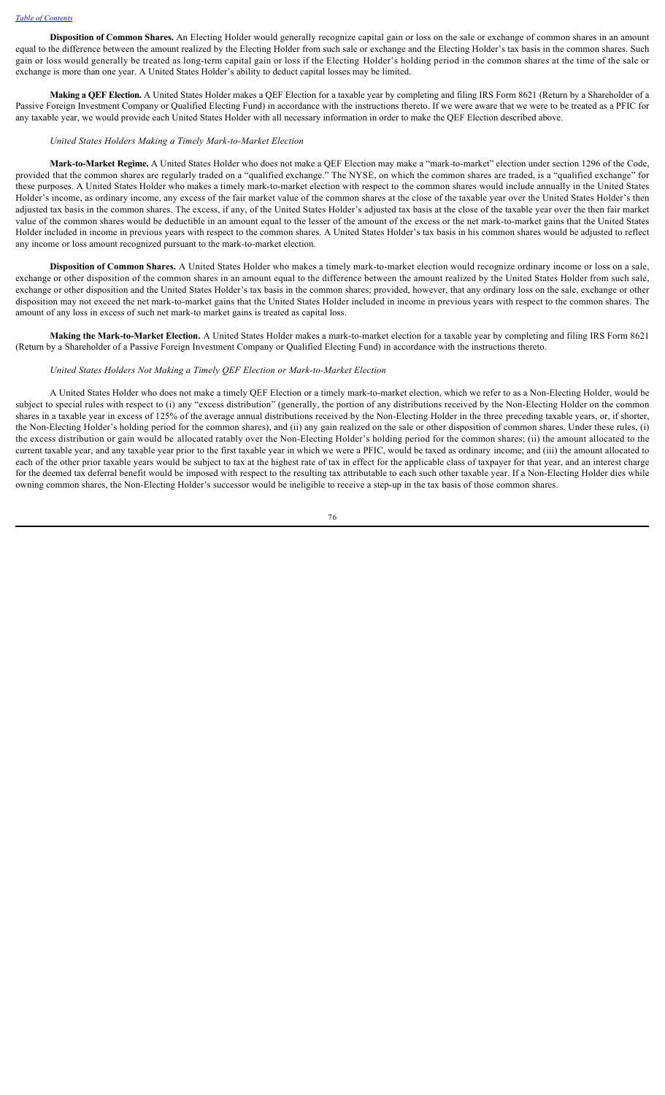**Disposition of Common Shares.** An Electing Holder would generally recognize capital gain or loss on the sale or exchange of common shares in an amount equal to the difference between the amount realized by the Electing Holder from such sale or exchange and the Electing Holder's tax basis in the common shares. Such gain or loss would generally be treated as long-term capital gain or loss if the Electing Holder's holding period in the common shares at the time of the sale or exchange is more than one year. A United States Holder's ability to deduct capital losses may be limited.

**Making a QEF Election.** A United States Holder makes a QEF Election for a taxable year by completing and filing IRS Form 8621 (Return by a Shareholder of a Passive Foreign Investment Company or Qualified Electing Fund) in accordance with the instructions thereto. If we were aware that we were to be treated as a PFIC for any taxable year, we would provide each United States Holder with all necessary information in order to make the QEF Election described above.

#### *United States Holders Making a Timely Mark-to-Market Election*

**Mark-to-Market Regime.** A United States Holder who does not make a QEF Election may make a "mark-to-market" election under section 1296 of the Code, provided that the common shares are regularly traded on a "qualified exchange." The NYSE, on which the common shares are traded, is a "qualified exchange" for these purposes. A United States Holder who makes a timely mark-to-market election with respect to the common shares would include annually in the United States Holder's income, as ordinary income, any excess of the fair market value of the common shares at the close of the taxable year over the United States Holder's then adjusted tax basis in the common shares. The excess, if any, of the United States Holder's adjusted tax basis at the close of the taxable year over the then fair market value of the common shares would be deductible in an amount equal to the lesser of the amount of the excess or the net mark-to-market gains that the United States Holder included in income in previous years with respect to the common shares. A United States Holder's tax basis in his common shares would be adjusted to reflect any income or loss amount recognized pursuant to the mark-to-market election.

**Disposition of Common Shares.** A United States Holder who makes a timely mark-to-market election would recognize ordinary income or loss on a sale, exchange or other disposition of the common shares in an amount equal to the difference between the amount realized by the United States Holder from such sale, exchange or other disposition and the United States Holder's tax basis in the common shares; provided, however, that any ordinary loss on the sale, exchange or other disposition may not exceed the net mark-to-market gains that the United States Holder included in income in previous years with respect to the common shares. The amount of any loss in excess of such net mark-to market gains is treated as capital loss.

**Making the Mark-to-Market Election.** A United States Holder makes a mark-to-market election for a taxable year by completing and filing IRS Form 8621 (Return by a Shareholder of a Passive Foreign Investment Company or Qualified Electing Fund) in accordance with the instructions thereto.

# *United States Holders Not Making a Timely QEF Election or Mark-to-Market Election*

A United States Holder who does not make a timely QEF Election or a timely mark-to-market election, which we refer to as a Non-Electing Holder, would be subject to special rules with respect to (i) any "excess distribution" (generally, the portion of any distributions received by the Non-Electing Holder on the common shares in a taxable year in excess of 125% of the average annual distributions received by the Non-Electing Holder in the three preceding taxable years, or, if shorter, the Non-Electing Holder's holding period for the common shares), and (ii) any gain realized on the sale or other disposition of common shares. Under these rules, (i) the excess distribution or gain would be allocated ratably over the Non-Electing Holder's holding period for the common shares; (ii) the amount allocated to the current taxable year, and any taxable year prior to the first taxable year in which we were a PFIC, would be taxed as ordinary income; and (iii) the amount allocated to each of the other prior taxable years would be subject to tax at the highest rate of tax in effect for the applicable class of taxpayer for that year, and an interest charge for the deemed tax deferral benefit would be imposed with respect to the resulting tax attributable to each such other taxable year. If a Non-Electing Holder dies while owning common shares, the Non-Electing Holder's successor would be ineligible to receive a step-up in the tax basis of those common shares.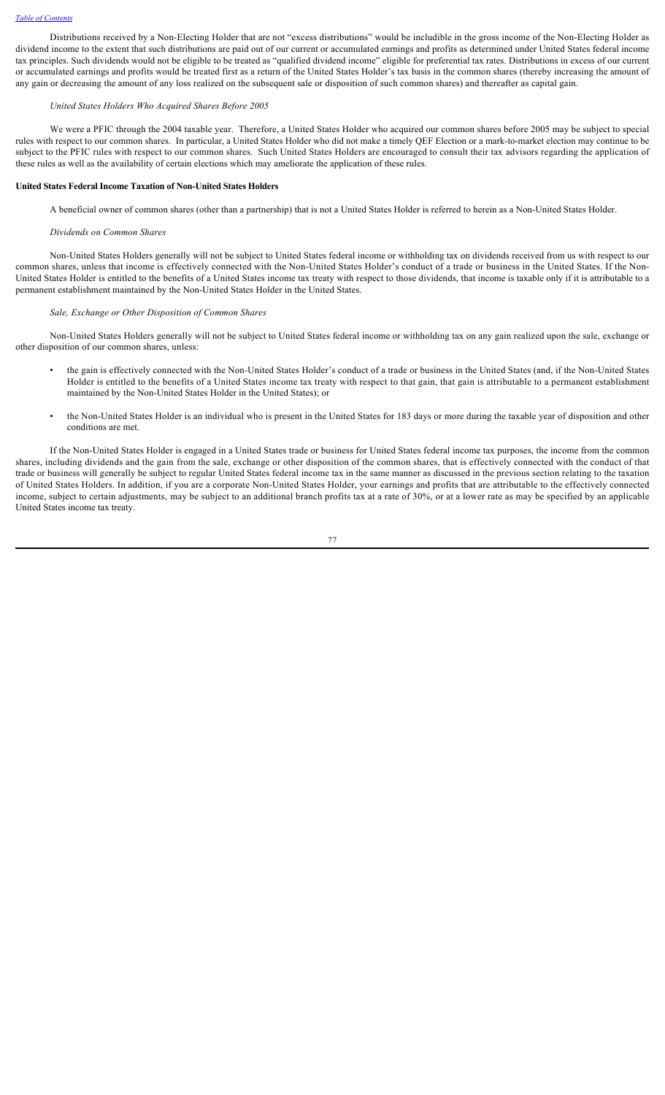Distributions received by a Non-Electing Holder that are not "excess distributions" would be includible in the gross income of the Non-Electing Holder as dividend income to the extent that such distributions are paid out of our current or accumulated earnings and profits as determined under United States federal income tax principles. Such dividends would not be eligible to be treated as "qualified dividend income" eligible for preferential tax rates. Distributions in excess of our current or accumulated earnings and profits would be treated first as a return of the United States Holder's tax basis in the common shares (thereby increasing the amount of any gain or decreasing the amount of any loss realized on the subsequent sale or disposition of such common shares) and thereafter as capital gain.

# *United States Holders Who Acquired Shares Before 2005*

We were a PFIC through the 2004 taxable year. Therefore, a United States Holder who acquired our common shares before 2005 may be subject to special rules with respect to our common shares. In particular, a United States Holder who did not make a timely QEF Election or a mark-to-market election may continue to be subject to the PFIC rules with respect to our common shares. Such United States Holders are encouraged to consult their tax advisors regarding the application of these rules as well as the availability of certain elections which may ameliorate the application of these rules.

# **United States Federal Income Taxation of Non-United States Holders**

A beneficial owner of common shares (other than a partnership) that is not a United States Holder is referred to herein as a Non-United States Holder.

#### *Dividends on Common Shares*

Non-United States Holders generally will not be subject to United States federal income or withholding tax on dividends received from us with respect to our common shares, unless that income is effectively connected with the Non-United States Holder's conduct of a trade or business in the United States. If the Non-United States Holder is entitled to the benefits of a United States income tax treaty with respect to those dividends, that income is taxable only if it is attributable to a permanent establishment maintained by the Non-United States Holder in the United States.

# *Sale, Exchange or Other Disposition of Common Shares*

Non-United States Holders generally will not be subject to United States federal income or withholding tax on any gain realized upon the sale, exchange or other disposition of our common shares, unless:

- the gain is effectively connected with the Non-United States Holder's conduct of a trade or business in the United States (and, if the Non-United States Holder is entitled to the benefits of a United States income tax treaty with respect to that gain, that gain is attributable to a permanent establishment maintained by the Non-United States Holder in the United States); or
- the Non-United States Holder is an individual who is present in the United States for 183 days or more during the taxable year of disposition and other conditions are met.

If the Non-United States Holder is engaged in a United States trade or business for United States federal income tax purposes, the income from the common shares, including dividends and the gain from the sale, exchange or other disposition of the common shares, that is effectively connected with the conduct of that trade or business will generally be subject to regular United States federal income tax in the same manner as discussed in the previous section relating to the taxation of United States Holders. In addition, if you are a corporate Non-United States Holder, your earnings and profits that are attributable to the effectively connected income, subject to certain adjustments, may be subject to an additional branch profits tax at a rate of 30%, or at a lower rate as may be specified by an applicable United States income tax treaty.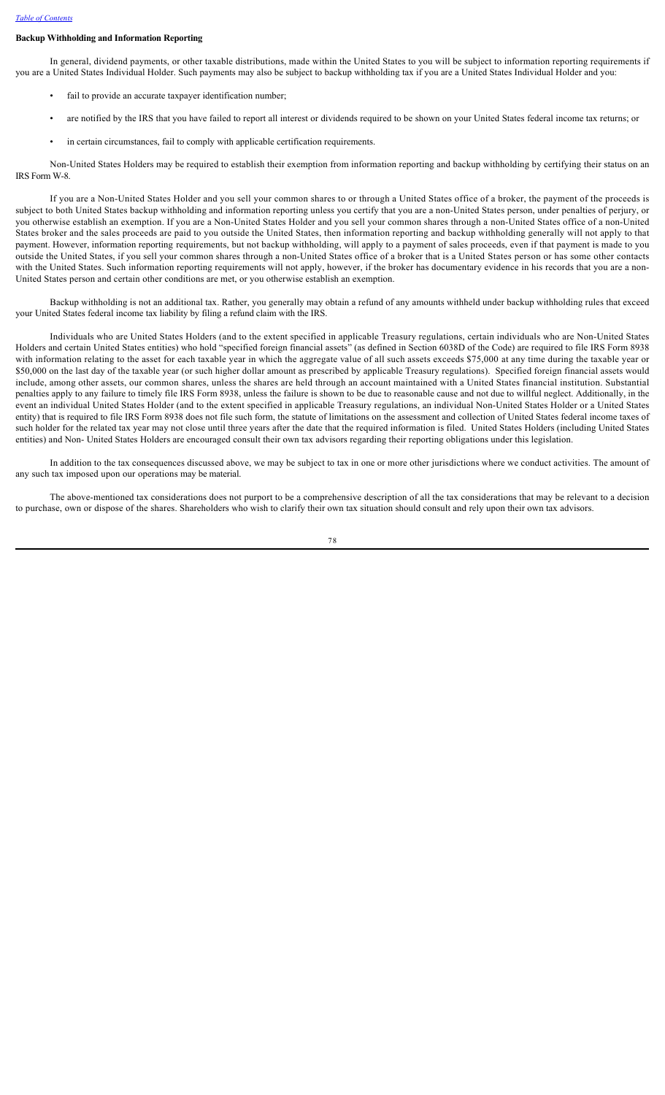# **Backup Withholding and Information Reporting**

In general, dividend payments, or other taxable distributions, made within the United States to you will be subject to information reporting requirements if you are a United States Individual Holder. Such payments may also be subject to backup withholding tax if you are a United States Individual Holder and you:

- fail to provide an accurate taxpayer identification number;
- are notified by the IRS that you have failed to report all interest or dividends required to be shown on your United States federal income tax returns; or
- in certain circumstances, fail to comply with applicable certification requirements.

Non-United States Holders may be required to establish their exemption from information reporting and backup withholding by certifying their status on an IRS Form W-8.

If you are a Non-United States Holder and you sell your common shares to or through a United States office of a broker, the payment of the proceeds is subject to both United States backup withholding and information reporting unless you certify that you are a non-United States person, under penalties of perjury, or you otherwise establish an exemption. If you are a Non-United States Holder and you sell your common shares through a non-United States office of a non-United States broker and the sales proceeds are paid to you outside the United States, then information reporting and backup withholding generally will not apply to that payment. However, information reporting requirements, but not backup withholding, will apply to a payment of sales proceeds, even if that payment is made to you outside the United States, if you sell your common shares through a non-United States office of a broker that is a United States person or has some other contacts with the United States. Such information reporting requirements will not apply, however, if the broker has documentary evidence in his records that you are a non-United States person and certain other conditions are met, or you otherwise establish an exemption.

Backup withholding is not an additional tax. Rather, you generally may obtain a refund of any amounts withheld under backup withholding rules that exceed your United States federal income tax liability by filing a refund claim with the IRS.

Individuals who are United States Holders (and to the extent specified in applicable Treasury regulations, certain individuals who are Non-United States Holders and certain United States entities) who hold "specified foreign financial assets" (as defined in Section 6038D of the Code) are required to file IRS Form 8938 with information relating to the asset for each taxable year in which the aggregate value of all such assets exceeds \$75,000 at any time during the taxable year or \$50,000 on the last day of the taxable year (or such higher dollar amount as prescribed by applicable Treasury regulations). Specified foreign financial assets would include, among other assets, our common shares, unless the shares are held through an account maintained with a United States financial institution. Substantial penalties apply to any failure to timely file IRS Form 8938, unless the failure is shown to be due to reasonable cause and not due to willful neglect. Additionally, in the event an individual United States Holder (and to the extent specified in applicable Treasury regulations, an individual Non-United States Holder or a United States entity) that is required to file IRS Form 8938 does not file such form, the statute of limitations on the assessment and collection of United States federal income taxes of such holder for the related tax year may not close until three years after the date that the required information is filed. United States Holders (including United States entities) and Non- United States Holders are encouraged consult their own tax advisors regarding their reporting obligations under this legislation.

In addition to the tax consequences discussed above, we may be subject to tax in one or more other jurisdictions where we conduct activities. The amount of any such tax imposed upon our operations may be material.

The above-mentioned tax considerations does not purport to be a comprehensive description of all the tax considerations that may be relevant to a decision to purchase, own or dispose of the shares. Shareholders who wish to clarify their own tax situation should consult and rely upon their own tax advisors.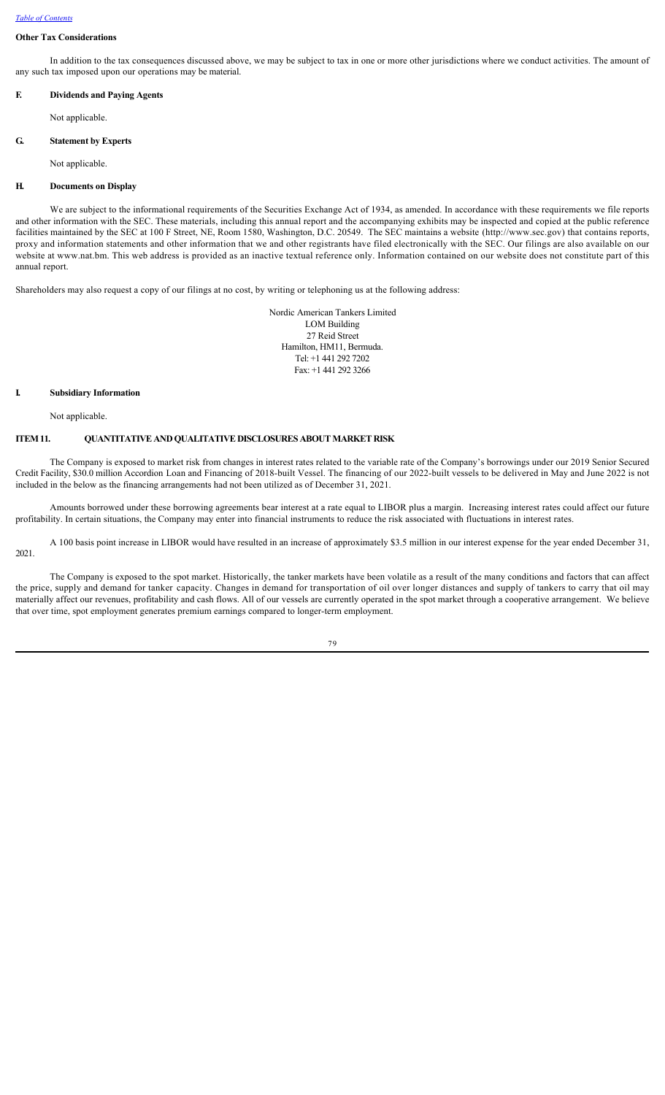# **Other Tax Considerations**

In addition to the tax consequences discussed above, we may be subject to tax in one or more other jurisdictions where we conduct activities. The amount of any such tax imposed upon our operations may be material.

# **F. Dividends and Paying Agents**

Not applicable.

# **G. Statement by Experts**

Not applicable.

# **H. Documents on Display**

We are subject to the informational requirements of the Securities Exchange Act of 1934, as amended. In accordance with these requirements we file reports and other information with the SEC. These materials, including this annual report and the accompanying exhibits may be inspected and copied at the public reference facilities maintained by the SEC at 100 F Street, NE, Room 1580, Washington, D.C. 20549. The SEC maintains a website (http://www.sec.gov) that contains reports, proxy and information statements and other information that we and other registrants have filed electronically with the SEC. Our filings are also available on our .<br>website at www.nat.bm. This web address is provided as an inactive textual reference only. Information contained on our website does not constitute part of this annual report.

Shareholders may also request a copy of our filings at no cost, by writing or telephoning us at the following address:

Nordic American Tankers Limited LOM Building 27 Reid Street Hamilton, HM11, Bermuda. Tel: +1 441 292 7202 Fax: +1 441 292 3266

#### **I. Subsidiary Information**

Not applicable.

# **ITEM 11. QUANTITATIVE AND QUALITATIVE DISCLOSURES ABOUT MARKET RISK**

The Company is exposed to market risk from changes in interest rates related to the variable rate of the Company's borrowings under our 2019 Senior Secured Credit Facility, \$30.0 million Accordion Loan and Financing of 2018-built Vessel. The financing of our 2022-built vessels to be delivered in May and June 2022 is not included in the below as the financing arrangements had not been utilized as of December 31, 2021.

Amounts borrowed under these borrowing agreements bear interest at a rate equal to LIBOR plus a margin. Increasing interest rates could affect our future profitability. In certain situations, the Company may enter into financial instruments to reduce the risk associated with fluctuations in interest rates.

A 100 basis point increase in LIBOR would have resulted in an increase of approximately \$3.5 million in our interest expense for the year ended December 31, 2021.

The Company is exposed to the spot market. Historically, the tanker markets have been volatile as a result of the many conditions and factors that can affect the price, supply and demand for tanker capacity. Changes in demand for transportation of oil over longer distances and supply of tankers to carry that oil may materially affect our revenues, profitability and cash flows. All of our vessels are currently operated in the spot market through a cooperative arrangement. We believe that over time, spot employment generates premium earnings compared to longer-term employment.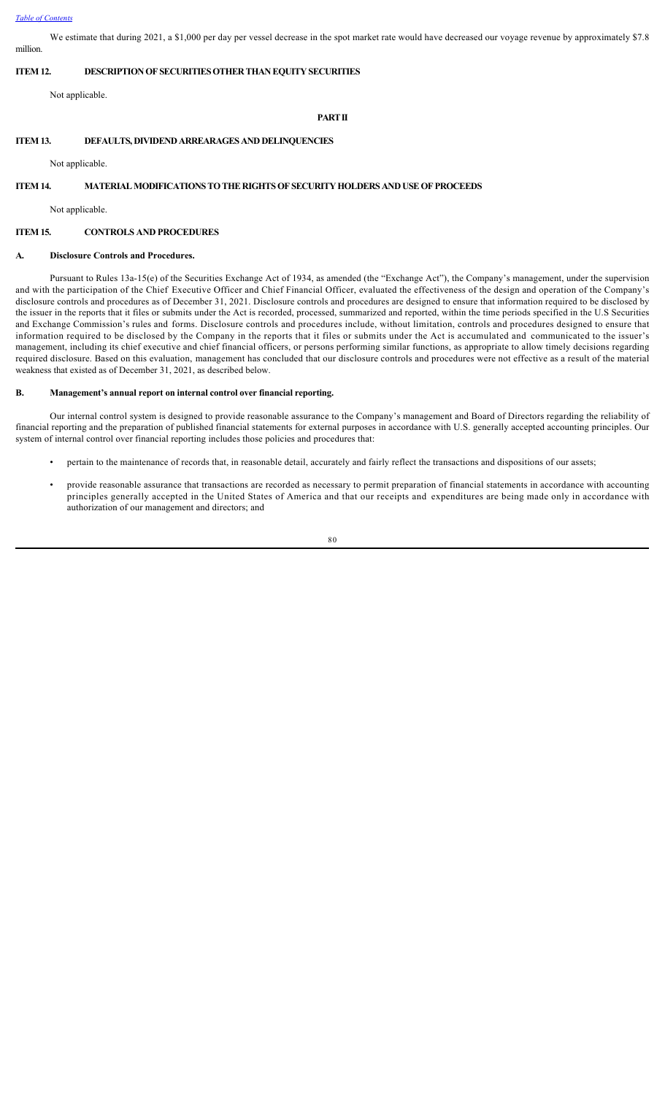We estimate that during 2021, a \$1,000 per day per vessel decrease in the spot market rate would have decreased our voyage revenue by approximately \$7.8 million.

# **ITEM 12. DESCRIPTION OF SECURITIES OTHER THAN EQUITY SECURITIES**

Not applicable.

# **PART II**

# **ITEM 13. DEFAULTS, DIVIDEND ARREARAGES AND DELINQUENCIES**

Not applicable.

# **ITEM 14. MATERIAL MODIFICATIONS TO THE RIGHTS OF SECURITY HOLDERS AND USE OF PROCEEDS**

Not applicable.

#### **ITEM 15. CONTROLS AND PROCEDURES**

# **A. Disclosure Controls and Procedures.**

Pursuant to Rules 13a-15(e) of the Securities Exchange Act of 1934, as amended (the "Exchange Act"), the Company's management, under the supervision and with the participation of the Chief Executive Officer and Chief Financial Officer, evaluated the effectiveness of the design and operation of the Company's disclosure controls and procedures as of December 31, 2021. Disclosure controls and procedures are designed to ensure that information required to be disclosed by the issuer in the reports that it files or submits under the Act is recorded, processed, summarized and reported, within the time periods specified in the U.S Securities and Exchange Commission's rules and forms. Disclosure controls and procedures include, without limitation, controls and procedures designed to ensure that information required to be disclosed by the Company in the reports that it files or submits under the Act is accumulated and communicated to the issuer's management, including its chief executive and chief financial officers, or persons performing similar functions, as appropriate to allow timely decisions regarding required disclosure. Based on this evaluation, management has concluded that our disclosure controls and procedures were not effective as a result of the material weakness that existed as of December 31, 2021, as described below.

#### **B. Management's annual report on internal control over financial reporting.**

Our internal control system is designed to provide reasonable assurance to the Company's management and Board of Directors regarding the reliability of financial reporting and the preparation of published financial statements for external purposes in accordance with U.S. generally accepted accounting principles. Our system of internal control over financial reporting includes those policies and procedures that:

- pertain to the maintenance of records that, in reasonable detail, accurately and fairly reflect the transactions and dispositions of our assets;
- provide reasonable assurance that transactions are recorded as necessary to permit preparation of financial statements in accordance with accounting principles generally accepted in the United States of America and that our receipts and expenditures are being made only in accordance with authorization of our management and directors; and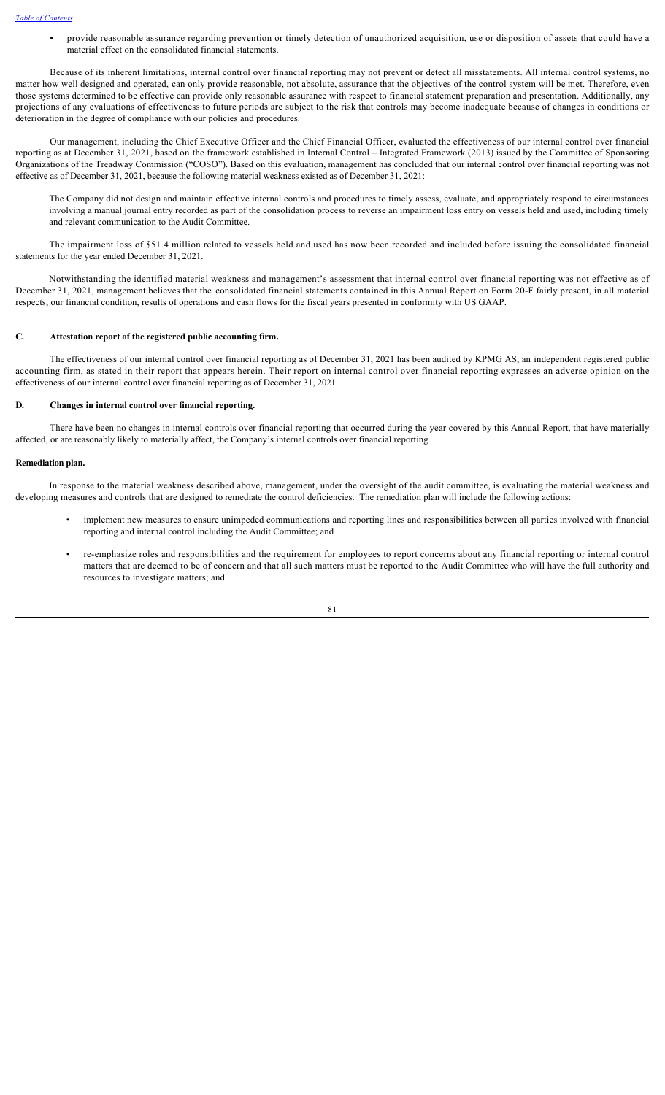• provide reasonable assurance regarding prevention or timely detection of unauthorized acquisition, use or disposition of assets that could have a material effect on the consolidated financial statements.

Because of its inherent limitations, internal control over financial reporting may not prevent or detect all misstatements. All internal control systems, no matter how well designed and operated, can only provide reasonable, not absolute, assurance that the objectives of the control system will be met. Therefore, even those systems determined to be effective can provide only reasonable assurance with respect to financial statement preparation and presentation. Additionally, any projections of any evaluations of effectiveness to future periods are subject to the risk that controls may become inadequate because of changes in conditions or deterioration in the degree of compliance with our policies and procedures.

Our management, including the Chief Executive Officer and the Chief Financial Officer, evaluated the effectiveness of our internal control over financial reporting as at December 31, 2021, based on the framework established in Internal Control – Integrated Framework (2013) issued by the Committee of Sponsoring Organizations of the Treadway Commission ("COSO"). Based on this evaluation, management has concluded that our internal control over financial reporting was not effective as of December 31, 2021, because the following material weakness existed as of December 31, 2021:

The Company did not design and maintain effective internal controls and procedures to timely assess, evaluate, and appropriately respond to circumstances involving a manual journal entry recorded as part of the consolidation process to reverse an impairment loss entry on vessels held and used, including timely and relevant communication to the Audit Committee.

The impairment loss of \$51.4 million related to vessels held and used has now been recorded and included before issuing the consolidated financial statements for the year ended December 31, 2021.

Notwithstanding the identified material weakness and management's assessment that internal control over financial reporting was not effective as of December 31, 2021, management believes that the consolidated financial statements contained in this Annual Report on Form 20-F fairly present, in all material respects, our financial condition, results of operations and cash flows for the fiscal years presented in conformity with US GAAP.

# **C. Attestation report of the registered public accounting firm.**

The effectiveness of our internal control over financial reporting as of December 31, 2021 has been audited by KPMG AS, an independent registered public accounting firm, as stated in their report that appears herein. Their report on internal control over financial reporting expresses an adverse opinion on the effectiveness of our internal control over financial reporting as of December 31, 2021.

# **D. Changes in internal control over financial reporting.**

There have been no changes in internal controls over financial reporting that occurred during the year covered by this Annual Report, that have materially affected, or are reasonably likely to materially affect, the Company's internal controls over financial reporting.

#### **Remediation plan.**

In response to the material weakness described above, management, under the oversight of the audit committee, is evaluating the material weakness and developing measures and controls that are designed to remediate the control deficiencies. The remediation plan will include the following actions:

- implement new measures to ensure unimpeded communications and reporting lines and responsibilities between all parties involved with financial reporting and internal control including the Audit Committee; and
- re-emphasize roles and responsibilities and the requirement for employees to report concerns about any financial reporting or internal control matters that are deemed to be of concern and that all such matters must be reported to the Audit Committee who will have the full authority and resources to investigate matters; and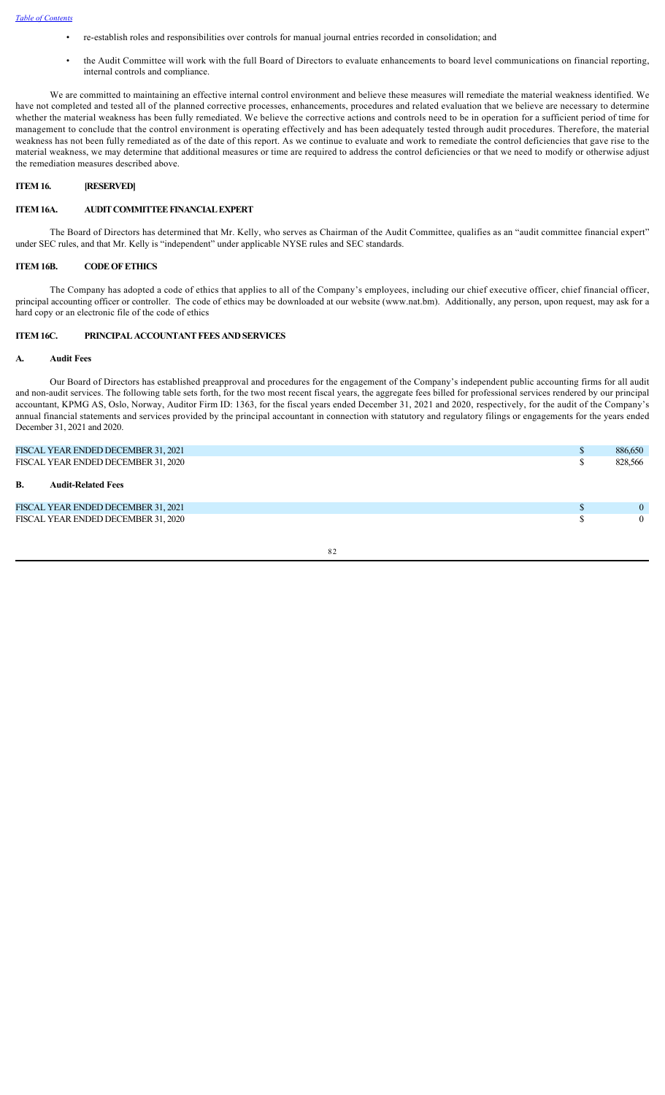- re-establish roles and responsibilities over controls for manual journal entries recorded in consolidation; and
- the Audit Committee will work with the full Board of Directors to evaluate enhancements to board level communications on financial reporting, internal controls and compliance.

We are committed to maintaining an effective internal control environment and believe these measures will remediate the material weakness identified. We have not completed and tested all of the planned corrective processes, enhancements, procedures and related evaluation that we believe are necessary to determine whether the material weakness has been fully remediated. We believe the corrective actions and controls need to be in operation for a sufficient period of time for management to conclude that the control environment is operating effectively and has been adequately tested through audit procedures. Therefore, the material weakness has not been fully remediated as of the date of this report. As we continue to evaluate and work to remediate the control deficiencies that gave rise to the material weakness, we may determine that additional measures or time are required to address the control deficiencies or that we need to modify or otherwise adjust the remediation measures described above.

# **ITEM 16. [RESERVED]**

# **ITEM 16A. AUDIT COMMITTEE FINANCIAL EXPERT**

The Board of Directors has determined that Mr. Kelly, who serves as Chairman of the Audit Committee, qualifies as an "audit committee financial expert" under SEC rules, and that Mr. Kelly is "independent" under applicable NYSE rules and SEC standards.

# **ITEM 16B. CODE OF ETHICS**

The Company has adopted a code of ethics that applies to all of the Company's employees, including our chief executive officer, chief financial officer, principal accounting officer or controller. The code of ethics may be downloaded at our website (www.nat.bm). Additionally, any person, upon request, may ask for a hard copy or an electronic file of the code of ethics

# **ITEM 16C. PRINCIPAL ACCOUNTANT FEES AND SERVICES**

# **A. Audit Fees**

Our Board of Directors has established preapproval and procedures for the engagement of the Company's independent public accounting firms for all audit and non-audit services. The following table sets forth, for the two most recent fiscal years, the aggregate fees billed for professional services rendered by our principal accountant, KPMG AS, Oslo, Norway, Auditor Firm ID: 1363, for the fiscal years ended December 31, 2021 and 2020, respectively, for the audit of the Company's annual financial statements and services provided by the principal accountant in connection with statutory and regulatory filings or engagements for the years ended December 31, 2021 and 2020.

|           | FISCAL YEAR ENDED DECEMBER 31, 2021 | 886,650  |
|-----------|-------------------------------------|----------|
|           | FISCAL YEAR ENDED DECEMBER 31, 2020 | 828,566  |
| <b>B.</b> | <b>Audit-Related Fees</b>           |          |
|           | FISCAL YEAR ENDED DECEMBER 31, 2021 | $\theta$ |
|           | FISCAL YEAR ENDED DECEMBER 31, 2020 | $\theta$ |
|           |                                     |          |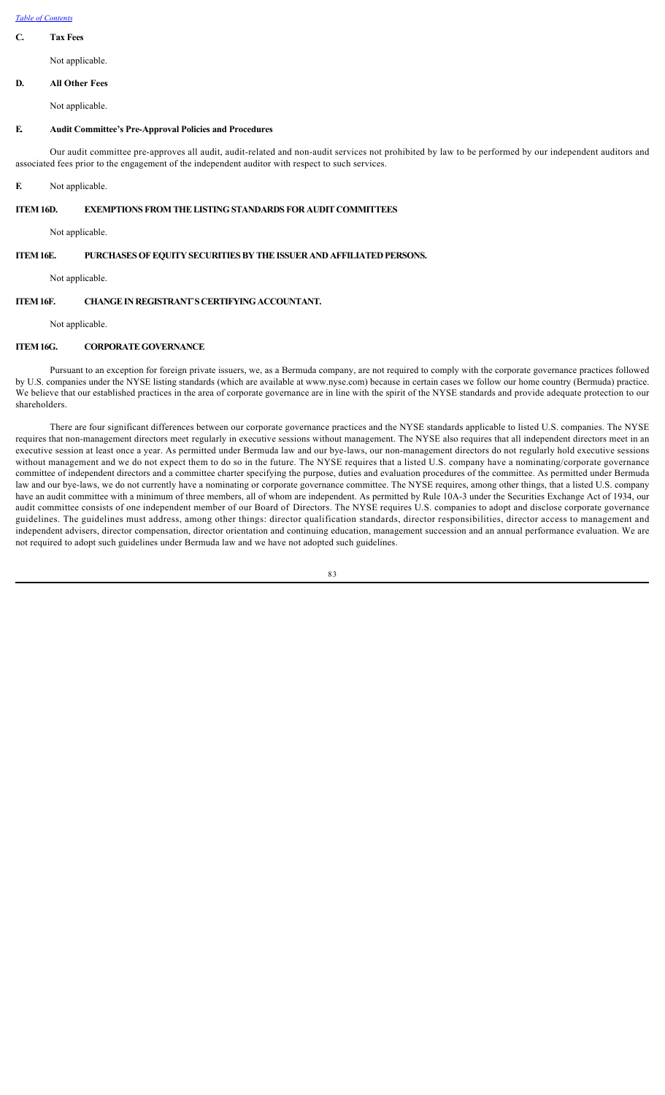# **C. Tax Fees**

Not applicable.

# **D. All Other Fees**

Not applicable.

# **E. Audit Committee's Pre-Approval Policies and Procedures**

Our audit committee pre-approves all audit, audit-related and non-audit services not prohibited by law to be performed by our independent auditors and associated fees prior to the engagement of the independent auditor with respect to such services.

# **F.** Not applicable.

# **ITEM 16D. EXEMPTIONS FROM THE LISTING STANDARDS FOR AUDIT COMMITTEES**

Not applicable.

# **ITEM 16E. PURCHASES OF EQUITY SECURITIES BY THE ISSUER AND AFFILIATED PERSONS.**

Not applicable.

# **ITEM 16F. CHANGE IN REGISTRANT'S CERTIFYING ACCOUNTANT.**

Not applicable.

# **ITEM 16G. CORPORATE GOVERNANCE**

Pursuant to an exception for foreign private issuers, we, as a Bermuda company, are not required to comply with the corporate governance practices followed by U.S. companies under the NYSE listing standards (which are available at www.nyse.com) because in certain cases we follow our home country (Bermuda) practice. We believe that our established practices in the area of corporate governance are in line with the spirit of the NYSE standards and provide adequate protection to our shareholders.

There are four significant differences between our corporate governance practices and the NYSE standards applicable to listed U.S. companies. The NYSE requires that non-management directors meet regularly in executive sessions without management. The NYSE also requires that all independent directors meet in an executive session at least once a year. As permitted under Bermuda law and our bye-laws, our non-management directors do not regularly hold executive sessions without management and we do not expect them to do so in the future. The NYSE requires that a listed U.S. company have a nominating/corporate governance committee of independent directors and a committee charter specifying the purpose, duties and evaluation procedures of the committee. As permitted under Bermuda law and our bye-laws, we do not currently have a nominating or corporate governance committee. The NYSE requires, among other things, that a listed U.S. company have an audit committee with a minimum of three members, all of whom are independent. As permitted by Rule 10A-3 under the Securities Exchange Act of 1934, our audit committee consists of one independent member of our Board of Directors. The NYSE requires U.S. companies to adopt and disclose corporate governance guidelines. The guidelines must address, among other things: director qualification standards, director responsibilities, director access to management and independent advisers, director compensation, director orientation and continuing education, management succession and an annual performance evaluation. We are not required to adopt such guidelines under Bermuda law and we have not adopted such guidelines.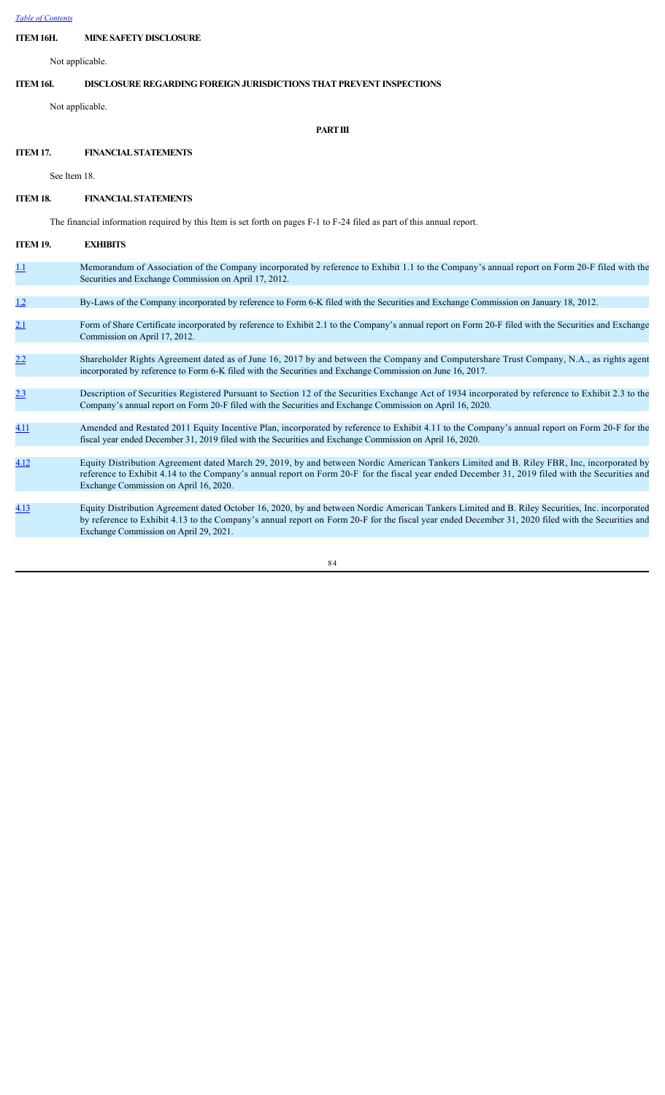# **ITEM 16H. MINE SAFETY DISCLOSURE**

Not applicable.

# **ITEM 16I. DISCLOSURE REGARDING FOREIGN JURISDICTIONS THAT PREVENT INSPECTIONS**

Not applicable.

**PART III**

# **ITEM 17. FINANCIAL STATEMENTS**

See Item 18.

# **ITEM 18. FINANCIAL STATEMENTS**

The financial information required by this Item is set forth on pages F-1 to F-24 filed as part of this annual report.

# **ITEM 19. EXHIBITS**

| $1.1\,$ | Memorandum of Association of the Company incorporated by reference to Exhibit 1.1 to the Company's annual report on Form 20-F filed with the<br>Securities and Exchange Commission on April 17, 2012. |
|---------|-------------------------------------------------------------------------------------------------------------------------------------------------------------------------------------------------------|
| 1.2     | By-Laws of the Company incorporated by reference to Form 6-K filed with the Securities and Exchange Commission on January 18, 2012.                                                                   |
| 2.1     | Form of Share Certificate incorporated by reference to Exhibit 2.1 to the Company's annual report on Form 20-F filed with the Securities and Exchange<br>Commission on April 17, 2012.                |

[2.2](https://www.sec.gov/Archives/edgar/data/1000177/000091957417004901/d7516210_6-k.htm) Shareholder Rights Agreement dated as of June 16, 2017 by and between the Company and Computershare Trust Company, N.A., as rights agent incorporated by reference to Form 6-K filed with the Securities and Exchange Commission on June 16, 2017.

- [2.3](https://www.sec.gov/Archives/edgar/data/1000177/000091957420002937/d8486806_ex2-3.htm) Description of Securities Registered Pursuant to Section 12 of the Securities Exchange Act of 1934 incorporated by reference to Exhibit 2.3 to the Company's annual report on Form 20-F filed with the Securities and Exchange Commission on April 16, 2020.
- [4.11](https://www.sec.gov/Archives/edgar/data/1000177/000091957420002937/d8500640_ex4-11.htm) Amended and Restated 2011 Equity Incentive Plan, incorporated by reference to Exhibit 4.11 to the Company's annual report on Form 20-F for the fiscal year ended December 31, 2019 filed with the Securities and Exchange Commission on April 16, 2020.
- [4.12](https://www.sec.gov/Archives/edgar/data/1000177/000091957420002937/d8517608_ex4-14.htm) Equity Distribution Agreement dated March 29, 2019, by and between Nordic American Tankers Limited and B. Riley FBR, Inc, incorporated by reference to Exhibit 4.14 to the Company's annual report on Form 20-F for the fiscal year ended December 31, 2019 filed with the Securities and Exchange Commission on April 16, 2020.
- [4.13](https://www.sec.gov/Archives/edgar/data/1000177/000114036121014948/brhc10022989_ex4-13.htm) Equity Distribution Agreement dated October 16, 2020, by and between Nordic American Tankers Limited and B. Riley Securities, Inc. incorporated by reference to Exhibit 4.13 to the Company's annual report on Form 20-F for the fiscal year ended December 31, 2020 filed with the Securities and Exchange Commission on April 29, 2021.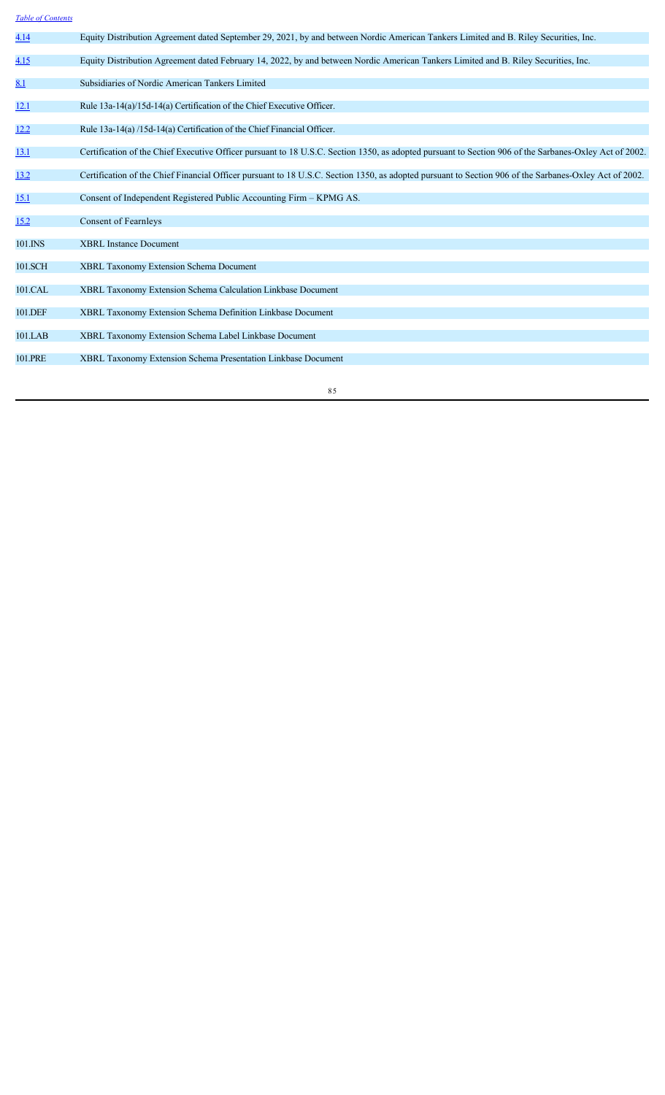| 4.14        | Equity Distribution Agreement dated September 29, 2021, by and between Nordic American Tankers Limited and B. Riley Securities, Inc.                   |
|-------------|--------------------------------------------------------------------------------------------------------------------------------------------------------|
| 4.15        | Equity Distribution Agreement dated February 14, 2022, by and between Nordic American Tankers Limited and B. Riley Securities, Inc.                    |
| 8.1         | Subsidiaries of Nordic American Tankers Limited                                                                                                        |
| 12.1        | Rule 13a-14(a)/15d-14(a) Certification of the Chief Executive Officer.                                                                                 |
| 12.2        | Rule 13a-14(a) /15d-14(a) Certification of the Chief Financial Officer.                                                                                |
| 13.1        | Certification of the Chief Executive Officer pursuant to 18 U.S.C. Section 1350, as adopted pursuant to Section 906 of the Sarbanes-Oxley Act of 2002. |
| <u>13.2</u> | Certification of the Chief Financial Officer pursuant to 18 U.S.C. Section 1350, as adopted pursuant to Section 906 of the Sarbanes-Oxley Act of 2002. |
| 15.1        | Consent of Independent Registered Public Accounting Firm – KPMG AS.                                                                                    |
| 15.2        | <b>Consent of Fearnleys</b>                                                                                                                            |
| 101.INS     | <b>XBRL</b> Instance Document                                                                                                                          |
| 101.SCH     | <b>XBRL Taxonomy Extension Schema Document</b>                                                                                                         |
| 101.CAL     | XBRL Taxonomy Extension Schema Calculation Linkbase Document                                                                                           |
| 101.DEF     | XBRL Taxonomy Extension Schema Definition Linkbase Document                                                                                            |
| 101.LAB     | XBRL Taxonomy Extension Schema Label Linkbase Document                                                                                                 |
| 101.PRE     | XBRL Taxonomy Extension Schema Presentation Linkbase Document                                                                                          |
|             |                                                                                                                                                        |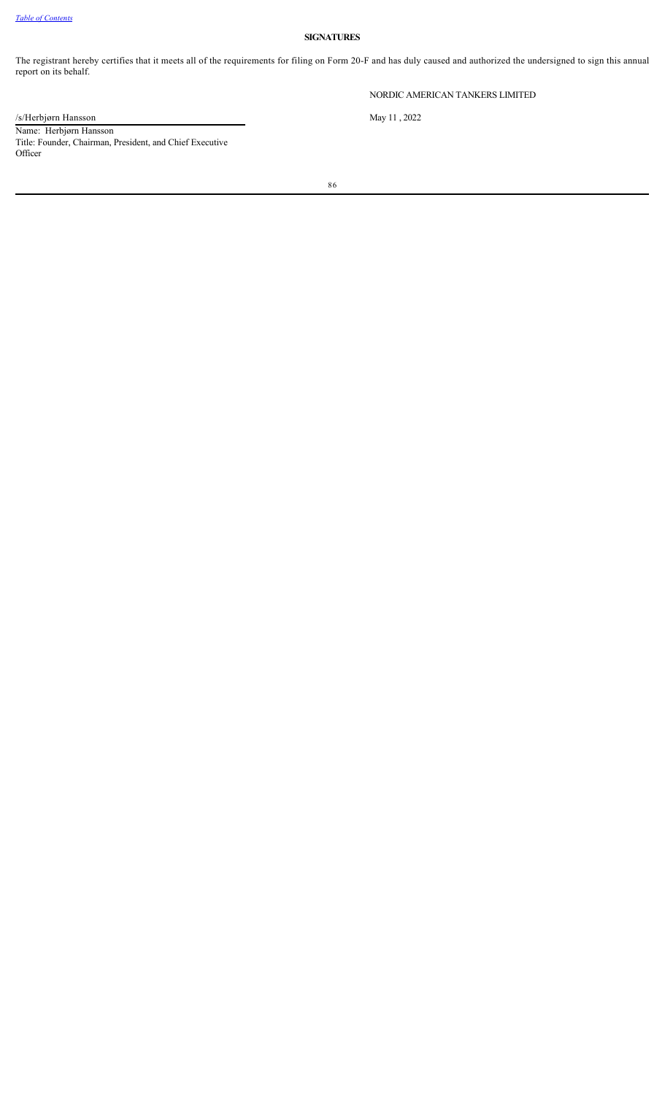# **SIGNATURES**

The registrant hereby certifies that it meets all of the requirements for filing on Form 20-F and has duly caused and authorized the undersigned to sign this annual report on its behalf.

NORDIC AMERICAN TANKERS LIMITED

/s/Herbjørn Hansson May 11 , 2022 Name: Herbjørn Hansson Title: Founder, Chairman, President, and Chief Executive **Officer**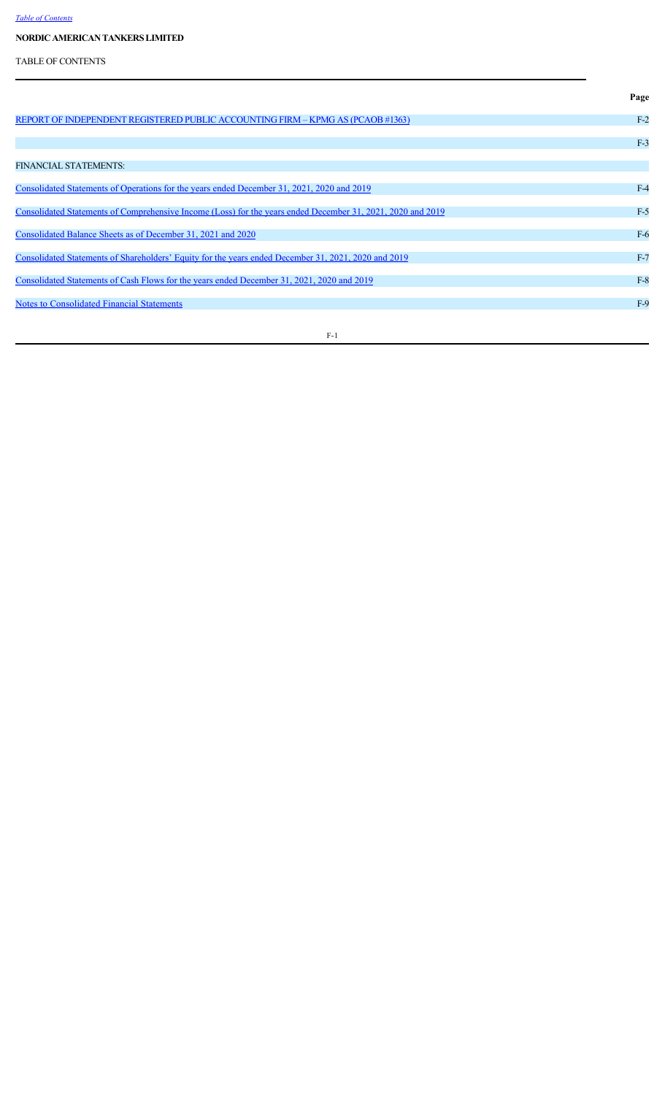TABLE OF CONTENTS

|                                                                                                             | Page  |
|-------------------------------------------------------------------------------------------------------------|-------|
| REPORT OF INDEPENDENT REGISTERED PUBLIC ACCOUNTING FIRM - KPMG AS (PCAOB #1363)                             | $F-2$ |
|                                                                                                             | $F-3$ |
| <b>FINANCIAL STATEMENTS:</b>                                                                                |       |
| Consolidated Statements of Operations for the years ended December 31, 2021, 2020 and 2019                  | $F-4$ |
| Consolidated Statements of Comprehensive Income (Loss) for the years ended December 31, 2021, 2020 and 2019 | $F-5$ |
| Consolidated Balance Sheets as of December 31, 2021 and 2020                                                | $F-6$ |
| Consolidated Statements of Shareholders' Equity for the years ended December 31, 2021, 2020 and 2019        | $F-7$ |
| Consolidated Statements of Cash Flows for the years ended December 31, 2021, 2020 and 2019                  | $F-8$ |
| <b>Notes to Consolidated Financial Statements</b>                                                           | $F-9$ |
|                                                                                                             |       |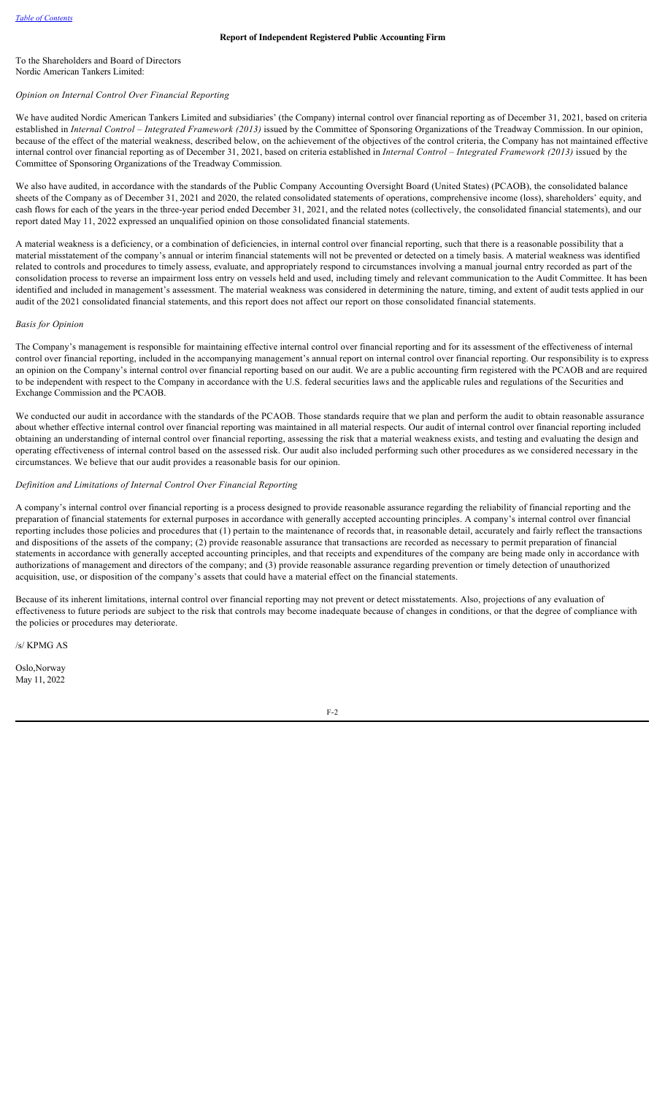# **Report of Independent Registered Public Accounting Firm**

#### To the Shareholders and Board of Directors Nordic American Tankers Limited:

# *Opinion on Internal Control Over Financial Reporting*

We have audited Nordic American Tankers Limited and subsidiaries' (the Company) internal control over financial reporting as of December 31, 2021, based on criteria established in *Internal Control – Integrated Framework (2013)* issued by the Committee of Sponsoring Organizations of the Treadway Commission. In our opinion, because of the effect of the material weakness, described below, on the achievement of the objectives of the control criteria, the Company has not maintained effective internal control over financial reporting as of December 31, 2021, based on criteria established in *Internal Control – Integrated Framework (2013)* issued by the Committee of Sponsoring Organizations of the Treadway Commission.

We also have audited, in accordance with the standards of the Public Company Accounting Oversight Board (United States) (PCAOB), the consolidated balance sheets of the Company as of December 31, 2021 and 2020, the related consolidated statements of operations, comprehensive income (loss), shareholders' equity, and cash flows for each of the years in the three-year period ended December 31, 2021, and the related notes (collectively, the consolidated financial statements), and our report dated May 11, 2022 expressed an unqualified opinion on those consolidated financial statements.

A material weakness is a deficiency, or a combination of deficiencies, in internal control over financial reporting, such that there is a reasonable possibility that a material misstatement of the company's annual or interim financial statements will not be prevented or detected on a timely basis. A material weakness was identified related to controls and procedures to timely assess, evaluate, and appropriately respond to circumstances involving a manual journal entry recorded as part of the consolidation process to reverse an impairment loss entry on vessels held and used, including timely and relevant communication to the Audit Committee. It has been identified and included in management's assessment. The material weakness was considered in determining the nature, timing, and extent of audit tests applied in our audit of the 2021 consolidated financial statements, and this report does not affect our report on those consolidated financial statements.

#### *Basis for Opinion*

The Company's management is responsible for maintaining effective internal control over financial reporting and for its assessment of the effectiveness of internal control over financial reporting, included in the accompanying management's annual report on internal control over financial reporting. Our responsibility is to express an opinion on the Company's internal control over financial reporting based on our audit. We are a public accounting firm registered with the PCAOB and are required to be independent with respect to the Company in accordance with the U.S. federal securities laws and the applicable rules and regulations of the Securities and Exchange Commission and the PCAOB.

We conducted our audit in accordance with the standards of the PCAOB. Those standards require that we plan and perform the audit to obtain reasonable assurance about whether effective internal control over financial reporting was maintained in all material respects. Our audit of internal control over financial reporting included obtaining an understanding of internal control over financial reporting, assessing the risk that a material weakness exists, and testing and evaluating the design and operating effectiveness of internal control based on the assessed risk. Our audit also included performing such other procedures as we considered necessary in the circumstances. We believe that our audit provides a reasonable basis for our opinion.

# *Definition and Limitations of Internal Control Over Financial Reporting*

A company's internal control over financial reporting is a process designed to provide reasonable assurance regarding the reliability of financial reporting and the preparation of financial statements for external purposes in accordance with generally accepted accounting principles. A company's internal control over financial reporting includes those policies and procedures that (1) pertain to the maintenance of records that, in reasonable detail, accurately and fairly reflect the transactions and dispositions of the assets of the company; (2) provide reasonable assurance that transactions are recorded as necessary to permit preparation of financial statements in accordance with generally accepted accounting principles, and that receipts and expenditures of the company are being made only in accordance with authorizations of management and directors of the company; and (3) provide reasonable assurance regarding prevention or timely detection of unauthorized acquisition, use, or disposition of the company's assets that could have a material effect on the financial statements.

Because of its inherent limitations, internal control over financial reporting may not prevent or detect misstatements. Also, projections of any evaluation of effectiveness to future periods are subject to the risk that controls may become inadequate because of changes in conditions, or that the degree of compliance with the policies or procedures may deteriorate.

/s/ KPMG AS

Oslo,Norway May 11, 2022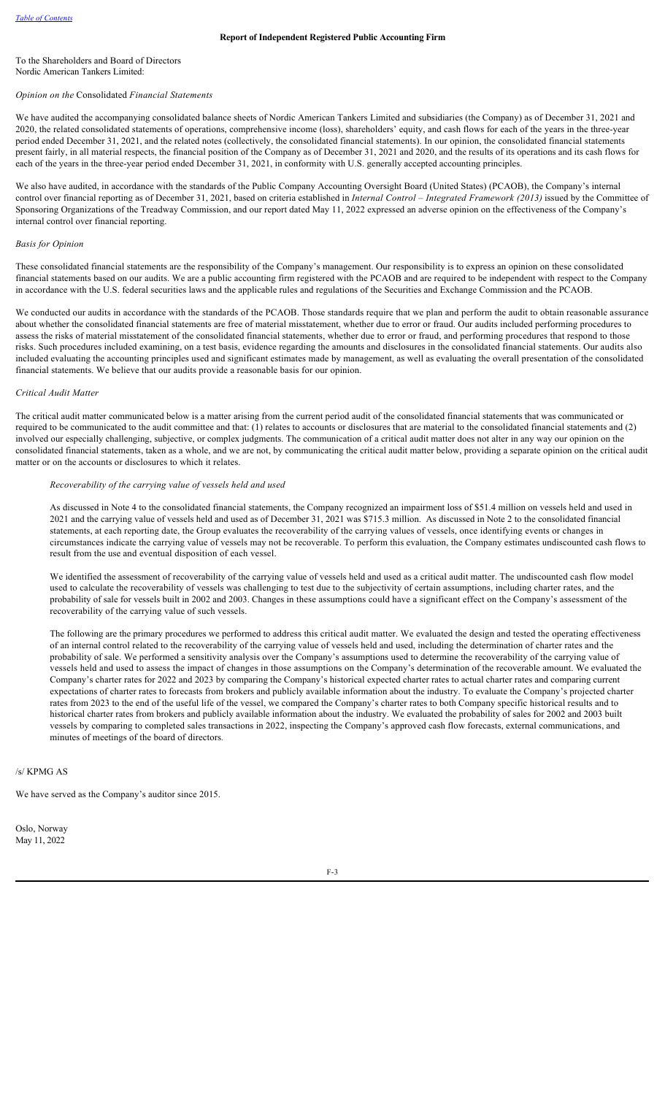# **Report of Independent Registered Public Accounting Firm**

To the Shareholders and Board of Directors Nordic American Tankers Limited:

# *Opinion on the* Consolidated *Financial Statements*

We have audited the accompanying consolidated balance sheets of Nordic American Tankers Limited and subsidiaries (the Company) as of December 31, 2021 and 2020, the related consolidated statements of operations, comprehensive income (loss), shareholders' equity, and cash flows for each of the years in the three-year period ended December 31, 2021, and the related notes (collectively, the consolidated financial statements). In our opinion, the consolidated financial statements present fairly, in all material respects, the financial position of the Company as of December 31, 2021 and 2020, and the results of its operations and its cash flows for each of the years in the three-year period ended December 31, 2021, in conformity with U.S. generally accepted accounting principles.

We also have audited, in accordance with the standards of the Public Company Accounting Oversight Board (United States) (PCAOB), the Company's internal control over financial reporting as of December 31, 2021, based on criteria established in *Internal Control – Integrated Framework (2013)* issued by the Committee of Sponsoring Organizations of the Treadway Commission, and our report dated May 11, 2022 expressed an adverse opinion on the effectiveness of the Company's internal control over financial reporting.

#### *Basis for Opinion*

These consolidated financial statements are the responsibility of the Company's management. Our responsibility is to express an opinion on these consolidated financial statements based on our audits. We are a public accounting firm registered with the PCAOB and are required to be independent with respect to the Company in accordance with the U.S. federal securities laws and the applicable rules and regulations of the Securities and Exchange Commission and the PCAOB.

We conducted our audits in accordance with the standards of the PCAOB. Those standards require that we plan and perform the audit to obtain reasonable assurance about whether the consolidated financial statements are free of material misstatement, whether due to error or fraud. Our audits included performing procedures to assess the risks of material misstatement of the consolidated financial statements, whether due to error or fraud, and performing procedures that respond to those risks. Such procedures included examining, on a test basis, evidence regarding the amounts and disclosures in the consolidated financial statements. Our audits also included evaluating the accounting principles used and significant estimates made by management, as well as evaluating the overall presentation of the consolidated financial statements. We believe that our audits provide a reasonable basis for our opinion.

#### *Critical Audit Matter*

The critical audit matter communicated below is a matter arising from the current period audit of the consolidated financial statements that was communicated or required to be communicated to the audit committee and that: (1) relates to accounts or disclosures that are material to the consolidated financial statements and (2) involved our especially challenging, subjective, or complex judgments. The communication of a critical audit matter does not alter in any way our opinion on the consolidated financial statements, taken as a whole, and we are not, by communicating the critical audit matter below, providing a separate opinion on the critical audit matter or on the accounts or disclosures to which it relates.

#### *Recoverability of the carrying value of vessels held and used*

As discussed in Note 4 to the consolidated financial statements, the Company recognized an impairment loss of \$51.4 million on vessels held and used in 2021 and the carrying value of vessels held and used as of December 31, 2021 was \$715.3 million. As discussed in Note 2 to the consolidated financial statements, at each reporting date, the Group evaluates the recoverability of the carrying values of vessels, once identifying events or changes in circumstances indicate the carrying value of vessels may not be recoverable. To perform this evaluation, the Company estimates undiscounted cash flows to result from the use and eventual disposition of each vessel.

We identified the assessment of recoverability of the carrying value of vessels held and used as a critical audit matter. The undiscounted cash flow model used to calculate the recoverability of vessels was challenging to test due to the subjectivity of certain assumptions, including charter rates, and the probability of sale for vessels built in 2002 and 2003. Changes in these assumptions could have a significant effect on the Company's assessment of the recoverability of the carrying value of such vessels.

The following are the primary procedures we performed to address this critical audit matter. We evaluated the design and tested the operating effectiveness of an internal control related to the recoverability of the carrying value of vessels held and used, including the determination of charter rates and the probability of sale. We performed a sensitivity analysis over the Company's assumptions used to determine the recoverability of the carrying value of vessels held and used to assess the impact of changes in those assumptions on the Company's determination of the recoverable amount. We evaluated the Company's charter rates for 2022 and 2023 by comparing the Company's historical expected charter rates to actual charter rates and comparing current expectations of charter rates to forecasts from brokers and publicly available information about the industry. To evaluate the Company's projected charter rates from 2023 to the end of the useful life of the vessel, we compared the Company's charter rates to both Company specific historical results and to historical charter rates from brokers and publicly available information about the industry. We evaluated the probability of sales for 2002 and 2003 built vessels by comparing to completed sales transactions in 2022, inspecting the Company's approved cash flow forecasts, external communications, and minutes of meetings of the board of directors.

# /s/ KPMG AS

We have served as the Company's auditor since 2015.

Oslo, Norway May 11, 2022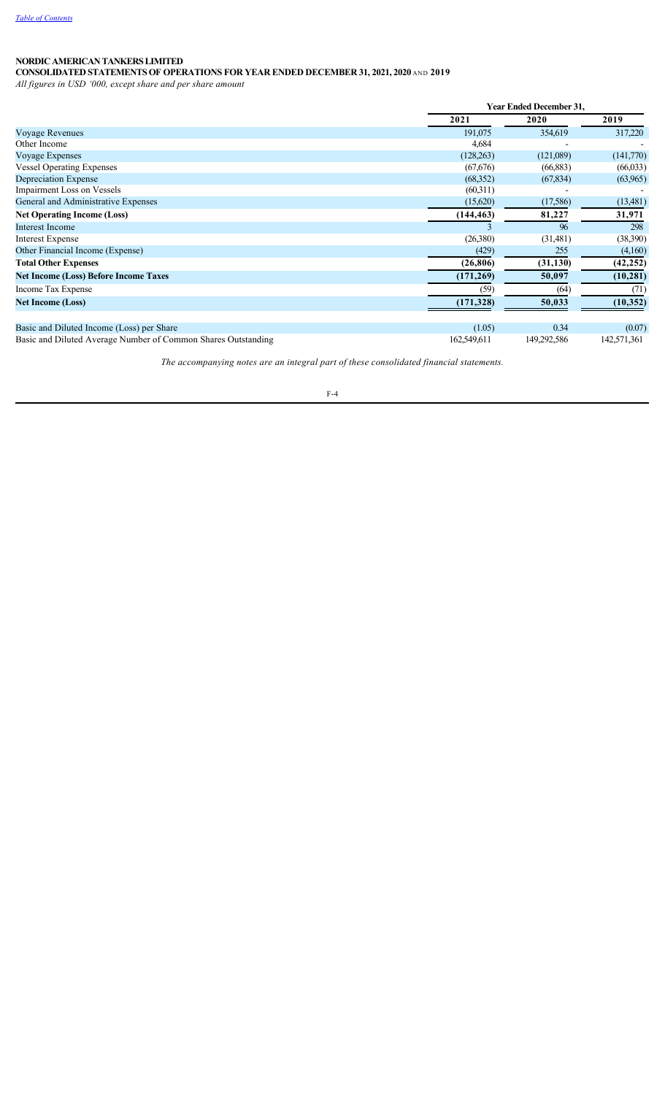<span id="page-95-0"></span>**CONSOLIDATED STATEMENTS OF OPERATIONS FOR YEAR ENDED DECEMBER 31, 2021, 2020** AND **2019**

*All figures in USD '000, except share and per share amount*

|                                                               | <b>Year Ended December 31,</b> |             |             |
|---------------------------------------------------------------|--------------------------------|-------------|-------------|
|                                                               | 2021                           | 2020        | 2019        |
| Voyage Revenues                                               | 191,075                        | 354,619     | 317,220     |
| Other Income                                                  | 4,684                          |             |             |
| Voyage Expenses                                               | (128, 263)                     | (121,089)   | (141,770)   |
| <b>Vessel Operating Expenses</b>                              | (67,676)                       | (66, 883)   | (66,033)    |
| Depreciation Expense                                          | (68, 352)                      | (67, 834)   | (63,965)    |
| <b>Impairment Loss on Vessels</b>                             | (60,311)                       |             |             |
| General and Administrative Expenses                           | (15,620)                       | (17,586)    | (13,481)    |
| <b>Net Operating Income (Loss)</b>                            | (144, 463)                     | 81,227      | 31,971      |
| <b>Interest Income</b>                                        |                                | 96          | 298         |
| <b>Interest Expense</b>                                       | (26,380)                       | (31,481)    | (38,390)    |
| Other Financial Income (Expense)                              | (429)                          | 255         | (4,160)     |
| <b>Total Other Expenses</b>                                   | (26, 806)                      | (31, 130)   | (42, 252)   |
| <b>Net Income (Loss) Before Income Taxes</b>                  | (171, 269)                     | 50,097      | (10, 281)   |
| Income Tax Expense                                            | (59)                           | (64)        | (71)        |
| <b>Net Income (Loss)</b>                                      | (171, 328)                     | 50,033      | (10, 352)   |
| Basic and Diluted Income (Loss) per Share                     | (1.05)                         | 0.34        | (0.07)      |
| Basic and Diluted Average Number of Common Shares Outstanding | 162,549,611                    | 149,292,586 | 142,571,361 |

*The accompanying notes are an integral part of these consolidated financial statements.*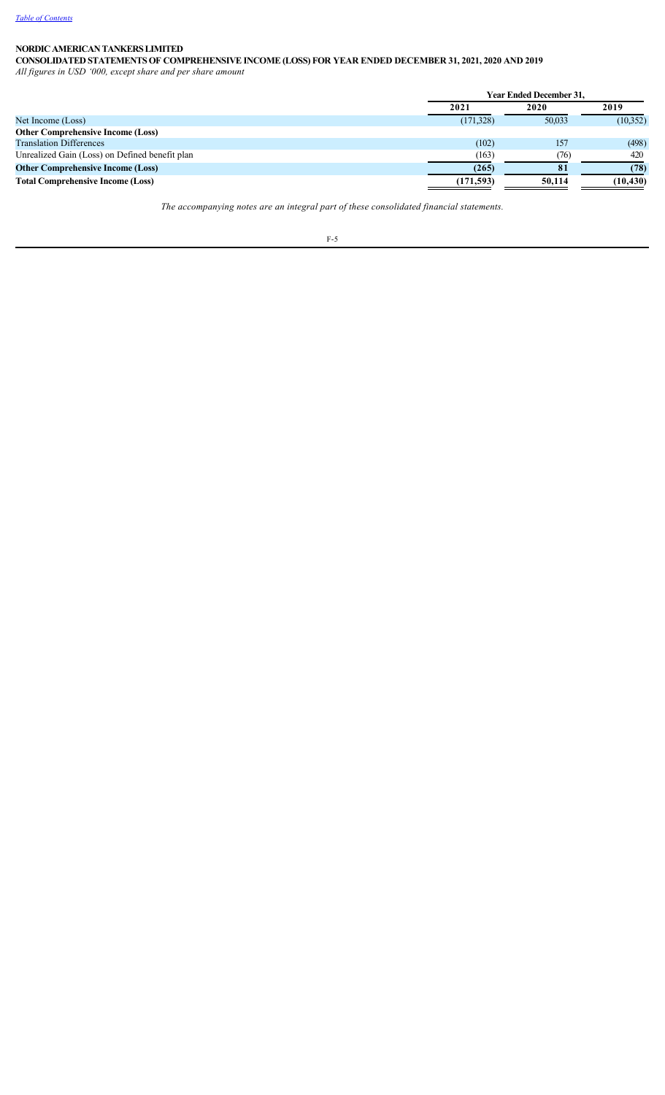**CONSOLIDATED STATEMENTS OF COMPREHENSIVE INCOME (LOSS) FOR YEAR ENDED DECEMBER 31, 2021, 2020 AND 2019**

*All figures in USD '000, except share and per share amount*

|                                                |            | <b>Year Ended December 31.</b> |           |  |
|------------------------------------------------|------------|--------------------------------|-----------|--|
|                                                | 2021       | 2020                           | 2019      |  |
| Net Income (Loss)                              | (171,328)  | 50,033                         | (10,352)  |  |
| <b>Other Comprehensive Income (Loss)</b>       |            |                                |           |  |
| <b>Translation Differences</b>                 | (102)      | 157                            | (498)     |  |
| Unrealized Gain (Loss) on Defined benefit plan | (163)      | (76)                           | 420       |  |
| <b>Other Comprehensive Income (Loss)</b>       | (265)      | 81                             | (78)      |  |
| <b>Total Comprehensive Income (Loss)</b>       | (171, 593) | 50,114                         | (10, 430) |  |

<span id="page-96-0"></span>*The accompanying notes are an integral part of these consolidated financial statements.*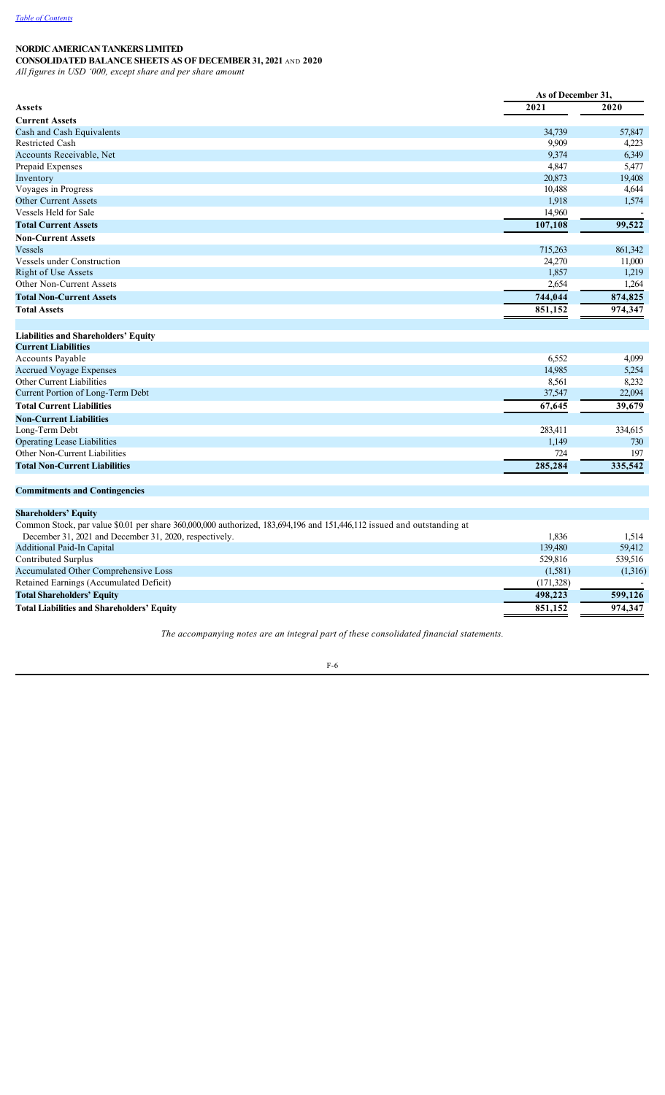# <span id="page-97-0"></span>**CONSOLIDATED BALANCE SHEETS AS OF DECEMBER 31, 2021** AND **2020**

*All figures in USD '000, except share and per share amount*

|                                 | As of December 31, |         |
|---------------------------------|--------------------|---------|
| Assets                          | 2021               | 2020    |
| <b>Current Assets</b>           |                    |         |
| Cash and Cash Equivalents       | 34,739             | 57,847  |
| <b>Restricted Cash</b>          | 9,909              | 4,223   |
| Accounts Receivable, Net        | 9,374              | 6,349   |
| Prepaid Expenses                | 4,847              | 5,477   |
| Inventory                       | 20,873             | 19,408  |
| Voyages in Progress             | 10,488             | 4,644   |
| <b>Other Current Assets</b>     | 1,918              | 1,574   |
| Vessels Held for Sale           | 14,960             |         |
| <b>Total Current Assets</b>     | 107,108            | 99,522  |
| <b>Non-Current Assets</b>       |                    |         |
| Vessels                         | 715,263            | 861,342 |
| Vessels under Construction      | 24,270             | 11,000  |
| <b>Right of Use Assets</b>      | 1,857              | 1,219   |
| Other Non-Current Assets        | 2,654              | 1,264   |
| <b>Total Non-Current Assets</b> | 744,044            | 874,825 |
| <b>Total Assets</b>             | 851,152            | 974,347 |
|                                 |                    |         |

| <b>Liabilities and Shareholders' Equity</b> |         |         |
|---------------------------------------------|---------|---------|
| <b>Current Liabilities</b>                  |         |         |
| Accounts Payable                            | 6,552   | 4,099   |
| <b>Accrued Voyage Expenses</b>              | 14,985  | 5,254   |
| Other Current Liabilities                   | 8,561   | 8,232   |
| Current Portion of Long-Term Debt           | 37,547  | 22,094  |
| <b>Total Current Liabilities</b>            | 67,645  | 39,679  |
| <b>Non-Current Liabilities</b>              |         |         |
| Long-Term Debt                              | 283,411 | 334,615 |
| <b>Operating Lease Liabilities</b>          | 1,149   | 730     |
| Other Non-Current Liabilities               | 724     | 197     |
| <b>Total Non-Current Liabilities</b>        | 285,284 | 335,542 |
| <b>Commitments and Contingencies</b>        |         |         |

| <b>Shareholders' Equity</b>                                                                                            |           |         |
|------------------------------------------------------------------------------------------------------------------------|-----------|---------|
| Common Stock, par value \$0.01 per share 360,000,000 authorized, 183,694,196 and 151,446,112 issued and outstanding at |           |         |
| December 31, 2021 and December 31, 2020, respectively.                                                                 | 1,836     | 1.514   |
| <b>Additional Paid-In Capital</b>                                                                                      | 139,480   | 59.412  |
| Contributed Surplus                                                                                                    | 529,816   | 539.516 |
| Accumulated Other Comprehensive Loss                                                                                   | (1,581)   | (1,316) |
| Retained Earnings (Accumulated Deficit)                                                                                | (171,328) |         |
| <b>Total Shareholders' Equity</b>                                                                                      | 498,223   | 599,126 |
| <b>Total Liabilities and Shareholders' Equity</b>                                                                      | 851,152   | 974,347 |
|                                                                                                                        |           |         |

*The accompanying notes are an integral part of these consolidated financial statements.*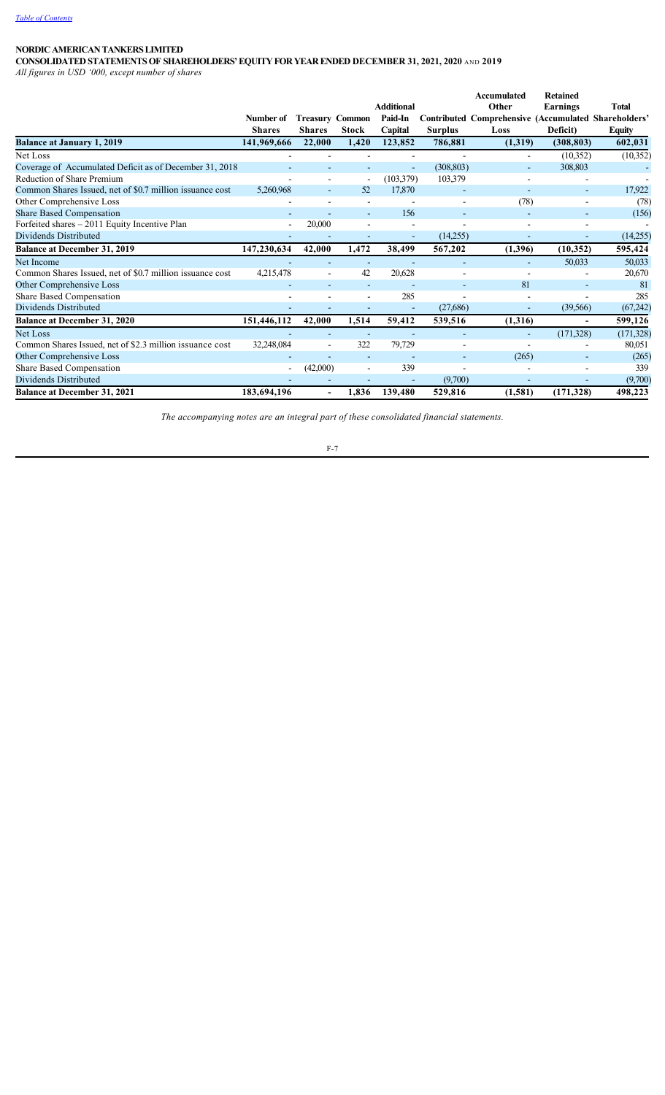<span id="page-98-0"></span>**CONSOLIDATED STATEMENTS OF SHAREHOLDERS' EQUITY FOR YEAR ENDED DECEMBER 31, 2021, 2020** AND **2019**

*All figures in USD '000, except number of shares*

|                                                          | Number of<br><b>Shares</b> | <b>Treasury Common</b><br><b>Shares</b> | <b>Stock</b>             | <b>Additional</b><br>Paid-In<br>Capital | <b>Surplus</b> | Accumulated<br>Other<br>Contributed Comprehensive (Accumulated Shareholders'<br>Loss | <b>Retained</b><br><b>Earnings</b><br>Deficit) | <b>Total</b><br><b>Equity</b> |
|----------------------------------------------------------|----------------------------|-----------------------------------------|--------------------------|-----------------------------------------|----------------|--------------------------------------------------------------------------------------|------------------------------------------------|-------------------------------|
| <b>Balance at January 1, 2019</b>                        | 141,969,666                | 22,000                                  | 1,420                    | 123,852                                 | 786,881        | (1,319)                                                                              | (308, 803)                                     | 602,031                       |
| Net Loss                                                 |                            |                                         |                          |                                         |                | ۰                                                                                    | (10,352)                                       | (10,352)                      |
| Coverage of Accumulated Deficit as of December 31, 2018  |                            |                                         |                          |                                         | (308, 803)     |                                                                                      | 308,803                                        |                               |
| Reduction of Share Premium                               |                            |                                         | $\overline{\phantom{a}}$ | (103, 379)                              | 103,379        |                                                                                      |                                                |                               |
| Common Shares Issued, net of \$0.7 million issuance cost | 5.260.968                  |                                         | 52                       | 17,870                                  |                |                                                                                      | ٠                                              | 17,922                        |
| Other Comprehensive Loss                                 |                            |                                         |                          |                                         |                | (78)                                                                                 |                                                | (78)                          |
| Share Based Compensation                                 |                            |                                         |                          | 156                                     |                |                                                                                      |                                                | (156)                         |
| Forfeited shares - 2011 Equity Incentive Plan            |                            | 20,000                                  |                          |                                         |                |                                                                                      |                                                |                               |
| Dividends Distributed                                    |                            |                                         |                          | $\overline{\phantom{a}}$                | (14,255)       | -                                                                                    |                                                | (14,255)                      |
| <b>Balance at December 31, 2019</b>                      | 147,230,634                | 42,000                                  | 1,472                    | 38.499                                  | 567,202        | (1,396)                                                                              | (10, 352)                                      | 595,424                       |
| Net Income                                               |                            |                                         |                          |                                         |                |                                                                                      | 50,033                                         | 50,033                        |
| Common Shares Issued, net of \$0.7 million issuance cost | 4,215,478                  |                                         | 42                       | 20,628                                  |                | ٠                                                                                    |                                                | 20,670                        |
| Other Comprehensive Loss                                 |                            |                                         |                          |                                         |                | 81                                                                                   |                                                | 81                            |
| Share Based Compensation                                 |                            |                                         |                          | 285                                     |                |                                                                                      |                                                | 285                           |
| Dividends Distributed                                    |                            |                                         |                          |                                         | (27,686)       | ۰.                                                                                   | (39, 566)                                      | (67,242)                      |
| <b>Balance at December 31, 2020</b>                      | 151,446,112                | 42,000                                  | 1,514                    | 59,412                                  | 539,516        | (1,316)                                                                              |                                                | 599,126                       |
| Net Loss                                                 |                            |                                         |                          |                                         |                | -                                                                                    | (171, 328)                                     | (171,328)                     |
| Common Shares Issued, net of \$2.3 million issuance cost | 32,248,084                 |                                         | 322                      | 79,729                                  |                | ٠                                                                                    |                                                | 80,051                        |
| Other Comprehensive Loss                                 |                            |                                         | $\blacksquare$           |                                         | $\overline{a}$ | (265)                                                                                | $\overline{\phantom{0}}$                       | (265)                         |
| Share Based Compensation                                 |                            | (42,000)                                | $\blacksquare$           | 339                                     |                |                                                                                      |                                                | 339                           |
| Dividends Distributed                                    |                            |                                         |                          |                                         | (9,700)        | $\overline{\phantom{0}}$                                                             |                                                | (9,700)                       |
| <b>Balance at December 31, 2021</b>                      | 183.694.196                | $\blacksquare$                          | 1.836                    | 139,480                                 | 529,816        | (1,581)                                                                              | (171, 328)                                     | 498,223                       |

*The accompanying notes are an integral part of these consolidated financial statements.*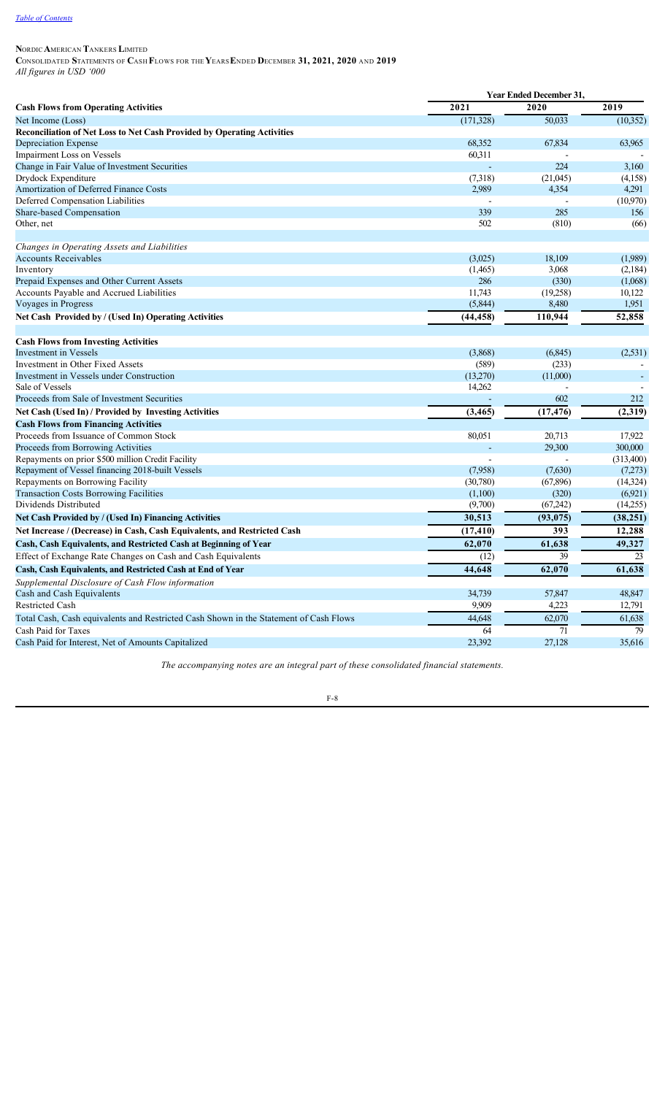<span id="page-99-0"></span>**C**ONSOLIDATED **S**TATEMENTS OF **C**ASH **F**LOWS FOR THE **Y**EARS **E**NDED **D**ECEMBER **31, 2021, 2020** AND **2019** *All figures in USD '000*

|                                                                                       | <b>Year Ended December 31,</b> |           |           |  |
|---------------------------------------------------------------------------------------|--------------------------------|-----------|-----------|--|
| <b>Cash Flows from Operating Activities</b>                                           | 2021                           | 2020      | 2019      |  |
| Net Income (Loss)                                                                     | (171, 328)                     | 50,033    | (10, 352) |  |
| Reconciliation of Net Loss to Net Cash Provided by Operating Activities               |                                |           |           |  |
| Depreciation Expense                                                                  | 68,352                         | 67,834    | 63,965    |  |
| <b>Impairment Loss on Vessels</b>                                                     | 60,311                         |           |           |  |
| Change in Fair Value of Investment Securities                                         |                                | 224       | 3,160     |  |
| Drydock Expenditure                                                                   | (7,318)                        | (21,045)  | (4,158)   |  |
| <b>Amortization of Deferred Finance Costs</b>                                         | 2,989                          | 4,354     | 4,291     |  |
| Deferred Compensation Liabilities                                                     |                                |           | (10,970)  |  |
| Share-based Compensation                                                              | 339                            | 285       | 156       |  |
| Other, net                                                                            | 502                            | (810)     | (66)      |  |
| Changes in Operating Assets and Liabilities                                           |                                |           |           |  |
| <b>Accounts Receivables</b>                                                           | (3,025)                        | 18,109    | (1,989)   |  |
| Inventory                                                                             | (1,465)                        | 3,068     | (2,184)   |  |
| Prepaid Expenses and Other Current Assets                                             | 286                            | (330)     | (1,068)   |  |
| <b>Accounts Payable and Accrued Liabilities</b>                                       | 11,743                         | (19,258)  | 10,122    |  |
| Voyages in Progress                                                                   | (5,844)                        | 8,480     | 1,951     |  |
| Net Cash Provided by / (Used In) Operating Activities                                 | (44, 458)                      | 110,944   | 52,858    |  |
| <b>Cash Flows from Investing Activities</b>                                           |                                |           |           |  |
| Investment in Vessels                                                                 | (3,868)                        | (6,845)   | (2,531)   |  |
| <b>Investment in Other Fixed Assets</b>                                               | (589)                          | (233)     |           |  |
| Investment in Vessels under Construction                                              | (13,270)                       | (11,000)  |           |  |
| Sale of Vessels                                                                       | 14,262                         |           |           |  |
| Proceeds from Sale of Investment Securities                                           |                                | 602       | 212       |  |
| Net Cash (Used In) / Provided by Investing Activities                                 | (3, 465)                       | (17, 476) | (2,319)   |  |
| <b>Cash Flows from Financing Activities</b>                                           |                                |           |           |  |
| Proceeds from Issuance of Common Stock                                                | 80,051                         | 20,713    | 17,922    |  |
| Proceeds from Borrowing Activities                                                    |                                | 29,300    | 300,000   |  |
| Repayments on prior \$500 million Credit Facility                                     |                                |           | (313,400) |  |
| Repayment of Vessel financing 2018-built Vessels                                      | (7,958)                        | (7,630)   | (7,273)   |  |
| Repayments on Borrowing Facility                                                      | (30,780)                       | (67, 896) | (14,324)  |  |
| <b>Transaction Costs Borrowing Facilities</b>                                         | (1,100)                        | (320)     | (6,921)   |  |
| Dividends Distributed                                                                 | (9,700)                        | (67,242)  | (14,255)  |  |
| Net Cash Provided by / (Used In) Financing Activities                                 | 30,513                         | (93, 075) | (38, 251) |  |
| Net Increase / (Decrease) in Cash, Cash Equivalents, and Restricted Cash              | (17, 410)                      | 393       | 12,288    |  |
| Cash, Cash Equivalents, and Restricted Cash at Beginning of Year                      | 62,070                         | 61,638    | 49,327    |  |
| Effect of Exchange Rate Changes on Cash and Cash Equivalents                          | (12)                           | 39        | 23        |  |
| Cash, Cash Equivalents, and Restricted Cash at End of Year                            | 44,648                         | 62,070    | 61,638    |  |
| Supplemental Disclosure of Cash Flow information                                      |                                |           |           |  |
| Cash and Cash Equivalents                                                             | 34,739                         | 57,847    | 48,847    |  |
| Restricted Cash                                                                       | 9,909                          | 4,223     | 12,791    |  |
| Total Cash, Cash equivalents and Restricted Cash Shown in the Statement of Cash Flows | 44,648                         | 62,070    | 61,638    |  |
| Cash Paid for Taxes                                                                   | 64                             | 71        | 79        |  |
|                                                                                       | 23,392                         |           |           |  |
| Cash Paid for Interest, Net of Amounts Capitalized                                    |                                | 27,128    | 35,616    |  |

*The accompanying notes are an integral part of these consolidated financial statements.*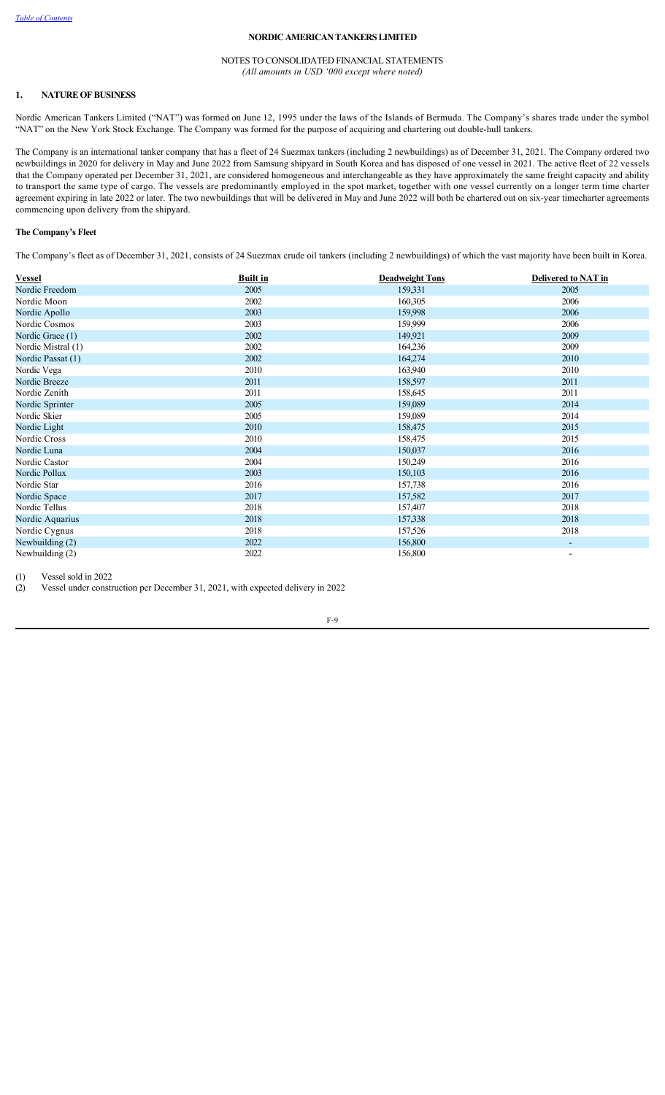# <span id="page-100-0"></span>NOTES TO CONSOLIDATED FINANCIAL STATEMENTS *(All amounts in USD '000 except where noted)*

# **1. NATURE OF BUSINESS**

Nordic American Tankers Limited ("NAT") was formed on June 12, 1995 under the laws of the Islands of Bermuda. The Company's shares trade under the symbol "NAT" on the New York Stock Exchange. The Company was formed for the purpose of acquiring and chartering out double-hull tankers.

The Company is an international tanker company that has a fleet of 24 Suezmax tankers (including 2 newbuildings) as of December 31, 2021. The Company ordered two newbuildings in 2020 for delivery in May and June 2022 from Samsung shipyard in South Korea and has disposed of one vessel in 2021. The active fleet of 22 vessels that the Company operated per December 31, 2021, are considered homogeneous and interchangeable as they have approximately the same freight capacity and ability to transport the same type of cargo. The vessels are predominantly employed in the spot market, together with one vessel currently on a longer term time charter agreement expiring in late 2022 or later. The two newbuildings that will be delivered in May and June 2022 will both be chartered out on six-year timecharter agreements commencing upon delivery from the shipyard.

#### **The Company's Fleet**

The Company's fleet as of December 31, 2021, consists of 24 Suezmax crude oil tankers (including 2 newbuildings) of which the vast majority have been built in Korea.

| <b>Vessel</b>      | <b>Built in</b> | <b>Deadweight Tons</b> | Delivered to NAT in      |
|--------------------|-----------------|------------------------|--------------------------|
| Nordic Freedom     | 2005            | 159,331                | 2005                     |
| Nordic Moon        | 2002            | 160,305                | 2006                     |
| Nordic Apollo      | 2003            | 159,998                | 2006                     |
| Nordic Cosmos      | 2003            | 159,999                | 2006                     |
| Nordic Grace (1)   | 2002            | 149,921                | 2009                     |
| Nordic Mistral (1) | 2002            | 164,236                | 2009                     |
| Nordic Passat (1)  | 2002            | 164,274                | 2010                     |
| Nordic Vega        | 2010            | 163,940                | 2010                     |
| Nordic Breeze      | 2011            | 158,597                | 2011                     |
| Nordic Zenith      | 2011            | 158,645                | 2011                     |
| Nordic Sprinter    | 2005            | 159,089                | 2014                     |
| Nordic Skier       | 2005            | 159,089                | 2014                     |
| Nordic Light       | 2010            | 158,475                | 2015                     |
| Nordic Cross       | 2010            | 158,475                | 2015                     |
| Nordic Luna        | 2004            | 150,037                | 2016                     |
| Nordic Castor      | 2004            | 150,249                | 2016                     |
| Nordic Pollux      | 2003            | 150,103                | 2016                     |
| Nordic Star        | 2016            | 157,738                | 2016                     |
| Nordic Space       | 2017            | 157,582                | 2017                     |
| Nordic Tellus      | 2018            | 157,407                | 2018                     |
| Nordic Aquarius    | 2018            | 157,338                | 2018                     |
| Nordic Cygnus      | 2018            | 157,526                | 2018                     |
| Newbuilding (2)    | 2022            | 156,800                | -                        |
| Newbuilding (2)    | 2022            | 156,800                | $\overline{\phantom{a}}$ |

(1) Vessel sold in 2022

(2) Vessel under construction per December 31, 2021, with expected delivery in 2022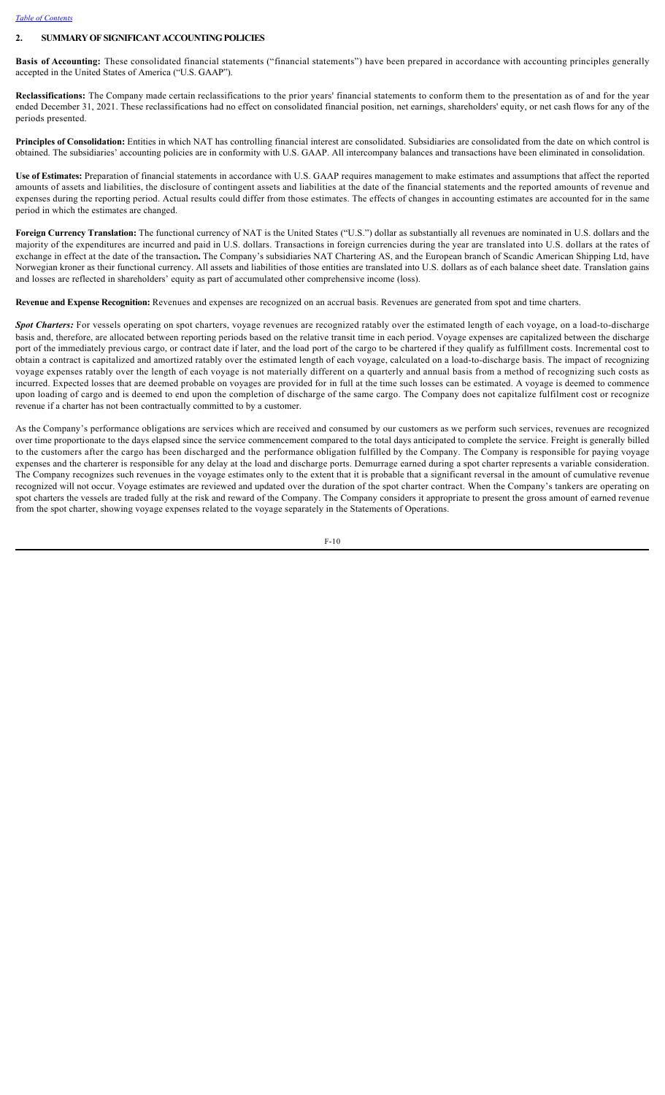# **2. SUMMARY OF SIGNIFICANT ACCOUNTING POLICIES**

**Basis of Accounting:** These consolidated financial statements ("financial statements") have been prepared in accordance with accounting principles generally accepted in the United States of America ("U.S. GAAP").

**Reclassifications:** The Company made certain reclassifications to the prior years' financial statements to conform them to the presentation as of and for the year ended December 31, 2021. These reclassifications had no effect on consolidated financial position, net earnings, shareholders' equity, or net cash flows for any of the periods presented.

Principles of Consolidation: Entities in which NAT has controlling financial interest are consolidated. Subsidiaries are consolidated from the date on which control is obtained. The subsidiaries' accounting policies are in conformity with U.S. GAAP. All intercompany balances and transactions have been eliminated in consolidation.

**Use of Estimates:** Preparation of financial statements in accordance with U.S. GAAP requires management to make estimates and assumptions that affect the reported amounts of assets and liabilities, the disclosure of contingent assets and liabilities at the date of the financial statements and the reported amounts of revenue and expenses during the reporting period. Actual results could differ from those estimates. The effects of changes in accounting estimates are accounted for in the same period in which the estimates are changed.

**Foreign Currency Translation:** The functional currency of NAT is the United States ("U.S.") dollar as substantially all revenues are nominated in U.S. dollars and the majority of the expenditures are incurred and paid in U.S. dollars. Transactions in foreign currencies during the year are translated into U.S. dollars at the rates of exchange in effect at the date of the transaction**.** The Company's subsidiaries NAT Chartering AS, and the European branch of Scandic American Shipping Ltd, have Norwegian kroner as their functional currency. All assets and liabilities of those entities are translated into U.S. dollars as of each balance sheet date. Translation gains and losses are reflected in shareholders' equity as part of accumulated other comprehensive income (loss).

**Revenue and Expense Recognition:** Revenues and expenses are recognized on an accrual basis. Revenues are generated from spot and time charters.

Spot Charters: For vessels operating on spot charters, voyage revenues are recognized ratably over the estimated length of each voyage, on a load-to-discharge basis and, therefore, are allocated between reporting periods based on the relative transit time in each period. Voyage expenses are capitalized between the discharge port of the immediately previous cargo, or contract date if later, and the load port of the cargo to be chartered if they qualify as fulfillment costs. Incremental cost to obtain a contract is capitalized and amortized ratably over the estimated length of each voyage, calculated on a load-to-discharge basis. The impact of recognizing voyage expenses ratably over the length of each voyage is not materially different on a quarterly and annual basis from a method of recognizing such costs as incurred. Expected losses that are deemed probable on voyages are provided for in full at the time such losses can be estimated. A voyage is deemed to commence upon loading of cargo and is deemed to end upon the completion of discharge of the same cargo. The Company does not capitalize fulfilment cost or recognize revenue if a charter has not been contractually committed to by a customer.

As the Company's performance obligations are services which are received and consumed by our customers as we perform such services, revenues are recognized over time proportionate to the days elapsed since the service commencement compared to the total days anticipated to complete the service. Freight is generally billed to the customers after the cargo has been discharged and the performance obligation fulfilled by the Company. The Company is responsible for paying voyage expenses and the charterer is responsible for any delay at the load and discharge ports. Demurrage earned during a spot charter represents a variable consideration. The Company recognizes such revenues in the voyage estimates only to the extent that it is probable that a significant reversal in the amount of cumulative revenue recognized will not occur. Voyage estimates are reviewed and updated over the duration of the spot charter contract. When the Company's tankers are operating on spot charters the vessels are traded fully at the risk and reward of the Company. The Company considers it appropriate to present the gross amount of earned revenue from the spot charter, showing voyage expenses related to the voyage separately in the Statements of Operations.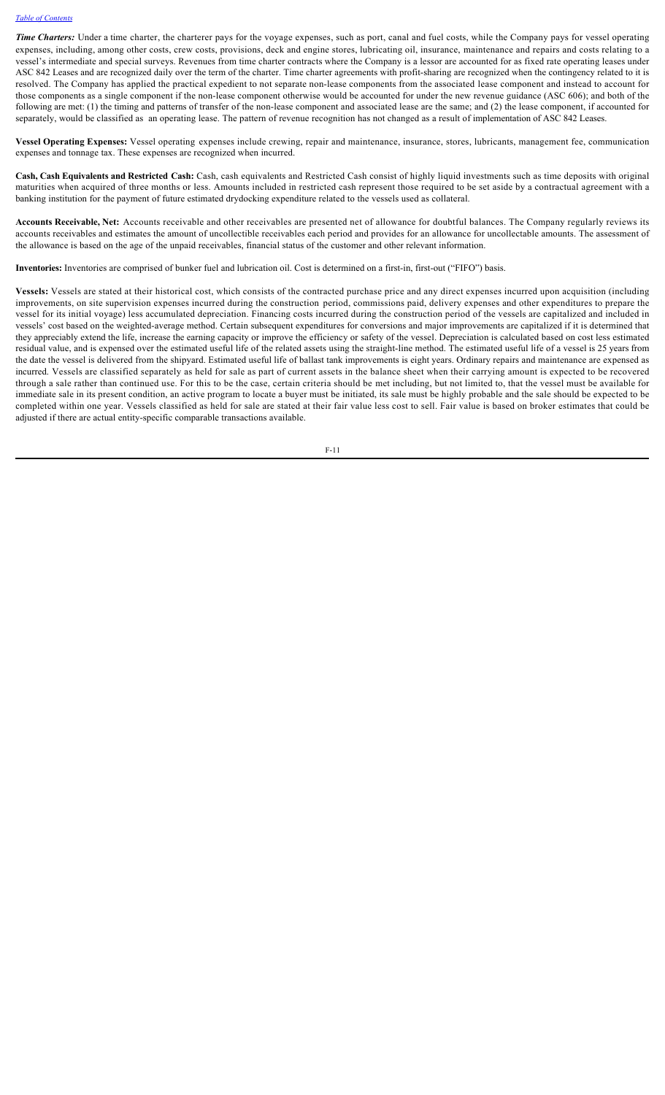*Time Charters:* Under a time charter, the charterer pays for the voyage expenses, such as port, canal and fuel costs, while the Company pays for vessel operating expenses, including, among other costs, crew costs, provisions, deck and engine stores, lubricating oil, insurance, maintenance and repairs and costs relating to a vessel's intermediate and special surveys. Revenues from time charter contracts where the Company is a lessor are accounted for as fixed rate operating leases under ASC 842 Leases and are recognized daily over the term of the charter. Time charter agreements with profit-sharing are recognized when the contingency related to it is resolved. The Company has applied the practical expedient to not separate non-lease components from the associated lease component and instead to account for those components as a single component if the non-lease component otherwise would be accounted for under the new revenue guidance (ASC 606); and both of the following are met: (1) the timing and patterns of transfer of the non-lease component and associated lease are the same; and (2) the lease component, if accounted for separately, would be classified as an operating lease. The pattern of revenue recognition has not changed as a result of implementation of ASC 842 Leases.

**Vessel Operating Expenses:** Vessel operating expenses include crewing, repair and maintenance, insurance, stores, lubricants, management fee, communication expenses and tonnage tax. These expenses are recognized when incurred.

**Cash, Cash Equivalents and Restricted Cash:** Cash, cash equivalents and Restricted Cash consist of highly liquid investments such as time deposits with original maturities when acquired of three months or less. Amounts included in restricted cash represent those required to be set aside by a contractual agreement with a banking institution for the payment of future estimated drydocking expenditure related to the vessels used as collateral.

**Accounts Receivable, Net:** Accounts receivable and other receivables are presented net of allowance for doubtful balances. The Company regularly reviews its accounts receivables and estimates the amount of uncollectible receivables each period and provides for an allowance for uncollectable amounts. The assessment of the allowance is based on the age of the unpaid receivables, financial status of the customer and other relevant information.

**Inventories:** Inventories are comprised of bunker fuel and lubrication oil. Cost is determined on a first-in, first-out ("FIFO") basis.

**Vessels:** Vessels are stated at their historical cost, which consists of the contracted purchase price and any direct expenses incurred upon acquisition (including improvements, on site supervision expenses incurred during the construction period, commissions paid, delivery expenses and other expenditures to prepare the vessel for its initial voyage) less accumulated depreciation. Financing costs incurred during the construction period of the vessels are capitalized and included in vessels' cost based on the weighted-average method. Certain subsequent expenditures for conversions and major improvements are capitalized if it is determined that they appreciably extend the life, increase the earning capacity or improve the efficiency or safety of the vessel. Depreciation is calculated based on cost less estimated residual value, and is expensed over the estimated useful life of the related assets using the straight-line method. The estimated useful life of a vessel is 25 years from the date the vessel is delivered from the shipyard. Estimated useful life of ballast tank improvements is eight years. Ordinary repairs and maintenance are expensed as incurred. Vessels are classified separately as held for sale as part of current assets in the balance sheet when their carrying amount is expected to be recovered through a sale rather than continued use. For this to be the case, certain criteria should be met including, but not limited to, that the vessel must be available for immediate sale in its present condition, an active program to locate a buyer must be initiated, its sale must be highly probable and the sale should be expected to be completed within one year. Vessels classified as held for sale are stated at their fair value less cost to sell. Fair value is based on broker estimates that could be adjusted if there are actual entity-specific comparable transactions available.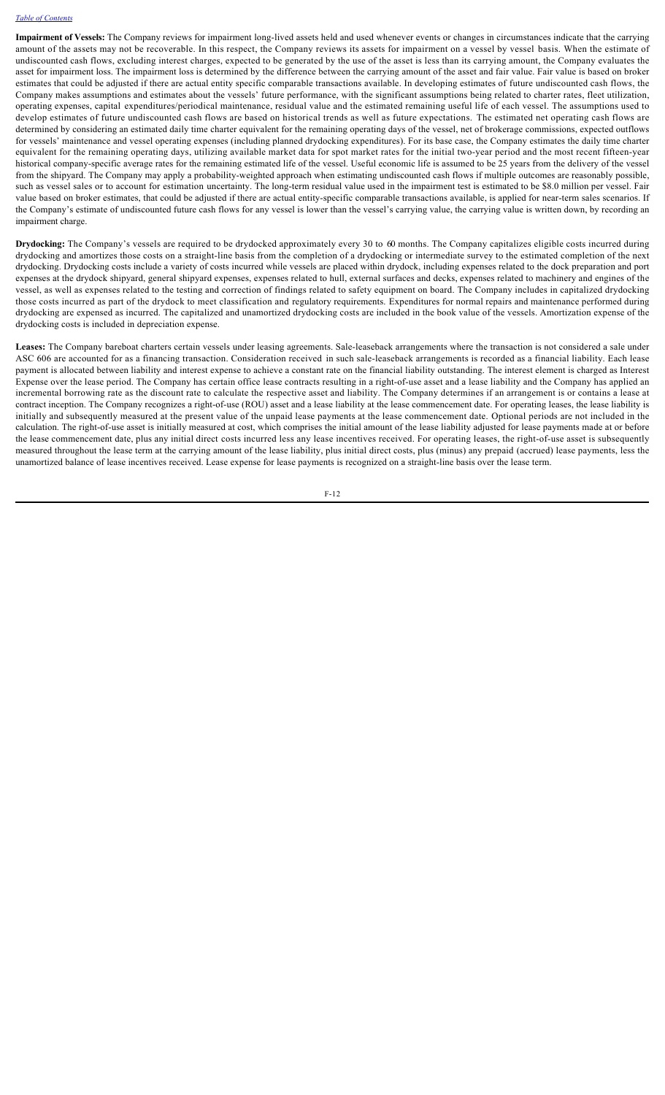**Impairment of Vessels:** The Company reviews for impairment long-lived assets held and used whenever events or changes in circumstances indicate that the carrying amount of the assets may not be recoverable. In this respect, the Company reviews its assets for impairment on a vessel by vessel basis. When the estimate of undiscounted cash flows, excluding interest charges, expected to be generated by the use of the asset is less than its carrying amount, the Company evaluates the asset for impairment loss. The impairment loss is determined by the difference between the carrying amount of the asset and fair value. Fair value is based on broker estimates that could be adjusted if there are actual entity specific comparable transactions available. In developing estimates of future undiscounted cash flows, the Company makes assumptions and estimates about the vessels' future performance, with the significant assumptions being related to charter rates, fleet utilization, operating expenses, capital expenditures/periodical maintenance, residual value and the estimated remaining useful life of each vessel. The assumptions used to develop estimates of future undiscounted cash flows are based on historical trends as well as future expectations. The estimated net operating cash flows are determined by considering an estimated daily time charter equivalent for the remaining operating days of the vessel, net of brokerage commissions, expected outflows for vessels' maintenance and vessel operating expenses (including planned drydocking expenditures). For its base case, the Company estimates the daily time charter equivalent for the remaining operating days, utilizing available market data for spot market rates for the initial two-year period and the most recent fifteen-year historical company-specific average rates for the remaining estimated life of the vessel. Useful economic life is assumed to be 25 years from the delivery of the vessel from the shipyard. The Company may apply a probability-weighted approach when estimating undiscounted cash flows if multiple outcomes are reasonably possible, such as vessel sales or to account for estimation uncertainty. The long-term residual value used in the impairment test is estimated to be \$8.0 million per vessel. Fair value based on broker estimates, that could be adjusted if there are actual entity-specific comparable transactions available, is applied for near-term sales scenarios. If the Company's estimate of undiscounted future cash flows for any vessel is lower than the vessel's carrying value, the carrying value is written down, by recording an impairment charge.

**Drydocking:** The Company's vessels are required to be drydocked approximately every 30 to 60 months. The Company capitalizes eligible costs incurred during drydocking and amortizes those costs on a straight-line basis from the completion of a drydocking or intermediate survey to the estimated completion of the next drydocking. Drydocking costs include a variety of costs incurred while vessels are placed within drydock, including expenses related to the dock preparation and port expenses at the drydock shipyard, general shipyard expenses, expenses related to hull, external surfaces and decks, expenses related to machinery and engines of the vessel, as well as expenses related to the testing and correction of findings related to safety equipment on board. The Company includes in capitalized drydocking those costs incurred as part of the drydock to meet classification and regulatory requirements. Expenditures for normal repairs and maintenance performed during drydocking are expensed as incurred. The capitalized and unamortized drydocking costs are included in the book value of the vessels. Amortization expense of the drydocking costs is included in depreciation expense.

**Leases:** The Company bareboat charters certain vessels under leasing agreements. Sale-leaseback arrangements where the transaction is not considered a sale under ASC 606 are accounted for as a financing transaction. Consideration received in such sale-leaseback arrangements is recorded as a financial liability. Each lease payment is allocated between liability and interest expense to achieve a constant rate on the financial liability outstanding. The interest element is charged as Interest Expense over the lease period. The Company has certain office lease contracts resulting in a right-of-use asset and a lease liability and the Company has applied an incremental borrowing rate as the discount rate to calculate the respective asset and liability. The Company determines if an arrangement is or contains a lease at contract inception. The Company recognizes a right-of-use (ROU) asset and a lease liability at the lease commencement date. For operating leases, the lease liability is initially and subsequently measured at the present value of the unpaid lease payments at the lease commencement date. Optional periods are not included in the calculation. The right-of-use asset is initially measured at cost, which comprises the initial amount of the lease liability adjusted for lease payments made at or before the lease commencement date, plus any initial direct costs incurred less any lease incentives received. For operating leases, the right-of-use asset is subsequently measured throughout the lease term at the carrying amount of the lease liability, plus initial direct costs, plus (minus) any prepaid (accrued) lease payments, less the unamortized balance of lease incentives received. Lease expense for lease payments is recognized on a straight-line basis over the lease term.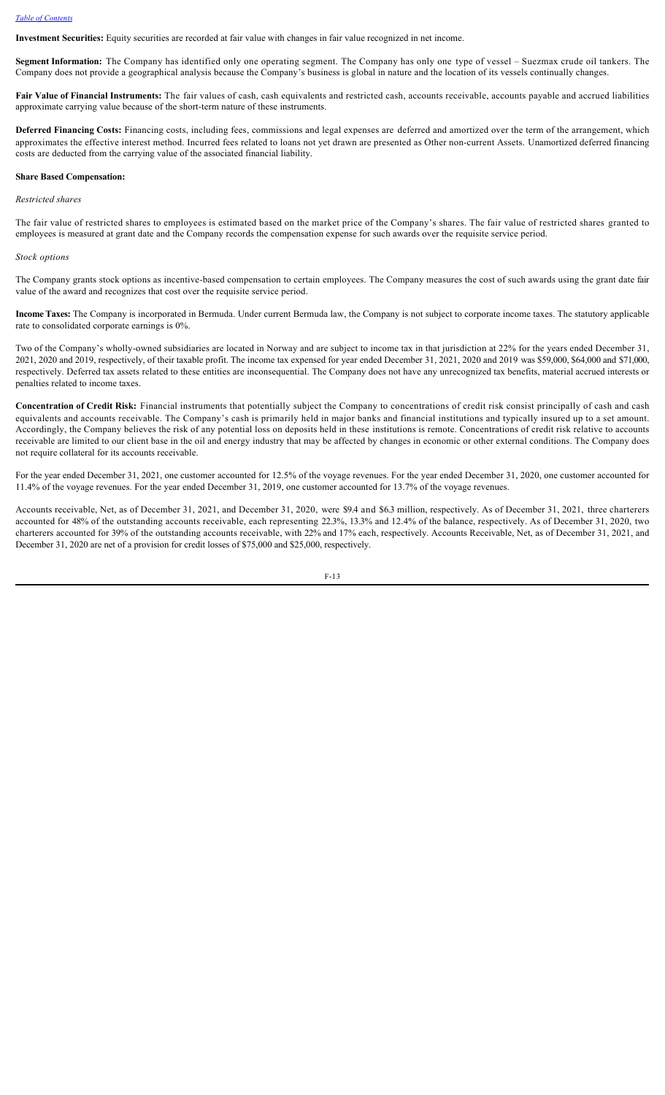**Investment Securities:** Equity securities are recorded at fair value with changes in fair value recognized in net income.

**Segment Information:** The Company has identified only one operating segment. The Company has only one type of vessel – Suezmax crude oil tankers. The Company does not provide a geographical analysis because the Company's business is global in nature and the location of its vessels continually changes.

Fair Value of Financial Instruments: The fair values of cash, cash equivalents and restricted cash, accounts receivable, accounts payable and accrued liabilities approximate carrying value because of the short-term nature of these instruments.

**Deferred Financing Costs:** Financing costs, including fees, commissions and legal expenses are deferred and amortized over the term of the arrangement, which approximates the effective interest method. Incurred fees related to loans not yet drawn are presented as Other non-current Assets. Unamortized deferred financing costs are deducted from the carrying value of the associated financial liability.

#### **Share Based Compensation:**

#### *Restricted shares*

The fair value of restricted shares to employees is estimated based on the market price of the Company's shares. The fair value of restricted shares granted to employees is measured at grant date and the Company records the compensation expense for such awards over the requisite service period.

#### *Stock options*

The Company grants stock options as incentive-based compensation to certain employees. The Company measures the cost of such awards using the grant date fair value of the award and recognizes that cost over the requisite service period.

**Income Taxes:** The Company is incorporated in Bermuda. Under current Bermuda law, the Company is not subject to corporate income taxes. The statutory applicable rate to consolidated corporate earnings is 0%.

Two of the Company's wholly-owned subsidiaries are located in Norway and are subject to income tax in that jurisdiction at 22% for the years ended December 31, 2021, 2020 and 2019, respectively, of their taxable profit. The income tax expensed for year ended December 31, 2021, 2020 and 2019 was \$59,000, \$64,000 and \$71,000, respectively. Deferred tax assets related to these entities are inconsequential. The Company does not have any unrecognized tax benefits, material accrued interests or penalties related to income taxes.

**Concentration of Credit Risk:** Financial instruments that potentially subject the Company to concentrations of credit risk consist principally of cash and cash equivalents and accounts receivable. The Company's cash is primarily held in major banks and financial institutions and typically insured up to a set amount. Accordingly, the Company believes the risk of any potential loss on deposits held in these institutions is remote. Concentrations of credit risk relative to accounts receivable are limited to our client base in the oil and energy industry that may be affected by changes in economic or other external conditions. The Company does not require collateral for its accounts receivable.

For the year ended December 31, 2021, one customer accounted for 12.5% of the voyage revenues. For the year ended December 31, 2020, one customer accounted for 11.4% of the voyage revenues. For the year ended December 31, 2019, one customer accounted for 13.7% of the voyage revenues.

Accounts receivable, Net, as of December 31, 2021, and December 31, 2020, were \$9.4 and \$6.3 million, respectively. As of December 31, 2021, three charterers accounted for 48% of the outstanding accounts receivable, each representing 22.3%, 13.3% and 12.4% of the balance, respectively. As of December 31, 2020, two charterers accounted for 39% of the outstanding accounts receivable, with 22% and 17% each, respectively. Accounts Receivable, Net, as of December 31, 2021, and December 31, 2020 are net of a provision for credit losses of \$75,000 and \$25,000, respectively.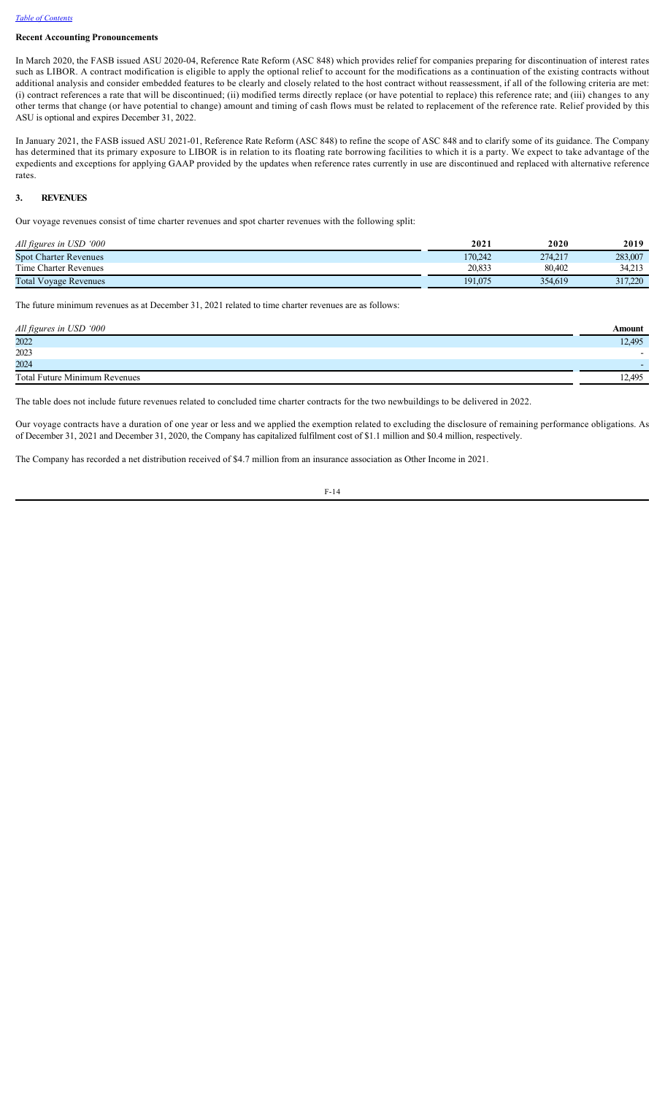# **Recent Accounting Pronouncements**

In March 2020, the FASB issued ASU 2020-04, Reference Rate Reform (ASC 848) which provides relief for companies preparing for discontinuation of interest rates such as LIBOR. A contract modification is eligible to apply the optional relief to account for the modifications as a continuation of the existing contracts without additional analysis and consider embedded features to be clearly and closely related to the host contract without reassessment, if all of the following criteria are met: (i) contract references a rate that will be discontinued; (ii) modified terms directly replace (or have potential to replace) this reference rate; and (iii) changes to any other terms that change (or have potential to change) amount and timing of cash flows must be related to replacement of the reference rate. Relief provided by this ASU is optional and expires December 31, 2022.

In January 2021, the FASB issued ASU 2021-01, Reference Rate Reform (ASC 848) to refine the scope of ASC 848 and to clarify some of its guidance. The Company has determined that its primary exposure to LIBOR is in relation to its floating rate borrowing facilities to which it is a party. We expect to take advantage of the expedients and exceptions for applying GAAP provided by the updates when reference rates currently in use are discontinued and replaced with alternative reference rates.

# **3. REVENUES**

Our voyage revenues consist of time charter revenues and spot charter revenues with the following split:

| All figures in USD '000      | 2021    | 2020    | 2019    |
|------------------------------|---------|---------|---------|
| <b>Spot Charter Revenues</b> | 170.242 | 274,217 | 283,007 |
| Time Charter Revenues        | 20,833  | 80,402  | 34.213  |
| <b>Total Voyage Revenues</b> | 191,075 | 354,619 | 317,220 |

The future minimum revenues as at December 31, 2021 related to time charter revenues are as follows:

| All figures in USD '000       | Amount                   |
|-------------------------------|--------------------------|
| 2022                          | 12,495                   |
| 2023                          | $\overline{\phantom{0}}$ |
| 2024                          | $\overline{\phantom{0}}$ |
| Total Future Minimum Revenues | 12,495                   |

The table does not include future revenues related to concluded time charter contracts for the two newbuildings to be delivered in 2022.

Our voyage contracts have a duration of one year or less and we applied the exemption related to excluding the disclosure of remaining performance obligations. As of December 31, 2021 and December 31, 2020, the Company has capitalized fulfilment cost of \$1.1 million and \$0.4 million, respectively.

The Company has recorded a net distribution received of \$4.7 million from an insurance association as Other Income in 2021.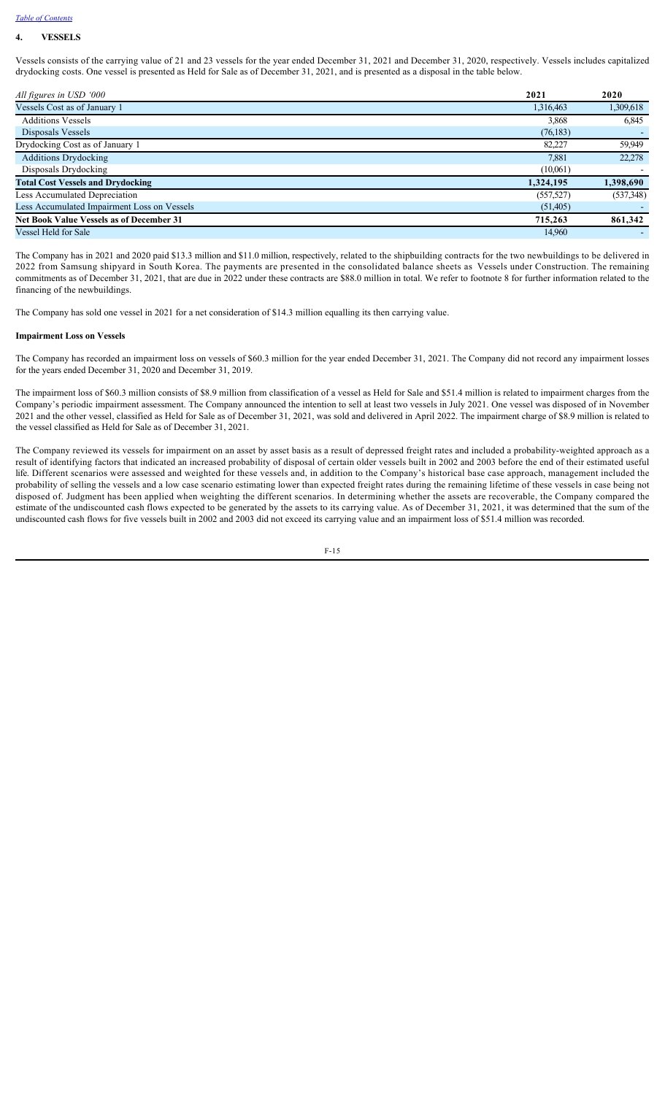# **4. VESSELS**

Vessels consists of the carrying value of 21 and 23 vessels for the year ended December 31, 2021 and December 31, 2020, respectively. Vessels includes capitalized drydocking costs. One vessel is presented as Held for Sale as of December 31, 2021, and is presented as a disposal in the table below.

| All figures in USD '000                         | 2021       | 2020      |
|-------------------------------------------------|------------|-----------|
| Vessels Cost as of January 1                    | 1,316,463  | 1,309,618 |
| <b>Additions Vessels</b>                        | 3,868      | 6.845     |
| Disposals Vessels                               | (76,183)   |           |
| Drydocking Cost as of January 1                 | 82,227     | 59,949    |
| <b>Additions Drydocking</b>                     | 7.881      | 22,278    |
| Disposals Drydocking                            | (10,061)   |           |
| <b>Total Cost Vessels and Drydocking</b>        | 1,324,195  | 1,398,690 |
| Less Accumulated Depreciation                   | (557, 527) | (537,348) |
| Less Accumulated Impairment Loss on Vessels     | (51,405)   |           |
| <b>Net Book Value Vessels as of December 31</b> | 715,263    | 861,342   |
| Vessel Held for Sale                            | 14.960     |           |

The Company has in 2021 and 2020 paid \$13.3 million and \$11.0 million, respectively, related to the shipbuilding contracts for the two newbuildings to be delivered in 2022 from Samsung shipyard in South Korea. The payments are presented in the consolidated balance sheets as Vessels under Construction. The remaining commitments as of December 31, 2021, that are due in 2022 under these contracts are \$88.0 million in total. We refer to footnote 8 for further information related to the financing of the newbuildings.

The Company has sold one vessel in 2021 for a net consideration of \$14.3 million equalling its then carrying value.

#### **Impairment Loss on Vessels**

The Company has recorded an impairment loss on vessels of \$60.3 million for the year ended December 31, 2021. The Company did not record any impairment losses for the years ended December 31, 2020 and December 31, 2019.

The impairment loss of \$60.3 million consists of \$8.9 million from classification of a vessel as Held for Sale and \$51.4 million is related to impairment charges from the Company's periodic impairment assessment. The Company announced the intention to sell at least two vessels in July 2021. One vessel was disposed of in November 2021 and the other vessel, classified as Held for Sale as of December 31, 2021, was sold and delivered in April 2022. The impairment charge of \$8.9 million is related to the vessel classified as Held for Sale as of December 31, 2021.

The Company reviewed its vessels for impairment on an asset by asset basis as a result of depressed freight rates and included a probability-weighted approach as a result of identifying factors that indicated an increased probability of disposal of certain older vessels built in 2002 and 2003 before the end of their estimated useful life. Different scenarios were assessed and weighted for these vessels and, in addition to the Company's historical base case approach, management included the probability of selling the vessels and a low case scenario estimating lower than expected freight rates during the remaining lifetime of these vessels in case being not disposed of. Judgment has been applied when weighting the different scenarios. In determining whether the assets are recoverable, the Company compared the estimate of the undiscounted cash flows expected to be generated by the assets to its carrying value. As of December 31, 2021, it was determined that the sum of the undiscounted cash flows for five vessels built in 2002 and 2003 did not exceed its carrying value and an impairment loss of \$51.4 million was recorded.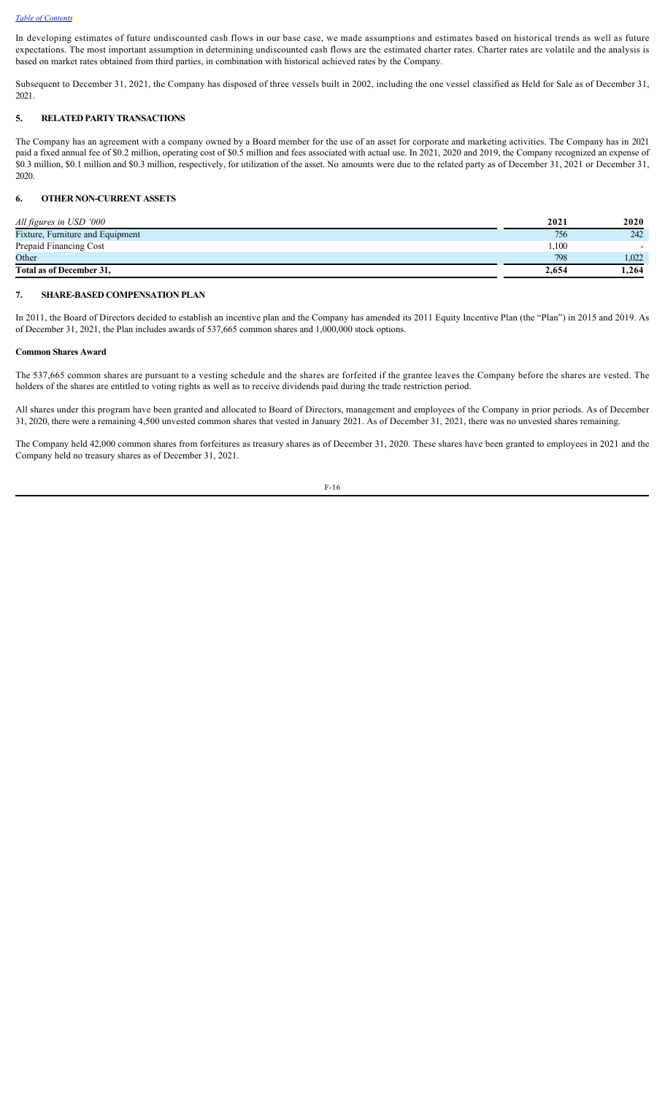In developing estimates of future undiscounted cash flows in our base case, we made assumptions and estimates based on historical trends as well as future expectations. The most important assumption in determining undiscounted cash flows are the estimated charter rates. Charter rates are volatile and the analysis is based on market rates obtained from third parties, in combination with historical achieved rates by the Company.

Subsequent to December 31, 2021, the Company has disposed of three vessels built in 2002, including the one vessel classified as Held for Sale as of December 31, 2021.

# **5. RELATED PARTY TRANSACTIONS**

The Company has an agreement with a company owned by a Board member for the use of an asset for corporate and marketing activities. The Company has in 2021 paid a fixed annual fee of \$0.2 million, operating cost of \$0.5 million and fees associated with actual use. In 2021, 2020 and 2019, the Company recognized an expense of \$0.3 million, \$0.1 million and \$0.3 million, respectively, for utilization of the asset. No amounts were due to the related party as of December 31, 2021 or December 31, 2020.

# **6. OTHER NON-CURRENT ASSETS**

| All figures in USD '000<br>Fixture, Furniture and Equipment | 2021<br>756 | 2020<br>242 |
|-------------------------------------------------------------|-------------|-------------|
| Prepaid Financing Cost                                      | 1,100       |             |
| Other                                                       | 798         | 1.022       |
| <b>Total as of December 31.</b>                             | 2.654       | 1.264       |

#### **7. SHARE-BASED COMPENSATION PLAN**

In 2011, the Board of Directors decided to establish an incentive plan and the Company has amended its 2011 Equity Incentive Plan (the "Plan") in 2015 and 2019. As of December 31, 2021, the Plan includes awards of 537,665 common shares and 1,000,000 stock options.

#### **Common Shares Award**

The 537,665 common shares are pursuant to a vesting schedule and the shares are forfeited if the grantee leaves the Company before the shares are vested. The holders of the shares are entitled to voting rights as well as to receive dividends paid during the trade restriction period.

All shares under this program have been granted and allocated to Board of Directors, management and employees of the Company in prior periods. As of December 31, 2020, there were a remaining 4,500 unvested common shares that vested in January 2021. As of December 31, 2021, there was no unvested shares remaining.

The Company held 42,000 common shares from forfeitures as treasury shares as of December 31, 2020. These shares have been granted to employees in 2021 and the Company held no treasury shares as of December 31, 2021.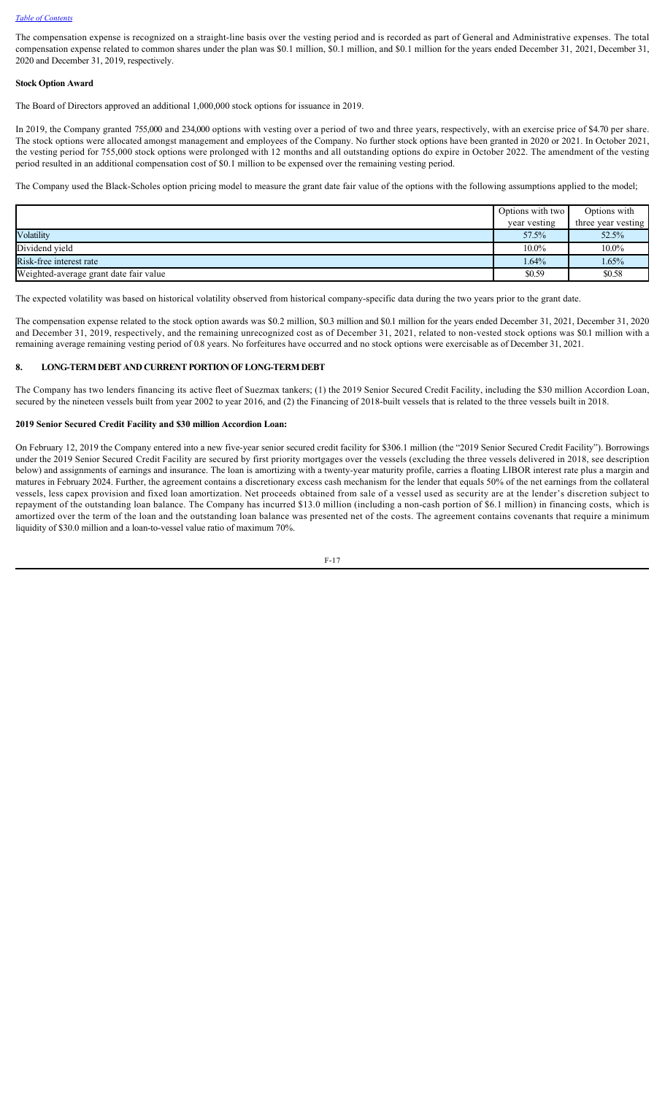The compensation expense is recognized on a straight-line basis over the vesting period and is recorded as part of General and Administrative expenses. The total compensation expense related to common shares under the plan was \$0.1 million, \$0.1 million, and \$0.1 million for the years ended December 31, 2021, December 31, 2020 and December 31, 2019, respectively.

# **Stock Option Award**

The Board of Directors approved an additional 1,000,000 stock options for issuance in 2019.

In 2019, the Company granted 755,000 and 234,000 options with vesting over a period of two and three years, respectively, with an exercise price of \$4.70 per share. The stock options were allocated amongst management and employees of the Company. No further stock options have been granted in 2020 or 2021. In October 2021, the vesting period for 755,000 stock options were prolonged with 12 months and all outstanding options do expire in October 2022. The amendment of the vesting period resulted in an additional compensation cost of \$0.1 million to be expensed over the remaining vesting period.

The Company used the Black-Scholes option pricing model to measure the grant date fair value of the options with the following assumptions applied to the model;

|                                        | Options with two | Options with       |
|----------------------------------------|------------------|--------------------|
|                                        | year vesting     | three year vesting |
| Volatility                             | 57.5%            | 52.5%              |
| Dividend yield                         | $10.0\%$         | 10.0%              |
| Risk-free interest rate                | 1.64%            | 1.65%              |
| Weighted-average grant date fair value | \$0.59           | \$0.58             |

The expected volatility was based on historical volatility observed from historical company-specific data during the two years prior to the grant date.

The compensation expense related to the stock option awards was \$0.2 million, \$0.3 million and \$0.1 million for the years ended December 31, 2021, December 31, 2020 and December 31, 2019, respectively, and the remaining unrecognized cost as of December 31, 2021, related to non-vested stock options was \$0.1 million with a remaining average remaining vesting period of 0.8 years. No forfeitures have occurred and no stock options were exercisable as of December 31, 2021.

# **8. LONG-TERM DEBT AND CURRENT PORTION OF LONG-TERM DEBT**

The Company has two lenders financing its active fleet of Suezmax tankers; (1) the 2019 Senior Secured Credit Facility, including the \$30 million Accordion Loan, secured by the nineteen vessels built from year 2002 to year 2016, and (2) the Financing of 2018-built vessels that is related to the three vessels built in 2018.

## **2019 Senior Secured Credit Facility and \$30 million Accordion Loan:**

On February 12, 2019 the Company entered into a new five-year senior secured credit facility for \$306.1 million (the "2019 Senior Secured Credit Facility"). Borrowings under the 2019 Senior Secured Credit Facility are secured by first priority mortgages over the vessels (excluding the three vessels delivered in 2018, see description below) and assignments of earnings and insurance. The loan is amortizing with a twenty-year maturity profile, carries a floating LIBOR interest rate plus a margin and matures in February 2024. Further, the agreement contains a discretionary excess cash mechanism for the lender that equals 50% of the net earnings from the collateral vessels, less capex provision and fixed loan amortization. Net proceeds obtained from sale of a vessel used as security are at the lender's discretion subject to repayment of the outstanding loan balance. The Company has incurred \$13.0 million (including a non-cash portion of \$6.1 million) in financing costs, which is amortized over the term of the loan and the outstanding loan balance was presented net of the costs. The agreement contains covenants that require a minimum liquidity of \$30.0 million and a loan-to-vessel value ratio of maximum 70%.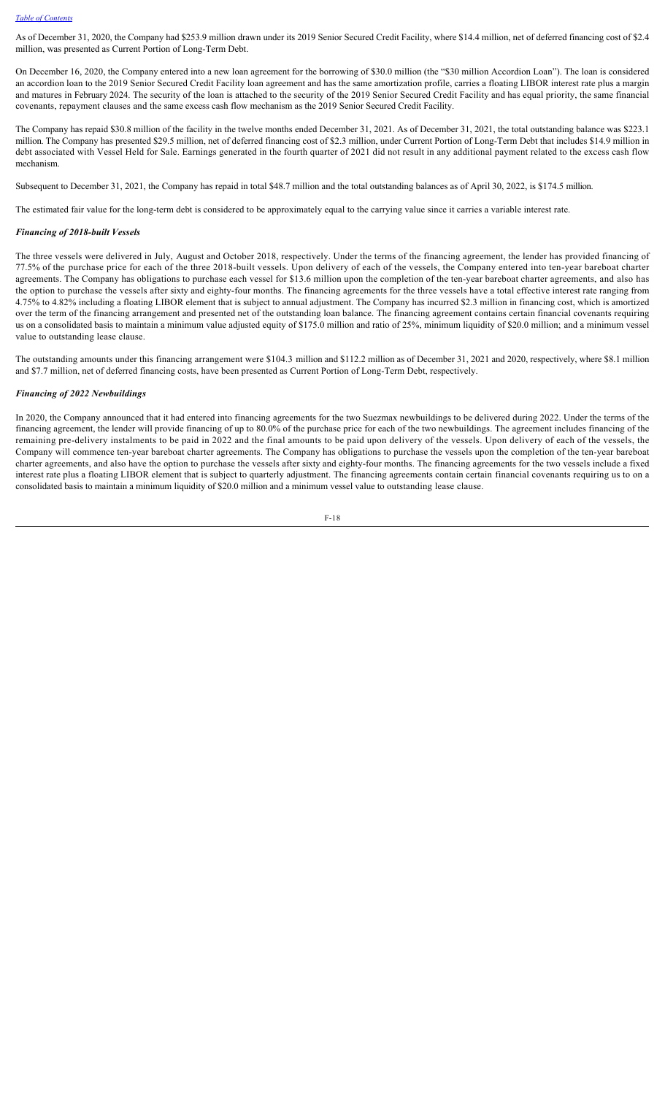As of December 31, 2020, the Company had \$253.9 million drawn under its 2019 Senior Secured Credit Facility, where \$14.4 million, net of deferred financing cost of \$2.4 million, was presented as Current Portion of Long-Term Debt.

On December 16, 2020, the Company entered into a new loan agreement for the borrowing of \$30.0 million (the "\$30 million Accordion Loan"). The loan is considered an accordion loan to the 2019 Senior Secured Credit Facility loan agreement and has the same amortization profile, carries a floating LIBOR interest rate plus a margin and matures in February 2024. The security of the loan is attached to the security of the 2019 Senior Secured Credit Facility and has equal priority, the same financial covenants, repayment clauses and the same excess cash flow mechanism as the 2019 Senior Secured Credit Facility.

The Company has repaid \$30.8 million of the facility in the twelve months ended December 31, 2021. As of December 31, 2021, the total outstanding balance was \$223.1 million. The Company has presented \$29.5 million, net of deferred financing cost of \$2.3 million, under Current Portion of Long-Term Debt that includes \$14.9 million in debt associated with Vessel Held for Sale. Earnings generated in the fourth quarter of 2021 did not result in any additional payment related to the excess cash flow mechanism.

Subsequent to December 31, 2021, the Company has repaid in total \$48.7 million and the total outstanding balances as of April 30, 2022, is \$174.5 million.

The estimated fair value for the long-term debt is considered to be approximately equal to the carrying value since it carries a variable interest rate.

## *Financing of 2018-built Vessels*

The three vessels were delivered in July, August and October 2018, respectively. Under the terms of the financing agreement, the lender has provided financing of 77.5% of the purchase price for each of the three 2018-built vessels. Upon delivery of each of the vessels, the Company entered into ten-year bareboat charter agreements. The Company has obligations to purchase each vessel for \$13.6 million upon the completion of the ten-year bareboat charter agreements, and also has the option to purchase the vessels after sixty and eighty-four months. The financing agreements for the three vessels have a total effective interest rate ranging from 4.75% to 4.82% including a floating LIBOR element that is subject to annual adjustment. The Company has incurred \$2.3 million in financing cost, which is amortized over the term of the financing arrangement and presented net of the outstanding loan balance. The financing agreement contains certain financial covenants requiring us on a consolidated basis to maintain a minimum value adjusted equity of \$175.0 million and ratio of 25%, minimum liquidity of \$20.0 million; and a minimum vessel value to outstanding lease clause.

The outstanding amounts under this financing arrangement were \$104.3 million and \$112.2 million as of December 31, 2021 and 2020, respectively, where \$8.1 million and \$7.7 million, net of deferred financing costs, have been presented as Current Portion of Long-Term Debt, respectively.

### *Financing of 2022 Newbuildings*

In 2020, the Company announced that it had entered into financing agreements for the two Suezmax newbuildings to be delivered during 2022. Under the terms of the financing agreement, the lender will provide financing of up to 80.0% of the purchase price for each of the two newbuildings. The agreement includes financing of the remaining pre-delivery instalments to be paid in 2022 and the final amounts to be paid upon delivery of the vessels. Upon delivery of each of the vessels, the Company will commence ten-year bareboat charter agreements. The Company has obligations to purchase the vessels upon the completion of the ten-year bareboat charter agreements, and also have the option to purchase the vessels after sixty and eighty-four months. The financing agreements for the two vessels include a fixed interest rate plus a floating LIBOR element that is subject to quarterly adjustment. The financing agreements contain certain financial covenants requiring us to on a consolidated basis to maintain a minimum liquidity of \$20.0 million and a minimum vessel value to outstanding lease clause.

$$
F-18
$$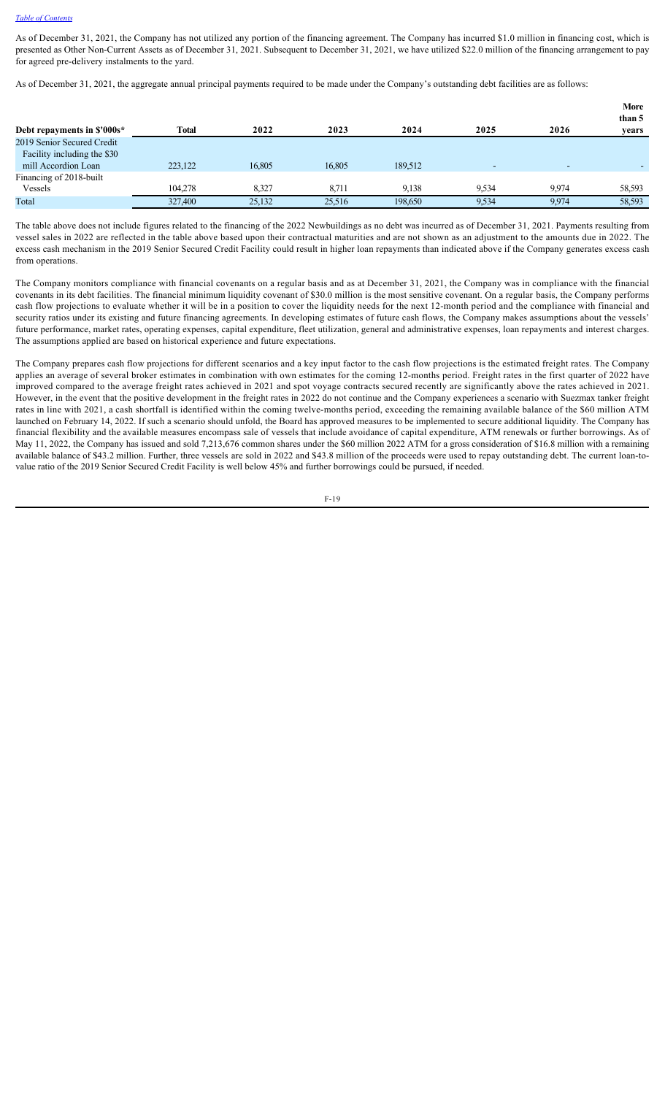As of December 31, 2021, the Company has not utilized any portion of the financing agreement. The Company has incurred \$1.0 million in financing cost, which is presented as Other Non-Current Assets as of December 31, 2021. Subsequent to December 31, 2021, we have utilized \$22.0 million of the financing arrangement to pay for agreed pre-delivery instalments to the yard.

**More**

As of December 31, 2021, the aggregate annual principal payments required to be made under the Company's outstanding debt facilities are as follows:

|                             |         |        |        |         |                          |                          | <b>IVIUI U</b><br>than 5 |
|-----------------------------|---------|--------|--------|---------|--------------------------|--------------------------|--------------------------|
| Debt repayments in \$'000s* | Total   | 2022   | 2023   | 2024    | 2025                     | 2026                     | years                    |
| 2019 Senior Secured Credit  |         |        |        |         |                          |                          |                          |
| Facility including the \$30 |         |        |        |         |                          |                          |                          |
| mill Accordion Loan         | 223,122 | 16,805 | 16.805 | 189.512 | $\overline{\phantom{0}}$ | $\overline{\phantom{0}}$ |                          |
| Financing of 2018-built     |         |        |        |         |                          |                          |                          |
| Vessels                     | 104.278 | 8.327  | 8.711  | 9.138   | 9.534                    | 9.974                    | 58,593                   |
| Total                       | 327,400 | 25,132 | 25,516 | 198,650 | 9,534                    | 9,974                    | 58,593                   |

The table above does not include figures related to the financing of the 2022 Newbuildings as no debt was incurred as of December 31, 2021. Payments resulting from vessel sales in 2022 are reflected in the table above based upon their contractual maturities and are not shown as an adjustment to the amounts due in 2022. The excess cash mechanism in the 2019 Senior Secured Credit Facility could result in higher loan repayments than indicated above if the Company generates excess cash from operations.

The Company monitors compliance with financial covenants on a regular basis and as at December 31, 2021, the Company was in compliance with the financial covenants in its debt facilities. The financial minimum liquidity covenant of \$30.0 million is the most sensitive covenant. On a regular basis, the Company performs cash flow projections to evaluate whether it will be in a position to cover the liquidity needs for the next 12-month period and the compliance with financial and security ratios under its existing and future financing agreements. In developing estimates of future cash flows, the Company makes assumptions about the vessels' future performance, market rates, operating expenses, capital expenditure, fleet utilization, general and administrative expenses, loan repayments and interest charges. The assumptions applied are based on historical experience and future expectations.

The Company prepares cash flow projections for different scenarios and a key input factor to the cash flow projections is the estimated freight rates. The Company applies an average of several broker estimates in combination with own estimates for the coming 12-months period. Freight rates in the first quarter of 2022 have improved compared to the average freight rates achieved in 2021 and spot voyage contracts secured recently are significantly above the rates achieved in 2021. However, in the event that the positive development in the freight rates in 2022 do not continue and the Company experiences a scenario with Suezmax tanker freight rates in line with 2021, a cash shortfall is identified within the coming twelve-months period, exceeding the remaining available balance of the \$60 million ATM launched on February 14, 2022. If such a scenario should unfold, the Board has approved measures to be implemented to secure additional liquidity. The Company has financial flexibility and the available measures encompass sale of vessels that include avoidance of capital expenditure, ATM renewals or further borrowings. As of May 11, 2022, the Company has issued and sold 7,213,676 common shares under the \$60 million 2022 ATM for a gross consideration of \$16.8 million with a remaining available balance of \$43.2 million. Further, three vessels are sold in 2022 and \$43.8 million of the proceeds were used to repay outstanding debt. The current loan-tovalue ratio of the 2019 Senior Secured Credit Facility is well below 45% and further borrowings could be pursued, if needed.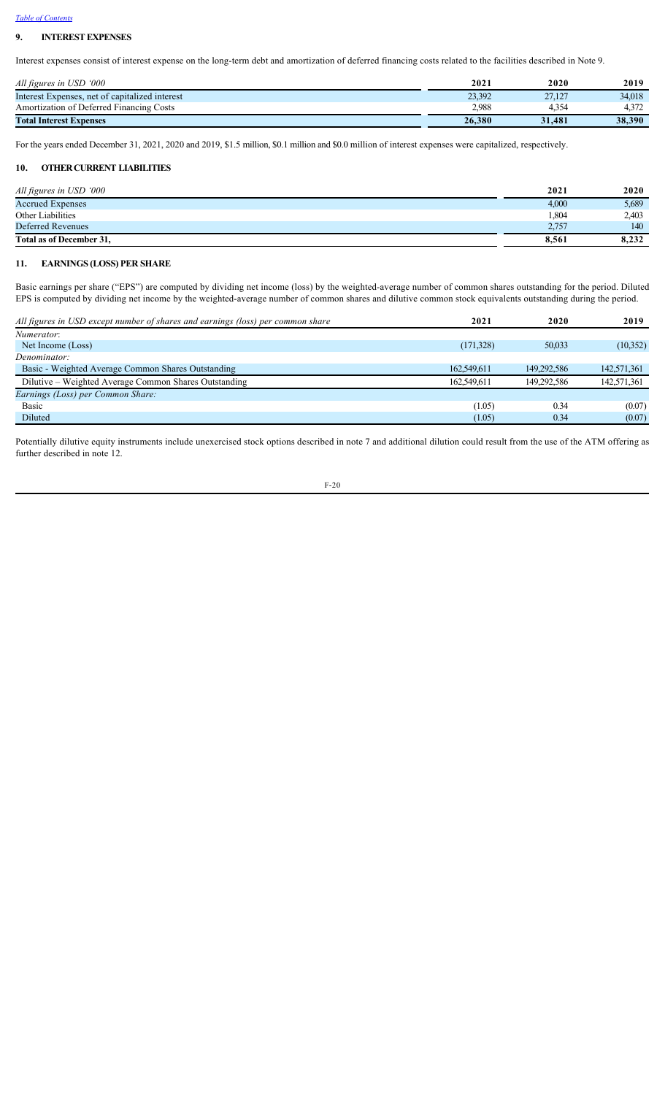# **9. INTEREST EXPENSES**

Interest expenses consist of interest expense on the long-term debt and amortization of deferred financing costs related to the facilities described in Note 9.

| All figures in USD '000                        | 2021   | 2020   | 2019   |
|------------------------------------------------|--------|--------|--------|
| Interest Expenses, net of capitalized interest | 23.392 | 27,127 | 34.018 |
| Amortization of Deferred Financing Costs       | 2.988  | 4.354  | 4,372  |
| <b>Total Interest Expenses</b>                 | 26,380 | 31.481 | 38,390 |

For the years ended December 31, 2021, 2020 and 2019, \$1.5 million, \$0.1 million and \$0.0 million of interest expenses were capitalized, respectively.

## **10. OTHER CURRENT LIABILITIES**

| All figures in USD '000  | 2021  | 2020  |
|--------------------------|-------|-------|
| <b>Accrued Expenses</b>  | 4,000 | 5,689 |
| Other Liabilities        | 1,804 | 2,403 |
| Deferred Revenues        | 2.757 | 140   |
| Total as of December 31, | 8.561 | 8,232 |

# **11. EARNINGS (LOSS) PER SHARE**

Basic earnings per share ("EPS") are computed by dividing net income (loss) by the weighted-average number of common shares outstanding for the period. Diluted EPS is computed by dividing net income by the weighted-average number of common shares and dilutive common stock equivalents outstanding during the period.

| All figures in USD except number of shares and earnings (loss) per common share | 2021        | 2020        | 2019        |
|---------------------------------------------------------------------------------|-------------|-------------|-------------|
| Numerator:                                                                      |             |             |             |
| Net Income (Loss)                                                               | (171,328)   | 50.033      | (10,352)    |
| Denominator:                                                                    |             |             |             |
| Basic - Weighted Average Common Shares Outstanding                              | 162,549,611 | 149.292.586 | 142,571,361 |
| Dilutive – Weighted Average Common Shares Outstanding                           | 162,549,611 | 149.292.586 | 142,571,361 |
| Earnings (Loss) per Common Share:                                               |             |             |             |
| Basic                                                                           | (1.05)      | 0.34        | (0.07)      |
| Diluted                                                                         | (1.05)      | 0.34        | (0.07)      |

Potentially dilutive equity instruments include unexercised stock options described in note 7 and additional dilution could result from the use of the ATM offering as further described in note 12.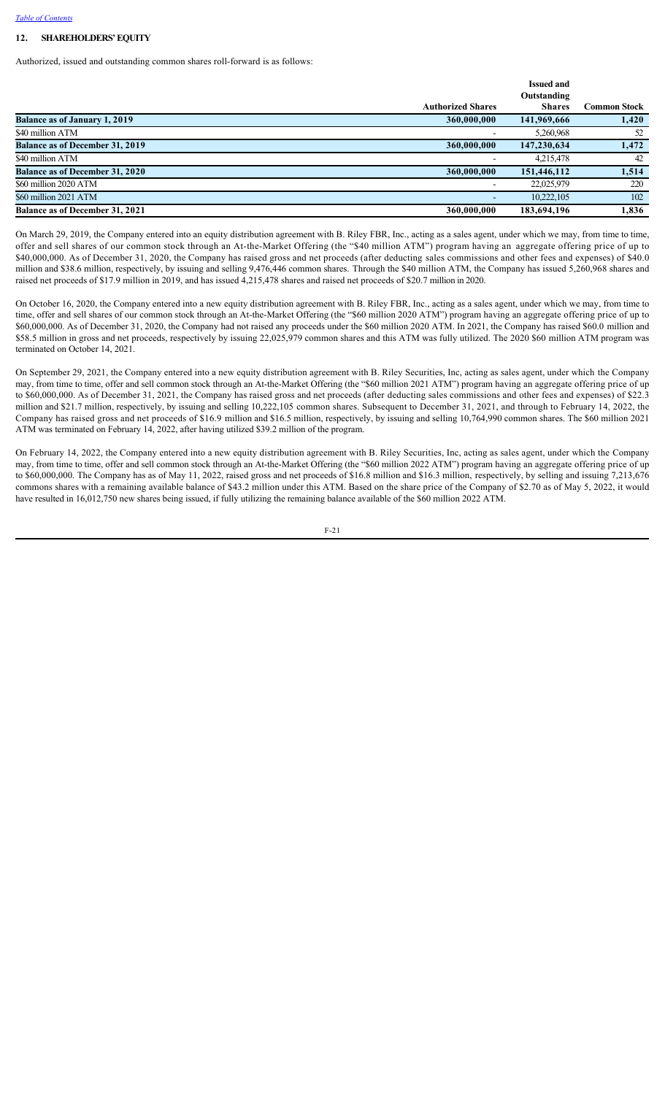# **12. SHAREHOLDERS' EQUITY**

Authorized, issued and outstanding common shares roll-forward is as follows:

|                                        |                          | <b>Issued and</b> |              |
|----------------------------------------|--------------------------|-------------------|--------------|
|                                        |                          | Outstanding       |              |
|                                        | <b>Authorized Shares</b> | <b>Shares</b>     | Common Stock |
| <b>Balance as of January 1, 2019</b>   | 360,000,000              | 141,969,666       | 1,420        |
| \$40 million ATM                       |                          | 5.260.968         | 52           |
| <b>Balance as of December 31, 2019</b> | 360,000,000              | 147,230,634       | 1,472        |
| \$40 million ATM                       |                          | 4.215.478         | 42           |
| <b>Balance as of December 31, 2020</b> | 360,000,000              | 151,446,112       | 1,514        |
| \$60 million 2020 ATM                  |                          | 22,025,979        | 220          |
| \$60 million 2021 ATM                  | $\overline{\phantom{a}}$ | 10.222,105        | 102          |
| <b>Balance as of December 31, 2021</b> | 360,000,000              | 183,694,196       | 1,836        |

On March 29, 2019, the Company entered into an equity distribution agreement with B. Riley FBR, Inc., acting as a sales agent, under which we may, from time to time, offer and sell shares of our common stock through an At-the-Market Offering (the "\$40 million ATM") program having an aggregate offering price of up to \$40,000,000. As of December 31, 2020, the Company has raised gross and net proceeds (after deducting sales commissions and other fees and expenses) of \$40.0 million and \$38.6 million, respectively, by issuing and selling 9,476,446 common shares. Through the \$40 million ATM, the Company has issued 5,260,968 shares and raised net proceeds of \$17.9 million in 2019, and has issued 4,215,478 shares and raised net proceeds of \$20.7 million in 2020.

On October 16, 2020, the Company entered into a new equity distribution agreement with B. Riley FBR, Inc., acting as a sales agent, under which we may, from time to time, offer and sell shares of our common stock through an At-the-Market Offering (the "\$60 million 2020 ATM") program having an aggregate offering price of up to \$60,000,000. As of December 31, 2020, the Company had not raised any proceeds under the \$60 million 2020 ATM. In 2021, the Company has raised \$60.0 million and \$58.5 million in gross and net proceeds, respectively by issuing 22,025,979 common shares and this ATM was fully utilized. The 2020 \$60 million ATM program was terminated on October 14, 2021.

On September 29, 2021, the Company entered into a new equity distribution agreement with B. Riley Securities, Inc, acting as sales agent, under which the Company may, from time to time, offer and sell common stock through an At-the-Market Offering (the "\$60 million 2021 ATM") program having an aggregate offering price of up to \$60,000,000. As of December 31, 2021, the Company has raised gross and net proceeds (after deducting sales commissions and other fees and expenses) of \$22.3 million and \$21.7 million, respectively, by issuing and selling 10,222,105 common shares. Subsequent to December 31, 2021, and through to February 14, 2022, the Company has raised gross and net proceeds of \$16.9 million and \$16.5 million, respectively, by issuing and selling 10,764,990 common shares. The \$60 million 2021 ATM was terminated on February 14, 2022, after having utilized \$39.2 million of the program.

On February 14, 2022, the Company entered into a new equity distribution agreement with B. Riley Securities, Inc, acting as sales agent, under which the Company may, from time to time, offer and sell common stock through an At-the-Market Offering (the "\$60 million 2022 ATM") program having an aggregate offering price of up to \$60,000,000. The Company has as of May 11, 2022, raised gross and net proceeds of \$16.8 million and \$16.3 million, respectively, by selling and issuing 7,213,676 commons shares with a remaining available balance of \$43.2 million under this ATM. Based on the share price of the Company of \$2.70 as of May 5, 2022, it would have resulted in 16,012,750 new shares being issued, if fully utilizing the remaining balance available of the \$60 million 2022 ATM.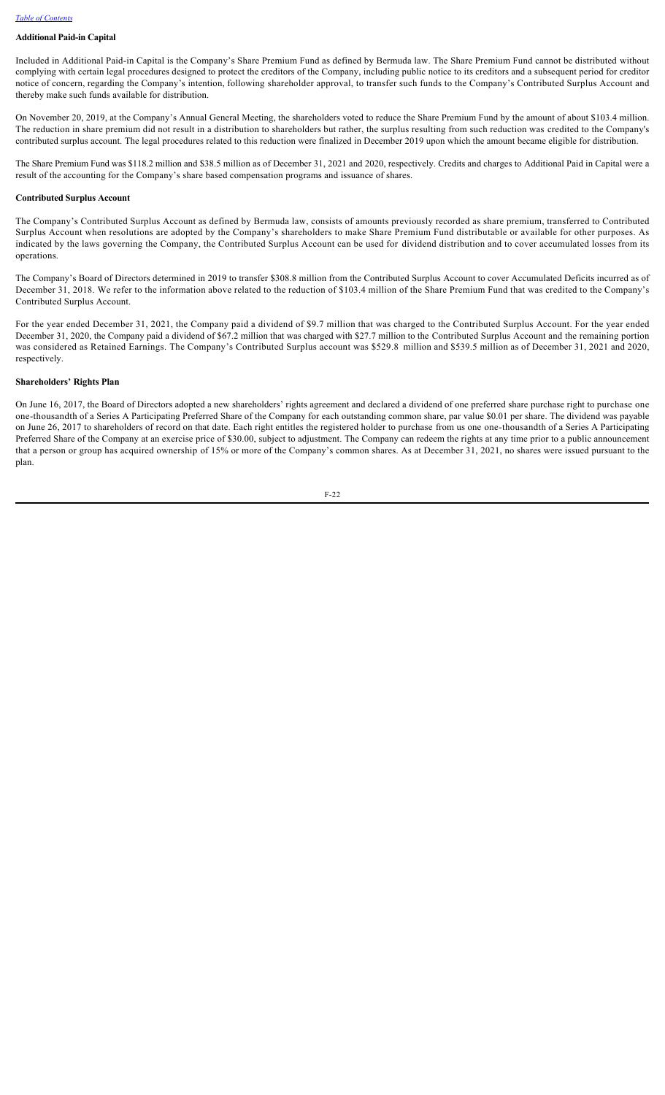# **Additional Paid-in Capital**

Included in Additional Paid-in Capital is the Company's Share Premium Fund as defined by Bermuda law. The Share Premium Fund cannot be distributed without complying with certain legal procedures designed to protect the creditors of the Company, including public notice to its creditors and a subsequent period for creditor notice of concern, regarding the Company's intention, following shareholder approval, to transfer such funds to the Company's Contributed Surplus Account and thereby make such funds available for distribution.

On November 20, 2019, at the Company's Annual General Meeting, the shareholders voted to reduce the Share Premium Fund by the amount of about \$103.4 million. The reduction in share premium did not result in a distribution to shareholders but rather, the surplus resulting from such reduction was credited to the Company's contributed surplus account. The legal procedures related to this reduction were finalized in December 2019 upon which the amount became eligible for distribution.

The Share Premium Fund was \$118.2 million and \$38.5 million as of December 31, 2021 and 2020, respectively. Credits and charges to Additional Paid in Capital were a result of the accounting for the Company's share based compensation programs and issuance of shares.

### **Contributed Surplus Account**

The Company's Contributed Surplus Account as defined by Bermuda law, consists of amounts previously recorded as share premium, transferred to Contributed Surplus Account when resolutions are adopted by the Company's shareholders to make Share Premium Fund distributable or available for other purposes. As indicated by the laws governing the Company, the Contributed Surplus Account can be used for dividend distribution and to cover accumulated losses from its operations.

The Company's Board of Directors determined in 2019 to transfer \$308.8 million from the Contributed Surplus Account to cover Accumulated Deficits incurred as of December 31, 2018. We refer to the information above related to the reduction of \$103.4 million of the Share Premium Fund that was credited to the Company's Contributed Surplus Account.

For the year ended December 31, 2021, the Company paid a dividend of \$9.7 million that was charged to the Contributed Surplus Account. For the year ended December 31, 2020, the Company paid a dividend of \$67.2 million that was charged with \$27.7 million to the Contributed Surplus Account and the remaining portion was considered as Retained Earnings. The Company's Contributed Surplus account was \$529.8 million and \$539.5 million as of December 31, 2021 and 2020, respectively.

## **Shareholders' Rights Plan**

On June 16, 2017, the Board of Directors adopted a new shareholders' rights agreement and declared a dividend of one preferred share purchase right to purchase one one-thousandth of a Series A Participating Preferred Share of the Company for each outstanding common share, par value \$0.01 per share. The dividend was payable on June 26, 2017 to shareholders of record on that date. Each right entitles the registered holder to purchase from us one one-thousandth of a Series A Participating Preferred Share of the Company at an exercise price of \$30.00, subject to adjustment. The Company can redeem the rights at any time prior to a public announcement that a person or group has acquired ownership of 15% or more of the Company's common shares. As at December 31, 2021, no shares were issued pursuant to the plan.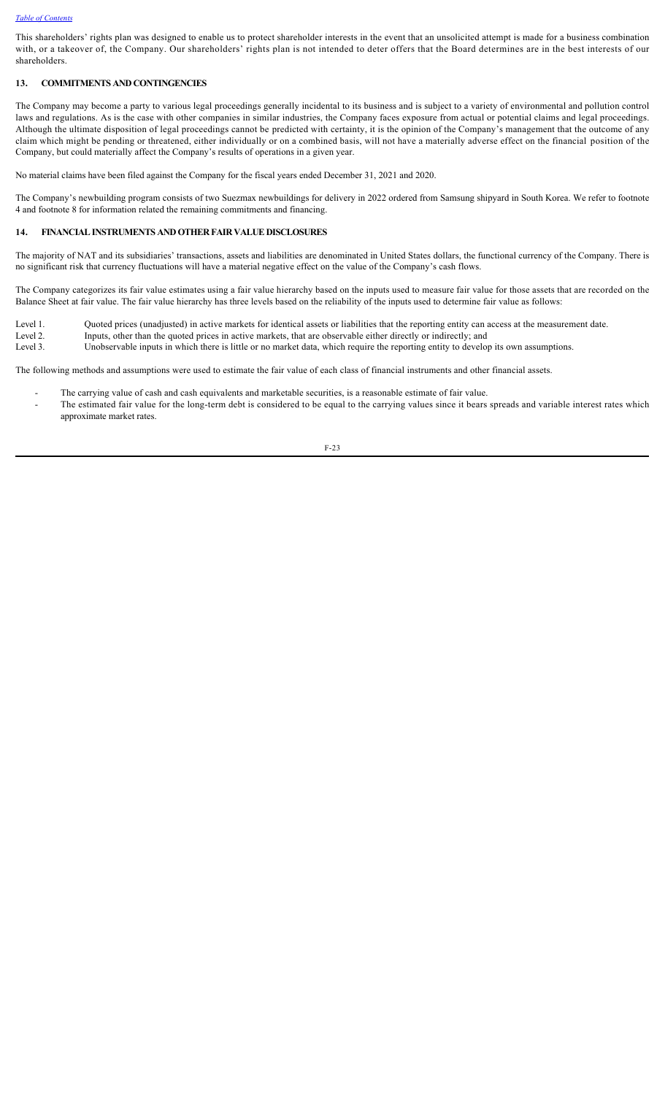This shareholders' rights plan was designed to enable us to protect shareholder interests in the event that an unsolicited attempt is made for a business combination with, or a takeover of, the Company. Our shareholders' rights plan is not intended to deter offers that the Board determines are in the best interests of our shareholders.

# **13. COMMITMENTS AND CONTINGENCIES**

The Company may become a party to various legal proceedings generally incidental to its business and is subject to a variety of environmental and pollution control laws and regulations. As is the case with other companies in similar industries, the Company faces exposure from actual or potential claims and legal proceedings. Although the ultimate disposition of legal proceedings cannot be predicted with certainty, it is the opinion of the Company's management that the outcome of any claim which might be pending or threatened, either individually or on a combined basis, will not have a materially adverse effect on the financial position of the Company, but could materially affect the Company's results of operations in a given year.

No material claims have been filed against the Company for the fiscal years ended December 31, 2021 and 2020.

The Company's newbuilding program consists of two Suezmax newbuildings for delivery in 2022 ordered from Samsung shipyard in South Korea. We refer to footnote 4 and footnote 8 for information related the remaining commitments and financing.

# **14. FINANCIAL INSTRUMENTS AND OTHER FAIR VALUE DISCLOSURES**

The majority of NAT and its subsidiaries' transactions, assets and liabilities are denominated in United States dollars, the functional currency of the Company. There is no significant risk that currency fluctuations will have a material negative effect on the value of the Company's cash flows.

The Company categorizes its fair value estimates using a fair value hierarchy based on the inputs used to measure fair value for those assets that are recorded on the Balance Sheet at fair value. The fair value hierarchy has three levels based on the reliability of the inputs used to determine fair value as follows:

- Level 1. Cuoted prices (unadjusted) in active markets for identical assets or liabilities that the reporting entity can access at the measurement date.
- Level 2. Inputs, other than the quoted prices in active markets, that are observable either directly or indirectly; and Level 3. Unobservable inputs in which there is little or no market data, which require the reporting entity to develop its own assumptions.

The following methods and assumptions were used to estimate the fair value of each class of financial instruments and other financial assets.

- The carrying value of cash and cash equivalents and marketable securities, is a reasonable estimate of fair value.
- The estimated fair value for the long-term debt is considered to be equal to the carrying values since it bears spreads and variable interest rates which approximate market rates.